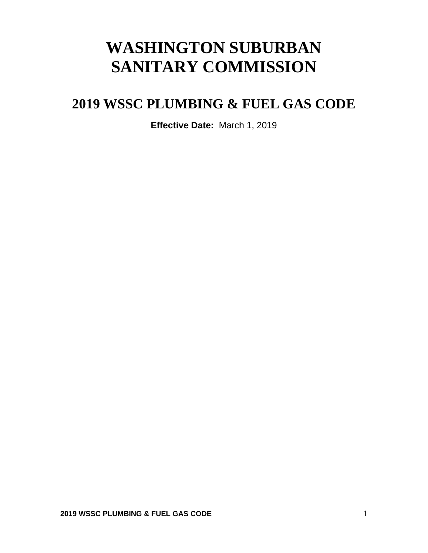# **WASHINGTON SUBURBAN SANITARY COMMISSION**

## **2019 WSSC PLUMBING & FUEL GAS CODE**

**Effective Date:** March 1, 2019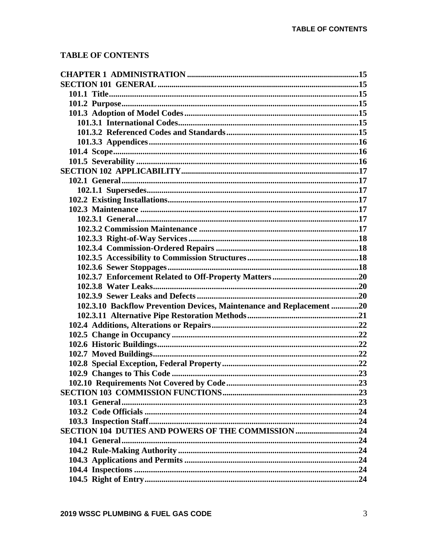### **TABLE OF CONTENTS**

| 102.3.10 Backflow Prevention Devices, Maintenance and Replacement 20 |  |
|----------------------------------------------------------------------|--|
|                                                                      |  |
|                                                                      |  |
|                                                                      |  |
|                                                                      |  |
|                                                                      |  |
|                                                                      |  |
|                                                                      |  |
|                                                                      |  |
|                                                                      |  |
|                                                                      |  |
|                                                                      |  |
|                                                                      |  |
|                                                                      |  |
|                                                                      |  |
|                                                                      |  |
|                                                                      |  |
|                                                                      |  |
|                                                                      |  |
|                                                                      |  |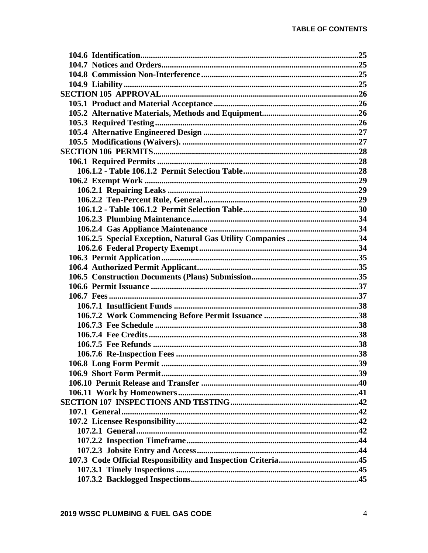| 106.2.5 Special Exception, Natural Gas Utility Companies 34 |  |
|-------------------------------------------------------------|--|
|                                                             |  |
|                                                             |  |
|                                                             |  |
|                                                             |  |
|                                                             |  |
|                                                             |  |
|                                                             |  |
|                                                             |  |
|                                                             |  |
|                                                             |  |
|                                                             |  |
|                                                             |  |
|                                                             |  |
|                                                             |  |
|                                                             |  |
|                                                             |  |
|                                                             |  |
|                                                             |  |
|                                                             |  |
|                                                             |  |
|                                                             |  |
|                                                             |  |
|                                                             |  |
|                                                             |  |
|                                                             |  |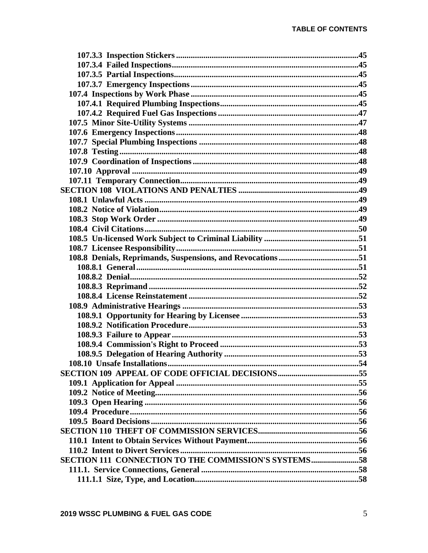| SECTION 111 CONNECTION TO THE COMMISSION'S SYSTEMS58 |  |
|------------------------------------------------------|--|
|                                                      |  |
|                                                      |  |
|                                                      |  |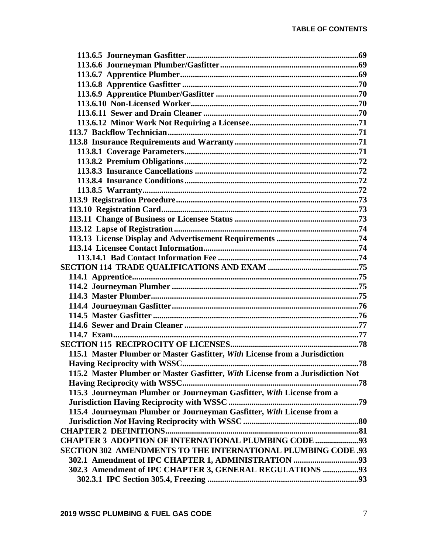| 115.1 Master Plumber or Master Gasfitter, With License from a Jurisdiction     |     |
|--------------------------------------------------------------------------------|-----|
| <b>Having Reciprocity with WSSC.</b>                                           | .78 |
| 115.2 Master Plumber or Master Gasfitter, With License from a Jurisdiction Not |     |
|                                                                                |     |
| 115.3 Journeyman Plumber or Journeyman Gasfitter, With License from a          |     |
|                                                                                |     |
| 115.4 Journeyman Plumber or Journeyman Gasfitter, With License from a          |     |
|                                                                                |     |
|                                                                                |     |
| <b>CHAPTER 3 ADOPTION OF INTERNATIONAL PLUMBING CODE 93</b>                    |     |
| SECTION 302 AMENDMENTS TO THE INTERNATIONAL PLUMBING CODE .93                  |     |
|                                                                                |     |
| 302.3 Amendment of IPC CHAPTER 3, GENERAL REGULATIONS 93                       |     |
|                                                                                |     |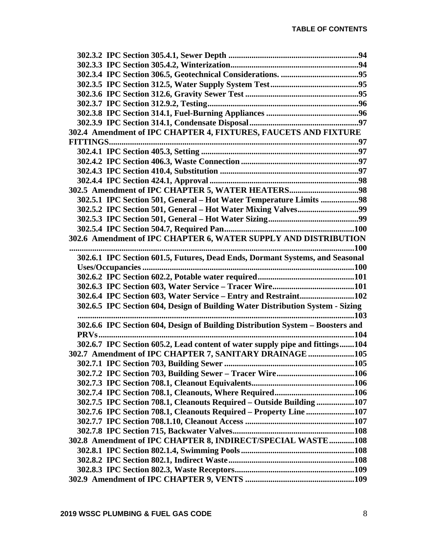| 302.4 Amendment of IPC CHAPTER 4, FIXTURES, FAUCETS AND FIXTURE                |  |
|--------------------------------------------------------------------------------|--|
|                                                                                |  |
|                                                                                |  |
|                                                                                |  |
|                                                                                |  |
|                                                                                |  |
|                                                                                |  |
| 302.5.1 IPC Section 501, General – Hot Water Temperature Limits 98             |  |
|                                                                                |  |
|                                                                                |  |
|                                                                                |  |
| 302.6 Amendment of IPC CHAPTER 6, WATER SUPPLY AND DISTRIBUTION                |  |
|                                                                                |  |
| 302.6.1 IPC Section 601.5, Futures, Dead Ends, Dormant Systems, and Seasonal   |  |
|                                                                                |  |
|                                                                                |  |
|                                                                                |  |
| 302.6.4 IPC Section 603, Water Service - Entry and Restraint102                |  |
| 302.6.5 IPC Section 604, Design of Building Water Distribution System - Sizing |  |
|                                                                                |  |
| 302.6.6 IPC Section 604, Design of Building Distribution System - Boosters and |  |
|                                                                                |  |
| 302.6.7 IPC Section 605.2, Lead content of water supply pipe and fittings104   |  |
| 302.7 Amendment of IPC CHAPTER 7, SANITARY DRAINAGE 105                        |  |
|                                                                                |  |
|                                                                                |  |
|                                                                                |  |
|                                                                                |  |
| 302.7.5 IPC Section 708.1, Cleanouts Required - Outside Building 107           |  |
| 302.7.6 IPC Section 708.1, Cleanouts Required – Property Line107               |  |
|                                                                                |  |
|                                                                                |  |
| 302.8 Amendment of IPC CHAPTER 8, INDIRECT/SPECIAL WASTE108                    |  |
|                                                                                |  |
|                                                                                |  |
|                                                                                |  |
|                                                                                |  |
|                                                                                |  |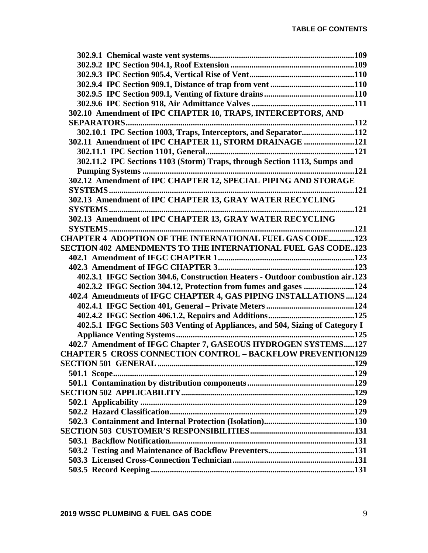| 302.10 Amendment of IPC CHAPTER 10, TRAPS, INTERCEPTORS, AND                   |      |
|--------------------------------------------------------------------------------|------|
|                                                                                |      |
| 302.10.1 IPC Section 1003, Traps, Interceptors, and Separator112               |      |
| 302.11 Amendment of IPC CHAPTER 11, STORM DRAINAGE 121                         |      |
|                                                                                |      |
| 302.11.2 IPC Sections 1103 (Storm) Traps, through Section 1113, Sumps and      |      |
|                                                                                |      |
|                                                                                |      |
|                                                                                |      |
| 302.13 Amendment of IPC CHAPTER 13, GRAY WATER RECYCLING                       |      |
|                                                                                |      |
| 302.13 Amendment of IPC CHAPTER 13, GRAY WATER RECYCLING                       |      |
|                                                                                |      |
| <b>CHAPTER 4 ADOPTION OF THE INTERNATIONAL FUEL GAS CODE123</b>                |      |
| <b>SECTION 402 AMENDMENTS TO THE INTERNATIONAL FUEL GAS CODE123</b>            |      |
|                                                                                |      |
|                                                                                |      |
| 402.3.1 IFGC Section 304.6, Construction Heaters - Outdoor combustion air.123  |      |
| 402.3.2 IFGC Section 304.12, Protection from fumes and gases 124               |      |
| 402.4 Amendments of IFGC CHAPTER 4, GAS PIPING INSTALLATIONS124                |      |
|                                                                                |      |
|                                                                                |      |
| 402.5.1 IFGC Sections 503 Venting of Appliances, and 504, Sizing of Category I |      |
|                                                                                |      |
| 402.7 Amendment of IFGC Chapter 7, GASEOUS HYDROGEN SYSTEMS127                 |      |
| <b>CHAPTER 5 CROSS CONNECTION CONTROL - BACKFLOW PREVENTION129</b>             |      |
| <b>SECTION 501 GENERAL.</b>                                                    | .129 |
|                                                                                |      |
|                                                                                |      |
|                                                                                |      |
|                                                                                |      |
|                                                                                |      |
|                                                                                |      |
|                                                                                |      |
|                                                                                |      |
|                                                                                |      |
|                                                                                |      |
|                                                                                |      |
|                                                                                |      |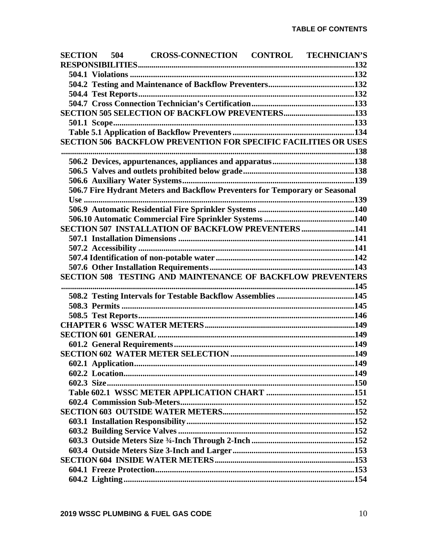| SECTION 504                                                                 | CROSS-CONNECTION CONTROL TECHNICIAN'S |
|-----------------------------------------------------------------------------|---------------------------------------|
|                                                                             |                                       |
|                                                                             |                                       |
|                                                                             |                                       |
|                                                                             |                                       |
|                                                                             |                                       |
|                                                                             |                                       |
|                                                                             |                                       |
|                                                                             |                                       |
| <b>SECTION 506 BACKFLOW PREVENTION FOR SPECIFIC FACILITIES OR USES</b>      |                                       |
|                                                                             |                                       |
|                                                                             |                                       |
|                                                                             |                                       |
|                                                                             |                                       |
| 506.7 Fire Hydrant Meters and Backflow Preventers for Temporary or Seasonal |                                       |
|                                                                             |                                       |
|                                                                             |                                       |
|                                                                             |                                       |
| SECTION 507 INSTALLATION OF BACKFLOW PREVENTERS 141                         |                                       |
|                                                                             |                                       |
|                                                                             |                                       |
|                                                                             |                                       |
|                                                                             |                                       |
| SECTION 508 TESTING AND MAINTENANCE OF BACKFLOW PREVENTERS                  |                                       |
|                                                                             |                                       |
|                                                                             |                                       |
|                                                                             |                                       |
|                                                                             |                                       |
|                                                                             |                                       |
|                                                                             |                                       |
|                                                                             |                                       |
|                                                                             |                                       |
| 602.1 Application                                                           |                                       |
|                                                                             |                                       |
|                                                                             |                                       |
|                                                                             |                                       |
|                                                                             |                                       |
|                                                                             |                                       |
|                                                                             |                                       |
|                                                                             |                                       |
|                                                                             |                                       |
|                                                                             |                                       |
|                                                                             |                                       |
|                                                                             |                                       |
|                                                                             |                                       |
|                                                                             |                                       |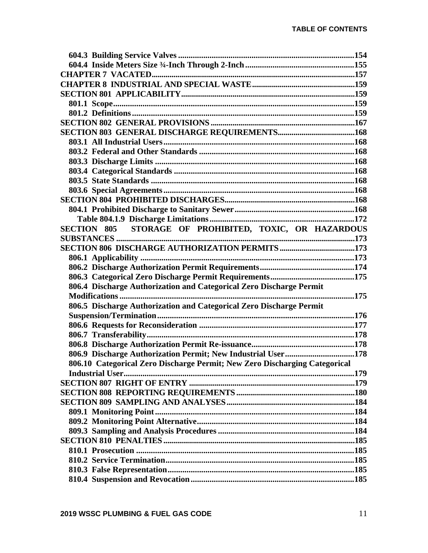| SECTION 805 STORAGE OF PROHIBITED, TOXIC, OR HAZARDOUS                     |  |
|----------------------------------------------------------------------------|--|
|                                                                            |  |
|                                                                            |  |
|                                                                            |  |
|                                                                            |  |
|                                                                            |  |
| 806.4 Discharge Authorization and Categorical Zero Discharge Permit        |  |
|                                                                            |  |
| 806.5 Discharge Authorization and Categorical Zero Discharge Permit        |  |
|                                                                            |  |
|                                                                            |  |
|                                                                            |  |
|                                                                            |  |
| 806.9 Discharge Authorization Permit; New Industrial User178               |  |
| 806.10 Categorical Zero Discharge Permit; New Zero Discharging Categorical |  |
|                                                                            |  |
|                                                                            |  |
|                                                                            |  |
|                                                                            |  |
|                                                                            |  |
|                                                                            |  |
|                                                                            |  |
|                                                                            |  |
|                                                                            |  |
|                                                                            |  |
|                                                                            |  |
|                                                                            |  |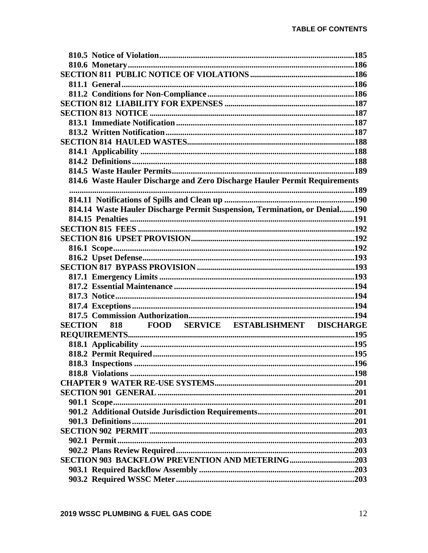| 814.6 Waste Hauler Discharge and Zero Discharge Hauler Permit Requirements |  |
|----------------------------------------------------------------------------|--|
|                                                                            |  |
|                                                                            |  |
| 814.14 Waste Hauler Discharge Permit Suspension, Termination, or Denial190 |  |
|                                                                            |  |
|                                                                            |  |
|                                                                            |  |
|                                                                            |  |
|                                                                            |  |
|                                                                            |  |
|                                                                            |  |
|                                                                            |  |
|                                                                            |  |
|                                                                            |  |
|                                                                            |  |
| SECTION 818 FOOD SERVICE ESTABLISHMENT DISCHARGE                           |  |
|                                                                            |  |
|                                                                            |  |
|                                                                            |  |
|                                                                            |  |
|                                                                            |  |
|                                                                            |  |
|                                                                            |  |
|                                                                            |  |
|                                                                            |  |
|                                                                            |  |
|                                                                            |  |
|                                                                            |  |
|                                                                            |  |
|                                                                            |  |
|                                                                            |  |
|                                                                            |  |
|                                                                            |  |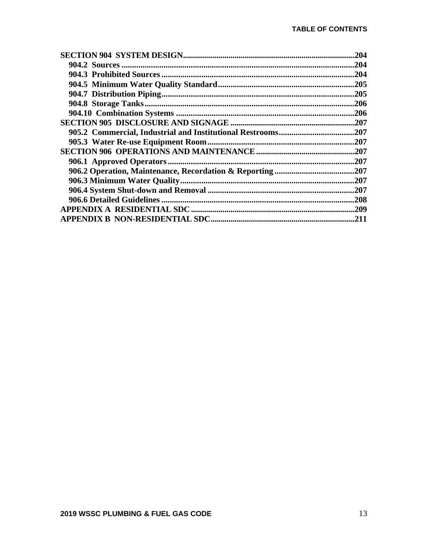| .204 |
|------|
|      |
|      |
|      |
|      |
|      |
|      |
|      |
|      |
|      |
|      |
|      |
|      |
|      |
|      |
|      |
|      |
|      |
|      |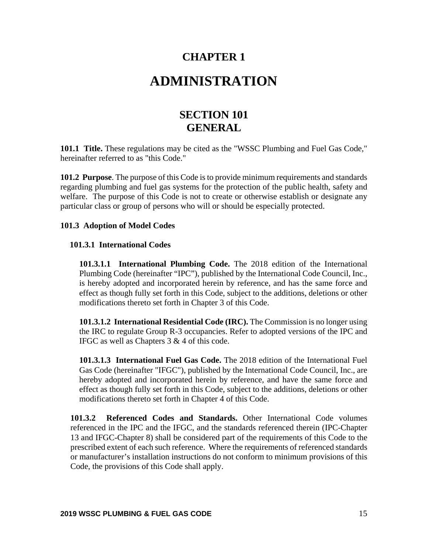### **CHAPTER 1**

### **ADMINISTRATION**

### **SECTION 101 GENERAL**

**101.1 Title.** These regulations may be cited as the "WSSC Plumbing and Fuel Gas Code," hereinafter referred to as "this Code."

**101.2 Purpose**. The purpose of this Code is to provide minimum requirements and standards regarding plumbing and fuel gas systems for the protection of the public health, safety and welfare. The purpose of this Code is not to create or otherwise establish or designate any particular class or group of persons who will or should be especially protected.

#### **101.3 Adoption of Model Codes**

#### **101.3.1 International Codes**

**101.3.1.1 International Plumbing Code.** The 2018 edition of the International Plumbing Code (hereinafter "IPC"), published by the International Code Council, Inc., is hereby adopted and incorporated herein by reference, and has the same force and effect as though fully set forth in this Code, subject to the additions, deletions or other modifications thereto set forth in Chapter 3 of this Code.

**101.3.1.2 International Residential Code (IRC).** The Commission is no longer using the IRC to regulate Group R-3 occupancies. Refer to adopted versions of the IPC and IFGC as well as Chapters 3 & 4 of this code.

**101.3.1.3 International Fuel Gas Code.** The 2018 edition of the International Fuel Gas Code (hereinafter "IFGC"), published by the International Code Council, Inc., are hereby adopted and incorporated herein by reference, and have the same force and effect as though fully set forth in this Code, subject to the additions, deletions or other modifications thereto set forth in Chapter 4 of this Code.

**101.3.2 Referenced Codes and Standards.** Other International Code volumes referenced in the IPC and the IFGC, and the standards referenced therein (IPC-Chapter 13 and IFGC-Chapter 8) shall be considered part of the requirements of this Code to the prescribed extent of each such reference. Where the requirements of referenced standards or manufacturer's installation instructions do not conform to minimum provisions of this Code, the provisions of this Code shall apply.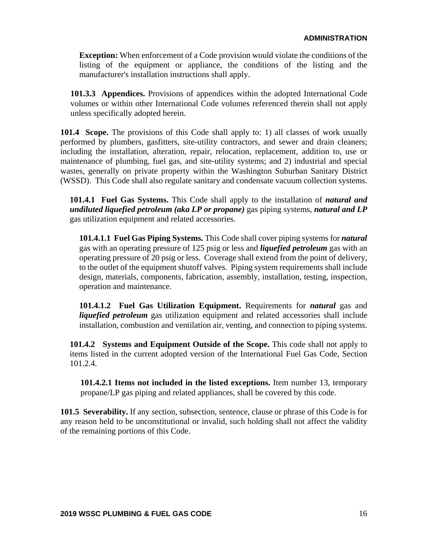**Exception:** When enforcement of a Code provision would violate the conditions of the listing of the equipment or appliance, the conditions of the listing and the manufacturer's installation instructions shall apply.

**101.3.3 Appendices.** Provisions of appendices within the adopted International Code volumes or within other International Code volumes referenced therein shall not apply unless specifically adopted herein.

**101.4 Scope.** The provisions of this Code shall apply to: 1) all classes of work usually performed by plumbers, gasfitters, site-utility contractors, and sewer and drain cleaners; including the installation, alteration, repair, relocation, replacement, addition to, use or maintenance of plumbing, fuel gas, and site-utility systems; and 2) industrial and special wastes, generally on private property within the Washington Suburban Sanitary District (WSSD). This Code shall also regulate sanitary and condensate vacuum collection systems.

**101.4.1 Fuel Gas Systems.** This Code shall apply to the installation of *natural and undiluted liquefied petroleum (aka LP or propane)* gas piping systems, *natural and LP*  gas utilization equipment and related accessories.

**101.4.1.1 Fuel Gas Piping Systems.** This Code shall cover piping systems for *natural* gas with an operating pressure of 125 psig or less and *liquefied petroleum* gas with an operating pressure of 20 psig or less. Coverage shall extend from the point of delivery, to the outlet of the equipment shutoff valves. Piping system requirements shall include design, materials, components, fabrication, assembly, installation, testing, inspection, operation and maintenance.

**101.4.1.2 Fuel Gas Utilization Equipment.** Requirements for *natural* gas and *liquefied petroleum* gas utilization equipment and related accessories shall include installation, combustion and ventilation air, venting, and connection to piping systems.

**101.4.2 Systems and Equipment Outside of the Scope.** This code shall not apply to items listed in the current adopted version of the International Fuel Gas Code, Section 101.2.4.

**101.4.2.1 Items not included in the listed exceptions.** Item number 13, temporary propane/LP gas piping and related appliances, shall be covered by this code.

**101.5 Severability.** If any section, subsection, sentence, clause or phrase of this Code is for any reason held to be unconstitutional or invalid, such holding shall not affect the validity of the remaining portions of this Code.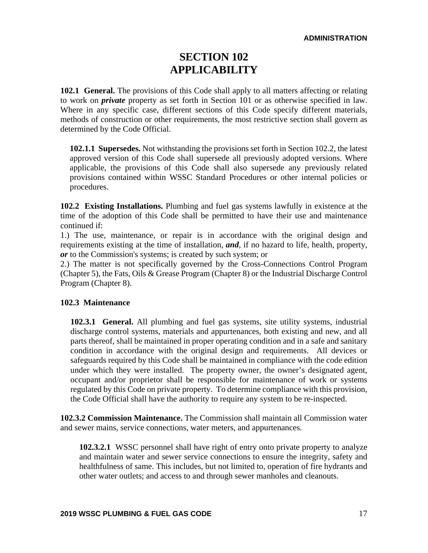### **SECTION 102 APPLICABILITY**

**102.1 General.** The provisions of this Code shall apply to all matters affecting or relating to work on *private* property as set forth in Section 101 or as otherwise specified in law. Where in any specific case, different sections of this Code specify different materials, methods of construction or other requirements, the most restrictive section shall govern as determined by the Code Official.

**102.1.1 Supersedes.** Not withstanding the provisions set forth in Section 102.2, the latest approved version of this Code shall supersede all previously adopted versions. Where applicable, the provisions of this Code shall also supersede any previously related provisions contained within WSSC Standard Procedures or other internal policies or procedures.

**102.2 Existing Installations.** Plumbing and fuel gas systems lawfully in existence at the time of the adoption of this Code shall be permitted to have their use and maintenance continued if:

1.) The use, maintenance, or repair is in accordance with the original design and requirements existing at the time of installation, *and*, if no hazard to life, health, property, *or* to the Commission's systems; is created by such system; or

2.) The matter is not specifically governed by the Cross-Connections Control Program (Chapter 5), the Fats, Oils & Grease Program (Chapter 8) or the Industrial Discharge Control Program (Chapter 8).

#### **102.3 Maintenance**

**102.3.1 General.** All plumbing and fuel gas systems, site utility systems, industrial discharge control systems, materials and appurtenances, both existing and new, and all parts thereof, shall be maintained in proper operating condition and in a safe and sanitary condition in accordance with the original design and requirements. All devices or safeguards required by this Code shall be maintained in compliance with the code edition under which they were installed. The property owner, the owner's designated agent, occupant and/or proprietor shall be responsible for maintenance of work or systems regulated by this Code on private property. To determine compliance with this provision, the Code Official shall have the authority to require any system to be re-inspected.

**102.3.2 Commission Maintenance.** The Commission shall maintain all Commission water and sewer mains, service connections, water meters, and appurtenances.

**102.3.2.1** WSSC personnel shall have right of entry onto private property to analyze and maintain water and sewer service connections to ensure the integrity, safety and healthfulness of same. This includes, but not limited to, operation of fire hydrants and other water outlets; and access to and through sewer manholes and cleanouts.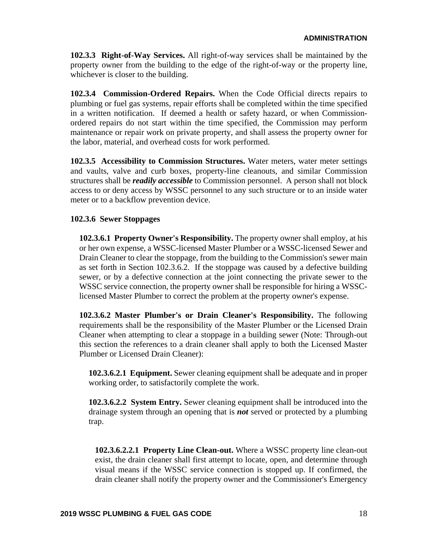**102.3.3 Right-of-Way Services.** All right-of-way services shall be maintained by the property owner from the building to the edge of the right-of-way or the property line, whichever is closer to the building.

**102.3.4 Commission-Ordered Repairs.** When the Code Official directs repairs to plumbing or fuel gas systems, repair efforts shall be completed within the time specified in a written notification. If deemed a health or safety hazard, or when Commissionordered repairs do not start within the time specified, the Commission may perform maintenance or repair work on private property, and shall assess the property owner for the labor, material, and overhead costs for work performed.

**102.3.5 Accessibility to Commission Structures.** Water meters, water meter settings and vaults, valve and curb boxes, property-line cleanouts, and similar Commission structures shall be *readily accessible* to Commission personnel. A person shall not block access to or deny access by WSSC personnel to any such structure or to an inside water meter or to a backflow prevention device.

#### **102.3.6 Sewer Stoppages**

**102.3.6.1 Property Owner's Responsibility.** The property owner shall employ, at his or her own expense, a WSSC-licensed Master Plumber or a WSSC-licensed Sewer and Drain Cleaner to clear the stoppage, from the building to the Commission's sewer main as set forth in Section 102.3.6.2. If the stoppage was caused by a defective building sewer, or by a defective connection at the joint connecting the private sewer to the WSSC service connection, the property owner shall be responsible for hiring a WSSClicensed Master Plumber to correct the problem at the property owner's expense.

**102.3.6.2 Master Plumber's or Drain Cleaner's Responsibility.** The following requirements shall be the responsibility of the Master Plumber or the Licensed Drain Cleaner when attempting to clear a stoppage in a building sewer (Note: Through-out this section the references to a drain cleaner shall apply to both the Licensed Master Plumber or Licensed Drain Cleaner):

**102.3.6.2.1 Equipment.** Sewer cleaning equipment shall be adequate and in proper working order, to satisfactorily complete the work.

**102.3.6.2.2 System Entry.** Sewer cleaning equipment shall be introduced into the drainage system through an opening that is *not* served or protected by a plumbing trap.

**102.3.6.2.2.1 Property Line Clean-out.** Where a WSSC property line clean-out exist, the drain cleaner shall first attempt to locate, open, and determine through visual means if the WSSC service connection is stopped up. If confirmed, the drain cleaner shall notify the property owner and the Commissioner's Emergency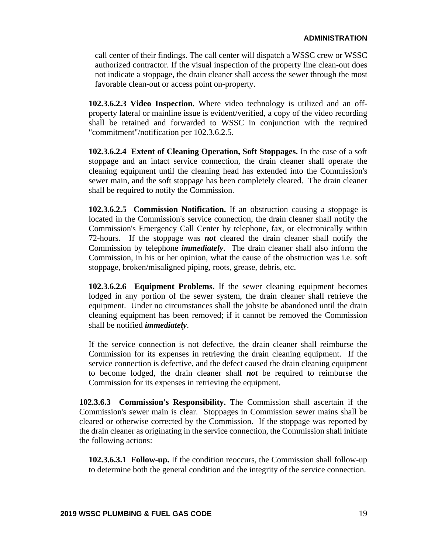call center of their findings. The call center will dispatch a WSSC crew or WSSC authorized contractor. If the visual inspection of the property line clean-out does not indicate a stoppage, the drain cleaner shall access the sewer through the most favorable clean-out or access point on-property.

**102.3.6.2.3 Video Inspection.** Where video technology is utilized and an offproperty lateral or mainline issue is evident/verified, a copy of the video recording shall be retained and forwarded to WSSC in conjunction with the required "commitment"/notification per 102.3.6.2.5.

**102.3.6.2.4 Extent of Cleaning Operation, Soft Stoppages.** In the case of a soft stoppage and an intact service connection, the drain cleaner shall operate the cleaning equipment until the cleaning head has extended into the Commission's sewer main, and the soft stoppage has been completely cleared. The drain cleaner shall be required to notify the Commission.

**102.3.6.2.5 Commission Notification.** If an obstruction causing a stoppage is located in the Commission's service connection, the drain cleaner shall notify the Commission's Emergency Call Center by telephone, fax, or electronically within 72-hours. If the stoppage was *not* cleared the drain cleaner shall notify the Commission by telephone *immediately*. The drain cleaner shall also inform the Commission, in his or her opinion, what the cause of the obstruction was i.e. soft stoppage, broken/misaligned piping, roots, grease, debris, etc.

**102.3.6.2.6 Equipment Problems.** If the sewer cleaning equipment becomes lodged in any portion of the sewer system, the drain cleaner shall retrieve the equipment. Under no circumstances shall the jobsite be abandoned until the drain cleaning equipment has been removed; if it cannot be removed the Commission shall be notified *immediately*.

If the service connection is not defective, the drain cleaner shall reimburse the Commission for its expenses in retrieving the drain cleaning equipment. If the service connection is defective, and the defect caused the drain cleaning equipment to become lodged, the drain cleaner shall *not* be required to reimburse the Commission for its expenses in retrieving the equipment.

**102.3.6.3 Commission's Responsibility.** The Commission shall ascertain if the Commission's sewer main is clear. Stoppages in Commission sewer mains shall be cleared or otherwise corrected by the Commission. If the stoppage was reported by the drain cleaner as originating in the service connection, the Commission shall initiate the following actions:

**102.3.6.3.1 Follow-up.** If the condition reoccurs, the Commission shall follow-up to determine both the general condition and the integrity of the service connection.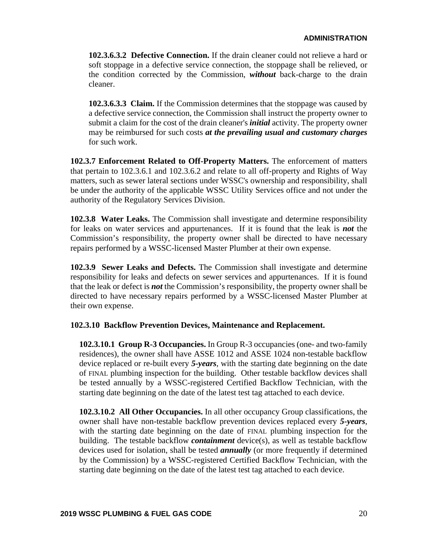**102.3.6.3.2 Defective Connection.** If the drain cleaner could not relieve a hard or soft stoppage in a defective service connection, the stoppage shall be relieved, or the condition corrected by the Commission, *without* back-charge to the drain cleaner.

**102.3.6.3.3 Claim.** If the Commission determines that the stoppage was caused by a defective service connection, the Commission shall instruct the property owner to submit a claim for the cost of the drain cleaner's *initial* activity. The property owner may be reimbursed for such costs *at the prevailing usual and customary charges* for such work.

**102.3.7 Enforcement Related to Off-Property Matters.** The enforcement of matters that pertain to 102.3.6.1 and 102.3.6.2 and relate to all off-property and Rights of Way matters, such as sewer lateral sections under WSSC's ownership and responsibility, shall be under the authority of the applicable WSSC Utility Services office and not under the authority of the Regulatory Services Division.

**102.3.8 Water Leaks.** The Commission shall investigate and determine responsibility for leaks on water services and appurtenances. If it is found that the leak is *not* the Commission's responsibility, the property owner shall be directed to have necessary repairs performed by a WSSC-licensed Master Plumber at their own expense.

**102.3.9 Sewer Leaks and Defects.** The Commission shall investigate and determine responsibility for leaks and defects on sewer services and appurtenances. If it is found that the leak or defect is *not* the Commission's responsibility, the property owner shall be directed to have necessary repairs performed by a WSSC-licensed Master Plumber at their own expense.

#### **102.3.10 Backflow Prevention Devices, Maintenance and Replacement.**

**102.3.10.1 Group R-3 Occupancies.** In Group R-3 occupancies (one- and two-family residences), the owner shall have ASSE 1012 and ASSE 1024 non-testable backflow device replaced or re-built every *5-years*, with the starting date beginning on the date of FINAL plumbing inspection for the building. Other testable backflow devices shall be tested annually by a WSSC-registered Certified Backflow Technician, with the starting date beginning on the date of the latest test tag attached to each device.

**102.3.10.2 All Other Occupancies.** In all other occupancy Group classifications, the owner shall have non-testable backflow prevention devices replaced every *5-years*, with the starting date beginning on the date of FINAL plumbing inspection for the building. The testable backflow *containment* device(s), as well as testable backflow devices used for isolation, shall be tested *annually* (or more frequently if determined by the Commission) by a WSSC-registered Certified Backflow Technician, with the starting date beginning on the date of the latest test tag attached to each device.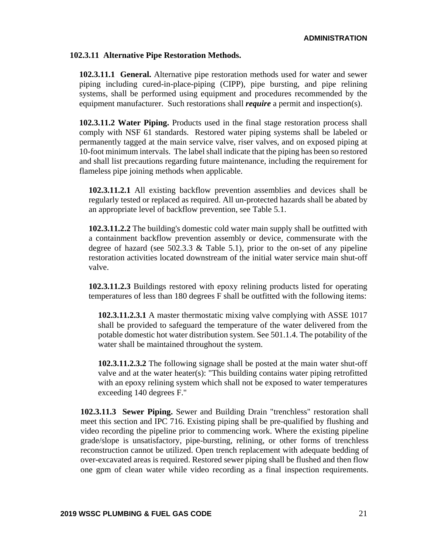#### **102.3.11 Alternative Pipe Restoration Methods.**

**102.3.11.1 General.** Alternative pipe restoration methods used for water and sewer piping including cured-in-place-piping (CIPP), pipe bursting, and pipe relining systems, shall be performed using equipment and procedures recommended by the equipment manufacturer. Such restorations shall *require* a permit and inspection(s).

**102.3.11.2 Water Piping.** Products used in the final stage restoration process shall comply with NSF 61 standards. Restored water piping systems shall be labeled or permanently tagged at the main service valve, riser valves, and on exposed piping at 10-foot minimum intervals. The label shall indicate that the piping has been so restored and shall list precautions regarding future maintenance, including the requirement for flameless pipe joining methods when applicable.

**102.3.11.2.1** All existing backflow prevention assemblies and devices shall be regularly tested or replaced as required. All un-protected hazards shall be abated by an appropriate level of backflow prevention, see Table 5.1.

**102.3.11.2.2** The building's domestic cold water main supply shall be outfitted with a containment backflow prevention assembly or device, commensurate with the degree of hazard (see 502.3.3  $\&$  Table 5.1), prior to the on-set of any pipeline restoration activities located downstream of the initial water service main shut-off valve.

**102.3.11.2.3** Buildings restored with epoxy relining products listed for operating temperatures of less than 180 degrees F shall be outfitted with the following items:

**102.3.11.2.3.1** A master thermostatic mixing valve complying with ASSE 1017 shall be provided to safeguard the temperature of the water delivered from the potable domestic hot water distribution system. See 501.1.4. The potability of the water shall be maintained throughout the system.

**102.3.11.2.3.2** The following signage shall be posted at the main water shut-off valve and at the water heater(s): "This building contains water piping retrofitted with an epoxy relining system which shall not be exposed to water temperatures exceeding 140 degrees F."

**102.3.11.3 Sewer Piping.** Sewer and Building Drain "trenchless" restoration shall meet this section and IPC 716. Existing piping shall be pre-qualified by flushing and video recording the pipeline prior to commencing work. Where the existing pipeline grade/slope is unsatisfactory, pipe-bursting, relining, or other forms of trenchless reconstruction cannot be utilized. Open trench replacement with adequate bedding of over-excavated areas is required. Restored sewer piping shall be flushed and then flow one gpm of clean water while video recording as a final inspection requirements.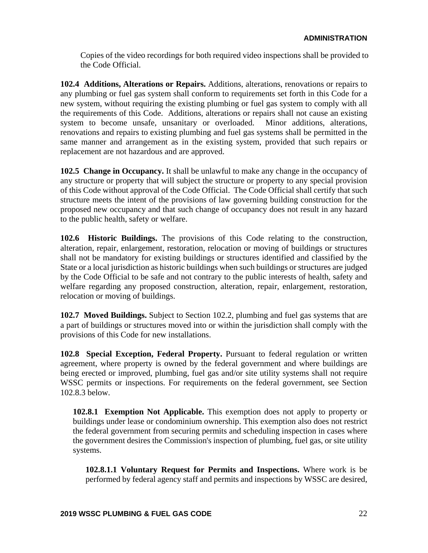Copies of the video recordings for both required video inspections shall be provided to the Code Official.

**102.4 Additions, Alterations or Repairs.** Additions, alterations, renovations or repairs to any plumbing or fuel gas system shall conform to requirements set forth in this Code for a new system, without requiring the existing plumbing or fuel gas system to comply with all the requirements of this Code. Additions, alterations or repairs shall not cause an existing system to become unsafe, unsanitary or overloaded. Minor additions, alterations, renovations and repairs to existing plumbing and fuel gas systems shall be permitted in the same manner and arrangement as in the existing system, provided that such repairs or replacement are not hazardous and are approved.

**102.5 Change in Occupancy.** It shall be unlawful to make any change in the occupancy of any structure or property that will subject the structure or property to any special provision of this Code without approval of the Code Official. The Code Official shall certify that such structure meets the intent of the provisions of law governing building construction for the proposed new occupancy and that such change of occupancy does not result in any hazard to the public health, safety or welfare.

**102.6 Historic Buildings.** The provisions of this Code relating to the construction, alteration, repair, enlargement, restoration, relocation or moving of buildings or structures shall not be mandatory for existing buildings or structures identified and classified by the State or a local jurisdiction as historic buildings when such buildings or structures are judged by the Code Official to be safe and not contrary to the public interests of health, safety and welfare regarding any proposed construction, alteration, repair, enlargement, restoration, relocation or moving of buildings.

**102.7 Moved Buildings.** Subject to Section 102.2, plumbing and fuel gas systems that are a part of buildings or structures moved into or within the jurisdiction shall comply with the provisions of this Code for new installations.

**102.8 Special Exception, Federal Property.** Pursuant to federal regulation or written agreement, where property is owned by the federal government and where buildings are being erected or improved, plumbing, fuel gas and/or site utility systems shall not require WSSC permits or inspections. For requirements on the federal government, see Section 102.8.3 below.

**102.8.1 Exemption Not Applicable.** This exemption does not apply to property or buildings under lease or condominium ownership. This exemption also does not restrict the federal government from securing permits and scheduling inspection in cases where the government desires the Commission's inspection of plumbing, fuel gas, or site utility systems.

**102.8.1.1 Voluntary Request for Permits and Inspections.** Where work is be performed by federal agency staff and permits and inspections by WSSC are desired,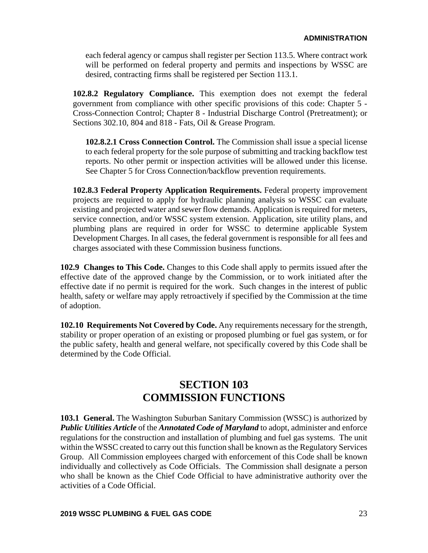each federal agency or campus shall register per Section 113.5. Where contract work will be performed on federal property and permits and inspections by WSSC are desired, contracting firms shall be registered per Section 113.1.

**102.8.2 Regulatory Compliance.** This exemption does not exempt the federal government from compliance with other specific provisions of this code: Chapter 5 - Cross-Connection Control; Chapter 8 - Industrial Discharge Control (Pretreatment); or Sections 302.10, 804 and 818 - Fats, Oil & Grease Program.

**102.8.2.1 Cross Connection Control.** The Commission shall issue a special license to each federal property for the sole purpose of submitting and tracking backflow test reports. No other permit or inspection activities will be allowed under this license. See Chapter 5 for Cross Connection/backflow prevention requirements.

**102.8.3 Federal Property Application Requirements.** Federal property improvement projects are required to apply for hydraulic planning analysis so WSSC can evaluate existing and projected water and sewer flow demands. Application is required for meters, service connection, and/or WSSC system extension. Application, site utility plans, and plumbing plans are required in order for WSSC to determine applicable System Development Charges. In all cases, the federal government is responsible for all fees and charges associated with these Commission business functions.

**102.9 Changes to This Code.** Changes to this Code shall apply to permits issued after the effective date of the approved change by the Commission, or to work initiated after the effective date if no permit is required for the work. Such changes in the interest of public health, safety or welfare may apply retroactively if specified by the Commission at the time of adoption.

**102.10 Requirements Not Covered by Code.** Any requirements necessary for the strength, stability or proper operation of an existing or proposed plumbing or fuel gas system, or for the public safety, health and general welfare, not specifically covered by this Code shall be determined by the Code Official.

### **SECTION 103 COMMISSION FUNCTIONS**

**103.1 General.** The Washington Suburban Sanitary Commission (WSSC) is authorized by *Public Utilities Article* of the *Annotated Code of Maryland* to adopt, administer and enforce regulations for the construction and installation of plumbing and fuel gas systems. The unit within the WSSC created to carry out this function shall be known as the Regulatory Services Group. All Commission employees charged with enforcement of this Code shall be known individually and collectively as Code Officials. The Commission shall designate a person who shall be known as the Chief Code Official to have administrative authority over the activities of a Code Official.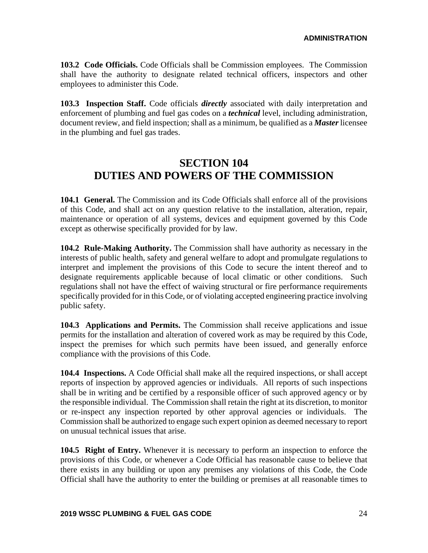**103.2 Code Officials.** Code Officials shall be Commission employees. The Commission shall have the authority to designate related technical officers, inspectors and other employees to administer this Code.

**103.3 Inspection Staff.** Code officials *directly* associated with daily interpretation and enforcement of plumbing and fuel gas codes on a *technical* level, including administration, document review, and field inspection; shall as a minimum, be qualified as a *Master* licensee in the plumbing and fuel gas trades.

### **SECTION 104 DUTIES AND POWERS OF THE COMMISSION**

**104.1 General.** The Commission and its Code Officials shall enforce all of the provisions of this Code, and shall act on any question relative to the installation, alteration, repair, maintenance or operation of all systems, devices and equipment governed by this Code except as otherwise specifically provided for by law.

**104.2 Rule-Making Authority.** The Commission shall have authority as necessary in the interests of public health, safety and general welfare to adopt and promulgate regulations to interpret and implement the provisions of this Code to secure the intent thereof and to designate requirements applicable because of local climatic or other conditions. Such regulations shall not have the effect of waiving structural or fire performance requirements specifically provided for in this Code, or of violating accepted engineering practice involving public safety.

**104.3 Applications and Permits.** The Commission shall receive applications and issue permits for the installation and alteration of covered work as may be required by this Code, inspect the premises for which such permits have been issued, and generally enforce compliance with the provisions of this Code.

**104.4 Inspections.** A Code Official shall make all the required inspections, or shall accept reports of inspection by approved agencies or individuals. All reports of such inspections shall be in writing and be certified by a responsible officer of such approved agency or by the responsible individual. The Commission shall retain the right at its discretion, to monitor or re-inspect any inspection reported by other approval agencies or individuals. The Commission shall be authorized to engage such expert opinion as deemed necessary to report on unusual technical issues that arise.

**104.5 Right of Entry.** Whenever it is necessary to perform an inspection to enforce the provisions of this Code, or whenever a Code Official has reasonable cause to believe that there exists in any building or upon any premises any violations of this Code, the Code Official shall have the authority to enter the building or premises at all reasonable times to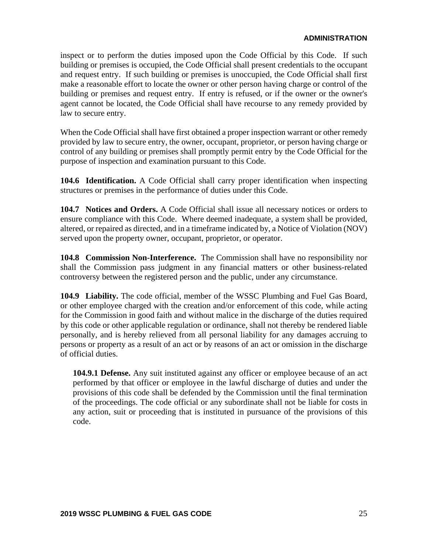inspect or to perform the duties imposed upon the Code Official by this Code. If such building or premises is occupied, the Code Official shall present credentials to the occupant and request entry. If such building or premises is unoccupied, the Code Official shall first make a reasonable effort to locate the owner or other person having charge or control of the building or premises and request entry. If entry is refused, or if the owner or the owner's agent cannot be located, the Code Official shall have recourse to any remedy provided by law to secure entry.

When the Code Official shall have first obtained a proper inspection warrant or other remedy provided by law to secure entry, the owner, occupant, proprietor, or person having charge or control of any building or premises shall promptly permit entry by the Code Official for the purpose of inspection and examination pursuant to this Code.

**104.6 Identification.** A Code Official shall carry proper identification when inspecting structures or premises in the performance of duties under this Code.

**104.7 Notices and Orders.** A Code Official shall issue all necessary notices or orders to ensure compliance with this Code. Where deemed inadequate, a system shall be provided, altered, or repaired as directed, and in a timeframe indicated by, a Notice of Violation (NOV) served upon the property owner, occupant, proprietor, or operator.

**104.8 Commission Non-Interference.** The Commission shall have no responsibility nor shall the Commission pass judgment in any financial matters or other business-related controversy between the registered person and the public, under any circumstance.

**104.9 Liability.** The code official, member of the WSSC Plumbing and Fuel Gas Board, or other employee charged with the creation and/or enforcement of this code, while acting for the Commission in good faith and without malice in the discharge of the duties required by this code or other applicable regulation or ordinance, shall not thereby be rendered liable personally, and is hereby relieved from all personal liability for any damages accruing to persons or property as a result of an act or by reasons of an act or omission in the discharge of official duties.

**104.9.1 Defense.** Any suit instituted against any officer or employee because of an act performed by that officer or employee in the lawful discharge of duties and under the provisions of this code shall be defended by the Commission until the final termination of the proceedings. The code official or any subordinate shall not be liable for costs in any action, suit or proceeding that is instituted in pursuance of the provisions of this code.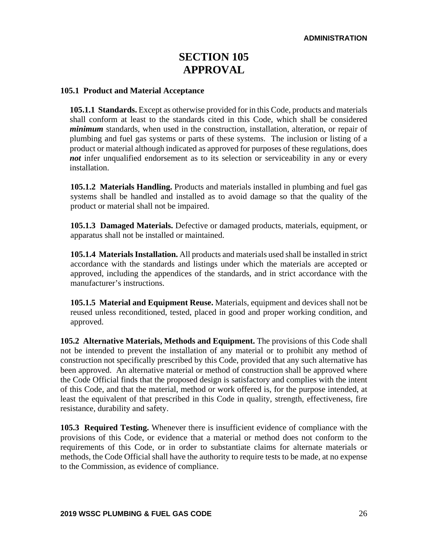### **SECTION 105 APPROVAL**

#### **105.1 Product and Material Acceptance**

**105.1.1 Standards.** Except as otherwise provided for in this Code, products and materials shall conform at least to the standards cited in this Code, which shall be considered *minimum* standards, when used in the construction, installation, alteration, or repair of plumbing and fuel gas systems or parts of these systems. The inclusion or listing of a product or material although indicated as approved for purposes of these regulations, does *not* infer unqualified endorsement as to its selection or serviceability in any or every installation.

**105.1.2 Materials Handling.** Products and materials installed in plumbing and fuel gas systems shall be handled and installed as to avoid damage so that the quality of the product or material shall not be impaired.

**105.1.3 Damaged Materials.** Defective or damaged products, materials, equipment, or apparatus shall not be installed or maintained.

**105.1.4 Materials Installation.** All products and materials used shall be installed in strict accordance with the standards and listings under which the materials are accepted or approved, including the appendices of the standards, and in strict accordance with the manufacturer's instructions.

**105.1.5 Material and Equipment Reuse.** Materials, equipment and devices shall not be reused unless reconditioned, tested, placed in good and proper working condition, and approved.

**105.2 Alternative Materials, Methods and Equipment.** The provisions of this Code shall not be intended to prevent the installation of any material or to prohibit any method of construction not specifically prescribed by this Code, provided that any such alternative has been approved. An alternative material or method of construction shall be approved where the Code Official finds that the proposed design is satisfactory and complies with the intent of this Code, and that the material, method or work offered is, for the purpose intended, at least the equivalent of that prescribed in this Code in quality, strength, effectiveness, fire resistance, durability and safety.

**105.3 Required Testing.** Whenever there is insufficient evidence of compliance with the provisions of this Code, or evidence that a material or method does not conform to the requirements of this Code, or in order to substantiate claims for alternate materials or methods, the Code Official shall have the authority to require tests to be made, at no expense to the Commission, as evidence of compliance.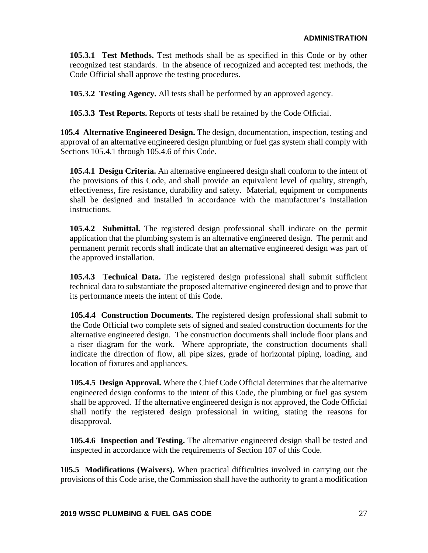**105.3.1 Test Methods.** Test methods shall be as specified in this Code or by other recognized test standards. In the absence of recognized and accepted test methods, the Code Official shall approve the testing procedures.

**105.3.2 Testing Agency.** All tests shall be performed by an approved agency.

**105.3.3 Test Reports.** Reports of tests shall be retained by the Code Official.

**105.4 Alternative Engineered Design.** The design, documentation, inspection, testing and approval of an alternative engineered design plumbing or fuel gas system shall comply with Sections 105.4.1 through 105.4.6 of this Code.

**105.4.1 Design Criteria.** An alternative engineered design shall conform to the intent of the provisions of this Code, and shall provide an equivalent level of quality, strength, effectiveness, fire resistance, durability and safety. Material, equipment or components shall be designed and installed in accordance with the manufacturer's installation instructions.

**105.4.2 Submittal.** The registered design professional shall indicate on the permit application that the plumbing system is an alternative engineered design. The permit and permanent permit records shall indicate that an alternative engineered design was part of the approved installation.

**105.4.3 Technical Data.** The registered design professional shall submit sufficient technical data to substantiate the proposed alternative engineered design and to prove that its performance meets the intent of this Code.

**105.4.4 Construction Documents.** The registered design professional shall submit to the Code Official two complete sets of signed and sealed construction documents for the alternative engineered design. The construction documents shall include floor plans and a riser diagram for the work. Where appropriate, the construction documents shall indicate the direction of flow, all pipe sizes, grade of horizontal piping, loading, and location of fixtures and appliances.

**105.4.5 Design Approval.** Where the Chief Code Official determines that the alternative engineered design conforms to the intent of this Code, the plumbing or fuel gas system shall be approved. If the alternative engineered design is not approved, the Code Official shall notify the registered design professional in writing, stating the reasons for disapproval.

**105.4.6 Inspection and Testing.** The alternative engineered design shall be tested and inspected in accordance with the requirements of Section 107 of this Code.

**105.5 Modifications (Waivers).** When practical difficulties involved in carrying out the provisions of this Code arise, the Commission shall have the authority to grant a modification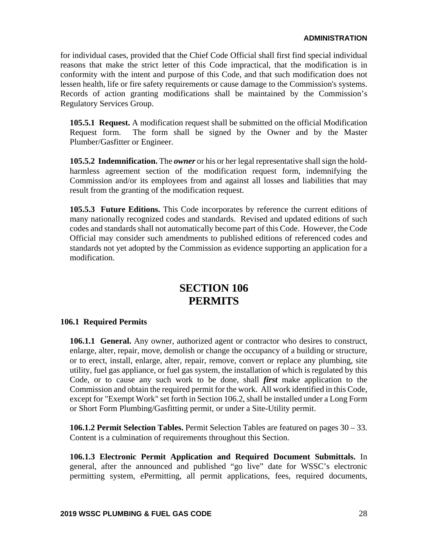for individual cases, provided that the Chief Code Official shall first find special individual reasons that make the strict letter of this Code impractical, that the modification is in conformity with the intent and purpose of this Code, and that such modification does not lessen health, life or fire safety requirements or cause damage to the Commission's systems. Records of action granting modifications shall be maintained by the Commission's Regulatory Services Group.

**105.5.1 Request.** A modification request shall be submitted on the official Modification Request form. The form shall be signed by the Owner and by the Master Plumber/Gasfitter or Engineer.

**105.5.2 Indemnification.** The *owner* or his or her legal representative shall sign the holdharmless agreement section of the modification request form, indemnifying the Commission and/or its employees from and against all losses and liabilities that may result from the granting of the modification request.

**105.5.3 Future Editions.** This Code incorporates by reference the current editions of many nationally recognized codes and standards. Revised and updated editions of such codes and standards shall not automatically become part of this Code. However, the Code Official may consider such amendments to published editions of referenced codes and standards not yet adopted by the Commission as evidence supporting an application for a modification.

### **SECTION 106 PERMITS**

#### **106.1 Required Permits**

**106.1.1 General.** Any owner, authorized agent or contractor who desires to construct, enlarge, alter, repair, move, demolish or change the occupancy of a building or structure, or to erect, install, enlarge, alter, repair, remove, convert or replace any plumbing, site utility, fuel gas appliance, or fuel gas system, the installation of which is regulated by this Code, or to cause any such work to be done, shall *first* make application to the Commission and obtain the required permit for the work. All work identified in this Code, except for "Exempt Work" set forth in Section 106.2, shall be installed under a Long Form or Short Form Plumbing/Gasfitting permit, or under a Site-Utility permit.

**106.1.2 Permit Selection Tables.** Permit Selection Tables are featured on pages 30 – 33. Content is a culmination of requirements throughout this Section.

**106.1.3 Electronic Permit Application and Required Document Submittals.** In general, after the announced and published "go live" date for WSSC's electronic permitting system, ePermitting, all permit applications, fees, required documents,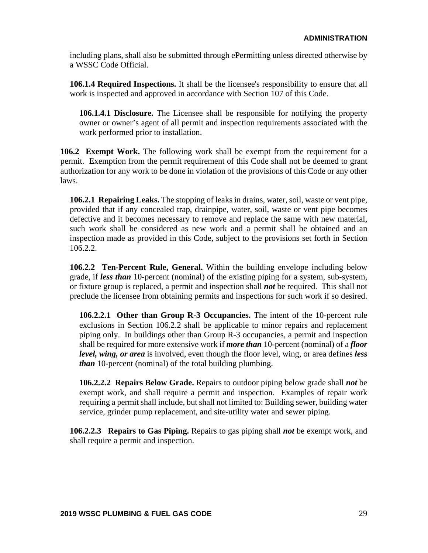including plans, shall also be submitted through ePermitting unless directed otherwise by a WSSC Code Official.

**106.1.4 Required Inspections.** It shall be the licensee's responsibility to ensure that all work is inspected and approved in accordance with Section 107 of this Code.

**106.1.4.1 Disclosure.** The Licensee shall be responsible for notifying the property owner or owner's agent of all permit and inspection requirements associated with the work performed prior to installation.

**106.2 Exempt Work.** The following work shall be exempt from the requirement for a permit. Exemption from the permit requirement of this Code shall not be deemed to grant authorization for any work to be done in violation of the provisions of this Code or any other laws.

**106.2.1 Repairing Leaks.** The stopping of leaks in drains, water, soil, waste or vent pipe, provided that if any concealed trap, drainpipe, water, soil, waste or vent pipe becomes defective and it becomes necessary to remove and replace the same with new material, such work shall be considered as new work and a permit shall be obtained and an inspection made as provided in this Code, subject to the provisions set forth in Section 106.2.2.

**106.2.2 Ten-Percent Rule, General.** Within the building envelope including below grade, if *less than* 10-percent (nominal) of the existing piping for a system, sub-system, or fixture group is replaced, a permit and inspection shall *not* be required. This shall not preclude the licensee from obtaining permits and inspections for such work if so desired.

**106.2.2.1 Other than Group R-3 Occupancies.** The intent of the 10-percent rule exclusions in Section 106.2.2 shall be applicable to minor repairs and replacement piping only. In buildings other than Group R-3 occupancies, a permit and inspection shall be required for more extensive work if *more than* 10-percent (nominal) of a *floor level, wing, or area* is involved, even though the floor level, wing, or area defines *less than* 10-percent (nominal) of the total building plumbing.

**106.2.2.2 Repairs Below Grade.** Repairs to outdoor piping below grade shall *not* be exempt work, and shall require a permit and inspection. Examples of repair work requiring a permit shall include, but shall not limited to: Building sewer, building water service, grinder pump replacement, and site-utility water and sewer piping.

**106.2.2.3 Repairs to Gas Piping.** Repairs to gas piping shall *not* be exempt work, and shall require a permit and inspection.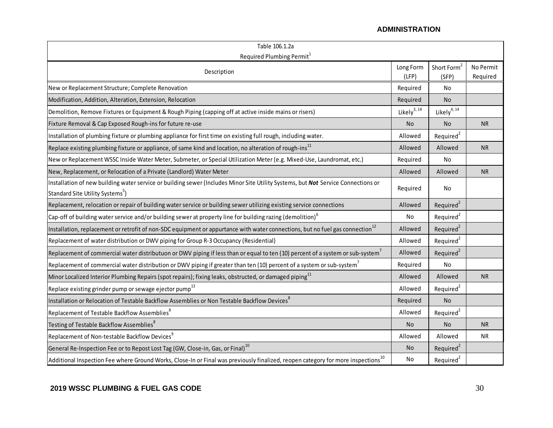#### **ADMINISTRATION**

| Table 106.1.2a                                                                                                                                                                    |                    |                                  |                       |
|-----------------------------------------------------------------------------------------------------------------------------------------------------------------------------------|--------------------|----------------------------------|-----------------------|
| Required Plumbing Permit <sup>1</sup>                                                                                                                                             |                    |                                  |                       |
| Description                                                                                                                                                                       | Long Form<br>(LFP) | Short Form <sup>2</sup><br>(SFP) | No Permit<br>Required |
| New or Replacement Structure; Complete Renovation                                                                                                                                 | Required           | <b>No</b>                        |                       |
| Modification, Addition, Alteration, Extension, Relocation                                                                                                                         | Required           | No                               |                       |
| Demolition, Remove Fixtures or Equipment & Rough Piping (capping off at active inside mains or risers)                                                                            | Likely $3, 14$     | Likely <sup>4, 14</sup>          |                       |
| Fixture Removal & Cap Exposed Rough-ins for future re-use                                                                                                                         | No                 | No                               | <b>NR</b>             |
| Installation of plumbing fixture or plumbing appliance for first time on existing full rough, including water.                                                                    | Allowed            | Required <sup>2</sup>            |                       |
| Replace existing plumbing fixture or appliance, of same kind and location, no alteration of rough-ins <sup>11</sup>                                                               | Allowed            | Allowed                          | <b>NR</b>             |
| New or Replacement WSSC Inside Water Meter, Submeter, or Special Utilization Meter (e.g. Mixed-Use, Laundromat, etc.)                                                             | Required           | No                               |                       |
| New, Replacement, or Relocation of a Private (Landlord) Water Meter                                                                                                               | Allowed            | Allowed                          | <b>NR</b>             |
| Installation of new building water service or building sewer (Includes Minor Site Utility Systems, but Not Service Connections or<br>Standard Site Utility Systems <sup>5</sup> ) | Required           | No                               |                       |
| Replacement, relocation or repair of building water service or building sewer utilizing existing service connections                                                              | Allowed            | Required <sup>2</sup>            |                       |
| Cap-off of building water service and/or building sewer at property line for building razing (demolition) $^6$                                                                    | No                 | Required <sup>2</sup>            |                       |
| Installation, replacement or retrofit of non-SDC equipment or appurtance with water connections, but no fuel gas connection <sup>12</sup>                                         | Allowed            | Required <sup>2</sup>            |                       |
| Replacement of water distribution or DWV piping for Group R-3 Occupancy (Residential)                                                                                             | Allowed            | Required <sup>2</sup>            |                       |
| Replacement of commercial water distributuon or DWV piping if less than or equal to ten (10) percent of a system or sub-system <sup>7</sup>                                       | Allowed            | Required <sup>2</sup>            |                       |
| Replacement of commercial water distribution or DWV piping if greater than ten (10) percent of a system or sub-system <sup>'</sup>                                                | Required           | No                               |                       |
| Minor Localized Interior Plumbing Repairs (spot repairs); fixing leaks, obstructed, or damaged piping <sup>11</sup>                                                               | Allowed            | Allowed                          | <b>NR</b>             |
| Replace existing grinder pump or sewage ejector pump <sup>13</sup>                                                                                                                | Allowed            | Required <sup>2</sup>            |                       |
| Installation or Relocation of Testable Backflow Assemblies or Non Testable Backflow Devices <sup>8</sup>                                                                          | Required           | No                               |                       |
| Replacement of Testable Backflow Assemblies <sup>8</sup>                                                                                                                          | Allowed            | Required <sup>2</sup>            |                       |
| Testing of Testable Backflow Assemblies <sup>8</sup>                                                                                                                              | <b>No</b>          | <b>No</b>                        | <b>NR</b>             |
| Replacement of Non-testable Backflow Devices <sup>9</sup>                                                                                                                         | Allowed            | Allowed                          | <b>NR</b>             |
| General Re-Inspection Fee or to Repost Lost Tag (GW, Close-in, Gas, or Final) <sup>10</sup>                                                                                       | No                 | Required <sup>2</sup>            |                       |
| Additional Inspection Fee where Ground Works, Close-In or Final was previously finalized, reopen category for more inspections <sup>10</sup>                                      | No                 | Required <sup>2</sup>            |                       |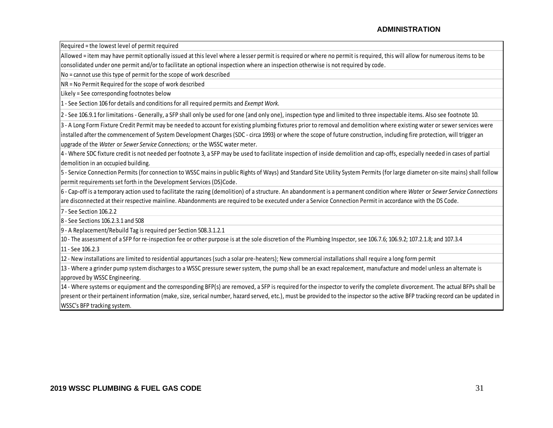Required = the lowest level of permit required

Allowed = item may have permit optionally issued at this level where a lesser permit is required or where no permit is required, this will allow for numerous items to be consolidated under one permit and/or to facilitate an optional inspection where an inspection otherwise is not required by code.

No = cannot use this type of permit for the scope of work described

NR = No Permit Required for the scope of work described

Likely = See corresponding footnotes below

1 - See Section 106 for details and conditions for all required permits and *Exempt Work.*

2 - See 106.9.1 for limitations - Generally, a SFP shall only be used for one (and only one), inspection type and limited to three inspectable items. Also see footnote 10.

3 - A Long Form Fixture Credit Permit may be needed to account for existing plumbing fixtures prior to removal and demolition where existing water or sewer services were

installed after the commencement of System Development Charges (SDC - circa 1993) or where the scope of future construction, including fire protection, will trigger an upgrade of the *Water* or *Sewer Service Connections;* or the WSSC water meter.

4 - Where SDC fixture credit is not needed per footnote 3, a SFP may be used to facilitate inspection of inside demolition and cap-offs, especially needed in cases of partial demolition in an occupied building.

5 - Service Connection Permits (for connection to WSSC mains in public Rights of Ways) and Standard Site Utility System Permits (for large diameter on-site mains) shall follow permit requirements set forth in the Development Services (DS)Code.

6 - Cap-off is a temporary action used to facilitate the razing (demolition) of a structure. An abandonment is a permanent condition where *Water* or *Sewer Service Connections*  are disconnected at their respective mainline. Abandonments are required to be executed under a Service Connection Permit in accordance with the DS Code.

7 - See Section 106.2.2

8 - See Sections 106.2.3.1 and 508

9 - A Replacement/Rebuild Tag is required per Section 508.3.1.2.1

10 - The assessment of a SFP for re-inspection fee or other purpose is at the sole discretion of the Plumbing Inspector, see 106.7.6; 106.9.2; 107.2.1.8; and 107.3.4

11 - See 106.2.3

12 - New installations are limited to residential appurtances (such a solar pre-heaters); New commercial installations shall require a long form permit

13 - Where a grinder pump system discharges to a WSSC pressure sewer system, the pump shall be an exact repalcement, manufacture and model unless an alternate is approved by WSSC Engineering.

14 - Where systems or equipment and the corresponding BFP(s) are removed, a SFP is required for the inspector to verify the complete divorcement. The actual BFPs shall be present or their pertainent information (make, size, serical number, hazard served, etc.), must be provided to the inspector so the active BFP tracking record can be updated in WSSC's BFP tracking system.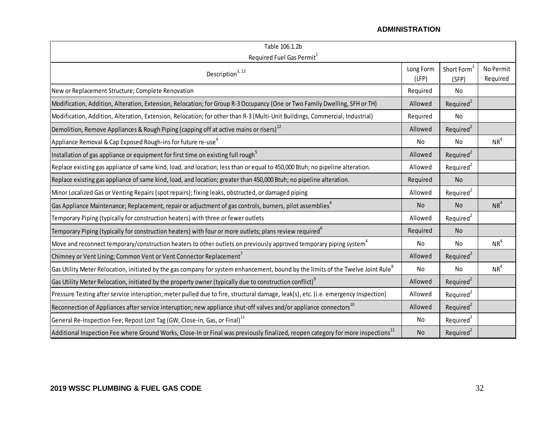#### **ADMINISTRATION**

| Table 106.1.2b                                                                                                                         |                    |                                  |                       |
|----------------------------------------------------------------------------------------------------------------------------------------|--------------------|----------------------------------|-----------------------|
| Required Fuel Gas Permit <sup>1</sup>                                                                                                  |                    |                                  |                       |
| Description <sup>3, 13</sup>                                                                                                           | Long Form<br>(LFP) | Short Form <sup>2</sup><br>(SFP) | No Permit<br>Required |
| New or Replacement Structure; Complete Renovation                                                                                      | Required           | No                               |                       |
| Modification, Addition, Alteration, Extension, Relocation; for Group R-3 Occupancy (One or Two Family Dwelling, SFH or TH)             | Allowed            | Required <sup>2</sup>            |                       |
| Modification, Addition, Alteration, Extension, Relocation; for other than R-3 (Multi-Unit Buildings, Commercial, Industrial)           | Required           | No                               |                       |
| Demolition, Remove Appliances & Rough Piping (capping off at active mains or risers) <sup>12</sup>                                     | Allowed            | Required <sup>2</sup>            |                       |
| Appliance Removal & Cap Exposed Rough-ins for future re-use <sup>4</sup>                                                               | No                 | No                               | NR <sup>4</sup>       |
| Installation of gas appliance or equipment for first time on existing full rough <sup>5</sup>                                          | Allowed            | Required <sup>2</sup>            |                       |
| Replace existing gas appliance of same kind, load, and location; less than or equal to 450,000 Btuh; no pipeline alteration.           | Allowed            | Required <sup>2</sup>            |                       |
| Replace existing gas appliance of same kind, load, and location; greater than 450,000 Btuh; no pipeline alteration.                    | Required           | <b>No</b>                        |                       |
| Minor Localized Gas or Venting Repairs (spot repairs); fixing leaks, obstructed, or damaged piping                                     | Allowed            | Required <sup>2</sup>            |                       |
| Gas Appliance Maintenance; Replacement, repair or adjuctment of gas controls, burners, pilot assemblies <sup>4</sup>                   | <b>No</b>          | <b>No</b>                        | NR <sup>4</sup>       |
| Temporary Piping (typically for construction heaters) with three or fewer outlets                                                      | Allowed            | Required <sup>2</sup>            |                       |
| Temporary Piping (typically for construction heaters) with four or more outlets; plans review required <sup>6</sup>                    | Required           | <b>No</b>                        |                       |
| Move and reconnect temporary/construction heaters to other outlets on previously approved temporary piping system <sup>4</sup>         | No                 | No                               | NR <sup>4</sup>       |
| Chimney or Vent Lining; Common Vent or Vent Connector Replacement <sup>7</sup>                                                         | Allowed            | Required <sup>2</sup>            |                       |
| Gas Utility Meter Relocation, initiated by the gas company for system enhancement, bound by the limits of the Twelve Joint Rule $^8$   | No                 | No                               | NR <sup>4</sup>       |
| Gas Utility Meter Relocation, initiated by the property owner (typically due to construction conflict) $^9$                            | Allowed            | Required <sup>2</sup>            |                       |
| Pressure Testing after service interuption; meter pulled due to fire, structural damage, leak(s), etc. (i.e. emergency Inspection)     | Allowed            | Required <sup>2</sup>            |                       |
| Reconnection of Appliances after service interuption; new appliance shut-off valves and/or appliance connectors <sup>10</sup>          | Allowed            | Required <sup>2</sup>            |                       |
| General Re-Inspection Fee; Repost Lost Tag (GW, Close-in, Gas, or Final) <sup>11</sup>                                                 | No                 | Required <sup>2</sup>            |                       |
| Additional Inspection Fee where Ground Works, Close-In or Final was previously finalized, reopen category for more inspections $^{11}$ | No                 | Required <sup>2</sup>            |                       |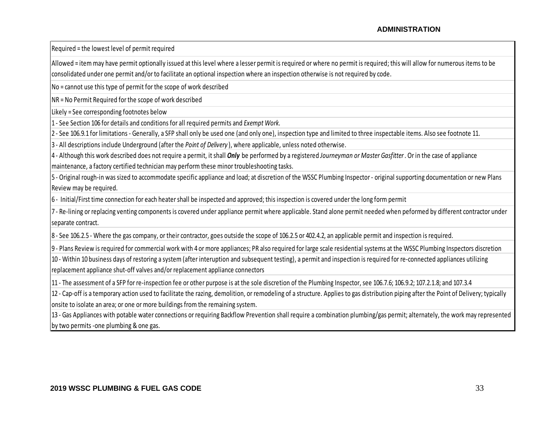Required = the lowest level of permit required

Allowed = item may have permit optionally issued at this level where a lesser permit is required or where no permit is required; this will allow for numerous items to be consolidated under one permit and/or to facilitate an optional inspection where an inspection otherwise is not required by code.

No = cannot use this type of permit for the scope of work described

NR = No Permit Required for the scope of work described

Likely = See corresponding footnotes below

1 - See Section 106 for details and conditions for all required permits and *Exempt Work.*

2 - See 106.9.1 for limitations - Generally, a SFP shall only be used one (and only one), inspection type and limited to three inspectable items. Also see footnote 11.

3 - All descriptions include Underground (after the *Point of Delivery* ), where applicable, unless noted otherwise.

4 - Although this work described does not require a permit, it shall *Only* be performed by a registered *Journeyman or Master Gasfitter*. Or in the case of appliance maintenance, a factory certified technician may perform these minor troubleshooting tasks.

5 - Original rough-in was sized to accommodate specific appliance and load; at discretion of the WSSC Plumbing Inspector - original supporting documentation or new Plans Review may be required.

 $6$ - Initial/First time connection for each heater shall be inspected and approved; this inspection is covered under the long form permit

7 - Re-lining or replacing venting components is covered under appliance permit where applicable. Stand alone permit needed when peformed by different contractor under separate contract.

8 - See 106.2.5 - Where the gas company, or their contractor, goes outside the scope of 106.2.5 or 402.4.2, an applicable permit and inspection is required.

9 - Plans Review is required for commercial work with 4 or more appliances; PR also required for large scale residential systems at the WSSC Plumbing Inspectors discretion

10 - Within 10 business days of restoring a system (after interuption and subsequent testing), a permit and inspection is required for re-connected appliances utilizing replacement appliance shut-off valves and/or replacement appliance connectors

11 - The assessment of a SFP for re-inspection fee or other purpose is at the sole discretion of the Plumbing Inspector, see 106.7.6; 106.9.2; 107.2.1.8; and 107.3.4

12 - Cap-off is a temporary action used to facilitate the razing, demolition, or remodeling of a structure. Applies to gas distribution piping after the Point of Delivery; typically onsite to isolate an area; or one or more buildings from the remaining system.

13 - Gas Appliances with potable water connections or requiring Backflow Prevention shall require a combination plumbing/gas permit; alternately, the work may represented by two permits -one plumbing & one gas.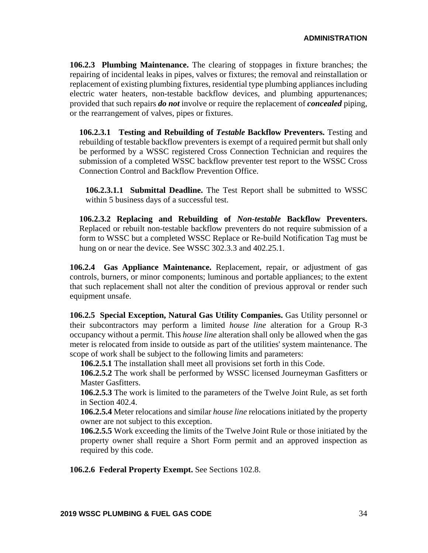**106.2.3 Plumbing Maintenance.** The clearing of stoppages in fixture branches; the repairing of incidental leaks in pipes, valves or fixtures; the removal and reinstallation or replacement of existing plumbing fixtures, residential type plumbing appliances including electric water heaters, non-testable backflow devices, and plumbing appurtenances; provided that such repairs *do not* involve or require the replacement of *concealed* piping, or the rearrangement of valves, pipes or fixtures.

**106.2.3.1 Testing and Rebuilding of** *Testable* **Backflow Preventers.** Testing and rebuilding of testable backflow preventers is exempt of a required permit but shall only be performed by a WSSC registered Cross Connection Technician and requires the submission of a completed WSSC backflow preventer test report to the WSSC Cross Connection Control and Backflow Prevention Office.

**106.2.3.1.1 Submittal Deadline.** The Test Report shall be submitted to WSSC within 5 business days of a successful test.

**106.2.3.2 Replacing and Rebuilding of** *Non-testable* **Backflow Preventers.**  Replaced or rebuilt non-testable backflow preventers do not require submission of a form to WSSC but a completed WSSC Replace or Re-build Notification Tag must be hung on or near the device. See WSSC 302.3.3 and 402.25.1.

**106.2.4 Gas Appliance Maintenance.** Replacement, repair, or adjustment of gas controls, burners, or minor components; luminous and portable appliances; to the extent that such replacement shall not alter the condition of previous approval or render such equipment unsafe.

**106.2.5 Special Exception, Natural Gas Utility Companies.** Gas Utility personnel or their subcontractors may perform a limited *house line* alteration for a Group R-3 occupancy without a permit. This *house line* alteration shall only be allowed when the gas meter is relocated from inside to outside as part of the utilities' system maintenance. The scope of work shall be subject to the following limits and parameters:

**106.2.5.1** The installation shall meet all provisions set forth in this Code.

**106.2.5.2** The work shall be performed by WSSC licensed Journeyman Gasfitters or Master Gasfitters.

**106.2.5.3** The work is limited to the parameters of the Twelve Joint Rule, as set forth in Section 402.4.

**106.2.5.4** Meter relocations and similar *house line* relocations initiated by the property owner are not subject to this exception.

**106.2.5.5** Work exceeding the limits of the Twelve Joint Rule or those initiated by the property owner shall require a Short Form permit and an approved inspection as required by this code.

**106.2.6 Federal Property Exempt.** See Sections 102.8.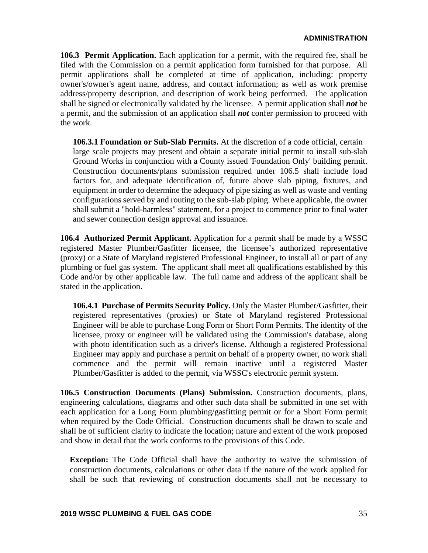**106.3 Permit Application.** Each application for a permit, with the required fee, shall be filed with the Commission on a permit application form furnished for that purpose. All permit applications shall be completed at time of application, including: property owner's/owner's agent name, address, and contact information; as well as work premise address/property description, and description of work being performed. The application shall be signed or electronically validated by the licensee. A permit application shall *not* be a permit, and the submission of an application shall *not* confer permission to proceed with the work.

**106.3.1 Foundation or Sub-Slab Permits.** At the discretion of a code official, certain large scale projects may present and obtain a separate initial permit to install sub-slab Ground Works in conjunction with a County issued 'Foundation Only' building permit. Construction documents/plans submission required under 106.5 shall include load factors for, and adequate identification of, future above slab piping, fixtures, and equipment in order to determine the adequacy of pipe sizing as well as waste and venting configurations served by and routing to the sub-slab piping. Where applicable, the owner shall submit a "hold-harmless" statement, for a project to commence prior to final water and sewer connection design approval and issuance.

**106.4 Authorized Permit Applicant.** Application for a permit shall be made by a WSSC registered Master Plumber/Gasfitter licensee, the licensee's authorized representative (proxy) or a State of Maryland registered Professional Engineer, to install all or part of any plumbing or fuel gas system. The applicant shall meet all qualifications established by this Code and/or by other applicable law. The full name and address of the applicant shall be stated in the application.

**106.4.1 Purchase of Permits Security Policy.** Only the Master Plumber/Gasfitter, their registered representatives (proxies) or State of Maryland registered Professional Engineer will be able to purchase Long Form or Short Form Permits. The identity of the licensee, proxy or engineer will be validated using the Commission's database, along with photo identification such as a driver's license. Although a registered Professional Engineer may apply and purchase a permit on behalf of a property owner, no work shall commence and the permit will remain inactive until a registered Master Plumber/Gasfitter is added to the permit, via WSSC's electronic permit system.

**106.5 Construction Documents (Plans) Submission.** Construction documents, plans, engineering calculations, diagrams and other such data shall be submitted in one set with each application for a Long Form plumbing/gasfitting permit or for a Short Form permit when required by the Code Official. Construction documents shall be drawn to scale and shall be of sufficient clarity to indicate the location; nature and extent of the work proposed and show in detail that the work conforms to the provisions of this Code.

**Exception:** The Code Official shall have the authority to waive the submission of construction documents, calculations or other data if the nature of the work applied for shall be such that reviewing of construction documents shall not be necessary to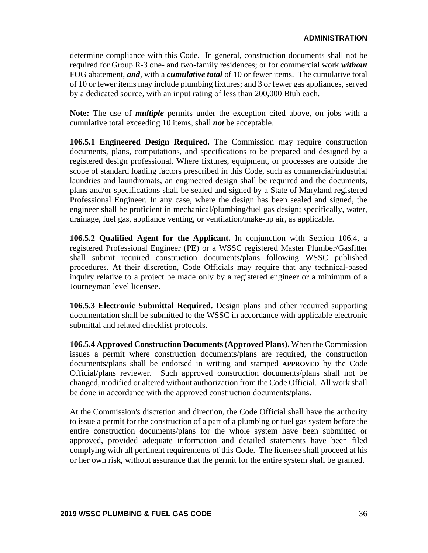determine compliance with this Code. In general, construction documents shall not be required for Group R-3 one- and two-family residences; or for commercial work *without* FOG abatement, *and*, with a *cumulative total* of 10 or fewer items. The cumulative total of 10 or fewer items may include plumbing fixtures; and 3 or fewer gas appliances, served by a dedicated source, with an input rating of less than 200,000 Btuh each.

**Note:** The use of *multiple* permits under the exception cited above, on jobs with a cumulative total exceeding 10 items, shall *not* be acceptable.

**106.5.1 Engineered Design Required.** The Commission may require construction documents, plans, computations, and specifications to be prepared and designed by a registered design professional. Where fixtures, equipment, or processes are outside the scope of standard loading factors prescribed in this Code, such as commercial/industrial laundries and laundromats, an engineered design shall be required and the documents, plans and/or specifications shall be sealed and signed by a State of Maryland registered Professional Engineer. In any case, where the design has been sealed and signed, the engineer shall be proficient in mechanical/plumbing/fuel gas design; specifically, water, drainage, fuel gas, appliance venting, or ventilation/make-up air, as applicable.

**106.5.2 Qualified Agent for the Applicant.** In conjunction with Section 106.4, a registered Professional Engineer (PE) or a WSSC registered Master Plumber/Gasfitter shall submit required construction documents/plans following WSSC published procedures. At their discretion, Code Officials may require that any technical-based inquiry relative to a project be made only by a registered engineer or a minimum of a Journeyman level licensee.

**106.5.3 Electronic Submittal Required.** Design plans and other required supporting documentation shall be submitted to the WSSC in accordance with applicable electronic submittal and related checklist protocols.

**106.5.4 Approved Construction Documents (Approved Plans).** When the Commission issues a permit where construction documents/plans are required, the construction documents/plans shall be endorsed in writing and stamped **APPROVED** by the Code Official/plans reviewer. Such approved construction documents/plans shall not be changed, modified or altered without authorization from the Code Official. All work shall be done in accordance with the approved construction documents/plans.

At the Commission's discretion and direction, the Code Official shall have the authority to issue a permit for the construction of a part of a plumbing or fuel gas system before the entire construction documents/plans for the whole system have been submitted or approved, provided adequate information and detailed statements have been filed complying with all pertinent requirements of this Code. The licensee shall proceed at his or her own risk, without assurance that the permit for the entire system shall be granted.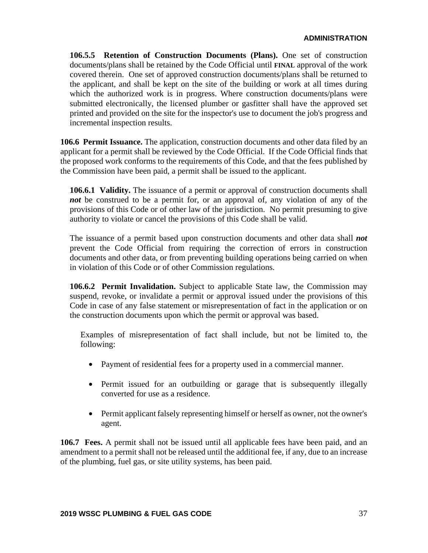**106.5.5 Retention of Construction Documents (Plans).** One set of construction documents/plans shall be retained by the Code Official until **FINAL** approval of the work covered therein. One set of approved construction documents/plans shall be returned to the applicant, and shall be kept on the site of the building or work at all times during which the authorized work is in progress. Where construction documents/plans were submitted electronically, the licensed plumber or gasfitter shall have the approved set printed and provided on the site for the inspector's use to document the job's progress and incremental inspection results.

**106.6 Permit Issuance.** The application, construction documents and other data filed by an applicant for a permit shall be reviewed by the Code Official. If the Code Official finds that the proposed work conforms to the requirements of this Code, and that the fees published by the Commission have been paid, a permit shall be issued to the applicant.

**106.6.1 Validity.** The issuance of a permit or approval of construction documents shall *not* be construed to be a permit for, or an approval of, any violation of any of the provisions of this Code or of other law of the jurisdiction. No permit presuming to give authority to violate or cancel the provisions of this Code shall be valid.

The issuance of a permit based upon construction documents and other data shall *not* prevent the Code Official from requiring the correction of errors in construction documents and other data, or from preventing building operations being carried on when in violation of this Code or of other Commission regulations.

**106.6.2 Permit Invalidation.** Subject to applicable State law, the Commission may suspend, revoke, or invalidate a permit or approval issued under the provisions of this Code in case of any false statement or misrepresentation of fact in the application or on the construction documents upon which the permit or approval was based.

Examples of misrepresentation of fact shall include, but not be limited to, the following:

- Payment of residential fees for a property used in a commercial manner.
- Permit issued for an outbuilding or garage that is subsequently illegally converted for use as a residence.
- Permit applicant falsely representing himself or herself as owner, not the owner's agent.

**106.7 Fees.** A permit shall not be issued until all applicable fees have been paid, and an amendment to a permit shall not be released until the additional fee, if any, due to an increase of the plumbing, fuel gas, or site utility systems, has been paid.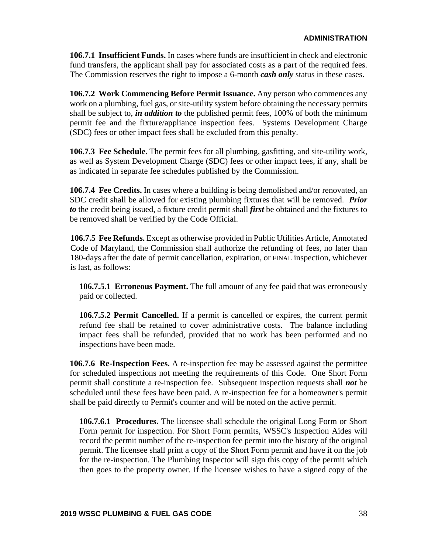**106.7.1 Insufficient Funds.** In cases where funds are insufficient in check and electronic fund transfers, the applicant shall pay for associated costs as a part of the required fees. The Commission reserves the right to impose a 6-month *cash only* status in these cases.

**106.7.2 Work Commencing Before Permit Issuance.** Any person who commences any work on a plumbing, fuel gas, or site-utility system before obtaining the necessary permits shall be subject to, *in addition to* the published permit fees, 100% of both the minimum permit fee and the fixture/appliance inspection fees. Systems Development Charge (SDC) fees or other impact fees shall be excluded from this penalty.

**106.7.3 Fee Schedule.** The permit fees for all plumbing, gasfitting, and site-utility work, as well as System Development Charge (SDC) fees or other impact fees, if any, shall be as indicated in separate fee schedules published by the Commission.

**106.7.4 Fee Credits.** In cases where a building is being demolished and/or renovated, an SDC credit shall be allowed for existing plumbing fixtures that will be removed. *Prior to* the credit being issued, a fixture credit permit shall *first* be obtained and the fixtures to be removed shall be verified by the Code Official.

**106.7.5 Fee Refunds.** Except as otherwise provided in Public Utilities Article, Annotated Code of Maryland, the Commission shall authorize the refunding of fees, no later than 180-days after the date of permit cancellation, expiration, or FINAL inspection, whichever is last, as follows:

**106.7.5.1 Erroneous Payment.** The full amount of any fee paid that was erroneously paid or collected.

**106.7.5.2 Permit Cancelled.** If a permit is cancelled or expires, the current permit refund fee shall be retained to cover administrative costs. The balance including impact fees shall be refunded, provided that no work has been performed and no inspections have been made.

**106.7.6 Re-Inspection Fees.** A re-inspection fee may be assessed against the permittee for scheduled inspections not meeting the requirements of this Code. One Short Form permit shall constitute a re-inspection fee. Subsequent inspection requests shall *not* be scheduled until these fees have been paid. A re-inspection fee for a homeowner's permit shall be paid directly to Permit's counter and will be noted on the active permit.

**106.7.6.1 Procedures.** The licensee shall schedule the original Long Form or Short Form permit for inspection. For Short Form permits, WSSC's Inspection Aides will record the permit number of the re-inspection fee permit into the history of the original permit. The licensee shall print a copy of the Short Form permit and have it on the job for the re-inspection. The Plumbing Inspector will sign this copy of the permit which then goes to the property owner. If the licensee wishes to have a signed copy of the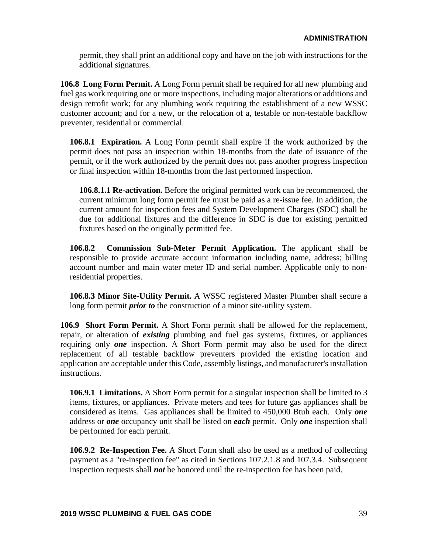permit, they shall print an additional copy and have on the job with instructions for the additional signatures.

**106.8 Long Form Permit.** A Long Form permit shall be required for all new plumbing and fuel gas work requiring one or more inspections, including major alterations or additions and design retrofit work; for any plumbing work requiring the establishment of a new WSSC customer account; and for a new, or the relocation of a, testable or non-testable backflow preventer, residential or commercial.

**106.8.1 Expiration.** A Long Form permit shall expire if the work authorized by the permit does not pass an inspection within 18-months from the date of issuance of the permit, or if the work authorized by the permit does not pass another progress inspection or final inspection within 18-months from the last performed inspection.

**106.8.1.1 Re-activation.** Before the original permitted work can be recommenced, the current minimum long form permit fee must be paid as a re-issue fee. In addition, the current amount for inspection fees and System Development Charges (SDC) shall be due for additional fixtures and the difference in SDC is due for existing permitted fixtures based on the originally permitted fee.

**106.8.2 Commission Sub-Meter Permit Application.** The applicant shall be responsible to provide accurate account information including name, address; billing account number and main water meter ID and serial number. Applicable only to nonresidential properties.

**106.8.3 Minor Site-Utility Permit.** A WSSC registered Master Plumber shall secure a long form permit *prior to* the construction of a minor site-utility system.

**106.9 Short Form Permit.** A Short Form permit shall be allowed for the replacement, repair, or alteration of *existing* plumbing and fuel gas systems, fixtures, or appliances requiring only *one* inspection. A Short Form permit may also be used for the direct replacement of all testable backflow preventers provided the existing location and application are acceptable under this Code, assembly listings, and manufacturer's installation instructions.

**106.9.1 Limitations.** A Short Form permit for a singular inspection shall be limited to 3 items, fixtures, or appliances. Private meters and tees for future gas appliances shall be considered as items. Gas appliances shall be limited to 450,000 Btuh each. Only *one* address or *one* occupancy unit shall be listed on *each* permit. Only *one* inspection shall be performed for each permit.

**106.9.2 Re-Inspection Fee.** A Short Form shall also be used as a method of collecting payment as a "re-inspection fee" as cited in Sections 107.2.1.8 and 107.3.4. Subsequent inspection requests shall *not* be honored until the re-inspection fee has been paid.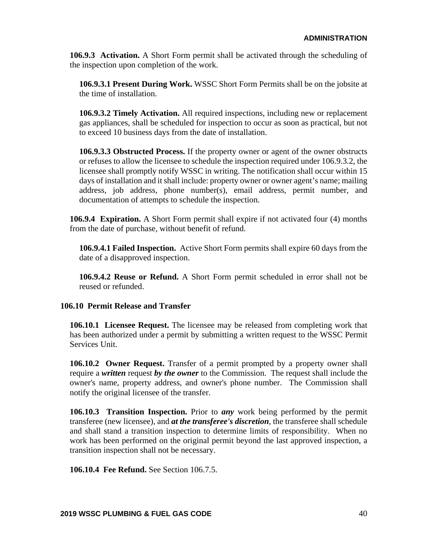**106.9.3 Activation.** A Short Form permit shall be activated through the scheduling of the inspection upon completion of the work.

**106.9.3.1 Present During Work.** WSSC Short Form Permits shall be on the jobsite at the time of installation.

**106.9.3.2 Timely Activation.** All required inspections, including new or replacement gas appliances, shall be scheduled for inspection to occur as soon as practical, but not to exceed 10 business days from the date of installation.

**106.9.3.3 Obstructed Process.** If the property owner or agent of the owner obstructs or refuses to allow the licensee to schedule the inspection required under 106.9.3.2, the licensee shall promptly notify WSSC in writing. The notification shall occur within 15 days of installation and it shall include: property owner or owner agent's name; mailing address, job address, phone number(s), email address, permit number, and documentation of attempts to schedule the inspection.

**106.9.4 Expiration.** A Short Form permit shall expire if not activated four (4) months from the date of purchase, without benefit of refund.

**106.9.4.1 Failed Inspection.** Active Short Form permits shall expire 60 days from the date of a disapproved inspection.

**106.9.4.2 Reuse or Refund.** A Short Form permit scheduled in error shall not be reused or refunded.

# **106.10 Permit Release and Transfer**

**106.10.1 Licensee Request.** The licensee may be released from completing work that has been authorized under a permit by submitting a written request to the WSSC Permit Services Unit.

**106.10.2 Owner Request.** Transfer of a permit prompted by a property owner shall require a *written* request *by the owner* to the Commission. The request shall include the owner's name, property address, and owner's phone number. The Commission shall notify the original licensee of the transfer.

**106.10.3 Transition Inspection.** Prior to *any* work being performed by the permit transferee (new licensee), and *at the transferee's discretion,* the transferee shall schedule and shall stand a transition inspection to determine limits of responsibility. When no work has been performed on the original permit beyond the last approved inspection, a transition inspection shall not be necessary.

**106.10.4 Fee Refund.** See Section 106.7.5.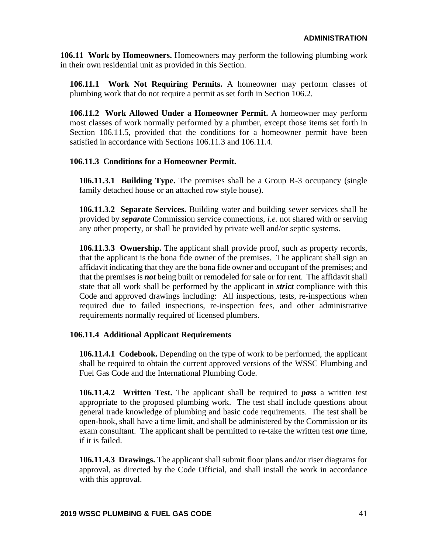**106.11 Work by Homeowners.** Homeowners may perform the following plumbing work in their own residential unit as provided in this Section.

**106.11.1 Work Not Requiring Permits.** A homeowner may perform classes of plumbing work that do not require a permit as set forth in Section 106.2.

**106.11.2 Work Allowed Under a Homeowner Permit.** A homeowner may perform most classes of work normally performed by a plumber, except those items set forth in Section 106.11.5, provided that the conditions for a homeowner permit have been satisfied in accordance with Sections 106.11.3 and 106.11.4.

### **106.11.3 Conditions for a Homeowner Permit.**

**106.11.3.1 Building Type.** The premises shall be a Group R-3 occupancy (single family detached house or an attached row style house).

**106.11.3.2 Separate Services.** Building water and building sewer services shall be provided by *separate* Commission service connections, *i.e.* not shared with or serving any other property, or shall be provided by private well and/or septic systems.

**106.11.3.3 Ownership.** The applicant shall provide proof, such as property records, that the applicant is the bona fide owner of the premises. The applicant shall sign an affidavit indicating that they are the bona fide owner and occupant of the premises; and that the premises is *not* being built or remodeled for sale or for rent. The affidavit shall state that all work shall be performed by the applicant in *strict* compliance with this Code and approved drawings including: All inspections, tests, re-inspections when required due to failed inspections, re-inspection fees, and other administrative requirements normally required of licensed plumbers.

#### **106.11.4 Additional Applicant Requirements**

**106.11.4.1 Codebook.** Depending on the type of work to be performed, the applicant shall be required to obtain the current approved versions of the WSSC Plumbing and Fuel Gas Code and the International Plumbing Code.

**106.11.4.2 Written Test.** The applicant shall be required to *pass* a written test appropriate to the proposed plumbing work. The test shall include questions about general trade knowledge of plumbing and basic code requirements. The test shall be open-book, shall have a time limit, and shall be administered by the Commission or its exam consultant. The applicant shall be permitted to re-take the written test *one* time, if it is failed.

**106.11.4.3 Drawings.** The applicant shall submit floor plans and/or riser diagrams for approval, as directed by the Code Official, and shall install the work in accordance with this approval.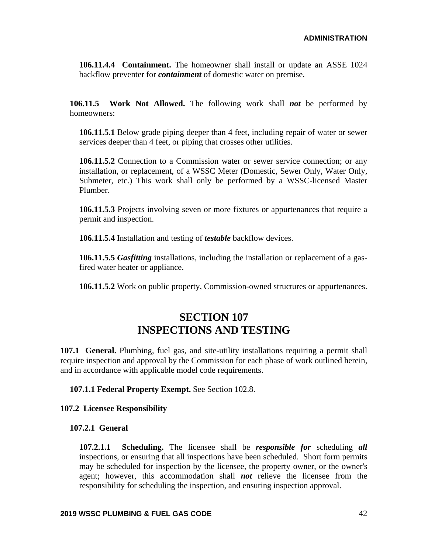**106.11.4.4 Containment.** The homeowner shall install or update an ASSE 1024 backflow preventer for *containment* of domestic water on premise.

**106.11.5 Work Not Allowed.** The following work shall *not* be performed by homeowners:

**106.11.5.1** Below grade piping deeper than 4 feet, including repair of water or sewer services deeper than 4 feet, or piping that crosses other utilities.

**106.11.5.2** Connection to a Commission water or sewer service connection; or any installation, or replacement, of a WSSC Meter (Domestic, Sewer Only, Water Only, Submeter, etc.) This work shall only be performed by a WSSC-licensed Master Plumber.

**106.11.5.3** Projects involving seven or more fixtures or appurtenances that require a permit and inspection.

**106.11.5.4** Installation and testing of *testable* backflow devices.

**106.11.5.5** *Gasfitting* installations, including the installation or replacement of a gasfired water heater or appliance.

**106.11.5.2** Work on public property, Commission-owned structures or appurtenances.

# **SECTION 107 INSPECTIONS AND TESTING**

**107.1 General.** Plumbing, fuel gas, and site-utility installations requiring a permit shall require inspection and approval by the Commission for each phase of work outlined herein, and in accordance with applicable model code requirements.

**107.1.1 Federal Property Exempt.** See Section 102.8.

**107.2 Licensee Responsibility** 

#### **107.2.1 General**

**107.2.1.1 Scheduling.** The licensee shall be *responsible for* scheduling *all* inspections, or ensuring that all inspections have been scheduled. Short form permits may be scheduled for inspection by the licensee, the property owner, or the owner's agent; however, this accommodation shall *not* relieve the licensee from the responsibility for scheduling the inspection, and ensuring inspection approval.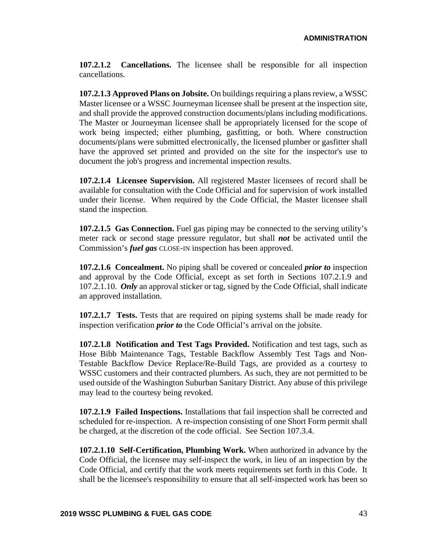**107.2.1.2 Cancellations.** The licensee shall be responsible for all inspection cancellations.

**107.2.1.3 Approved Plans on Jobsite.** On buildings requiring a plans review, a WSSC Master licensee or a WSSC Journeyman licensee shall be present at the inspection site, and shall provide the approved construction documents/plans including modifications. The Master or Journeyman licensee shall be appropriately licensed for the scope of work being inspected; either plumbing, gasfitting, or both. Where construction documents/plans were submitted electronically, the licensed plumber or gasfitter shall have the approved set printed and provided on the site for the inspector's use to document the job's progress and incremental inspection results.

**107.2.1.4 Licensee Supervision.** All registered Master licensees of record shall be available for consultation with the Code Official and for supervision of work installed under their license. When required by the Code Official, the Master licensee shall stand the inspection.

**107.2.1.5 Gas Connection.** Fuel gas piping may be connected to the serving utility's meter rack or second stage pressure regulator, but shall *not* be activated until the Commission's *fuel gas* CLOSE-IN inspection has been approved.

**107.2.1.6 Concealment.** No piping shall be covered or concealed *prior to* inspection and approval by the Code Official, except as set forth in Sections 107.2.1.9 and 107.2.1.10. *Only* an approval sticker or tag, signed by the Code Official, shall indicate an approved installation.

**107.2.1.7 Tests.** Tests that are required on piping systems shall be made ready for inspection verification *prior to* the Code Official's arrival on the jobsite.

**107.2.1.8 Notification and Test Tags Provided.** Notification and test tags, such as Hose Bibb Maintenance Tags, Testable Backflow Assembly Test Tags and Non-Testable Backflow Device Replace/Re-Build Tags, are provided as a courtesy to WSSC customers and their contracted plumbers. As such, they are not permitted to be used outside of the Washington Suburban Sanitary District. Any abuse of this privilege may lead to the courtesy being revoked.

**107.2.1.9 Failed Inspections.** Installations that fail inspection shall be corrected and scheduled for re-inspection. A re-inspection consisting of one Short Form permit shall be charged, at the discretion of the code official. See Section 107.3.4.

**107.2.1.10 Self-Certification, Plumbing Work.** When authorized in advance by the Code Official, the licensee may self-inspect the work, in lieu of an inspection by the Code Official, and certify that the work meets requirements set forth in this Code. It shall be the licensee's responsibility to ensure that all self-inspected work has been so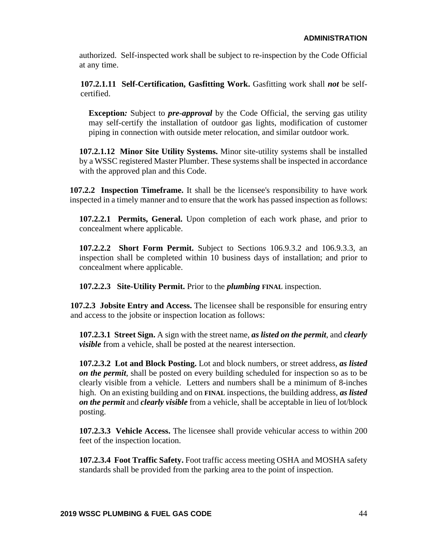authorized. Self-inspected work shall be subject to re-inspection by the Code Official at any time.

**107.2.1.11 Self-Certification, Gasfitting Work.** Gasfitting work shall *not* be selfcertified.

**Exception***:* Subject to *pre-approval* by the Code Official, the serving gas utility may self-certify the installation of outdoor gas lights, modification of customer piping in connection with outside meter relocation, and similar outdoor work.

**107.2.1.12 Minor Site Utility Systems.** Minor site-utility systems shall be installed by a WSSC registered Master Plumber. These systems shall be inspected in accordance with the approved plan and this Code.

**107.2.2 Inspection Timeframe.** It shall be the licensee's responsibility to have work inspected in a timely manner and to ensure that the work has passed inspection as follows:

**107.2.2.1 Permits, General.** Upon completion of each work phase, and prior to concealment where applicable.

**107.2.2.2 Short Form Permit.** Subject to Sections 106.9.3.2 and 106.9.3.3, an inspection shall be completed within 10 business days of installation; and prior to concealment where applicable.

**107.2.2.3 Site-Utility Permit.** Prior to the *plumbing* **FINAL** inspection.

**107.2.3 Jobsite Entry and Access.** The licensee shall be responsible for ensuring entry and access to the jobsite or inspection location as follows:

**107.2.3.1 Street Sign.** A sign with the street name, *as listed on the permit*, and *clearly visible* from a vehicle, shall be posted at the nearest intersection.

**107.2.3.2 Lot and Block Posting.** Lot and block numbers, or street address, *as listed on the permit*, shall be posted on every building scheduled for inspection so as to be clearly visible from a vehicle. Letters and numbers shall be a minimum of 8-inches high. On an existing building and on **FINAL** inspections, the building address, *as listed on the permit* and *clearly visible* from a vehicle, shall be acceptable in lieu of lot/block posting.

**107.2.3.3 Vehicle Access.** The licensee shall provide vehicular access to within 200 feet of the inspection location.

**107.2.3.4 Foot Traffic Safety.** Foot traffic access meeting OSHA and MOSHA safety standards shall be provided from the parking area to the point of inspection.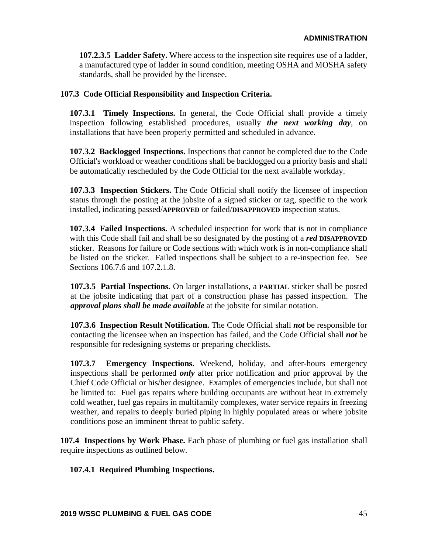**107.2.3.5 Ladder Safety.** Where access to the inspection site requires use of a ladder, a manufactured type of ladder in sound condition, meeting OSHA and MOSHA safety standards, shall be provided by the licensee.

# **107.3 Code Official Responsibility and Inspection Criteria.**

**107.3.1 Timely Inspections.** In general, the Code Official shall provide a timely inspection following established procedures, usually *the next working day*, on installations that have been properly permitted and scheduled in advance.

**107.3.2 Backlogged Inspections.** Inspections that cannot be completed due to the Code Official's workload or weather conditions shall be backlogged on a priority basis and shall be automatically rescheduled by the Code Official for the next available workday.

**107.3.3 Inspection Stickers.** The Code Official shall notify the licensee of inspection status through the posting at the jobsite of a signed sticker or tag, specific to the work installed, indicating passed/**APPROVED** or failed/**DISAPPROVED** inspection status.

**107.3.4 Failed Inspections.** A scheduled inspection for work that is not in compliance with this Code shall fail and shall be so designated by the posting of a *red* **DISAPPROVED** sticker. Reasons for failure or Code sections with which work is in non-compliance shall be listed on the sticker. Failed inspections shall be subject to a re-inspection fee. See Sections 106.7.6 and 107.2.1.8.

**107.3.5 Partial Inspections.** On larger installations, a **PARTIAL** sticker shall be posted at the jobsite indicating that part of a construction phase has passed inspection. The *approval plans shall be made available* at the jobsite for similar notation.

**107.3.6 Inspection Result Notification.** The Code Official shall *not* be responsible for contacting the licensee when an inspection has failed, and the Code Official shall *not* be responsible for redesigning systems or preparing checklists.

**107.3.7 Emergency Inspections.** Weekend, holiday, and after-hours emergency inspections shall be performed *only* after prior notification and prior approval by the Chief Code Official or his/her designee. Examples of emergencies include, but shall not be limited to: Fuel gas repairs where building occupants are without heat in extremely cold weather, fuel gas repairs in multifamily complexes, water service repairs in freezing weather, and repairs to deeply buried piping in highly populated areas or where jobsite conditions pose an imminent threat to public safety.

**107.4 Inspections by Work Phase.** Each phase of plumbing or fuel gas installation shall require inspections as outlined below.

# **107.4.1 Required Plumbing Inspections.**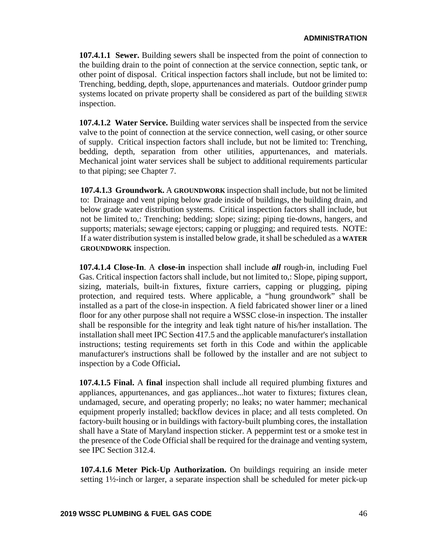**107.4.1.1 Sewer.** Building sewers shall be inspected from the point of connection to the building drain to the point of connection at the service connection, septic tank, or other point of disposal. Critical inspection factors shall include, but not be limited to: Trenching, bedding, depth, slope, appurtenances and materials. Outdoor grinder pump systems located on private property shall be considered as part of the building SEWER inspection.

**107.4.1.2 Water Service.** Building water services shall be inspected from the service valve to the point of connection at the service connection, well casing, or other source of supply. Critical inspection factors shall include, but not be limited to: Trenching, bedding, depth, separation from other utilities, appurtenances, and materials. Mechanical joint water services shall be subject to additional requirements particular to that piping; see Chapter 7.

**107.4.1.3 Groundwork.** A **GROUNDWORK** inspection shall include, but not be limited to: Drainage and vent piping below grade inside of buildings, the building drain, and below grade water distribution systems. Critical inspection factors shall include, but not be limited to,: Trenching; bedding; slope; sizing; piping tie-downs, hangers, and supports; materials; sewage ejectors; capping or plugging; and required tests. NOTE: If a water distribution system is installed below grade, it shall be scheduled as a **WATER GROUNDWORK** inspection.

**107.4.1.4 Close-In**. A **close-in** inspection shall include *all* rough-in, including Fuel Gas. Critical inspection factors shall include, but not limited to,: Slope, piping support, sizing, materials, built-in fixtures, fixture carriers, capping or plugging, piping protection, and required tests. Where applicable, a "hung groundwork" shall be installed as a part of the close-in inspection. A field fabricated shower liner or a lined floor for any other purpose shall not require a WSSC close-in inspection. The installer shall be responsible for the integrity and leak tight nature of his/her installation. The installation shall meet IPC Section 417.5 and the applicable manufacturer's installation instructions; testing requirements set forth in this Code and within the applicable manufacturer's instructions shall be followed by the installer and are not subject to inspection by a Code Official**.** 

**107.4.1.5 Final.** A **final** inspection shall include all required plumbing fixtures and appliances, appurtenances, and gas appliances...hot water to fixtures; fixtures clean, undamaged, secure, and operating properly; no leaks; no water hammer; mechanical equipment properly installed; backflow devices in place; and all tests completed. On factory-built housing or in buildings with factory-built plumbing cores, the installation shall have a State of Maryland inspection sticker. A peppermint test or a smoke test in the presence of the Code Official shall be required for the drainage and venting system, see IPC Section 312.4.

**107.4.1.6 Meter Pick-Up Authorization.** On buildings requiring an inside meter setting 1½-inch or larger, a separate inspection shall be scheduled for meter pick-up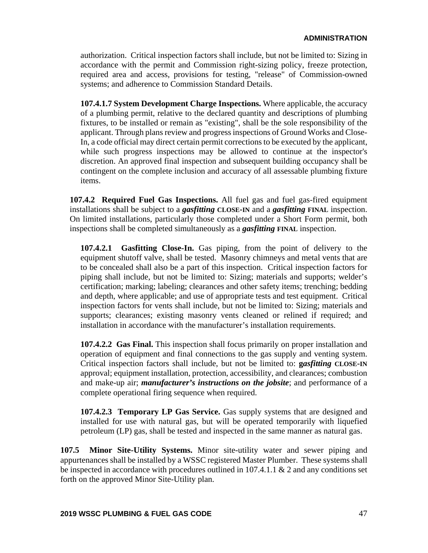authorization. Critical inspection factors shall include, but not be limited to: Sizing in accordance with the permit and Commission right-sizing policy, freeze protection, required area and access, provisions for testing, "release" of Commission-owned systems; and adherence to Commission Standard Details.

**107.4.1.7 System Development Charge Inspections.** Where applicable, the accuracy of a plumbing permit, relative to the declared quantity and descriptions of plumbing fixtures, to be installed or remain as "existing", shall be the sole responsibility of the applicant. Through plans review and progress inspections of Ground Works and Close-In, a code official may direct certain permit corrections to be executed by the applicant, while such progress inspections may be allowed to continue at the inspector's discretion. An approved final inspection and subsequent building occupancy shall be contingent on the complete inclusion and accuracy of all assessable plumbing fixture items.

**107.4.2 Required Fuel Gas Inspections.** All fuel gas and fuel gas-fired equipment installations shall be subject to a *gasfitting* **CLOSE-IN** and a *gasfitting* **FINAL** inspection. On limited installations, particularly those completed under a Short Form permit, both inspections shall be completed simultaneously as a *gasfitting* **FINAL** inspection.

**107.4.2.1 Gasfitting Close-In.** Gas piping, from the point of delivery to the equipment shutoff valve, shall be tested. Masonry chimneys and metal vents that are to be concealed shall also be a part of this inspection. Critical inspection factors for piping shall include, but not be limited to: Sizing; materials and supports; welder's certification; marking; labeling; clearances and other safety items; trenching; bedding and depth, where applicable; and use of appropriate tests and test equipment. Critical inspection factors for vents shall include, but not be limited to: Sizing; materials and supports; clearances; existing masonry vents cleaned or relined if required; and installation in accordance with the manufacturer's installation requirements.

**107.4.2.2 Gas Final.** This inspection shall focus primarily on proper installation and operation of equipment and final connections to the gas supply and venting system. Critical inspection factors shall include, but not be limited to: **g***asfitting* **CLOSE-IN** approval; equipment installation, protection, accessibility, and clearances; combustion and make-up air; *manufacturer's instructions on the jobsite*; and performance of a complete operational firing sequence when required.

**107.4.2.3 Temporary LP Gas Service.** Gas supply systems that are designed and installed for use with natural gas, but will be operated temporarily with liquefied petroleum (LP) gas, shall be tested and inspected in the same manner as natural gas.

**107.5 Minor Site-Utility Systems.** Minor site-utility water and sewer piping and appurtenances shall be installed by a WSSC registered Master Plumber. These systems shall be inspected in accordance with procedures outlined in 107.4.1.1 & 2 and any conditions set forth on the approved Minor Site-Utility plan.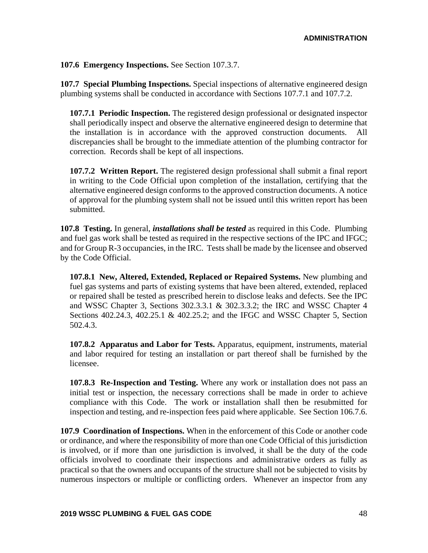**107.6 Emergency Inspections.** See Section 107.3.7.

**107.7 Special Plumbing Inspections.** Special inspections of alternative engineered design plumbing systems shall be conducted in accordance with Sections 107.7.1 and 107.7.2.

**107.7.1 Periodic Inspection.** The registered design professional or designated inspector shall periodically inspect and observe the alternative engineered design to determine that the installation is in accordance with the approved construction documents. All discrepancies shall be brought to the immediate attention of the plumbing contractor for correction. Records shall be kept of all inspections.

**107.7.2 Written Report.** The registered design professional shall submit a final report in writing to the Code Official upon completion of the installation, certifying that the alternative engineered design conforms to the approved construction documents. A notice of approval for the plumbing system shall not be issued until this written report has been submitted.

**107.8 Testing.** In general, *installations shall be tested* as required in this Code. Plumbing and fuel gas work shall be tested as required in the respective sections of the IPC and IFGC; and for Group R-3 occupancies, in the IRC. Tests shall be made by the licensee and observed by the Code Official.

**107.8.1 New, Altered, Extended, Replaced or Repaired Systems.** New plumbing and fuel gas systems and parts of existing systems that have been altered, extended, replaced or repaired shall be tested as prescribed herein to disclose leaks and defects. See the IPC and WSSC Chapter 3, Sections 302.3.3.1 & 302.3.3.2; the IRC and WSSC Chapter 4 Sections 402.24.3, 402.25.1 & 402.25.2; and the IFGC and WSSC Chapter 5, Section 502.4.3.

**107.8.2 Apparatus and Labor for Tests.** Apparatus, equipment, instruments, material and labor required for testing an installation or part thereof shall be furnished by the licensee.

**107.8.3 Re-Inspection and Testing.** Where any work or installation does not pass an initial test or inspection, the necessary corrections shall be made in order to achieve compliance with this Code. The work or installation shall then be resubmitted for inspection and testing, and re-inspection fees paid where applicable. See Section 106.7.6.

**107.9 Coordination of Inspections.** When in the enforcement of this Code or another code or ordinance, and where the responsibility of more than one Code Official of this jurisdiction is involved, or if more than one jurisdiction is involved, it shall be the duty of the code officials involved to coordinate their inspections and administrative orders as fully as practical so that the owners and occupants of the structure shall not be subjected to visits by numerous inspectors or multiple or conflicting orders. Whenever an inspector from any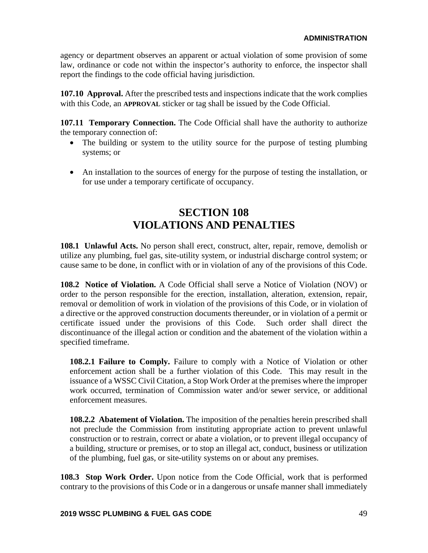agency or department observes an apparent or actual violation of some provision of some law, ordinance or code not within the inspector's authority to enforce, the inspector shall report the findings to the code official having jurisdiction.

**107.10 Approval.** After the prescribed tests and inspections indicate that the work complies with this Code, an **APPROVAL** sticker or tag shall be issued by the Code Official.

**107.11 Temporary Connection.** The Code Official shall have the authority to authorize the temporary connection of:

- The building or system to the utility source for the purpose of testing plumbing systems; or
- An installation to the sources of energy for the purpose of testing the installation, or for use under a temporary certificate of occupancy.

# **SECTION 108 VIOLATIONS AND PENALTIES**

**108.1 Unlawful Acts.** No person shall erect, construct, alter, repair, remove, demolish or utilize any plumbing, fuel gas, site-utility system, or industrial discharge control system; or cause same to be done, in conflict with or in violation of any of the provisions of this Code.

**108.2 Notice of Violation.** A Code Official shall serve a Notice of Violation (NOV) or order to the person responsible for the erection, installation, alteration, extension, repair, removal or demolition of work in violation of the provisions of this Code, or in violation of a directive or the approved construction documents thereunder, or in violation of a permit or certificate issued under the provisions of this Code. Such order shall direct the discontinuance of the illegal action or condition and the abatement of the violation within a specified timeframe.

**108.2.1 Failure to Comply.** Failure to comply with a Notice of Violation or other enforcement action shall be a further violation of this Code. This may result in the issuance of a WSSC Civil Citation, a Stop Work Order at the premises where the improper work occurred, termination of Commission water and/or sewer service, or additional enforcement measures.

**108.2.2 Abatement of Violation.** The imposition of the penalties herein prescribed shall not preclude the Commission from instituting appropriate action to prevent unlawful construction or to restrain, correct or abate a violation, or to prevent illegal occupancy of a building, structure or premises, or to stop an illegal act, conduct, business or utilization of the plumbing, fuel gas, or site-utility systems on or about any premises.

**108.3 Stop Work Order.** Upon notice from the Code Official, work that is performed contrary to the provisions of this Code or in a dangerous or unsafe manner shall immediately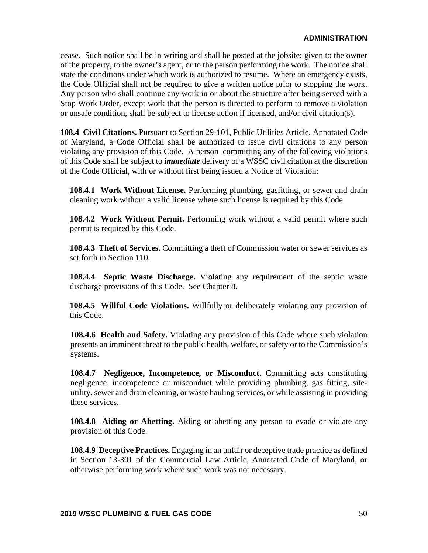cease. Such notice shall be in writing and shall be posted at the jobsite; given to the owner of the property, to the owner's agent, or to the person performing the work. The notice shall state the conditions under which work is authorized to resume. Where an emergency exists, the Code Official shall not be required to give a written notice prior to stopping the work. Any person who shall continue any work in or about the structure after being served with a Stop Work Order, except work that the person is directed to perform to remove a violation or unsafe condition, shall be subject to license action if licensed, and/or civil citation(s).

**108.4 Civil Citations.** Pursuant to Section 29-101, Public Utilities Article, Annotated Code of Maryland, a Code Official shall be authorized to issue civil citations to any person violating any provision of this Code. A person committing any of the following violations of this Code shall be subject to *immediate* delivery of a WSSC civil citation at the discretion of the Code Official, with or without first being issued a Notice of Violation:

**108.4.1 Work Without License.** Performing plumbing, gasfitting, or sewer and drain cleaning work without a valid license where such license is required by this Code.

**108.4.2 Work Without Permit.** Performing work without a valid permit where such permit is required by this Code.

**108.4.3 Theft of Services.** Committing a theft of Commission water or sewer services as set forth in Section 110.

**108.4.4 Septic Waste Discharge.** Violating any requirement of the septic waste discharge provisions of this Code. See Chapter 8.

**108.4.5 Willful Code Violations.** Willfully or deliberately violating any provision of this Code.

**108.4.6 Health and Safety.** Violating any provision of this Code where such violation presents an imminent threat to the public health, welfare, or safety or to the Commission's systems.

**108.4.7 Negligence, Incompetence, or Misconduct.** Committing acts constituting negligence, incompetence or misconduct while providing plumbing, gas fitting, siteutility, sewer and drain cleaning, or waste hauling services, or while assisting in providing these services.

**108.4.8 Aiding or Abetting.** Aiding or abetting any person to evade or violate any provision of this Code.

**108.4.9 Deceptive Practices.** Engaging in an unfair or deceptive trade practice as defined in Section 13-301 of the Commercial Law Article, Annotated Code of Maryland, or otherwise performing work where such work was not necessary.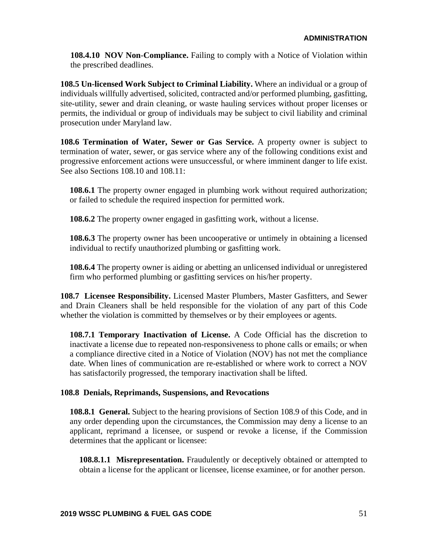**108.4.10 NOV Non**-**Compliance.** Failing to comply with a Notice of Violation within the prescribed deadlines.

**108.5 Un-licensed Work Subject to Criminal Liability.** Where an individual or a group of individuals willfully advertised, solicited, contracted and/or performed plumbing, gasfitting, site-utility, sewer and drain cleaning, or waste hauling services without proper licenses or permits, the individual or group of individuals may be subject to civil liability and criminal prosecution under Maryland law.

**108.6 Termination of Water, Sewer or Gas Service.** A property owner is subject to termination of water, sewer, or gas service where any of the following conditions exist and progressive enforcement actions were unsuccessful, or where imminent danger to life exist. See also Sections 108.10 and 108.11:

**108.6.1** The property owner engaged in plumbing work without required authorization; or failed to schedule the required inspection for permitted work.

**108.6.2** The property owner engaged in gasfitting work, without a license.

**108.6.3** The property owner has been uncooperative or untimely in obtaining a licensed individual to rectify unauthorized plumbing or gasfitting work.

**108.6.4** The property owner is aiding or abetting an unlicensed individual or unregistered firm who performed plumbing or gasfitting services on his/her property.

**108.7 Licensee Responsibility.** Licensed Master Plumbers, Master Gasfitters, and Sewer and Drain Cleaners shall be held responsible for the violation of any part of this Code whether the violation is committed by themselves or by their employees or agents.

**108.7.1 Temporary Inactivation of License.** A Code Official has the discretion to inactivate a license due to repeated non-responsiveness to phone calls or emails; or when a compliance directive cited in a Notice of Violation (NOV) has not met the compliance date. When lines of communication are re-established or where work to correct a NOV has satisfactorily progressed, the temporary inactivation shall be lifted.

#### **108.8 Denials, Reprimands, Suspensions, and Revocations**

**108.8.1 General.** Subject to the hearing provisions of Section 108.9 of this Code, and in any order depending upon the circumstances, the Commission may deny a license to an applicant, reprimand a licensee, or suspend or revoke a license, if the Commission determines that the applicant or licensee:

**108.8.1.1 Misrepresentation.** Fraudulently or deceptively obtained or attempted to obtain a license for the applicant or licensee, license examinee, or for another person.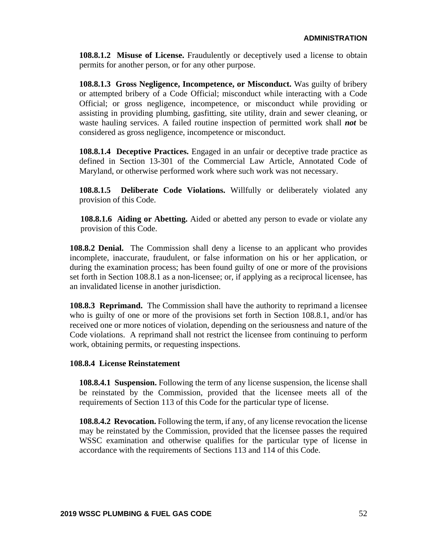**108.8.1.2 Misuse of License.** Fraudulently or deceptively used a license to obtain permits for another person, or for any other purpose.

**108.8.1.3 Gross Negligence, Incompetence, or Misconduct.** Was guilty of bribery or attempted bribery of a Code Official; misconduct while interacting with a Code Official; or gross negligence, incompetence, or misconduct while providing or assisting in providing plumbing, gasfitting, site utility, drain and sewer cleaning, or waste hauling services. A failed routine inspection of permitted work shall *not* be considered as gross negligence, incompetence or misconduct.

**108.8.1.4 Deceptive Practices.** Engaged in an unfair or deceptive trade practice as defined in Section 13-301 of the Commercial Law Article, Annotated Code of Maryland, or otherwise performed work where such work was not necessary.

**108.8.1.5 Deliberate Code Violations.** Willfully or deliberately violated any provision of this Code.

**108.8.1.6 Aiding or Abetting.** Aided or abetted any person to evade or violate any provision of this Code.

**108.8.2 Denial.** The Commission shall deny a license to an applicant who provides incomplete, inaccurate, fraudulent, or false information on his or her application, or during the examination process; has been found guilty of one or more of the provisions set forth in Section 108.8.1 as a non-licensee; or, if applying as a reciprocal licensee, has an invalidated license in another jurisdiction.

**108.8.3 Reprimand.** The Commission shall have the authority to reprimand a licensee who is guilty of one or more of the provisions set forth in Section 108.8.1, and/or has received one or more notices of violation, depending on the seriousness and nature of the Code violations. A reprimand shall not restrict the licensee from continuing to perform work, obtaining permits, or requesting inspections.

#### **108.8.4 License Reinstatement**

**108.8.4.1 Suspension.** Following the term of any license suspension, the license shall be reinstated by the Commission, provided that the licensee meets all of the requirements of Section 113 of this Code for the particular type of license.

**108.8.4.2 Revocation.** Following the term, if any, of any license revocation the license may be reinstated by the Commission, provided that the licensee passes the required WSSC examination and otherwise qualifies for the particular type of license in accordance with the requirements of Sections 113 and 114 of this Code.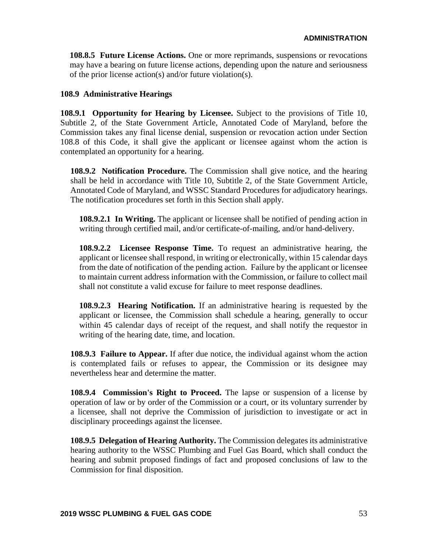**108.8.5 Future License Actions.** One or more reprimands, suspensions or revocations may have a bearing on future license actions, depending upon the nature and seriousness of the prior license action(s) and/or future violation(s).

# **108.9 Administrative Hearings**

**108.9.1 Opportunity for Hearing by Licensee.** Subject to the provisions of Title 10, Subtitle 2, of the State Government Article, Annotated Code of Maryland, before the Commission takes any final license denial, suspension or revocation action under Section 108.8 of this Code, it shall give the applicant or licensee against whom the action is contemplated an opportunity for a hearing.

**108.9.2 Notification Procedure.** The Commission shall give notice, and the hearing shall be held in accordance with Title 10, Subtitle 2, of the State Government Article, Annotated Code of Maryland, and WSSC Standard Procedures for adjudicatory hearings. The notification procedures set forth in this Section shall apply.

**108.9.2.1 In Writing.** The applicant or licensee shall be notified of pending action in writing through certified mail, and/or certificate-of-mailing, and/or hand-delivery.

**108.9.2.2 Licensee Response Time.** To request an administrative hearing, the applicant or licensee shall respond, in writing or electronically, within 15 calendar days from the date of notification of the pending action. Failure by the applicant or licensee to maintain current address information with the Commission, or failure to collect mail shall not constitute a valid excuse for failure to meet response deadlines.

**108.9.2.3 Hearing Notification.** If an administrative hearing is requested by the applicant or licensee, the Commission shall schedule a hearing, generally to occur within 45 calendar days of receipt of the request, and shall notify the requestor in writing of the hearing date, time, and location.

**108.9.3 Failure to Appear.** If after due notice, the individual against whom the action is contemplated fails or refuses to appear, the Commission or its designee may nevertheless hear and determine the matter.

**108.9.4 Commission's Right to Proceed.** The lapse or suspension of a license by operation of law or by order of the Commission or a court, or its voluntary surrender by a licensee, shall not deprive the Commission of jurisdiction to investigate or act in disciplinary proceedings against the licensee.

**108.9.5 Delegation of Hearing Authority.** The Commission delegates its administrative hearing authority to the WSSC Plumbing and Fuel Gas Board, which shall conduct the hearing and submit proposed findings of fact and proposed conclusions of law to the Commission for final disposition.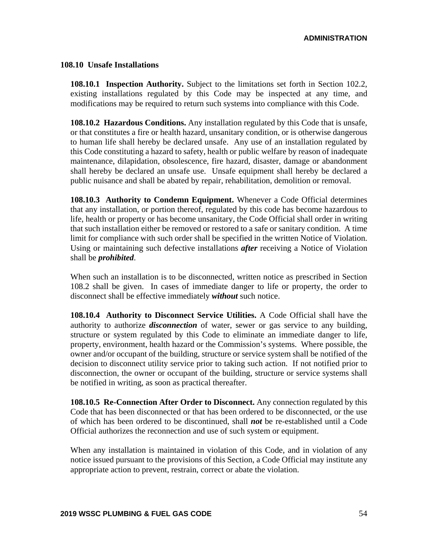#### **108.10 Unsafe Installations**

**108.10.1 Inspection Authority.** Subject to the limitations set forth in Section 102.2, existing installations regulated by this Code may be inspected at any time, and modifications may be required to return such systems into compliance with this Code.

**108.10.2 Hazardous Conditions.** Any installation regulated by this Code that is unsafe, or that constitutes a fire or health hazard, unsanitary condition, or is otherwise dangerous to human life shall hereby be declared unsafe. Any use of an installation regulated by this Code constituting a hazard to safety, health or public welfare by reason of inadequate maintenance, dilapidation, obsolescence, fire hazard, disaster, damage or abandonment shall hereby be declared an unsafe use. Unsafe equipment shall hereby be declared a public nuisance and shall be abated by repair, rehabilitation, demolition or removal.

**108.10.3 Authority to Condemn Equipment.** Whenever a Code Official determines that any installation, or portion thereof, regulated by this code has become hazardous to life, health or property or has become unsanitary, the Code Official shall order in writing that such installation either be removed or restored to a safe or sanitary condition. A time limit for compliance with such order shall be specified in the written Notice of Violation. Using or maintaining such defective installations *after* receiving a Notice of Violation shall be *prohibited*.

When such an installation is to be disconnected, written notice as prescribed in Section 108.2 shall be given. In cases of immediate danger to life or property, the order to disconnect shall be effective immediately *without* such notice.

**108.10.4 Authority to Disconnect Service Utilities.** A Code Official shall have the authority to authorize *disconnection* of water, sewer or gas service to any building, structure or system regulated by this Code to eliminate an immediate danger to life, property, environment, health hazard or the Commission's systems. Where possible, the owner and/or occupant of the building, structure or service system shall be notified of the decision to disconnect utility service prior to taking such action. If not notified prior to disconnection, the owner or occupant of the building, structure or service systems shall be notified in writing, as soon as practical thereafter.

**108.10.5 Re-Connection After Order to Disconnect.** Any connection regulated by this Code that has been disconnected or that has been ordered to be disconnected, or the use of which has been ordered to be discontinued, shall *not* be re-established until a Code Official authorizes the reconnection and use of such system or equipment.

When any installation is maintained in violation of this Code, and in violation of any notice issued pursuant to the provisions of this Section, a Code Official may institute any appropriate action to prevent, restrain, correct or abate the violation.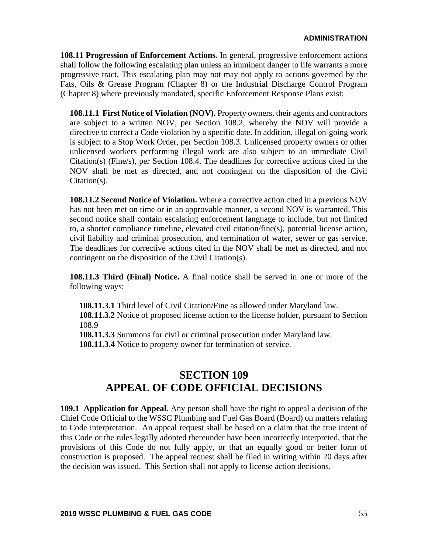**108.11 Progression of Enforcement Actions.** In general, progressive enforcement actions shall follow the following escalating plan unless an imminent danger to life warrants a more progressive tract. This escalating plan may not may not apply to actions governed by the Fats, Oils & Grease Program (Chapter 8) or the Industrial Discharge Control Program (Chapter 8) where previously mandated, specific Enforcement Response Plans exist:

**108.11.1 First Notice of Violation (NOV).** Property owners, their agents and contractors are subject to a written NOV, per Section 108.2, whereby the NOV will provide a directive to correct a Code violation by a specific date. In addition, illegal on-going work is subject to a Stop Work Order, per Section 108.3. Unlicensed property owners or other unlicensed workers performing illegal work are also subject to an immediate Civil Citation(s) (Fine/s), per Section 108.4. The deadlines for corrective actions cited in the NOV shall be met as directed, and not contingent on the disposition of the Civil Citation(s).

**108.11.2 Second Notice of Violation.** Where a corrective action cited in a previous NOV has not been met on time or in an approvable manner, a second NOV is warranted. This second notice shall contain escalating enforcement language to include, but not limited to, a shorter compliance timeline, elevated civil citation/fine(s), potential license action, civil liability and criminal prosecution, and termination of water, sewer or gas service. The deadlines for corrective actions cited in the NOV shall be met as directed, and not contingent on the disposition of the Civil Citation(s).

**108.11.3 Third (Final) Notice.** A final notice shall be served in one or more of the following ways:

**108.11.3.1** Third level of Civil Citation/Fine as allowed under Maryland law.

**108.11.3.2** Notice of proposed license action to the license holder, pursuant to Section 108.9

**108.11.3.3** Summons for civil or criminal prosecution under Maryland law.

**108.11.3.4** Notice to property owner for termination of service.

# **SECTION 109 APPEAL OF CODE OFFICIAL DECISIONS**

**109.1 Application for Appeal.** Any person shall have the right to appeal a decision of the Chief Code Official to the WSSC Plumbing and Fuel Gas Board (Board) on matters relating to Code interpretation. An appeal request shall be based on a claim that the true intent of this Code or the rules legally adopted thereunder have been incorrectly interpreted, that the provisions of this Code do not fully apply, or that an equally good or better form of construction is proposed. The appeal request shall be filed in writing within 20 days after the decision was issued. This Section shall not apply to license action decisions.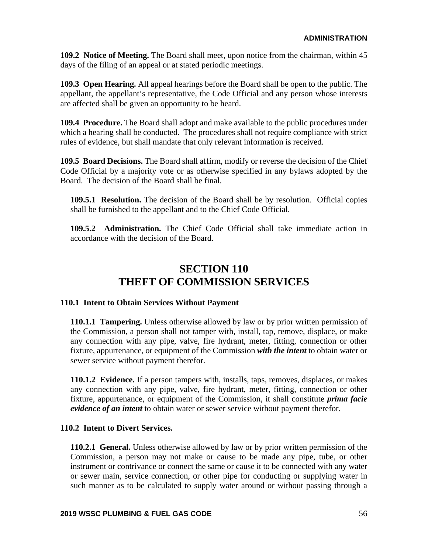**109.2 Notice of Meeting.** The Board shall meet, upon notice from the chairman, within 45 days of the filing of an appeal or at stated periodic meetings.

**109.3 Open Hearing.** All appeal hearings before the Board shall be open to the public. The appellant, the appellant's representative, the Code Official and any person whose interests are affected shall be given an opportunity to be heard.

**109.4 Procedure.** The Board shall adopt and make available to the public procedures under which a hearing shall be conducted. The procedures shall not require compliance with strict rules of evidence, but shall mandate that only relevant information is received.

**109.5 Board Decisions.** The Board shall affirm, modify or reverse the decision of the Chief Code Official by a majority vote or as otherwise specified in any bylaws adopted by the Board. The decision of the Board shall be final.

109.5.1 Resolution. The decision of the Board shall be by resolution. Official copies shall be furnished to the appellant and to the Chief Code Official.

**109.5.2 Administration.** The Chief Code Official shall take immediate action in accordance with the decision of the Board.

# **SECTION 110 THEFT OF COMMISSION SERVICES**

# **110.1 Intent to Obtain Services Without Payment**

**110.1.1 Tampering.** Unless otherwise allowed by law or by prior written permission of the Commission, a person shall not tamper with, install, tap, remove, displace, or make any connection with any pipe, valve, fire hydrant, meter, fitting, connection or other fixture, appurtenance, or equipment of the Commission *with the intent* to obtain water or sewer service without payment therefor.

**110.1.2 Evidence.** If a person tampers with, installs, taps, removes, displaces, or makes any connection with any pipe, valve, fire hydrant, meter, fitting, connection or other fixture, appurtenance, or equipment of the Commission, it shall constitute *prima facie evidence of an intent* to obtain water or sewer service without payment therefor.

#### **110.2 Intent to Divert Services.**

**110.2.1 General.** Unless otherwise allowed by law or by prior written permission of the Commission, a person may not make or cause to be made any pipe, tube, or other instrument or contrivance or connect the same or cause it to be connected with any water or sewer main, service connection, or other pipe for conducting or supplying water in such manner as to be calculated to supply water around or without passing through a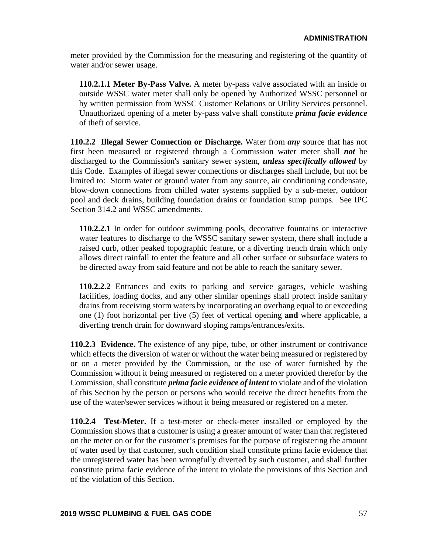meter provided by the Commission for the measuring and registering of the quantity of water and/or sewer usage.

**110.2.1.1 Meter By-Pass Valve.** A meter by-pass valve associated with an inside or outside WSSC water meter shall only be opened by Authorized WSSC personnel or by written permission from WSSC Customer Relations or Utility Services personnel. Unauthorized opening of a meter by-pass valve shall constitute *prima facie evidence* of theft of service.

**110.2.2 Illegal Sewer Connection or Discharge.** Water from *any* source that has not first been measured or registered through a Commission water meter shall *not* be discharged to the Commission's sanitary sewer system, *unless specifically allowed* by this Code. Examples of illegal sewer connections or discharges shall include, but not be limited to: Storm water or ground water from any source, air conditioning condensate, blow-down connections from chilled water systems supplied by a sub-meter, outdoor pool and deck drains, building foundation drains or foundation sump pumps. See IPC Section 314.2 and WSSC amendments.

**110.2.2.1** In order for outdoor swimming pools, decorative fountains or interactive water features to discharge to the WSSC sanitary sewer system, there shall include a raised curb, other peaked topographic feature, or a diverting trench drain which only allows direct rainfall to enter the feature and all other surface or subsurface waters to be directed away from said feature and not be able to reach the sanitary sewer.

**110.2.2.2** Entrances and exits to parking and service garages, vehicle washing facilities, loading docks, and any other similar openings shall protect inside sanitary drains from receiving storm waters by incorporating an overhang equal to or exceeding one (1) foot horizontal per five (5) feet of vertical opening **and** where applicable, a diverting trench drain for downward sloping ramps/entrances/exits.

**110.2.3 Evidence.** The existence of any pipe, tube, or other instrument or contrivance which effects the diversion of water or without the water being measured or registered by or on a meter provided by the Commission, or the use of water furnished by the Commission without it being measured or registered on a meter provided therefor by the Commission, shall constitute *prima facie evidence of intent* to violate and of the violation of this Section by the person or persons who would receive the direct benefits from the use of the water/sewer services without it being measured or registered on a meter.

**110.2.4 Test-Meter.** If a test-meter or check-meter installed or employed by the Commission shows that a customer is using a greater amount of water than that registered on the meter on or for the customer's premises for the purpose of registering the amount of water used by that customer, such condition shall constitute prima facie evidence that the unregistered water has been wrongfully diverted by such customer, and shall further constitute prima facie evidence of the intent to violate the provisions of this Section and of the violation of this Section.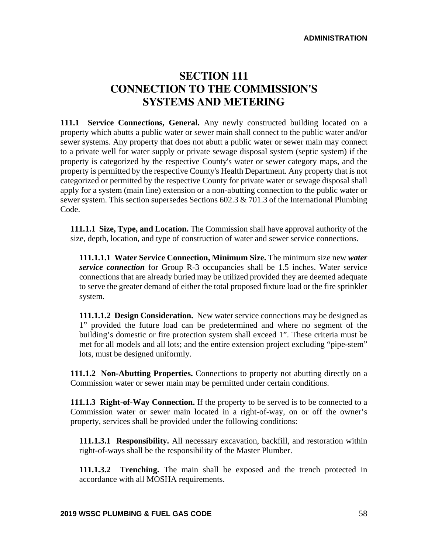# **SECTION 111 CONNECTION TO THE COMMISSION'S SYSTEMS AND METERING**

**111.1 Service Connections, General.** Any newly constructed building located on a property which abutts a public water or sewer main shall connect to the public water and/or sewer systems. Any property that does not abutt a public water or sewer main may connect to a private well for water supply or private sewage disposal system (septic system) if the property is categorized by the respective County's water or sewer category maps, and the property is permitted by the respective County's Health Department. Any property that is not categorized or permitted by the respective County for private water or sewage disposal shall apply for a system (main line) extension or a non-abutting connection to the public water or sewer system. This section supersedes Sections 602.3 & 701.3 of the International Plumbing Code.

**111.1.1 Size, Type, and Location.** The Commission shall have approval authority of the size, depth, location, and type of construction of water and sewer service connections.

**111.1.1.1 Water Service Connection, Minimum Size.** The minimum size new *water service connection* for Group R-3 occupancies shall be 1.5 inches. Water service connections that are already buried may be utilized provided they are deemed adequate to serve the greater demand of either the total proposed fixture load or the fire sprinkler system.

**111.1.1.2 Design Consideration.** New water service connections may be designed as 1" provided the future load can be predetermined and where no segment of the building's domestic or fire protection system shall exceed 1". These criteria must be met for all models and all lots; and the entire extension project excluding "pipe-stem" lots, must be designed uniformly.

**111.1.2 Non-Abutting Properties.** Connections to property not abutting directly on a Commission water or sewer main may be permitted under certain conditions.

**111.1.3 Right-of-Way Connection.** If the property to be served is to be connected to a Commission water or sewer main located in a right-of-way, on or off the owner's property, services shall be provided under the following conditions:

**111.1.3.1 Responsibility.** All necessary excavation, backfill, and restoration within right-of-ways shall be the responsibility of the Master Plumber.

**111.1.3.2 Trenching.** The main shall be exposed and the trench protected in accordance with all MOSHA requirements.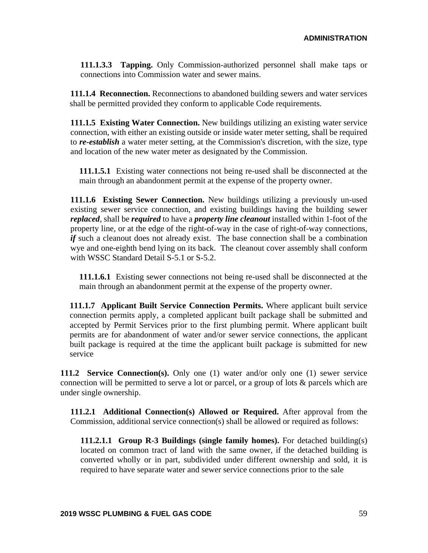**111.1.3.3 Tapping.** Only Commission-authorized personnel shall make taps or connections into Commission water and sewer mains.

**111.1.4 Reconnection.** Reconnections to abandoned building sewers and water services shall be permitted provided they conform to applicable Code requirements.

**111.1.5 Existing Water Connection.** New buildings utilizing an existing water service connection, with either an existing outside or inside water meter setting, shall be required to *re-establish* a water meter setting, at the Commission's discretion, with the size, type and location of the new water meter as designated by the Commission.

**111.1.5.1** Existing water connections not being re-used shall be disconnected at the main through an abandonment permit at the expense of the property owner.

**111.1.6 Existing Sewer Connection.** New buildings utilizing a previously un-used existing sewer service connection, and existing buildings having the building sewer *replaced*, shall be *required* to have a *property line cleanout* installed within 1-foot of the property line, or at the edge of the right-of-way in the case of right-of-way connections, *if* such a cleanout does not already exist. The base connection shall be a combination wye and one-eighth bend lying on its back. The cleanout cover assembly shall conform with WSSC Standard Detail S-5.1 or S-5.2.

**111.1.6.1** Existing sewer connections not being re-used shall be disconnected at the main through an abandonment permit at the expense of the property owner.

**111.1.7 Applicant Built Service Connection Permits.** Where applicant built service connection permits apply, a completed applicant built package shall be submitted and accepted by Permit Services prior to the first plumbing permit. Where applicant built permits are for abandonment of water and/or sewer service connections, the applicant built package is required at the time the applicant built package is submitted for new service

**111.2 Service Connection(s).** Only one (1) water and/or only one (1) sewer service connection will be permitted to serve a lot or parcel, or a group of lots & parcels which are under single ownership.

**111.2.1 Additional Connection(s) Allowed or Required.** After approval from the Commission, additional service connection(s) shall be allowed or required as follows:

**111.2.1.1 Group R-3 Buildings (single family homes).** For detached building(s) located on common tract of land with the same owner, if the detached building is converted wholly or in part, subdivided under different ownership and sold, it is required to have separate water and sewer service connections prior to the sale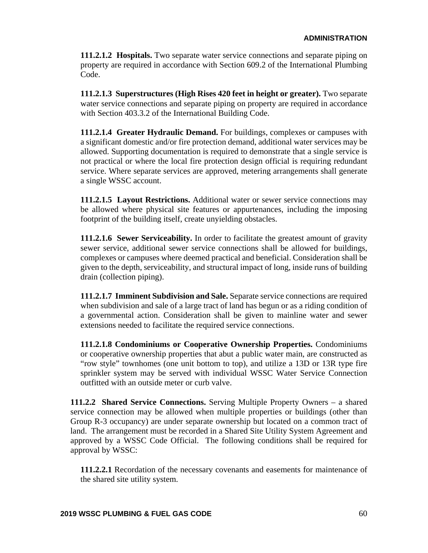**111.2.1.2 Hospitals.** Two separate water service connections and separate piping on property are required in accordance with Section 609.2 of the International Plumbing Code.

**111.2.1.3 Superstructures (High Rises 420 feet in height or greater).** Two separate water service connections and separate piping on property are required in accordance with Section 403.3.2 of the International Building Code.

**111.2.1.4 Greater Hydraulic Demand.** For buildings, complexes or campuses with a significant domestic and/or fire protection demand, additional water services may be allowed. Supporting documentation is required to demonstrate that a single service is not practical or where the local fire protection design official is requiring redundant service. Where separate services are approved, metering arrangements shall generate a single WSSC account.

**111.2.1.5 Layout Restrictions.** Additional water or sewer service connections may be allowed where physical site features or appurtenances, including the imposing footprint of the building itself, create unyielding obstacles.

**111.2.1.6 Sewer Serviceability.** In order to facilitate the greatest amount of gravity sewer service, additional sewer service connections shall be allowed for buildings, complexes or campuses where deemed practical and beneficial. Consideration shall be given to the depth, serviceability, and structural impact of long, inside runs of building drain (collection piping).

**111.2.1.7 Imminent Subdivision and Sale.** Separate service connections are required when subdivision and sale of a large tract of land has begun or as a riding condition of a governmental action. Consideration shall be given to mainline water and sewer extensions needed to facilitate the required service connections.

**111.2.1.8 Condominiums or Cooperative Ownership Properties.** Condominiums or cooperative ownership properties that abut a public water main, are constructed as "row style" townhomes (one unit bottom to top), and utilize a 13D or 13R type fire sprinkler system may be served with individual WSSC Water Service Connection outfitted with an outside meter or curb valve.

**111.2.2 Shared Service Connections.** Serving Multiple Property Owners – a shared service connection may be allowed when multiple properties or buildings (other than Group R-3 occupancy) are under separate ownership but located on a common tract of land. The arrangement must be recorded in a Shared Site Utility System Agreement and approved by a WSSC Code Official. The following conditions shall be required for approval by WSSC:

**111.2.2.1** Recordation of the necessary covenants and easements for maintenance of the shared site utility system.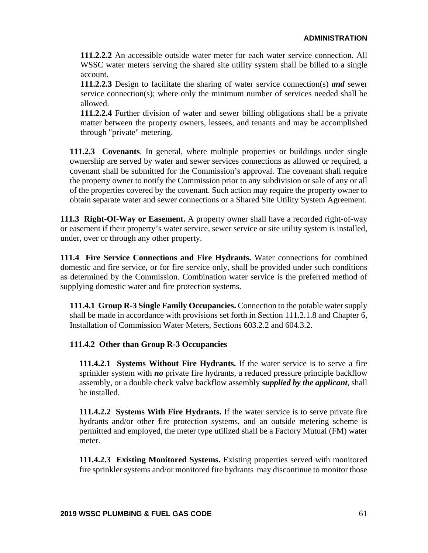**111.2.2.2** An accessible outside water meter for each water service connection. All WSSC water meters serving the shared site utility system shall be billed to a single account.

**111.2.2.3** Design to facilitate the sharing of water service connection(s) *and* sewer service connection(s); where only the minimum number of services needed shall be allowed.

**111.2.2.4** Further division of water and sewer billing obligations shall be a private matter between the property owners, lessees, and tenants and may be accomplished through "private" metering.

**111.2.3 Covenants**. In general, where multiple properties or buildings under single ownership are served by water and sewer services connections as allowed or required, a covenant shall be submitted for the Commission's approval. The covenant shall require the property owner to notify the Commission prior to any subdivision or sale of any or all of the properties covered by the covenant. Such action may require the property owner to obtain separate water and sewer connections or a Shared Site Utility System Agreement.

**111.3 Right-Of-Way or Easement.** A property owner shall have a recorded right-of-way or easement if their property's water service, sewer service or site utility system is installed, under, over or through any other property.

**111.4 Fire Service Connections and Fire Hydrants.** Water connections for combined domestic and fire service, or for fire service only, shall be provided under such conditions as determined by the Commission. Combination water service is the preferred method of supplying domestic water and fire protection systems.

**111.4.1 Group R-3 Single Family Occupancies.** Connection to the potable water supply shall be made in accordance with provisions set forth in Section 111.2.1.8 and Chapter 6, Installation of Commission Water Meters, Sections 603.2.2 and 604.3.2.

# **111.4.2 Other than Group R-3 Occupancies**

**111.4.2.1 Systems Without Fire Hydrants.** If the water service is to serve a fire sprinkler system with *no* private fire hydrants, a reduced pressure principle backflow assembly, or a double check valve backflow assembly *supplied by the applicant*, shall be installed.

**111.4.2.2 Systems With Fire Hydrants.** If the water service is to serve private fire hydrants and/or other fire protection systems, and an outside metering scheme is permitted and employed, the meter type utilized shall be a Factory Mutual (FM) water meter.

**111.4.2.3 Existing Monitored Systems.** Existing properties served with monitored fire sprinkler systems and/or monitored fire hydrants may discontinue to monitor those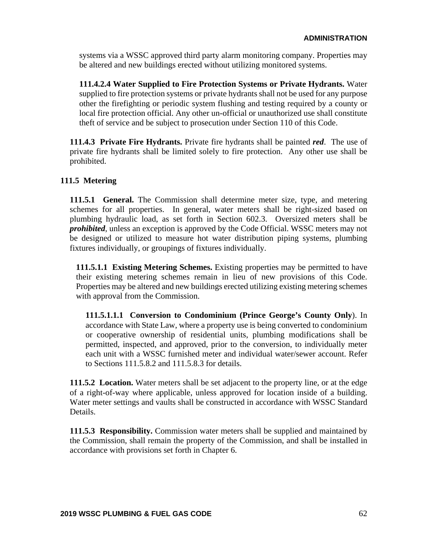systems via a WSSC approved third party alarm monitoring company. Properties may be altered and new buildings erected without utilizing monitored systems.

**111.4.2.4 Water Supplied to Fire Protection Systems or Private Hydrants.** Water supplied to fire protection systems or private hydrants shall not be used for any purpose other the firefighting or periodic system flushing and testing required by a county or local fire protection official. Any other un-official or unauthorized use shall constitute theft of service and be subject to prosecution under Section 110 of this Code.

**111.4.3 Private Fire Hydrants.** Private fire hydrants shall be painted *red*. The use of private fire hydrants shall be limited solely to fire protection. Any other use shall be prohibited.

# **111.5 Metering**

**111.5.1 General.** The Commission shall determine meter size, type, and metering schemes for all properties. In general, water meters shall be right-sized based on plumbing hydraulic load, as set forth in Section 602.3. Oversized meters shall be *prohibited*, unless an exception is approved by the Code Official. WSSC meters may not be designed or utilized to measure hot water distribution piping systems, plumbing fixtures individually, or groupings of fixtures individually.

**111.5.1.1 Existing Metering Schemes.** Existing properties may be permitted to have their existing metering schemes remain in lieu of new provisions of this Code. Properties may be altered and new buildings erected utilizing existing metering schemes with approval from the Commission.

**111.5.1.1.1 Conversion to Condominium (Prince George's County Only**). In accordance with State Law, where a property use is being converted to condominium or cooperative ownership of residential units, plumbing modifications shall be permitted, inspected, and approved, prior to the conversion, to individually meter each unit with a WSSC furnished meter and individual water/sewer account. Refer to Sections 111.5.8.2 and 111.5.8.3 for details.

**111.5.2 Location.** Water meters shall be set adjacent to the property line, or at the edge of a right-of-way where applicable, unless approved for location inside of a building. Water meter settings and vaults shall be constructed in accordance with WSSC Standard Details.

**111.5.3 Responsibility.** Commission water meters shall be supplied and maintained by the Commission, shall remain the property of the Commission, and shall be installed in accordance with provisions set forth in Chapter 6.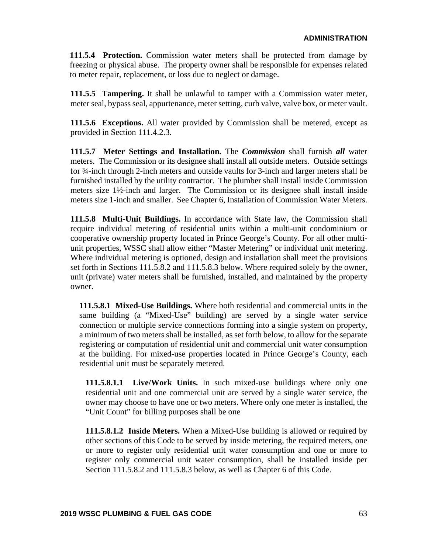**111.5.4 Protection.** Commission water meters shall be protected from damage by freezing or physical abuse. The property owner shall be responsible for expenses related to meter repair, replacement, or loss due to neglect or damage.

**111.5.5 Tampering.** It shall be unlawful to tamper with a Commission water meter, meter seal, bypass seal, appurtenance, meter setting, curb valve, valve box, or meter vault.

**111.5.6 Exceptions.** All water provided by Commission shall be metered, except as provided in Section 111.4.2.3.

**111.5.7 Meter Settings and Installation.** The *Commission* shall furnish *all* water meters. The Commission or its designee shall install all outside meters. Outside settings for ¾-inch through 2-inch meters and outside vaults for 3-inch and larger meters shall be furnished installed by the utility contractor. The plumber shall install inside Commission meters size 1½-inch and larger. The Commission or its designee shall install inside meters size 1-inch and smaller. See Chapter 6, Installation of Commission Water Meters.

**111.5.8 Multi**-**Unit Buildings.** In accordance with State law, the Commission shall require individual metering of residential units within a multi-unit condominium or cooperative ownership property located in Prince George's County. For all other multiunit properties, WSSC shall allow either "Master Metering" or individual unit metering. Where individual metering is optioned, design and installation shall meet the provisions set forth in Sections 111.5.8.2 and 111.5.8.3 below. Where required solely by the owner, unit (private) water meters shall be furnished, installed, and maintained by the property owner.

**111.5.8.1 Mixed-Use Buildings.** Where both residential and commercial units in the same building (a "Mixed-Use" building) are served by a single water service connection or multiple service connections forming into a single system on property, a minimum of two meters shall be installed, as set forth below, to allow for the separate registering or computation of residential unit and commercial unit water consumption at the building. For mixed-use properties located in Prince George's County, each residential unit must be separately metered.

**111.5.8.1.1 Live/Work Units.** In such mixed-use buildings where only one residential unit and one commercial unit are served by a single water service, the owner may choose to have one or two meters. Where only one meter is installed, the "Unit Count" for billing purposes shall be one

**111.5.8.1.2 Inside Meters.** When a Mixed-Use building is allowed or required by other sections of this Code to be served by inside metering, the required meters, one or more to register only residential unit water consumption and one or more to register only commercial unit water consumption, shall be installed inside per Section 111.5.8.2 and 111.5.8.3 below, as well as Chapter 6 of this Code.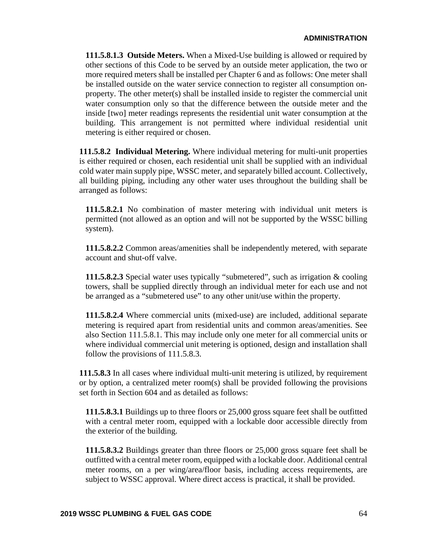**111.5.8.1.3 Outside Meters.** When a Mixed-Use building is allowed or required by other sections of this Code to be served by an outside meter application, the two or more required meters shall be installed per Chapter 6 and as follows: One meter shall be installed outside on the water service connection to register all consumption onproperty. The other meter(s) shall be installed inside to register the commercial unit water consumption only so that the difference between the outside meter and the inside [two] meter readings represents the residential unit water consumption at the building. This arrangement is not permitted where individual residential unit metering is either required or chosen.

**111.5.8.2 Individual Metering.** Where individual metering for multi-unit properties is either required or chosen, each residential unit shall be supplied with an individual cold water main supply pipe, WSSC meter, and separately billed account. Collectively, all building piping, including any other water uses throughout the building shall be arranged as follows:

**111.5.8.2.1** No combination of master metering with individual unit meters is permitted (not allowed as an option and will not be supported by the WSSC billing system).

**111.5.8.2.2** Common areas/amenities shall be independently metered, with separate account and shut-off valve.

**111.5.8.2.3** Special water uses typically "submetered", such as irrigation & cooling towers, shall be supplied directly through an individual meter for each use and not be arranged as a "submetered use" to any other unit/use within the property.

**111.5.8.2.4** Where commercial units (mixed-use) are included, additional separate metering is required apart from residential units and common areas/amenities. See also Section 111.5.8.1. This may include only one meter for all commercial units or where individual commercial unit metering is optioned, design and installation shall follow the provisions of 111.5.8.3.

**111.5.8.3** In all cases where individual multi-unit metering is utilized, by requirement or by option, a centralized meter room(s) shall be provided following the provisions set forth in Section 604 and as detailed as follows:

**111.5.8.3.1** Buildings up to three floors or 25,000 gross square feet shall be outfitted with a central meter room, equipped with a lockable door accessible directly from the exterior of the building.

**111.5.8.3.2** Buildings greater than three floors or 25,000 gross square feet shall be outfitted with a central meter room, equipped with a lockable door. Additional central meter rooms, on a per wing/area/floor basis, including access requirements, are subject to WSSC approval. Where direct access is practical, it shall be provided.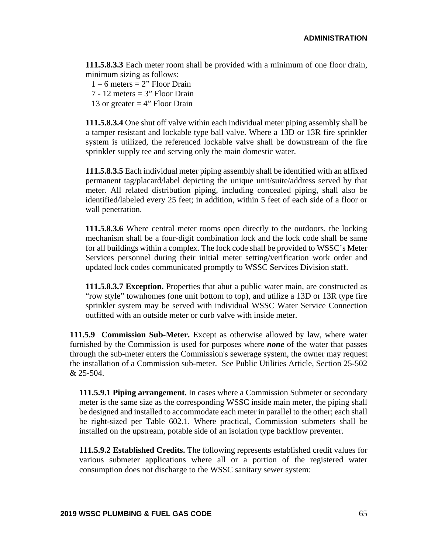**111.5.8.3.3** Each meter room shall be provided with a minimum of one floor drain, minimum sizing as follows:

 $1 - 6$  meters = 2" Floor Drain 7 - 12 meters  $= 3$ " Floor Drain 13 or greater  $= 4$ " Floor Drain

**111.5.8.3.4** One shut off valve within each individual meter piping assembly shall be a tamper resistant and lockable type ball valve. Where a 13D or 13R fire sprinkler system is utilized, the referenced lockable valve shall be downstream of the fire sprinkler supply tee and serving only the main domestic water.

**111.5.8.3.5** Each individual meter piping assembly shall be identified with an affixed permanent tag/placard/label depicting the unique unit/suite/address served by that meter. All related distribution piping, including concealed piping, shall also be identified/labeled every 25 feet; in addition, within 5 feet of each side of a floor or wall penetration.

**111.5.8.3.6** Where central meter rooms open directly to the outdoors, the locking mechanism shall be a four-digit combination lock and the lock code shall be same for all buildings within a complex. The lock code shall be provided to WSSC's Meter Services personnel during their initial meter setting/verification work order and updated lock codes communicated promptly to WSSC Services Division staff.

**111.5.8.3.7 Exception.** Properties that abut a public water main, are constructed as "row style" townhomes (one unit bottom to top), and utilize a 13D or 13R type fire sprinkler system may be served with individual WSSC Water Service Connection outfitted with an outside meter or curb valve with inside meter.

**111.5.9 Commission Sub-Meter.** Except as otherwise allowed by law, where water furnished by the Commission is used for purposes where *none* of the water that passes through the sub-meter enters the Commission's sewerage system, the owner may request the installation of a Commission sub-meter. See Public Utilities Article, Section 25-502 & 25-504.

**111.5.9.1 Piping arrangement.** In cases where a Commission Submeter or secondary meter is the same size as the corresponding WSSC inside main meter, the piping shall be designed and installed to accommodate each meter in parallel to the other; each shall be right-sized per Table 602.1. Where practical, Commission submeters shall be installed on the upstream, potable side of an isolation type backflow preventer.

**111.5.9.2 Established Credits.** The following represents established credit values for various submeter applications where all or a portion of the registered water consumption does not discharge to the WSSC sanitary sewer system: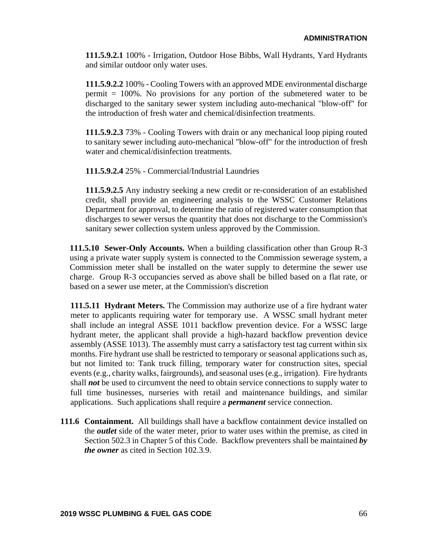**111.5.9.2.1** 100% - Irrigation, Outdoor Hose Bibbs, Wall Hydrants, Yard Hydrants and similar outdoor only water uses.

**111.5.9.2.2** 100% - Cooling Towers with an approved MDE environmental discharge permit = 100%. No provisions for any portion of the submetered water to be discharged to the sanitary sewer system including auto-mechanical "blow-off" for the introduction of fresh water and chemical/disinfection treatments.

**111.5.9.2.3** 73% - Cooling Towers with drain or any mechanical loop piping routed to sanitary sewer including auto-mechanical "blow-off" for the introduction of fresh water and chemical/disinfection treatments.

**111.5.9.2.4** 25% - Commercial/Industrial Laundries

**111.5.9.2.5** Any industry seeking a new credit or re-consideration of an established credit, shall provide an engineering analysis to the WSSC Customer Relations Department for approval, to determine the ratio of registered water consumption that discharges to sewer versus the quantity that does not discharge to the Commission's sanitary sewer collection system unless approved by the Commission.

**111.5.10 Sewer-Only Accounts.** When a building classification other than Group R-3 using a private water supply system is connected to the Commission sewerage system, a Commission meter shall be installed on the water supply to determine the sewer use charge. Group R-3 occupancies served as above shall be billed based on a flat rate, or based on a sewer use meter, at the Commission's discretion

**111.5.11 Hydrant Meters.** The Commission may authorize use of a fire hydrant water meter to applicants requiring water for temporary use. A WSSC small hydrant meter shall include an integral ASSE 1011 backflow prevention device. For a WSSC large hydrant meter, the applicant shall provide a high-hazard backflow prevention device assembly (ASSE 1013). The assembly must carry a satisfactory test tag current within six months. Fire hydrant use shall be restricted to temporary or seasonal applications such as, but not limited to: Tank truck filling, temporary water for construction sites, special events (e.g., charity walks, fairgrounds), and seasonal uses (e.g., irrigation). Fire hydrants shall *not* be used to circumvent the need to obtain service connections to supply water to full time businesses, nurseries with retail and maintenance buildings, and similar applications. Such applications shall require a *permanent* service connection.

**111.6 Containment.** All buildings shall have a backflow containment device installed on the *outlet* side of the water meter, prior to water uses within the premise, as cited in Section 502.3 in Chapter 5 of this Code. Backflow preventers shall be maintained *by the owner* as cited in Section 102.3.9.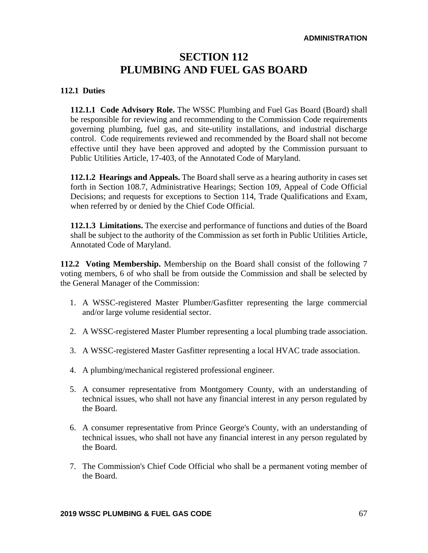# **SECTION 112 PLUMBING AND FUEL GAS BOARD**

#### **112.1 Duties**

**112.1.1 Code Advisory Role.** The WSSC Plumbing and Fuel Gas Board (Board) shall be responsible for reviewing and recommending to the Commission Code requirements governing plumbing, fuel gas, and site-utility installations, and industrial discharge control. Code requirements reviewed and recommended by the Board shall not become effective until they have been approved and adopted by the Commission pursuant to Public Utilities Article, 17-403, of the Annotated Code of Maryland.

**112.1.2 Hearings and Appeals.** The Board shall serve as a hearing authority in cases set forth in Section 108.7, Administrative Hearings; Section 109, Appeal of Code Official Decisions; and requests for exceptions to Section 114, Trade Qualifications and Exam, when referred by or denied by the Chief Code Official.

**112.1.3 Limitations.** The exercise and performance of functions and duties of the Board shall be subject to the authority of the Commission as set forth in Public Utilities Article, Annotated Code of Maryland.

**112.2 Voting Membership.** Membership on the Board shall consist of the following 7 voting members, 6 of who shall be from outside the Commission and shall be selected by the General Manager of the Commission:

- 1. A WSSC-registered Master Plumber/Gasfitter representing the large commercial and/or large volume residential sector.
- 2. A WSSC-registered Master Plumber representing a local plumbing trade association.
- 3. A WSSC-registered Master Gasfitter representing a local HVAC trade association.
- 4. A plumbing/mechanical registered professional engineer.
- 5. A consumer representative from Montgomery County, with an understanding of technical issues, who shall not have any financial interest in any person regulated by the Board.
- 6. A consumer representative from Prince George's County, with an understanding of technical issues, who shall not have any financial interest in any person regulated by the Board.
- 7. The Commission's Chief Code Official who shall be a permanent voting member of the Board.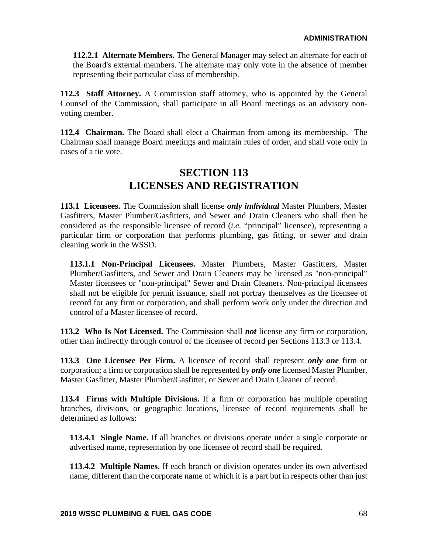**112.2.1 Alternate Members.** The General Manager may select an alternate for each of the Board's external members. The alternate may only vote in the absence of member representing their particular class of membership.

**112.3 Staff Attorney.** A Commission staff attorney, who is appointed by the General Counsel of the Commission, shall participate in all Board meetings as an advisory nonvoting member.

**112.4 Chairman.** The Board shall elect a Chairman from among its membership. The Chairman shall manage Board meetings and maintain rules of order, and shall vote only in cases of a tie vote.

# **SECTION 113 LICENSES AND REGISTRATION**

**113.1 Licensees.** The Commission shall license *only individual* Master Plumbers, Master Gasfitters, Master Plumber/Gasfitters, and Sewer and Drain Cleaners who shall then be considered as the responsible licensee of record (*i.e.* "principal" licensee), representing a particular firm or corporation that performs plumbing, gas fitting, or sewer and drain cleaning work in the WSSD.

**113.1.1 Non-Principal Licensees.** Master Plumbers, Master Gasfitters, Master Plumber/Gasfitters, and Sewer and Drain Cleaners may be licensed as "non-principal" Master licensees or "non-principal" Sewer and Drain Cleaners. Non-principal licensees shall not be eligible for permit issuance, shall not portray themselves as the licensee of record for any firm or corporation, and shall perform work only under the direction and control of a Master licensee of record.

**113.2 Who Is Not Licensed.** The Commission shall *not* license any firm or corporation, other than indirectly through control of the licensee of record per Sections 113.3 or 113.4.

**113.3 One Licensee Per Firm.** A licensee of record shall represent *only one* firm or corporation; a firm or corporation shall be represented by *only one* licensed Master Plumber, Master Gasfitter, Master Plumber/Gasfitter, or Sewer and Drain Cleaner of record.

**113.4 Firms with Multiple Divisions.** If a firm or corporation has multiple operating branches, divisions, or geographic locations, licensee of record requirements shall be determined as follows:

**113.4.1 Single Name.** If all branches or divisions operate under a single corporate or advertised name, representation by one licensee of record shall be required.

**113.4.2 Multiple Names.** If each branch or division operates under its own advertised name, different than the corporate name of which it is a part but in respects other than just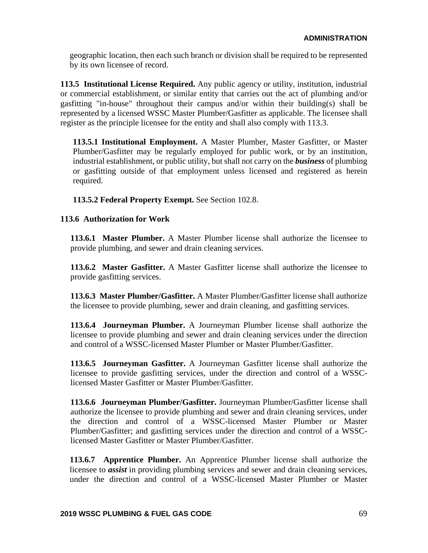geographic location, then each such branch or division shall be required to be represented by its own licensee of record.

**113.5 Institutional License Required.** Any public agency or utility, institution, industrial or commercial establishment, or similar entity that carries out the act of plumbing and/or gasfitting "in-house" throughout their campus and/or within their building(s) shall be represented by a licensed WSSC Master Plumber/Gasfitter as applicable. The licensee shall register as the principle licensee for the entity and shall also comply with 113.3.

**113.5.1 Institutional Employment.** A Master Plumber, Master Gasfitter, or Master Plumber/Gasfitter may be regularly employed for public work, or by an institution, industrial establishment, or public utility, but shall not carry on the *business* of plumbing or gasfitting outside of that employment unless licensed and registered as herein required.

**113.5.2 Federal Property Exempt.** See Section 102.8.

# **113.6 Authorization for Work**

**113.6.1 Master Plumber.** A Master Plumber license shall authorize the licensee to provide plumbing, and sewer and drain cleaning services.

**113.6.2 Master Gasfitter.** A Master Gasfitter license shall authorize the licensee to provide gasfitting services.

**113.6.3 Master Plumber/Gasfitter.** A Master Plumber/Gasfitter license shall authorize the licensee to provide plumbing, sewer and drain cleaning, and gasfitting services.

**113.6.4 Journeyman Plumber.** A Journeyman Plumber license shall authorize the licensee to provide plumbing and sewer and drain cleaning services under the direction and control of a WSSC-licensed Master Plumber or Master Plumber/Gasfitter.

**113.6.5 Journeyman Gasfitter.** A Journeyman Gasfitter license shall authorize the licensee to provide gasfitting services, under the direction and control of a WSSClicensed Master Gasfitter or Master Plumber/Gasfitter.

**113.6.6 Journeyman Plumber/Gasfitter.** Journeyman Plumber/Gasfitter license shall authorize the licensee to provide plumbing and sewer and drain cleaning services, under the direction and control of a WSSC-licensed Master Plumber or Master Plumber/Gasfitter; and gasfitting services under the direction and control of a WSSClicensed Master Gasfitter or Master Plumber/Gasfitter.

**113.6.7 Apprentice Plumber.** An Apprentice Plumber license shall authorize the licensee to *assist* in providing plumbing services and sewer and drain cleaning services, under the direction and control of a WSSC-licensed Master Plumber or Master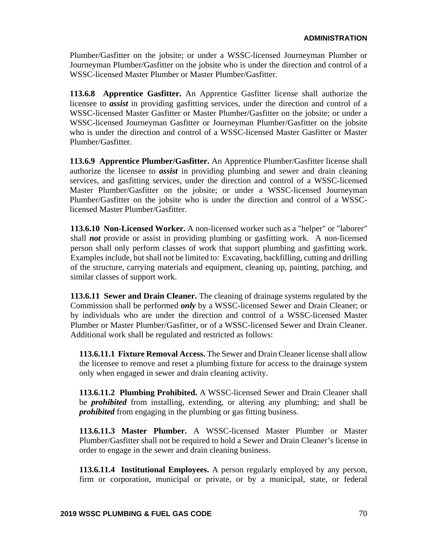Plumber/Gasfitter on the jobsite; or under a WSSC-licensed Journeyman Plumber or Journeyman Plumber/Gasfitter on the jobsite who is under the direction and control of a WSSC-licensed Master Plumber or Master Plumber/Gasfitter.

**113.6.8 Apprentice Gasfitter.** An Apprentice Gasfitter license shall authorize the licensee to *assist* in providing gasfitting services, under the direction and control of a WSSC-licensed Master Gasfitter or Master Plumber/Gasfitter on the jobsite; or under a WSSC-licensed Journeyman Gasfitter or Journeyman Plumber/Gasfitter on the jobsite who is under the direction and control of a WSSC-licensed Master Gasfitter or Master Plumber/Gasfitter.

**113.6.9 Apprentice Plumber/Gasfitter.** An Apprentice Plumber/Gasfitter license shall authorize the licensee to *assist* in providing plumbing and sewer and drain cleaning services, and gasfitting services, under the direction and control of a WSSC-licensed Master Plumber/Gasfitter on the jobsite; or under a WSSC-licensed Journeyman Plumber/Gasfitter on the jobsite who is under the direction and control of a WSSClicensed Master Plumber/Gasfitter.

**113.6.10 Non-Licensed Worker.** A non-licensed worker such as a "helper" or "laborer" shall *not* provide or assist in providing plumbing or gasfitting work. A non-licensed person shall only perform classes of work that support plumbing and gasfitting work. Examples include, but shall not be limited to: Excavating, backfilling, cutting and drilling of the structure, carrying materials and equipment, cleaning up, painting, patching, and similar classes of support work.

**113.6.11 Sewer and Drain Cleaner.** The cleaning of drainage systems regulated by the Commission shall be performed *only* by a WSSC-licensed Sewer and Drain Cleaner; or by individuals who are under the direction and control of a WSSC-licensed Master Plumber or Master Plumber/Gasfitter, or of a WSSC-licensed Sewer and Drain Cleaner. Additional work shall be regulated and restricted as follows:

**113.6.11.1 Fixture Removal Access.** The Sewer and Drain Cleaner license shall allow the licensee to remove and reset a plumbing fixture for access to the drainage system only when engaged in sewer and drain cleaning activity.

**113.6.11.2 Plumbing Prohibited.** A WSSC-licensed Sewer and Drain Cleaner shall be *prohibited* from installing, extending, or altering any plumbing; and shall be *prohibited* from engaging in the plumbing or gas fitting business.

**113.6.11.3 Master Plumber.** A WSSC-licensed Master Plumber or Master Plumber/Gasfitter shall not be required to hold a Sewer and Drain Cleaner's license in order to engage in the sewer and drain cleaning business.

**113.6.11.4 Institutional Employees.** A person regularly employed by any person, firm or corporation, municipal or private, or by a municipal, state, or federal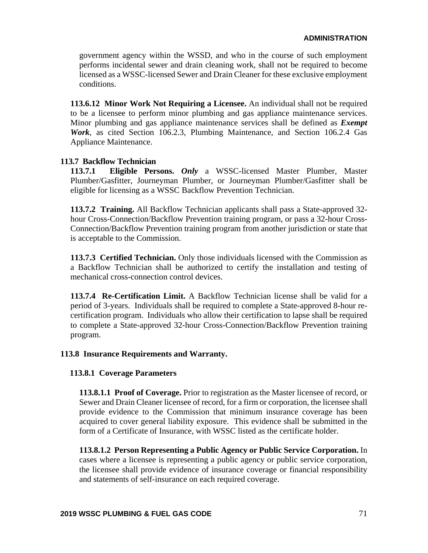government agency within the WSSD, and who in the course of such employment performs incidental sewer and drain cleaning work, shall not be required to become licensed as a WSSC-licensed Sewer and Drain Cleaner for these exclusive employment conditions.

**113.6.12 Minor Work Not Requiring a Licensee.** An individual shall not be required to be a licensee to perform minor plumbing and gas appliance maintenance services. Minor plumbing and gas appliance maintenance services shall be defined as *Exempt Work*, as cited Section 106.2.3, Plumbing Maintenance, and Section 106.2.4 Gas Appliance Maintenance.

# **113.7 Backflow Technician**

**113.7.1 Eligible Persons.** *Only* a WSSC-licensed Master Plumber, Master Plumber/Gasfitter, Journeyman Plumber, or Journeyman Plumber/Gasfitter shall be eligible for licensing as a WSSC Backflow Prevention Technician.

**113.7.2 Training.** All Backflow Technician applicants shall pass a State-approved 32 hour Cross-Connection/Backflow Prevention training program, or pass a 32-hour Cross-Connection/Backflow Prevention training program from another jurisdiction or state that is acceptable to the Commission.

**113.7.3 Certified Technician.** Only those individuals licensed with the Commission as a Backflow Technician shall be authorized to certify the installation and testing of mechanical cross-connection control devices.

**113.7.4 Re-Certification Limit.** A Backflow Technician license shall be valid for a period of 3-years. Individuals shall be required to complete a State-approved 8-hour recertification program. Individuals who allow their certification to lapse shall be required to complete a State-approved 32-hour Cross-Connection/Backflow Prevention training program.

#### **113.8 Insurance Requirements and Warranty.**

#### **113.8.1 Coverage Parameters**

**113.8.1.1 Proof of Coverage.** Prior to registration as the Master licensee of record, or Sewer and Drain Cleaner licensee of record, for a firm or corporation, the licensee shall provide evidence to the Commission that minimum insurance coverage has been acquired to cover general liability exposure. This evidence shall be submitted in the form of a Certificate of Insurance, with WSSC listed as the certificate holder.

**113.8.1.2 Person Representing a Public Agency or Public Service Corporation.** In cases where a licensee is representing a public agency or public service corporation, the licensee shall provide evidence of insurance coverage or financial responsibility and statements of self-insurance on each required coverage.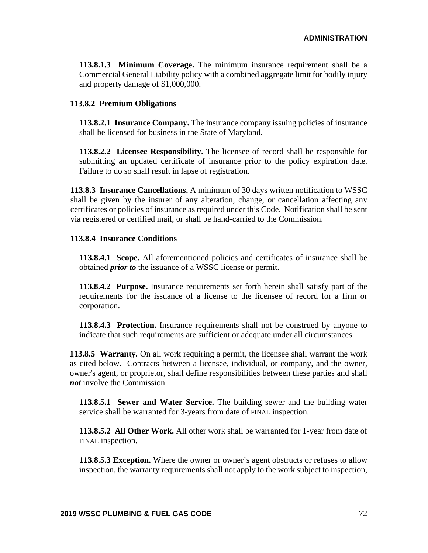**113.8.1.3 Minimum Coverage.** The minimum insurance requirement shall be a Commercial General Liability policy with a combined aggregate limit for bodily injury and property damage of \$1,000,000.

### **113.8.2 Premium Obligations**

**113.8.2.1 Insurance Company.** The insurance company issuing policies of insurance shall be licensed for business in the State of Maryland.

**113.8.2.2 Licensee Responsibility.** The licensee of record shall be responsible for submitting an updated certificate of insurance prior to the policy expiration date. Failure to do so shall result in lapse of registration.

**113.8.3 Insurance Cancellations.** A minimum of 30 days written notification to WSSC shall be given by the insurer of any alteration, change, or cancellation affecting any certificates or policies of insurance as required under this Code. Notification shall be sent via registered or certified mail, or shall be hand-carried to the Commission.

#### **113.8.4 Insurance Conditions**

**113.8.4.1 Scope.** All aforementioned policies and certificates of insurance shall be obtained *prior to* the issuance of a WSSC license or permit.

**113.8.4.2 Purpose.** Insurance requirements set forth herein shall satisfy part of the requirements for the issuance of a license to the licensee of record for a firm or corporation.

**113.8.4.3 Protection.** Insurance requirements shall not be construed by anyone to indicate that such requirements are sufficient or adequate under all circumstances.

**113.8.5 Warranty.** On all work requiring a permit, the licensee shall warrant the work as cited below. Contracts between a licensee, individual, or company, and the owner, owner's agent, or proprietor, shall define responsibilities between these parties and shall *not* involve the Commission.

**113.8.5.1 Sewer and Water Service.** The building sewer and the building water service shall be warranted for 3-years from date of FINAL inspection.

**113.8.5.2 All Other Work.** All other work shall be warranted for 1-year from date of FINAL inspection.

**113.8.5.3 Exception.** Where the owner or owner's agent obstructs or refuses to allow inspection, the warranty requirements shall not apply to the work subject to inspection,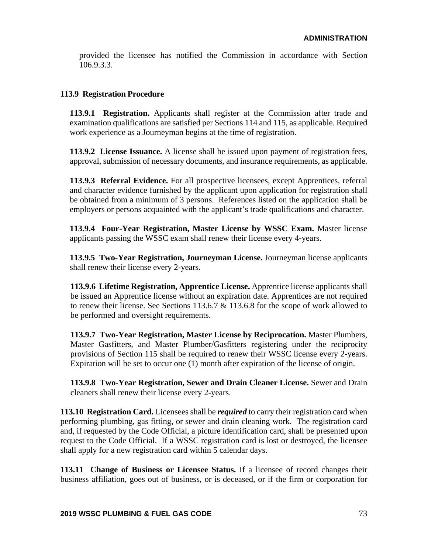provided the licensee has notified the Commission in accordance with Section 106.9.3.3.

#### **113.9 Registration Procedure**

**113.9.1 Registration.** Applicants shall register at the Commission after trade and examination qualifications are satisfied per Sections 114 and 115, as applicable. Required work experience as a Journeyman begins at the time of registration.

**113.9.2 License Issuance.** A license shall be issued upon payment of registration fees, approval, submission of necessary documents, and insurance requirements, as applicable.

**113.9.3 Referral Evidence.** For all prospective licensees, except Apprentices, referral and character evidence furnished by the applicant upon application for registration shall be obtained from a minimum of 3 persons. References listed on the application shall be employers or persons acquainted with the applicant's trade qualifications and character.

**113.9.4 Four-Year Registration, Master License by WSSC Exam.** Master license applicants passing the WSSC exam shall renew their license every 4-years.

**113.9.5 Two-Year Registration, Journeyman License.** Journeyman license applicants shall renew their license every 2-years.

**113.9.6 Lifetime Registration, Apprentice License.** Apprentice license applicants shall be issued an Apprentice license without an expiration date. Apprentices are not required to renew their license. See Sections 113.6.7 & 113.6.8 for the scope of work allowed to be performed and oversight requirements.

**113.9.7 Two-Year Registration, Master License by Reciprocation.** Master Plumbers, Master Gasfitters, and Master Plumber/Gasfitters registering under the reciprocity provisions of Section 115 shall be required to renew their WSSC license every 2-years. Expiration will be set to occur one (1) month after expiration of the license of origin.

**113.9.8 Two-Year Registration, Sewer and Drain Cleaner License.** Sewer and Drain cleaners shall renew their license every 2-years.

**113.10 Registration Card.** Licensees shall be *required* to carry their registration card when performing plumbing, gas fitting, or sewer and drain cleaning work. The registration card and, if requested by the Code Official, a picture identification card, shall be presented upon request to the Code Official. If a WSSC registration card is lost or destroyed, the licensee shall apply for a new registration card within 5 calendar days.

**113.11 Change of Business or Licensee Status.** If a licensee of record changes their business affiliation, goes out of business, or is deceased, or if the firm or corporation for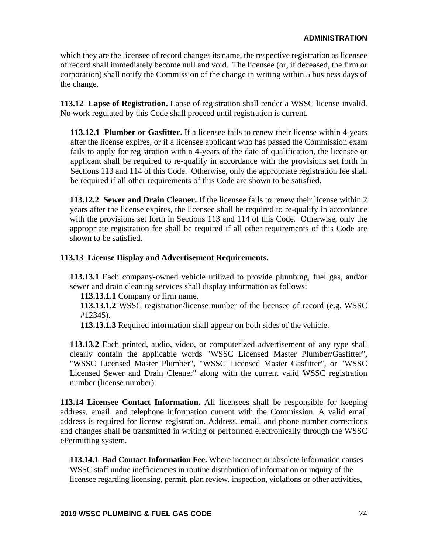which they are the licensee of record changes its name, the respective registration as licensee of record shall immediately become null and void. The licensee (or, if deceased, the firm or corporation) shall notify the Commission of the change in writing within 5 business days of the change.

**113.12 Lapse of Registration.** Lapse of registration shall render a WSSC license invalid. No work regulated by this Code shall proceed until registration is current.

**113.12.1 Plumber or Gasfitter.** If a licensee fails to renew their license within 4-years after the license expires, or if a licensee applicant who has passed the Commission exam fails to apply for registration within 4-years of the date of qualification, the licensee or applicant shall be required to re-qualify in accordance with the provisions set forth in Sections 113 and 114 of this Code. Otherwise, only the appropriate registration fee shall be required if all other requirements of this Code are shown to be satisfied.

**113.12.2 Sewer and Drain Cleaner.** If the licensee fails to renew their license within 2 years after the license expires, the licensee shall be required to re-qualify in accordance with the provisions set forth in Sections 113 and 114 of this Code. Otherwise, only the appropriate registration fee shall be required if all other requirements of this Code are shown to be satisfied.

#### **113.13 License Display and Advertisement Requirements.**

**113.13.1** Each company-owned vehicle utilized to provide plumbing, fuel gas, and/or sewer and drain cleaning services shall display information as follows:

**113.13.1.1** Company or firm name.

**113.13.1.2** WSSC registration/license number of the licensee of record (e.g. WSSC #12345).

**113.13.1.3** Required information shall appear on both sides of the vehicle.

**113.13.2** Each printed, audio, video, or computerized advertisement of any type shall clearly contain the applicable words "WSSC Licensed Master Plumber/Gasfitter", "WSSC Licensed Master Plumber", "WSSC Licensed Master Gasfitter", or "WSSC Licensed Sewer and Drain Cleaner" along with the current valid WSSC registration number (license number).

**113.14 Licensee Contact Information.** All licensees shall be responsible for keeping address, email, and telephone information current with the Commission. A valid email address is required for license registration. Address, email, and phone number corrections and changes shall be transmitted in writing or performed electronically through the WSSC ePermitting system.

**113.14.1 Bad Contact Information Fee.** Where incorrect or obsolete information causes WSSC staff undue inefficiencies in routine distribution of information or inquiry of the licensee regarding licensing, permit, plan review, inspection, violations or other activities,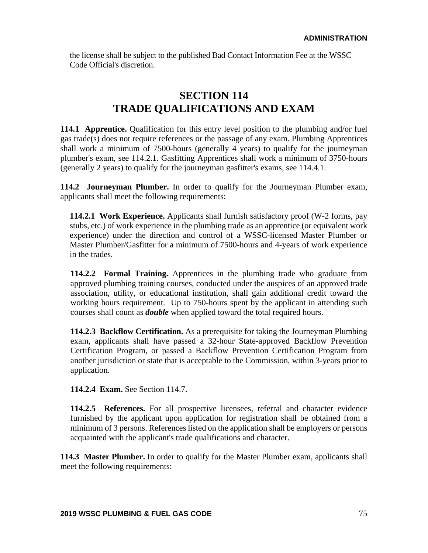the license shall be subject to the published Bad Contact Information Fee at the WSSC Code Official's discretion.

### **SECTION 114 TRADE QUALIFICATIONS AND EXAM**

**114.1 Apprentice.** Qualification for this entry level position to the plumbing and/or fuel gas trade(s) does not require references or the passage of any exam. Plumbing Apprentices shall work a minimum of 7500-hours (generally 4 years) to qualify for the journeyman plumber's exam, see 114.2.1. Gasfitting Apprentices shall work a minimum of 3750-hours (generally 2 years) to qualify for the journeyman gasfitter's exams, see 114.4.1.

**114.2 Journeyman Plumber.** In order to qualify for the Journeyman Plumber exam, applicants shall meet the following requirements:

**114.2.1 Work Experience.** Applicants shall furnish satisfactory proof (W-2 forms, pay stubs, etc.) of work experience in the plumbing trade as an apprentice (or equivalent work experience) under the direction and control of a WSSC-licensed Master Plumber or Master Plumber/Gasfitter for a minimum of 7500-hours and 4-years of work experience in the trades.

**114.2.2 Formal Training.** Apprentices in the plumbing trade who graduate from approved plumbing training courses, conducted under the auspices of an approved trade association, utility, or educational institution, shall gain additional credit toward the working hours requirement. Up to 750-hours spent by the applicant in attending such courses shall count as *double* when applied toward the total required hours.

**114.2.3 Backflow Certification.** As a prerequisite for taking the Journeyman Plumbing exam, applicants shall have passed a 32-hour State-approved Backflow Prevention Certification Program, or passed a Backflow Prevention Certification Program from another jurisdiction or state that is acceptable to the Commission, within 3-years prior to application.

**114.2.4 Exam.** See Section 114.7.

**114.2.5 References.** For all prospective licensees, referral and character evidence furnished by the applicant upon application for registration shall be obtained from a minimum of 3 persons. References listed on the application shall be employers or persons acquainted with the applicant's trade qualifications and character.

**114.3 Master Plumber.** In order to qualify for the Master Plumber exam, applicants shall meet the following requirements: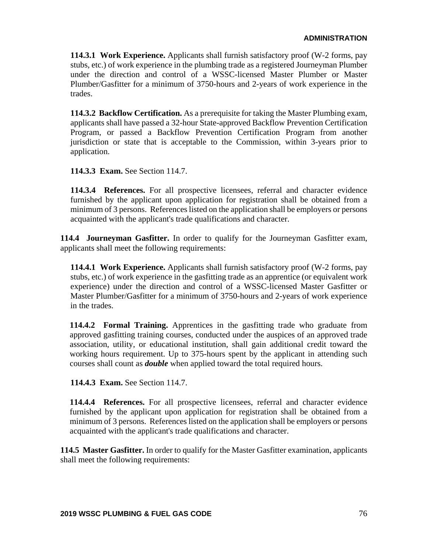**114.3.1 Work Experience.** Applicants shall furnish satisfactory proof (W-2 forms, pay stubs, etc.) of work experience in the plumbing trade as a registered Journeyman Plumber under the direction and control of a WSSC-licensed Master Plumber or Master Plumber/Gasfitter for a minimum of 3750-hours and 2-years of work experience in the trades.

**114.3.2 Backflow Certification.** As a prerequisite for taking the Master Plumbing exam, applicants shall have passed a 32-hour State-approved Backflow Prevention Certification Program, or passed a Backflow Prevention Certification Program from another jurisdiction or state that is acceptable to the Commission, within 3-years prior to application.

**114.3.3 Exam.** See Section 114.7.

**114.3.4 References.** For all prospective licensees, referral and character evidence furnished by the applicant upon application for registration shall be obtained from a minimum of 3 persons. References listed on the application shall be employers or persons acquainted with the applicant's trade qualifications and character.

**114.4 Journeyman Gasfitter.** In order to qualify for the Journeyman Gasfitter exam, applicants shall meet the following requirements:

**114.4.1 Work Experience.** Applicants shall furnish satisfactory proof (W-2 forms, pay stubs, etc.) of work experience in the gasfitting trade as an apprentice (or equivalent work experience) under the direction and control of a WSSC-licensed Master Gasfitter or Master Plumber/Gasfitter for a minimum of 3750-hours and 2-years of work experience in the trades.

**114.4.2 Formal Training.** Apprentices in the gasfitting trade who graduate from approved gasfitting training courses, conducted under the auspices of an approved trade association, utility, or educational institution, shall gain additional credit toward the working hours requirement. Up to 375-hours spent by the applicant in attending such courses shall count as *double* when applied toward the total required hours.

**114.4.3 Exam.** See Section 114.7.

**114.4.4 References.** For all prospective licensees, referral and character evidence furnished by the applicant upon application for registration shall be obtained from a minimum of 3 persons. References listed on the application shall be employers or persons acquainted with the applicant's trade qualifications and character.

**114.5 Master Gasfitter.** In order to qualify for the Master Gasfitter examination, applicants shall meet the following requirements: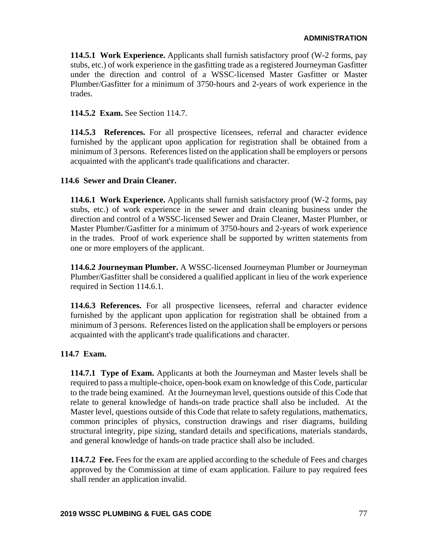**114.5.1 Work Experience.** Applicants shall furnish satisfactory proof (W-2 forms, pay stubs, etc.) of work experience in the gasfitting trade as a registered Journeyman Gasfitter under the direction and control of a WSSC-licensed Master Gasfitter or Master Plumber/Gasfitter for a minimum of 3750-hours and 2-years of work experience in the trades.

#### **114.5.2 Exam.** See Section 114.7.

**114.5.3 References.** For all prospective licensees, referral and character evidence furnished by the applicant upon application for registration shall be obtained from a minimum of 3 persons. References listed on the application shall be employers or persons acquainted with the applicant's trade qualifications and character.

#### **114.6 Sewer and Drain Cleaner.**

**114.6.1 Work Experience.** Applicants shall furnish satisfactory proof (W-2 forms, pay stubs, etc.) of work experience in the sewer and drain cleaning business under the direction and control of a WSSC-licensed Sewer and Drain Cleaner, Master Plumber, or Master Plumber/Gasfitter for a minimum of 3750-hours and 2-years of work experience in the trades. Proof of work experience shall be supported by written statements from one or more employers of the applicant.

**114.6.2 Journeyman Plumber.** A WSSC-licensed Journeyman Plumber or Journeyman Plumber/Gasfitter shall be considered a qualified applicant in lieu of the work experience required in Section 114.6.1.

**114.6.3 References.** For all prospective licensees, referral and character evidence furnished by the applicant upon application for registration shall be obtained from a minimum of 3 persons. References listed on the application shall be employers or persons acquainted with the applicant's trade qualifications and character.

#### **114.7 Exam.**

**114.7.1 Type of Exam.** Applicants at both the Journeyman and Master levels shall be required to pass a multiple-choice, open-book exam on knowledge of this Code, particular to the trade being examined. At the Journeyman level, questions outside of this Code that relate to general knowledge of hands-on trade practice shall also be included. At the Master level, questions outside of this Code that relate to safety regulations, mathematics, common principles of physics, construction drawings and riser diagrams, building structural integrity, pipe sizing, standard details and specifications, materials standards, and general knowledge of hands-on trade practice shall also be included.

**114.7.2 Fee.** Fees for the exam are applied according to the schedule of Fees and charges approved by the Commission at time of exam application. Failure to pay required fees shall render an application invalid.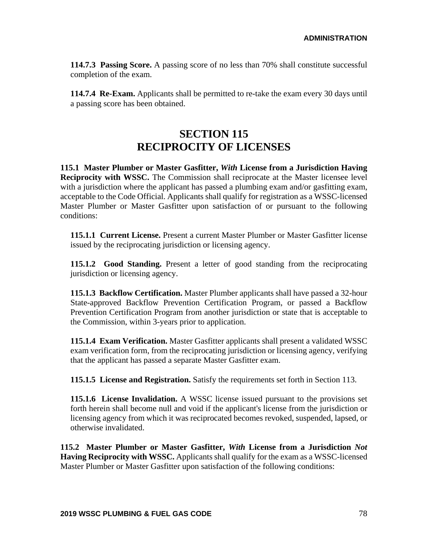**114.7.3 Passing Score.** A passing score of no less than 70% shall constitute successful completion of the exam.

**114.7.4 Re-Exam.** Applicants shall be permitted to re-take the exam every 30 days until a passing score has been obtained.

# **SECTION 115 RECIPROCITY OF LICENSES**

**115.1 Master Plumber or Master Gasfitter,** *With* **License from a Jurisdiction Having Reciprocity with WSSC.** The Commission shall reciprocate at the Master licensee level with a jurisdiction where the applicant has passed a plumbing exam and/or gasfitting exam, acceptable to the Code Official. Applicants shall qualify for registration as a WSSC-licensed Master Plumber or Master Gasfitter upon satisfaction of or pursuant to the following conditions:

**115.1.1 Current License.** Present a current Master Plumber or Master Gasfitter license issued by the reciprocating jurisdiction or licensing agency.

**115.1.2 Good Standing.** Present a letter of good standing from the reciprocating jurisdiction or licensing agency.

**115.1.3 Backflow Certification.** Master Plumber applicants shall have passed a 32-hour State-approved Backflow Prevention Certification Program, or passed a Backflow Prevention Certification Program from another jurisdiction or state that is acceptable to the Commission, within 3-years prior to application.

**115.1.4 Exam Verification.** Master Gasfitter applicants shall present a validated WSSC exam verification form, from the reciprocating jurisdiction or licensing agency, verifying that the applicant has passed a separate Master Gasfitter exam.

**115.1.5 License and Registration.** Satisfy the requirements set forth in Section 113.

**115.1.6 License Invalidation.** A WSSC license issued pursuant to the provisions set forth herein shall become null and void if the applicant's license from the jurisdiction or licensing agency from which it was reciprocated becomes revoked, suspended, lapsed, or otherwise invalidated.

**115.2 Master Plumber or Master Gasfitter,** *With* **License from a Jurisdiction** *Not*  **Having Reciprocity with WSSC.** Applicants shall qualify for the exam as a WSSC-licensed Master Plumber or Master Gasfitter upon satisfaction of the following conditions: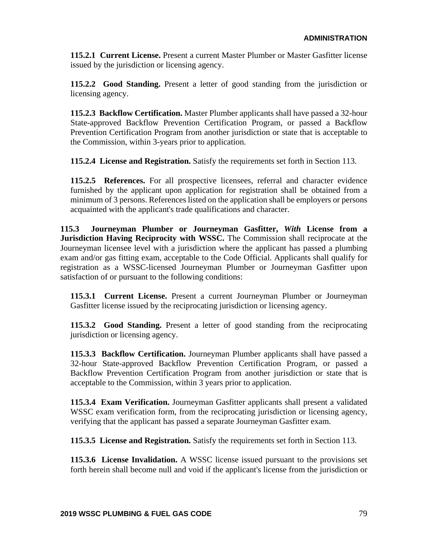**115.2.1 Current License.** Present a current Master Plumber or Master Gasfitter license issued by the jurisdiction or licensing agency.

**115.2.2 Good Standing.** Present a letter of good standing from the jurisdiction or licensing agency.

**115.2.3 Backflow Certification.** Master Plumber applicants shall have passed a 32-hour State-approved Backflow Prevention Certification Program, or passed a Backflow Prevention Certification Program from another jurisdiction or state that is acceptable to the Commission, within 3-years prior to application.

**115.2.4 License and Registration.** Satisfy the requirements set forth in Section 113.

**115.2.5 References.** For all prospective licensees, referral and character evidence furnished by the applicant upon application for registration shall be obtained from a minimum of 3 persons. References listed on the application shall be employers or persons acquainted with the applicant's trade qualifications and character.

**115.3 Journeyman Plumber or Journeyman Gasfitter,** *With* **License from a Jurisdiction Having Reciprocity with WSSC.** The Commission shall reciprocate at the Journeyman licensee level with a jurisdiction where the applicant has passed a plumbing exam and/or gas fitting exam, acceptable to the Code Official. Applicants shall qualify for registration as a WSSC-licensed Journeyman Plumber or Journeyman Gasfitter upon satisfaction of or pursuant to the following conditions:

**115.3.1 Current License.** Present a current Journeyman Plumber or Journeyman Gasfitter license issued by the reciprocating jurisdiction or licensing agency.

**115.3.2 Good Standing.** Present a letter of good standing from the reciprocating jurisdiction or licensing agency.

**115.3.3 Backflow Certification.** Journeyman Plumber applicants shall have passed a 32-hour State-approved Backflow Prevention Certification Program, or passed a Backflow Prevention Certification Program from another jurisdiction or state that is acceptable to the Commission, within 3 years prior to application.

**115.3.4 Exam Verification.** Journeyman Gasfitter applicants shall present a validated WSSC exam verification form, from the reciprocating jurisdiction or licensing agency, verifying that the applicant has passed a separate Journeyman Gasfitter exam.

**115.3.5 License and Registration.** Satisfy the requirements set forth in Section 113.

**115.3.6 License Invalidation.** A WSSC license issued pursuant to the provisions set forth herein shall become null and void if the applicant's license from the jurisdiction or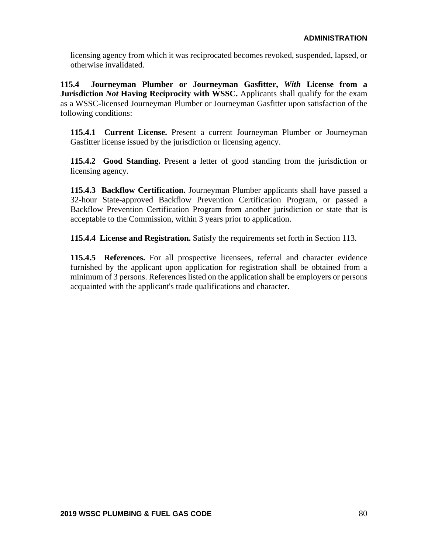licensing agency from which it was reciprocated becomes revoked, suspended, lapsed, or otherwise invalidated.

**115.4 Journeyman Plumber or Journeyman Gasfitter,** *With* **License from a Jurisdiction** *Not* **Having Reciprocity with WSSC.** Applicants shall qualify for the exam as a WSSC-licensed Journeyman Plumber or Journeyman Gasfitter upon satisfaction of the following conditions:

**115.4.1 Current License.** Present a current Journeyman Plumber or Journeyman Gasfitter license issued by the jurisdiction or licensing agency.

**115.4.2 Good Standing.** Present a letter of good standing from the jurisdiction or licensing agency.

**115.4.3 Backflow Certification.** Journeyman Plumber applicants shall have passed a 32-hour State-approved Backflow Prevention Certification Program, or passed a Backflow Prevention Certification Program from another jurisdiction or state that is acceptable to the Commission, within 3 years prior to application.

**115.4.4 License and Registration.** Satisfy the requirements set forth in Section 113.

**115.4.5 References.** For all prospective licensees, referral and character evidence furnished by the applicant upon application for registration shall be obtained from a minimum of 3 persons. References listed on the application shall be employers or persons acquainted with the applicant's trade qualifications and character.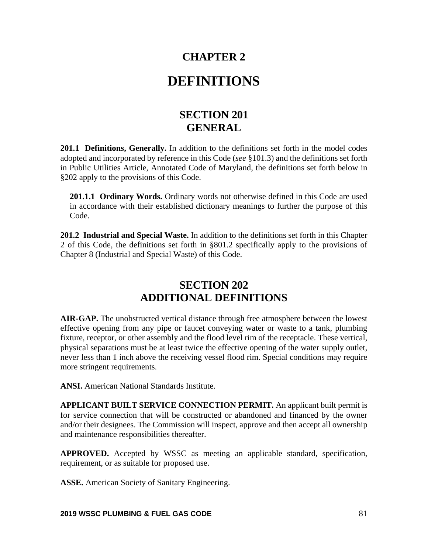### **CHAPTER 2**

# **DEFINITIONS**

# **SECTION 201 GENERAL**

**201.1 Definitions, Generally.** In addition to the definitions set forth in the model codes adopted and incorporated by reference in this Code (*see* §101.3) and the definitions set forth in Public Utilities Article, Annotated Code of Maryland, the definitions set forth below in §202 apply to the provisions of this Code.

**201.1.1 Ordinary Words.** Ordinary words not otherwise defined in this Code are used in accordance with their established dictionary meanings to further the purpose of this Code.

**201.2 Industrial and Special Waste.** In addition to the definitions set forth in this Chapter 2 of this Code, the definitions set forth in §801.2 specifically apply to the provisions of Chapter 8 (Industrial and Special Waste) of this Code.

# **SECTION 202 ADDITIONAL DEFINITIONS**

**AIR-GAP.** The unobstructed vertical distance through free atmosphere between the lowest effective opening from any pipe or faucet conveying water or waste to a tank, plumbing fixture, receptor, or other assembly and the flood level rim of the receptacle. These vertical, physical separations must be at least twice the effective opening of the water supply outlet, never less than 1 inch above the receiving vessel flood rim. Special conditions may require more stringent requirements.

**ANSI.** American National Standards Institute.

**APPLICANT BUILT SERVICE CONNECTION PERMIT.** An applicant built permit is for service connection that will be constructed or abandoned and financed by the owner and/or their designees. The Commission will inspect, approve and then accept all ownership and maintenance responsibilities thereafter.

**APPROVED.** Accepted by WSSC as meeting an applicable standard, specification, requirement, or as suitable for proposed use.

**ASSE.** American Society of Sanitary Engineering.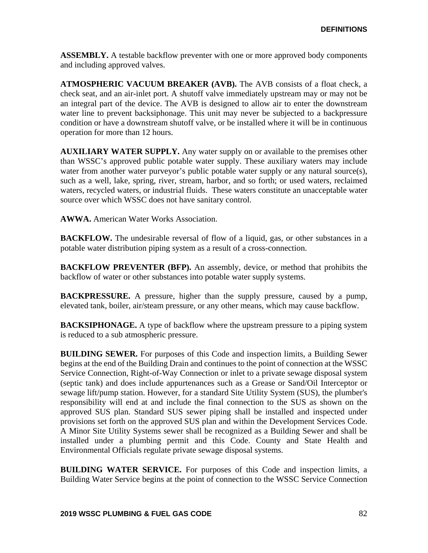**ASSEMBLY.** A testable backflow preventer with one or more approved body components and including approved valves.

**ATMOSPHERIC VACUUM BREAKER (AVB).** The AVB consists of a float check, a check seat, and an air-inlet port. A shutoff valve immediately upstream may or may not be an integral part of the device. The AVB is designed to allow air to enter the downstream water line to prevent backsiphonage. This unit may never be subjected to a backpressure condition or have a downstream shutoff valve, or be installed where it will be in continuous operation for more than 12 hours.

**AUXILIARY WATER SUPPLY.** Any water supply on or available to the premises other than WSSC's approved public potable water supply. These auxiliary waters may include water from another water purveyor's public potable water supply or any natural source(s), such as a well, lake, spring, river, stream, harbor, and so forth; or used waters, reclaimed waters, recycled waters, or industrial fluids. These waters constitute an unacceptable water source over which WSSC does not have sanitary control.

**AWWA.** American Water Works Association.

**BACKFLOW.** The undesirable reversal of flow of a liquid, gas, or other substances in a potable water distribution piping system as a result of a cross-connection.

**BACKFLOW PREVENTER (BFP).** An assembly, device, or method that prohibits the backflow of water or other substances into potable water supply systems.

**BACKPRESSURE.** A pressure, higher than the supply pressure, caused by a pump, elevated tank, boiler, air/steam pressure, or any other means, which may cause backflow.

**BACKSIPHONAGE.** A type of backflow where the upstream pressure to a piping system is reduced to a sub atmospheric pressure.

**BUILDING SEWER.** For purposes of this Code and inspection limits, a Building Sewer begins at the end of the Building Drain and continues to the point of connection at the WSSC Service Connection, Right-of-Way Connection or inlet to a private sewage disposal system (septic tank) and does include appurtenances such as a Grease or Sand/Oil Interceptor or sewage lift/pump station. However, for a standard Site Utility System (SUS), the plumber's responsibility will end at and include the final connection to the SUS as shown on the approved SUS plan. Standard SUS sewer piping shall be installed and inspected under provisions set forth on the approved SUS plan and within the Development Services Code. A Minor Site Utility Systems sewer shall be recognized as a Building Sewer and shall be installed under a plumbing permit and this Code. County and State Health and Environmental Officials regulate private sewage disposal systems.

**BUILDING WATER SERVICE.** For purposes of this Code and inspection limits, a Building Water Service begins at the point of connection to the WSSC Service Connection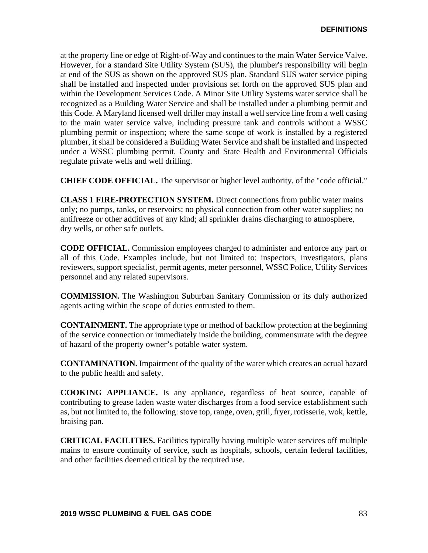at the property line or edge of Right-of-Way and continues to the main Water Service Valve. However, for a standard Site Utility System (SUS), the plumber's responsibility will begin at end of the SUS as shown on the approved SUS plan. Standard SUS water service piping shall be installed and inspected under provisions set forth on the approved SUS plan and within the Development Services Code. A Minor Site Utility Systems water service shall be recognized as a Building Water Service and shall be installed under a plumbing permit and this Code. A Maryland licensed well driller may install a well service line from a well casing to the main water service valve, including pressure tank and controls without a WSSC plumbing permit or inspection; where the same scope of work is installed by a registered plumber, it shall be considered a Building Water Service and shall be installed and inspected under a WSSC plumbing permit. County and State Health and Environmental Officials regulate private wells and well drilling.

**CHIEF CODE OFFICIAL.** The supervisor or higher level authority, of the "code official."

**CLASS 1 FIRE-PROTECTION SYSTEM.** Direct connections from public water mains only; no pumps, tanks, or reservoirs; no physical connection from other water supplies; no antifreeze or other additives of any kind; all sprinkler drains discharging to atmosphere, dry wells, or other safe outlets.

**CODE OFFICIAL.** Commission employees charged to administer and enforce any part or all of this Code. Examples include, but not limited to: inspectors, investigators, plans reviewers, support specialist, permit agents, meter personnel, WSSC Police, Utility Services personnel and any related supervisors.

**COMMISSION.** The Washington Suburban Sanitary Commission or its duly authorized agents acting within the scope of duties entrusted to them.

**CONTAINMENT.** The appropriate type or method of backflow protection at the beginning of the service connection or immediately inside the building, commensurate with the degree of hazard of the property owner's potable water system.

**CONTAMINATION.** Impairment of the quality of the water which creates an actual hazard to the public health and safety.

**COOKING APPLIANCE.** Is any appliance, regardless of heat source, capable of contributing to grease laden waste water discharges from a food service establishment such as, but not limited to, the following: stove top, range, oven, grill, fryer, rotisserie, wok, kettle, braising pan.

**CRITICAL FACILITIES.** Facilities typically having multiple water services off multiple mains to ensure continuity of service, such as hospitals, schools, certain federal facilities, and other facilities deemed critical by the required use.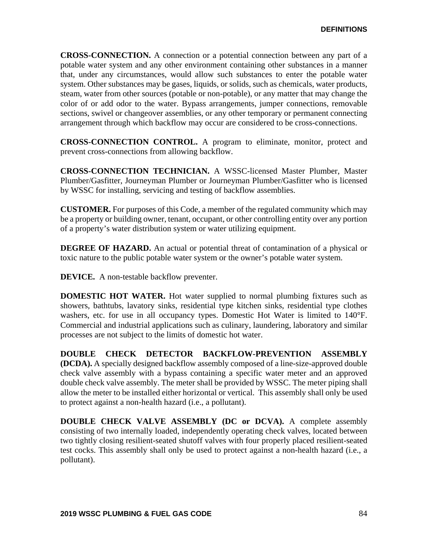**CROSS-CONNECTION.** A connection or a potential connection between any part of a potable water system and any other environment containing other substances in a manner that, under any circumstances, would allow such substances to enter the potable water system. Other substances may be gases, liquids, or solids, such as chemicals, water products, steam, water from other sources (potable or non-potable), or any matter that may change the color of or add odor to the water. Bypass arrangements, jumper connections, removable sections, swivel or changeover assemblies, or any other temporary or permanent connecting arrangement through which backflow may occur are considered to be cross-connections.

**CROSS-CONNECTION CONTROL.** A program to eliminate, monitor, protect and prevent cross-connections from allowing backflow.

**CROSS-CONNECTION TECHNICIAN.** A WSSC-licensed Master Plumber, Master Plumber/Gasfitter, Journeyman Plumber or Journeyman Plumber/Gasfitter who is licensed by WSSC for installing, servicing and testing of backflow assemblies.

**CUSTOMER.** For purposes of this Code, a member of the regulated community which may be a property or building owner, tenant, occupant, or other controlling entity over any portion of a property's water distribution system or water utilizing equipment.

**DEGREE OF HAZARD.** An actual or potential threat of contamination of a physical or toxic nature to the public potable water system or the owner's potable water system.

**DEVICE.** A non-testable backflow preventer.

**DOMESTIC HOT WATER.** Hot water supplied to normal plumbing fixtures such as showers, bathtubs, lavatory sinks, residential type kitchen sinks, residential type clothes washers, etc. for use in all occupancy types. Domestic Hot Water is limited to 140°F. Commercial and industrial applications such as culinary, laundering, laboratory and similar processes are not subject to the limits of domestic hot water.

**DOUBLE CHECK DETECTOR BACKFLOW-PREVENTION ASSEMBLY (DCDA).** A specially designed backflow assembly composed of a line-size-approved double check valve assembly with a bypass containing a specific water meter and an approved double check valve assembly. The meter shall be provided by WSSC. The meter piping shall allow the meter to be installed either horizontal or vertical. This assembly shall only be used to protect against a non-health hazard (i.e., a pollutant).

**DOUBLE CHECK VALVE ASSEMBLY (DC or DCVA).** A complete assembly consisting of two internally loaded, independently operating check valves, located between two tightly closing resilient-seated shutoff valves with four properly placed resilient-seated test cocks. This assembly shall only be used to protect against a non-health hazard (i.e., a pollutant).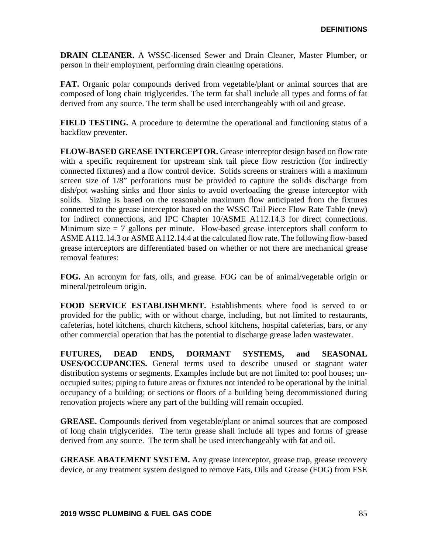**DRAIN CLEANER.** A WSSC-licensed Sewer and Drain Cleaner, Master Plumber, or person in their employment, performing drain cleaning operations.

**FAT.** Organic polar compounds derived from vegetable/plant or animal sources that are composed of long chain triglycerides. The term fat shall include all types and forms of fat derived from any source. The term shall be used interchangeably with oil and grease.

**FIELD TESTING.** A procedure to determine the operational and functioning status of a backflow preventer.

**FLOW-BASED GREASE INTERCEPTOR.** Grease interceptor design based on flow rate with a specific requirement for upstream sink tail piece flow restriction (for indirectly connected fixtures) and a flow control device. Solids screens or strainers with a maximum screen size of 1/8" perforations must be provided to capture the solids discharge from dish/pot washing sinks and floor sinks to avoid overloading the grease interceptor with solids. Sizing is based on the reasonable maximum flow anticipated from the fixtures connected to the grease interceptor based on the WSSC Tail Piece Flow Rate Table (new) for indirect connections, and IPC Chapter 10/ASME A112.14.3 for direct connections. Minimum size  $= 7$  gallons per minute. Flow-based grease interceptors shall conform to ASME A112.14.3 or ASME A112.14.4 at the calculated flow rate. The following flow-based grease interceptors are differentiated based on whether or not there are mechanical grease removal features:

**FOG.** An acronym for fats, oils, and grease. FOG can be of animal/vegetable origin or mineral/petroleum origin.

**FOOD SERVICE ESTABLISHMENT.** Establishments where food is served to or provided for the public, with or without charge, including, but not limited to restaurants, cafeterias, hotel kitchens, church kitchens, school kitchens, hospital cafeterias, bars, or any other commercial operation that has the potential to discharge grease laden wastewater.

**FUTURES, DEAD ENDS, DORMANT SYSTEMS, and SEASONAL USES/OCCUPANCIES.** General terms used to describe unused or stagnant water distribution systems or segments. Examples include but are not limited to: pool houses; unoccupied suites; piping to future areas or fixtures not intended to be operational by the initial occupancy of a building; or sections or floors of a building being decommissioned during renovation projects where any part of the building will remain occupied.

**GREASE.** Compounds derived from vegetable/plant or animal sources that are composed of long chain triglycerides. The term grease shall include all types and forms of grease derived from any source. The term shall be used interchangeably with fat and oil.

**GREASE ABATEMENT SYSTEM.** Any grease interceptor, grease trap, grease recovery device, or any treatment system designed to remove Fats, Oils and Grease (FOG) from FSE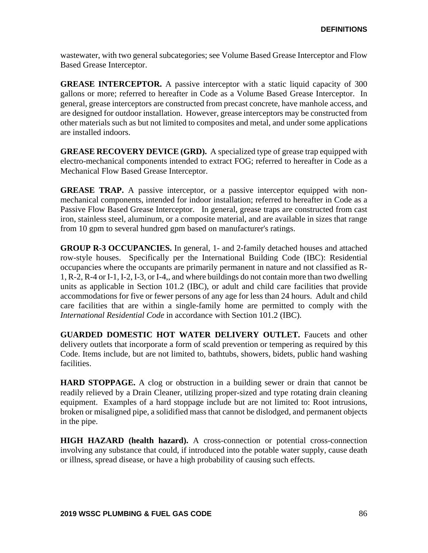wastewater, with two general subcategories; see Volume Based Grease Interceptor and Flow Based Grease Interceptor.

**GREASE INTERCEPTOR.** A passive interceptor with a static liquid capacity of 300 gallons or more; referred to hereafter in Code as a Volume Based Grease Interceptor. In general, grease interceptors are constructed from precast concrete, have manhole access, and are designed for outdoor installation. However, grease interceptors may be constructed from other materials such as but not limited to composites and metal, and under some applications are installed indoors.

**GREASE RECOVERY DEVICE (GRD).** A specialized type of grease trap equipped with electro-mechanical components intended to extract FOG; referred to hereafter in Code as a Mechanical Flow Based Grease Interceptor.

**GREASE TRAP.** A passive interceptor, or a passive interceptor equipped with nonmechanical components, intended for indoor installation; referred to hereafter in Code as a Passive Flow Based Grease Interceptor. In general, grease traps are constructed from cast iron, stainless steel, aluminum, or a composite material, and are available in sizes that range from 10 gpm to several hundred gpm based on manufacturer's ratings.

**GROUP R-3 OCCUPANCIES.** In general, 1- and 2-family detached houses and attached row-style houses. Specifically per the International Building Code (IBC): Residential occupancies where the occupants are primarily permanent in nature and not classified as R-1, R-2, R-4 or I-1, I-2, I-3, or I-4,, and where buildings do not contain more than two dwelling units as applicable in Section 101.2 (IBC), or adult and child care facilities that provide accommodations for five or fewer persons of any age for less than 24 hours. Adult and child care facilities that are within a single-family home are permitted to comply with the *International Residential Code* in accordance with Section 101.2 (IBC).

**GUARDED DOMESTIC HOT WATER DELIVERY OUTLET.** Faucets and other delivery outlets that incorporate a form of scald prevention or tempering as required by this Code. Items include, but are not limited to, bathtubs, showers, bidets, public hand washing facilities.

**HARD STOPPAGE.** A clog or obstruction in a building sewer or drain that cannot be readily relieved by a Drain Cleaner, utilizing proper-sized and type rotating drain cleaning equipment. Examples of a hard stoppage include but are not limited to: Root intrusions, broken or misaligned pipe, a solidified mass that cannot be dislodged, and permanent objects in the pipe.

**HIGH HAZARD (health hazard).** A cross-connection or potential cross-connection involving any substance that could, if introduced into the potable water supply, cause death or illness, spread disease, or have a high probability of causing such effects.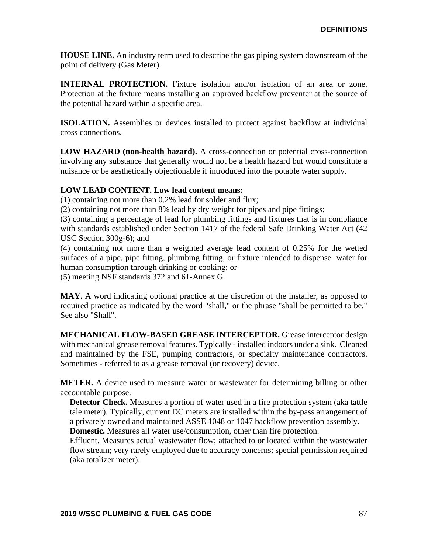**HOUSE LINE.** An industry term used to describe the gas piping system downstream of the point of delivery (Gas Meter).

**INTERNAL PROTECTION.** Fixture isolation and/or isolation of an area or zone. Protection at the fixture means installing an approved backflow preventer at the source of the potential hazard within a specific area.

**ISOLATION.** Assemblies or devices installed to protect against backflow at individual cross connections.

**LOW HAZARD (non-health hazard).** A cross-connection or potential cross-connection involving any substance that generally would not be a health hazard but would constitute a nuisance or be aesthetically objectionable if introduced into the potable water supply.

#### **LOW LEAD CONTENT. Low lead content means:**

(1) containing not more than 0.2% lead for solder and flux;

(2) containing not more than 8% lead by dry weight for pipes and pipe fittings;

(3) containing a percentage of lead for plumbing fittings and fixtures that is in compliance with standards established under Section 1417 of the federal Safe Drinking Water Act (42 USC Section 300g-6); and

(4) containing not more than a weighted average lead content of 0.25% for the wetted surfaces of a pipe, pipe fitting, plumbing fitting, or fixture intended to dispense water for human consumption through drinking or cooking; or

(5) meeting NSF standards 372 and 61-Annex G.

**MAY.** A word indicating optional practice at the discretion of the installer, as opposed to required practice as indicated by the word "shall," or the phrase "shall be permitted to be." See also "Shall".

**MECHANICAL FLOW-BASED GREASE INTERCEPTOR.** Grease interceptor design with mechanical grease removal features. Typically - installed indoors under a sink. Cleaned and maintained by the FSE, pumping contractors, or specialty maintenance contractors. Sometimes - referred to as a grease removal (or recovery) device.

**METER.** A device used to measure water or wastewater for determining billing or other accountable purpose.

**Detector Check.** Measures a portion of water used in a fire protection system (aka tattle tale meter). Typically, current DC meters are installed within the by-pass arrangement of a privately owned and maintained ASSE 1048 or 1047 backflow prevention assembly.

**Domestic.** Measures all water use/consumption, other than fire protection.

Effluent. Measures actual wastewater flow; attached to or located within the wastewater flow stream; very rarely employed due to accuracy concerns; special permission required (aka totalizer meter).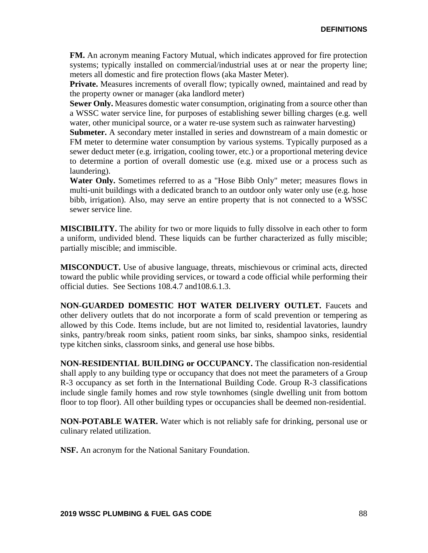**FM.** An acronym meaning Factory Mutual, which indicates approved for fire protection systems; typically installed on commercial/industrial uses at or near the property line; meters all domestic and fire protection flows (aka Master Meter).

**Private.** Measures increments of overall flow; typically owned, maintained and read by the property owner or manager (aka landlord meter)

**Sewer Only.** Measures domestic water consumption, originating from a source other than a WSSC water service line, for purposes of establishing sewer billing charges (e.g. well water, other municipal source, or a water re-use system such as rainwater harvesting)

**Submeter.** A secondary meter installed in series and downstream of a main domestic or FM meter to determine water consumption by various systems. Typically purposed as a sewer deduct meter (e.g. irrigation, cooling tower, etc.) or a proportional metering device to determine a portion of overall domestic use (e.g. mixed use or a process such as laundering).

**Water Only.** Sometimes referred to as a "Hose Bibb Only" meter; measures flows in multi-unit buildings with a dedicated branch to an outdoor only water only use (e.g. hose bibb, irrigation). Also, may serve an entire property that is not connected to a WSSC sewer service line.

**MISCIBILITY.** The ability for two or more liquids to fully dissolve in each other to form a uniform, undivided blend. These liquids can be further characterized as fully miscible; partially miscible; and immiscible.

**MISCONDUCT.** Use of abusive language, threats, mischievous or criminal acts, directed toward the public while providing services, or toward a code official while performing their official duties. See Sections 108.4.7 and108.6.1.3.

**NON-GUARDED DOMESTIC HOT WATER DELIVERY OUTLET.** Faucets and other delivery outlets that do not incorporate a form of scald prevention or tempering as allowed by this Code. Items include, but are not limited to, residential lavatories, laundry sinks, pantry/break room sinks, patient room sinks, bar sinks, shampoo sinks, residential type kitchen sinks, classroom sinks, and general use hose bibbs.

**NON-RESIDENTIAL BUILDING or OCCUPANCY.** The classification non-residential shall apply to any building type or occupancy that does not meet the parameters of a Group R-3 occupancy as set forth in the International Building Code. Group R-3 classifications include single family homes and row style townhomes (single dwelling unit from bottom floor to top floor). All other building types or occupancies shall be deemed non-residential.

**NON-POTABLE WATER.** Water which is not reliably safe for drinking, personal use or culinary related utilization.

**NSF.** An acronym for the National Sanitary Foundation.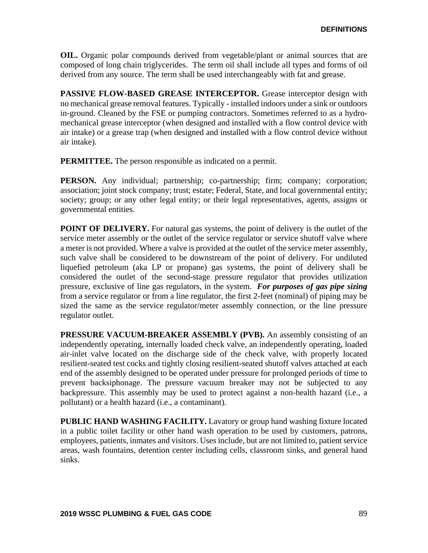**OIL.** Organic polar compounds derived from vegetable/plant or animal sources that are composed of long chain triglycerides. The term oil shall include all types and forms of oil derived from any source. The term shall be used interchangeably with fat and grease.

PASSIVE FLOW-BASED GREASE INTERCEPTOR. Grease interceptor design with no mechanical grease removal features. Typically - installed indoors under a sink or outdoors in-ground. Cleaned by the FSE or pumping contractors. Sometimes referred to as a hydromechanical grease interceptor (when designed and installed with a flow control device with air intake) or a grease trap (when designed and installed with a flow control device without air intake).

**PERMITTEE.** The person responsible as indicated on a permit.

**PERSON.** Any individual; partnership; co-partnership; firm; company; corporation; association; joint stock company; trust; estate; Federal, State, and local governmental entity; society; group; or any other legal entity; or their legal representatives, agents, assigns or governmental entities.

**POINT OF DELIVERY.** For natural gas systems, the point of delivery is the outlet of the service meter assembly or the outlet of the service regulator or service shutoff valve where a meter is not provided. Where a valve is provided at the outlet of the service meter assembly, such valve shall be considered to be downstream of the point of delivery. For undiluted liquefied petroleum (aka LP or propane) gas systems, the point of delivery shall be considered the outlet of the second-stage pressure regulator that provides utilization pressure, exclusive of line gas regulators, in the system. *For purposes of gas pipe sizing* from a service regulator or from a line regulator, the first 2-feet (nominal) of piping may be sized the same as the service regulator/meter assembly connection, or the line pressure regulator outlet.

**PRESSURE VACUUM-BREAKER ASSEMBLY (PVB).** An assembly consisting of an independently operating, internally loaded check valve, an independently operating, loaded air-inlet valve located on the discharge side of the check valve, with properly located resilient-seated test cocks and tightly closing resilient-seated shutoff valves attached at each end of the assembly designed to be operated under pressure for prolonged periods of time to prevent backsiphonage. The pressure vacuum breaker may not be subjected to any backpressure. This assembly may be used to protect against a non-health hazard (i.e., a pollutant) or a health hazard (i.e., a contaminant).

**PUBLIC HAND WASHING FACILITY.** Lavatory or group hand washing fixture located in a public toilet facility or other hand wash operation to be used by customers, patrons, employees, patients, inmates and visitors. Uses include, but are not limited to, patient service areas, wash fountains, detention center including cells, classroom sinks, and general hand sinks.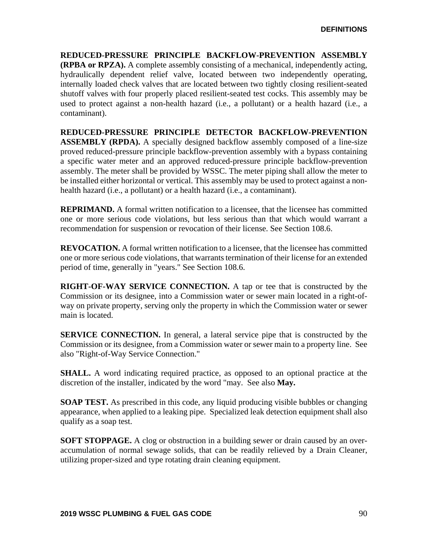**REDUCED-PRESSURE PRINCIPLE BACKFLOW-PREVENTION ASSEMBLY (RPBA or RPZA).** A complete assembly consisting of a mechanical, independently acting, hydraulically dependent relief valve, located between two independently operating, internally loaded check valves that are located between two tightly closing resilient-seated shutoff valves with four properly placed resilient-seated test cocks. This assembly may be used to protect against a non-health hazard (i.e., a pollutant) or a health hazard (i.e., a contaminant).

**REDUCED-PRESSURE PRINCIPLE DETECTOR BACKFLOW-PREVENTION ASSEMBLY (RPDA).** A specially designed backflow assembly composed of a line-size proved reduced-pressure principle backflow-prevention assembly with a bypass containing a specific water meter and an approved reduced-pressure principle backflow-prevention assembly. The meter shall be provided by WSSC. The meter piping shall allow the meter to be installed either horizontal or vertical. This assembly may be used to protect against a nonhealth hazard (i.e., a pollutant) or a health hazard (i.e., a contaminant).

**REPRIMAND.** A formal written notification to a licensee, that the licensee has committed one or more serious code violations, but less serious than that which would warrant a recommendation for suspension or revocation of their license. See Section 108.6.

**REVOCATION.** A formal written notification to a licensee, that the licensee has committed one or more serious code violations, that warrants termination of their license for an extended period of time, generally in "years." See Section 108.6.

**RIGHT-OF-WAY SERVICE CONNECTION.** A tap or tee that is constructed by the Commission or its designee, into a Commission water or sewer main located in a right-ofway on private property, serving only the property in which the Commission water or sewer main is located.

**SERVICE CONNECTION.** In general, a lateral service pipe that is constructed by the Commission or its designee, from a Commission water or sewer main to a property line. See also "Right-of-Way Service Connection."

**SHALL.** A word indicating required practice, as opposed to an optional practice at the discretion of the installer, indicated by the word "may. See also **May.** 

**SOAP TEST.** As prescribed in this code, any liquid producing visible bubbles or changing appearance, when applied to a leaking pipe. Specialized leak detection equipment shall also qualify as a soap test.

**SOFT STOPPAGE.** A clog or obstruction in a building sewer or drain caused by an overaccumulation of normal sewage solids, that can be readily relieved by a Drain Cleaner, utilizing proper-sized and type rotating drain cleaning equipment.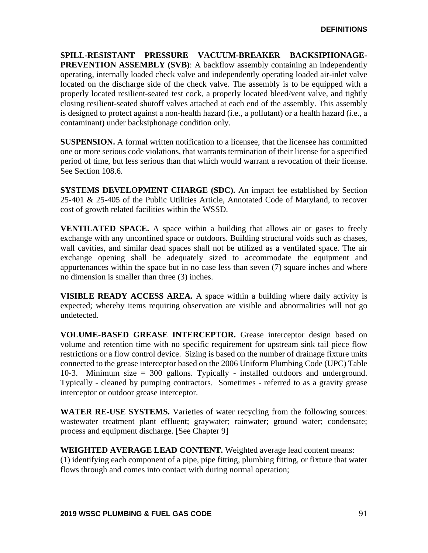**SPILL-RESISTANT PRESSURE VACUUM-BREAKER BACKSIPHONAGE-PREVENTION ASSEMBLY (SVB):** A backflow assembly containing an independently operating, internally loaded check valve and independently operating loaded air-inlet valve located on the discharge side of the check valve. The assembly is to be equipped with a properly located resilient-seated test cock, a properly located bleed/vent valve, and tightly closing resilient-seated shutoff valves attached at each end of the assembly. This assembly is designed to protect against a non-health hazard (i.e., a pollutant) or a health hazard (i.e., a contaminant) under backsiphonage condition only.

**SUSPENSION.** A formal written notification to a licensee, that the licensee has committed one or more serious code violations, that warrants termination of their license for a specified period of time, but less serious than that which would warrant a revocation of their license. See Section 108.6.

**SYSTEMS DEVELOPMENT CHARGE (SDC).** An impact fee established by Section 25-401 & 25-405 of the Public Utilities Article, Annotated Code of Maryland, to recover cost of growth related facilities within the WSSD.

**VENTILATED SPACE.** A space within a building that allows air or gases to freely exchange with any unconfined space or outdoors. Building structural voids such as chases, wall cavities, and similar dead spaces shall not be utilized as a ventilated space. The air exchange opening shall be adequately sized to accommodate the equipment and appurtenances within the space but in no case less than seven (7) square inches and where no dimension is smaller than three (3) inches.

**VISIBLE READY ACCESS AREA.** A space within a building where daily activity is expected; whereby items requiring observation are visible and abnormalities will not go undetected.

**VOLUME-BASED GREASE INTERCEPTOR.** Grease interceptor design based on volume and retention time with no specific requirement for upstream sink tail piece flow restrictions or a flow control device. Sizing is based on the number of drainage fixture units connected to the grease interceptor based on the 2006 Uniform Plumbing Code (UPC) Table 10-3. Minimum size = 300 gallons. Typically - installed outdoors and underground. Typically - cleaned by pumping contractors. Sometimes - referred to as a gravity grease interceptor or outdoor grease interceptor.

WATER RE-USE SYSTEMS. Varieties of water recycling from the following sources: wastewater treatment plant effluent; graywater; rainwater; ground water; condensate; process and equipment discharge. [See Chapter 9]

**WEIGHTED AVERAGE LEAD CONTENT.** Weighted average lead content means:

(1) identifying each component of a pipe, pipe fitting, plumbing fitting, or fixture that water flows through and comes into contact with during normal operation;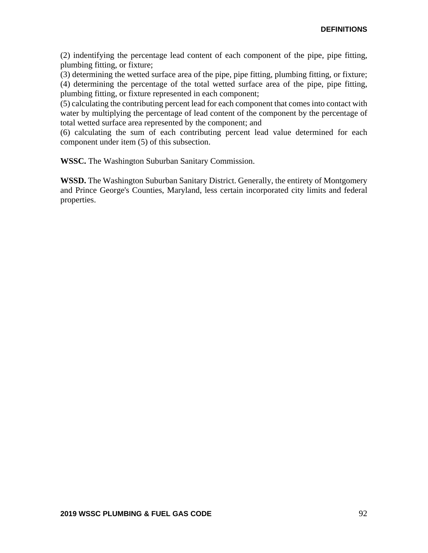(2) indentifying the percentage lead content of each component of the pipe, pipe fitting, plumbing fitting, or fixture;

(3) determining the wetted surface area of the pipe, pipe fitting, plumbing fitting, or fixture; (4) determining the percentage of the total wetted surface area of the pipe, pipe fitting, plumbing fitting, or fixture represented in each component;

(5) calculating the contributing percent lead for each component that comes into contact with water by multiplying the percentage of lead content of the component by the percentage of total wetted surface area represented by the component; and

(6) calculating the sum of each contributing percent lead value determined for each component under item (5) of this subsection.

**WSSC.** The Washington Suburban Sanitary Commission.

**WSSD.** The Washington Suburban Sanitary District. Generally, the entirety of Montgomery and Prince George's Counties, Maryland, less certain incorporated city limits and federal properties.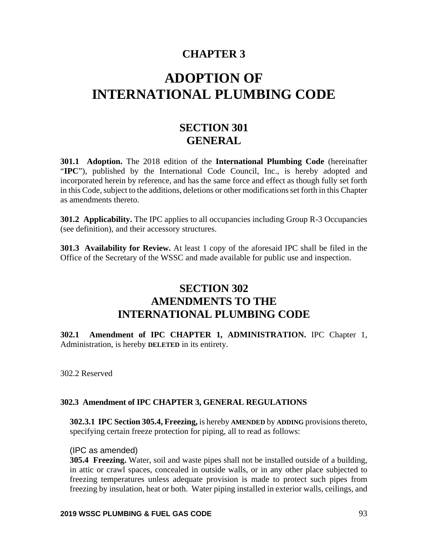### **CHAPTER 3**

# **ADOPTION OF INTERNATIONAL PLUMBING CODE**

## **SECTION 301 GENERAL**

**301.1 Adoption.** The 2018 edition of the **International Plumbing Code** (hereinafter "**IPC**"), published by the International Code Council, Inc., is hereby adopted and incorporated herein by reference, and has the same force and effect as though fully set forth in this Code, subject to the additions, deletions or other modifications set forth in this Chapter as amendments thereto.

**301.2 Applicability.** The IPC applies to all occupancies including Group R-3 Occupancies (see definition), and their accessory structures.

**301.3 Availability for Review.** At least 1 copy of the aforesaid IPC shall be filed in the Office of the Secretary of the WSSC and made available for public use and inspection.

### **SECTION 302 AMENDMENTS TO THE INTERNATIONAL PLUMBING CODE**

**302.1 Amendment of IPC CHAPTER 1, ADMINISTRATION.** IPC Chapter 1, Administration, is hereby **DELETED** in its entirety.

302.2 Reserved

#### **302.3 Amendment of IPC CHAPTER 3, GENERAL REGULATIONS**

**302.3.1 IPC Section 305.4, Freezing,** is hereby **AMENDED** by **ADDING** provisions thereto, specifying certain freeze protection for piping, all to read as follows:

#### (IPC as amended)

**305.4 Freezing.** Water, soil and waste pipes shall not be installed outside of a building, in attic or crawl spaces, concealed in outside walls, or in any other place subjected to freezing temperatures unless adequate provision is made to protect such pipes from freezing by insulation, heat or both. Water piping installed in exterior walls, ceilings, and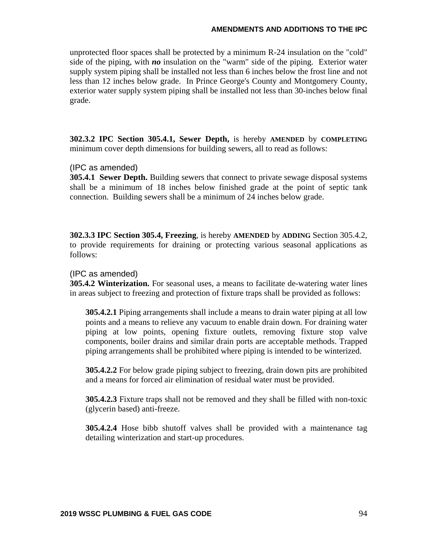unprotected floor spaces shall be protected by a minimum R-24 insulation on the "cold" side of the piping, with *no* insulation on the "warm" side of the piping.Exterior water supply system piping shall be installed not less than 6 inches below the frost line and not less than 12 inches below grade. In Prince George's County and Montgomery County, exterior water supply system piping shall be installed not less than 30-inches below final grade.

**302.3.2 IPC Section 305.4.1, Sewer Depth,** is hereby **AMENDED** by **COMPLETING** minimum cover depth dimensions for building sewers, all to read as follows:

#### (IPC as amended)

**305.4.1 Sewer Depth.** Building sewers that connect to private sewage disposal systems shall be a minimum of 18 inches below finished grade at the point of septic tank connection. Building sewers shall be a minimum of 24 inches below grade.

**302.3.3 IPC Section 305.4, Freezing**, is hereby **AMENDED** by **ADDING** Section 305.4.2, to provide requirements for draining or protecting various seasonal applications as follows:

(IPC as amended)

**305.4.2 Winterization.** For seasonal uses, a means to facilitate de-watering water lines in areas subject to freezing and protection of fixture traps shall be provided as follows:

**305.4.2.1** Piping arrangements shall include a means to drain water piping at all low points and a means to relieve any vacuum to enable drain down. For draining water piping at low points, opening fixture outlets, removing fixture stop valve components, boiler drains and similar drain ports are acceptable methods. Trapped piping arrangements shall be prohibited where piping is intended to be winterized.

**305.4.2.2** For below grade piping subject to freezing, drain down pits are prohibited and a means for forced air elimination of residual water must be provided.

**305.4.2.3** Fixture traps shall not be removed and they shall be filled with non-toxic (glycerin based) anti-freeze.

**305.4.2.4** Hose bibb shutoff valves shall be provided with a maintenance tag detailing winterization and start-up procedures.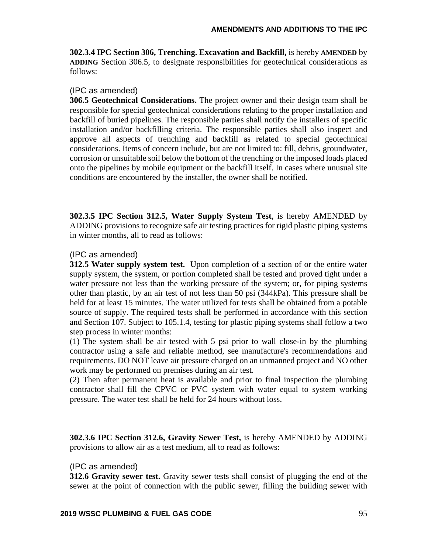**302.3.4 IPC Section 306, Trenching. Excavation and Backfill,** is hereby **AMENDED** by **ADDING** Section 306.5, to designate responsibilities for geotechnical considerations as follows:

#### (IPC as amended)

**306.5 Geotechnical Considerations.** The project owner and their design team shall be responsible for special geotechnical considerations relating to the proper installation and backfill of buried pipelines. The responsible parties shall notify the installers of specific installation and/or backfilling criteria. The responsible parties shall also inspect and approve all aspects of trenching and backfill as related to special geotechnical considerations. Items of concern include, but are not limited to: fill, debris, groundwater, corrosion or unsuitable soil below the bottom of the trenching or the imposed loads placed onto the pipelines by mobile equipment or the backfill itself. In cases where unusual site conditions are encountered by the installer, the owner shall be notified.

**302.3.5 IPC Section 312.5, Water Supply System Test**, is hereby AMENDED by ADDING provisions to recognize safe air testing practices for rigid plastic piping systems in winter months, all to read as follows:

#### (IPC as amended)

**312.5 Water supply system test.** Upon completion of a section of or the entire water supply system, the system, or portion completed shall be tested and proved tight under a water pressure not less than the working pressure of the system; or, for piping systems other than plastic, by an air test of not less than 50 psi (344kPa). This pressure shall be held for at least 15 minutes. The water utilized for tests shall be obtained from a potable source of supply. The required tests shall be performed in accordance with this section and Section 107. Subject to 105.1.4, testing for plastic piping systems shall follow a two step process in winter months:

(1) The system shall be air tested with 5 psi prior to wall close-in by the plumbing contractor using a safe and reliable method, see manufacture's recommendations and requirements. DO NOT leave air pressure charged on an unmanned project and NO other work may be performed on premises during an air test.

(2) Then after permanent heat is available and prior to final inspection the plumbing contractor shall fill the CPVC or PVC system with water equal to system working pressure. The water test shall be held for 24 hours without loss.

**302.3.6 IPC Section 312.6, Gravity Sewer Test,** is hereby AMENDED by ADDING provisions to allow air as a test medium, all to read as follows:

#### (IPC as amended)

**312.6 Gravity sewer test.** Gravity sewer tests shall consist of plugging the end of the sewer at the point of connection with the public sewer, filling the building sewer with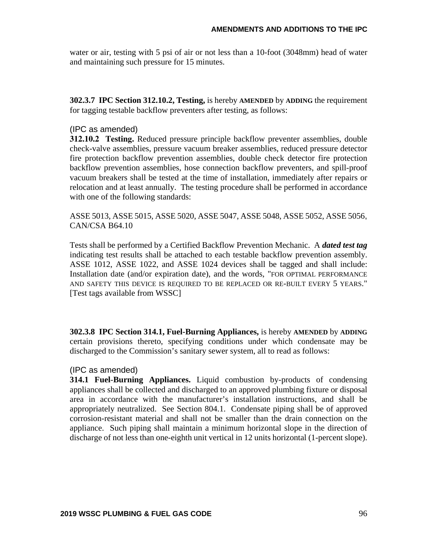water or air, testing with 5 psi of air or not less than a 10-foot (3048mm) head of water and maintaining such pressure for 15 minutes.

**302.3.7 IPC Section 312.10.2, Testing,** is hereby **AMENDED** by **ADDING** the requirement for tagging testable backflow preventers after testing, as follows:

#### (IPC as amended)

**312.10.2 Testing.** Reduced pressure principle backflow preventer assemblies, double check-valve assemblies, pressure vacuum breaker assemblies, reduced pressure detector fire protection backflow prevention assemblies, double check detector fire protection backflow prevention assemblies, hose connection backflow preventers, and spill-proof vacuum breakers shall be tested at the time of installation, immediately after repairs or relocation and at least annually. The testing procedure shall be performed in accordance with one of the following standards:

ASSE 5013, ASSE 5015, ASSE 5020, ASSE 5047, ASSE 5048, ASSE 5052, ASSE 5056, CAN/CSA B64.10

Tests shall be performed by a Certified Backflow Prevention Mechanic. A *dated test tag* indicating test results shall be attached to each testable backflow prevention assembly. ASSE 1012, ASSE 1022, and ASSE 1024 devices shall be tagged and shall include: Installation date (and/or expiration date), and the words, "FOR OPTIMAL PERFORMANCE AND SAFETY THIS DEVICE IS REQUIRED TO BE REPLACED OR RE-BUILT EVERY 5 YEARS." [Test tags available from WSSC]

**302.3.8 IPC Section 314.1, Fuel-Burning Appliances,** is hereby **AMENDED** by **ADDING** certain provisions thereto, specifying conditions under which condensate may be discharged to the Commission's sanitary sewer system, all to read as follows:

#### (IPC as amended)

**314.1 Fuel**-**Burning Appliances.** Liquid combustion by-products of condensing appliances shall be collected and discharged to an approved plumbing fixture or disposal area in accordance with the manufacturer's installation instructions, and shall be appropriately neutralized. See Section 804.1. Condensate piping shall be of approved corrosion-resistant material and shall not be smaller than the drain connection on the appliance. Such piping shall maintain a minimum horizontal slope in the direction of discharge of not less than one-eighth unit vertical in 12 units horizontal (1-percent slope).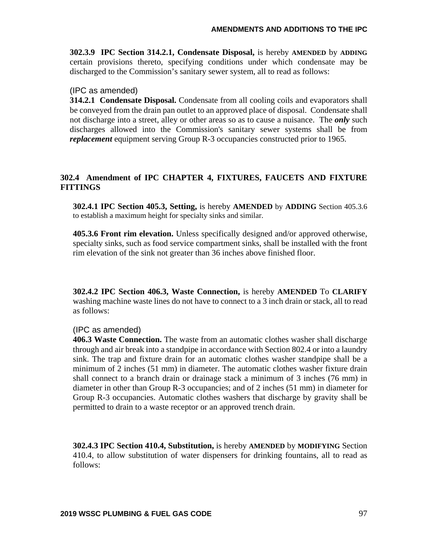**302.3.9 IPC Section 314.2.1, Condensate Disposal,** is hereby **AMENDED** by **ADDING** certain provisions thereto, specifying conditions under which condensate may be discharged to the Commission's sanitary sewer system, all to read as follows:

#### (IPC as amended)

**314.2.1 Condensate Disposal.** Condensate from all cooling coils and evaporators shall be conveyed from the drain pan outlet to an approved place of disposal. Condensate shall not discharge into a street, alley or other areas so as to cause a nuisance. The *only* such discharges allowed into the Commission's sanitary sewer systems shall be from *replacement* equipment serving Group R-3 occupancies constructed prior to 1965.

#### **302.4 Amendment of IPC CHAPTER 4, FIXTURES, FAUCETS AND FIXTURE FITTINGS**

**302.4.1 IPC Section 405.3, Setting,** is hereby **AMENDED** by **ADDING** Section 405.3.6 to establish a maximum height for specialty sinks and similar.

**405.3.6 Front rim elevation.** Unless specifically designed and/or approved otherwise, specialty sinks, such as food service compartment sinks, shall be installed with the front rim elevation of the sink not greater than 36 inches above finished floor.

**302.4.2 IPC Section 406.3, Waste Connection,** is hereby **AMENDED** To **CLARIFY**  washing machine waste lines do not have to connect to a 3 inch drain or stack, all to read as follows:

#### (IPC as amended)

**406.3 Waste Connection.** The waste from an automatic clothes washer shall discharge through and air break into a standpipe in accordance with Section 802.4 or into a laundry sink. The trap and fixture drain for an automatic clothes washer standpipe shall be a minimum of 2 inches (51 mm) in diameter. The automatic clothes washer fixture drain shall connect to a branch drain or drainage stack a minimum of 3 inches (76 mm) in diameter in other than Group R-3 occupancies; and of 2 inches (51 mm) in diameter for Group R-3 occupancies. Automatic clothes washers that discharge by gravity shall be permitted to drain to a waste receptor or an approved trench drain.

**302.4.3 IPC Section 410.4, Substitution,** is hereby **AMENDED** by **MODIFYING** Section 410.4, to allow substitution of water dispensers for drinking fountains, all to read as follows: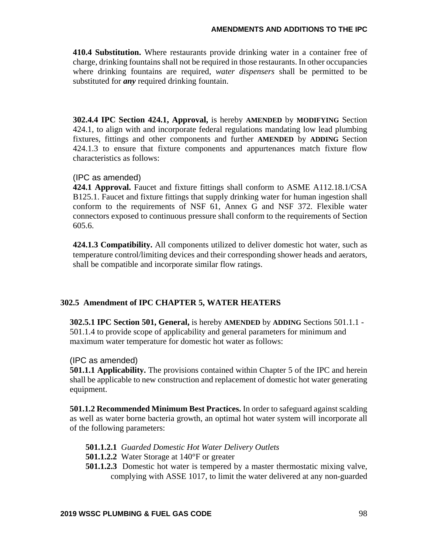**410.4 Substitution.** Where restaurants provide drinking water in a container free of charge, drinking fountains shall not be required in those restaurants. In other occupancies where drinking fountains are required, *water dispensers* shall be permitted to be substituted for *any* required drinking fountain.

**302.4.4 IPC Section 424.1, Approval,** is hereby **AMENDED** by **MODIFYING** Section 424.1, to align with and incorporate federal regulations mandating low lead plumbing fixtures, fittings and other components and further **AMENDED** by **ADDING** Section 424.1.3 to ensure that fixture components and appurtenances match fixture flow characteristics as follows:

#### (IPC as amended)

**424.1 Approval.** Faucet and fixture fittings shall conform to ASME A112.18.1/CSA B125.1. Faucet and fixture fittings that supply drinking water for human ingestion shall conform to the requirements of NSF 61, Annex G and NSF 372. Flexible water connectors exposed to continuous pressure shall conform to the requirements of Section 605.6.

**424.1.3 Compatibility.** All components utilized to deliver domestic hot water, such as temperature control/limiting devices and their corresponding shower heads and aerators, shall be compatible and incorporate similar flow ratings.

#### **302.5 Amendment of IPC CHAPTER 5, WATER HEATERS**

**302.5.1 IPC Section 501, General,** is hereby **AMENDED** by **ADDING** Sections 501.1.1 - 501.1.4 to provide scope of applicability and general parameters for minimum and maximum water temperature for domestic hot water as follows:

#### (IPC as amended)

**501.1.1 Applicability.** The provisions contained within Chapter 5 of the IPC and herein shall be applicable to new construction and replacement of domestic hot water generating equipment.

**501.1.2 Recommended Minimum Best Practices.** In order to safeguard against scalding as well as water borne bacteria growth, an optimal hot water system will incorporate all of the following parameters:

#### **501.1.2.1** *Guarded Domestic Hot Water Delivery Outlets*

- **501.1.2.2** Water Storage at 140°F or greater
- **501.1.2.3** Domestic hot water is tempered by a master thermostatic mixing valve, complying with ASSE 1017, to limit the water delivered at any non-guarded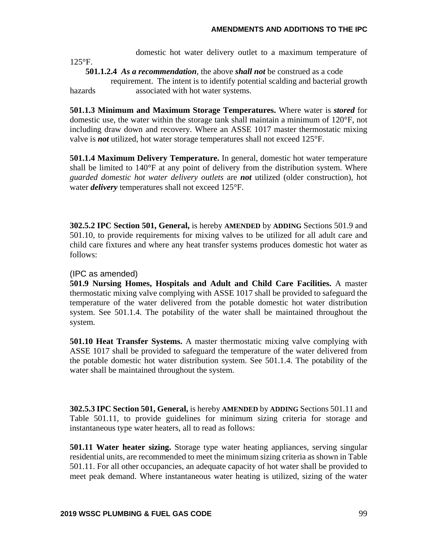domestic hot water delivery outlet to a maximum temperature of

125°F.

 **501.1.2.4** *As a recommendation*, the above *shall not* be construed as a code

 requirement. The intent is to identify potential scalding and bacterial growth hazards associated with hot water systems.

**501.1.3 Minimum and Maximum Storage Temperatures.** Where water is *stored* for domestic use, the water within the storage tank shall maintain a minimum of 120°F, not including draw down and recovery. Where an ASSE 1017 master thermostatic mixing valve is *not* utilized, hot water storage temperatures shall not exceed 125°F.

**501.1.4 Maximum Delivery Temperature.** In general, domestic hot water temperature shall be limited to 140°F at any point of delivery from the distribution system. Where *guarded domestic hot water delivery outlets* are *not* utilized (older construction), hot water *delivery* temperatures shall not exceed 125°F.

**302.5.2 IPC Section 501, General,** is hereby **AMENDED** by **ADDING** Sections 501.9 and 501.10, to provide requirements for mixing valves to be utilized for all adult care and child care fixtures and where any heat transfer systems produces domestic hot water as follows:

#### (IPC as amended)

**501.9 Nursing Homes, Hospitals and Adult and Child Care Facilities.** A master thermostatic mixing valve complying with ASSE 1017 shall be provided to safeguard the temperature of the water delivered from the potable domestic hot water distribution system. See 501.1.4. The potability of the water shall be maintained throughout the system.

**501.10 Heat Transfer Systems.** A master thermostatic mixing valve complying with ASSE 1017 shall be provided to safeguard the temperature of the water delivered from the potable domestic hot water distribution system. See 501.1.4. The potability of the water shall be maintained throughout the system.

**302.5.3 IPC Section 501, General,** is hereby **AMENDED** by **ADDING** Sections 501.11 and Table 501.11, to provide guidelines for minimum sizing criteria for storage and instantaneous type water heaters, all to read as follows:

**501.11 Water heater sizing.** Storage type water heating appliances, serving singular residential units, are recommended to meet the minimum sizing criteria as shown in Table 501.11. For all other occupancies, an adequate capacity of hot water shall be provided to meet peak demand. Where instantaneous water heating is utilized, sizing of the water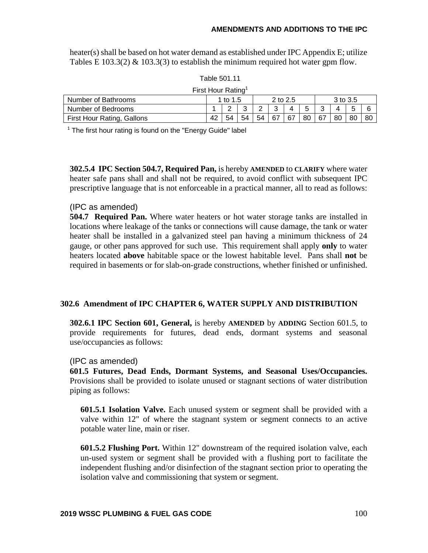heater(s) shall be based on hot water demand as established under IPC Appendix E; utilize Tables E 103.3(2)  $\&$  103.3(3) to establish the minimum required hot water gpm flow.

| Table 501.11 |
|--------------|
|--------------|

| First Hour Rating <sup>1</sup> |          |    |    |          |    |     |    |          |    |    |    |
|--------------------------------|----------|----|----|----------|----|-----|----|----------|----|----|----|
| Number of Bathrooms            | 1 to 1.5 |    |    | 2 to 2.5 |    |     |    | 3 to 3.5 |    |    |    |
| Number of Bedrooms             |          |    |    |          | ົ  | 4   | 5  |          |    |    |    |
| First Hour Rating, Gallons     | 42       | 54 | 54 | 54       | 67 | -67 | 80 | 67       | 80 | 80 | 80 |

 $1$  The first hour rating is found on the "Energy Guide" label

**302.5.4 IPC Section 504.7, Required Pan,** is hereby **AMENDED** to **CLARIFY** where water heater safe pans shall and shall not be required, to avoid conflict with subsequent IPC prescriptive language that is not enforceable in a practical manner, all to read as follows:

#### (IPC as amended)

**504.7 Required Pan.** Where water heaters or hot water storage tanks are installed in locations where leakage of the tanks or connections will cause damage, the tank or water heater shall be installed in a galvanized steel pan having a minimum thickness of 24 gauge, or other pans approved for such use. This requirement shall apply **only** to water heaters located **above** habitable space or the lowest habitable level. Pans shall **not** be required in basements or for slab-on-grade constructions, whether finished or unfinished.

#### **302.6 Amendment of IPC CHAPTER 6, WATER SUPPLY AND DISTRIBUTION**

**302.6.1 IPC Section 601, General,** is hereby **AMENDED** by **ADDING** Section 601.5, to provide requirements for futures, dead ends, dormant systems and seasonal use/occupancies as follows:

#### (IPC as amended)

**601.5 Futures, Dead Ends, Dormant Systems, and Seasonal Uses/Occupancies.**  Provisions shall be provided to isolate unused or stagnant sections of water distribution piping as follows:

 **601.5.1 Isolation Valve.** Each unused system or segment shall be provided with a valve within 12" of where the stagnant system or segment connects to an active potable water line, main or riser.

 **601.5.2 Flushing Port.** Within 12" downstream of the required isolation valve, each un-used system or segment shall be provided with a flushing port to facilitate the independent flushing and/or disinfection of the stagnant section prior to operating the isolation valve and commissioning that system or segment.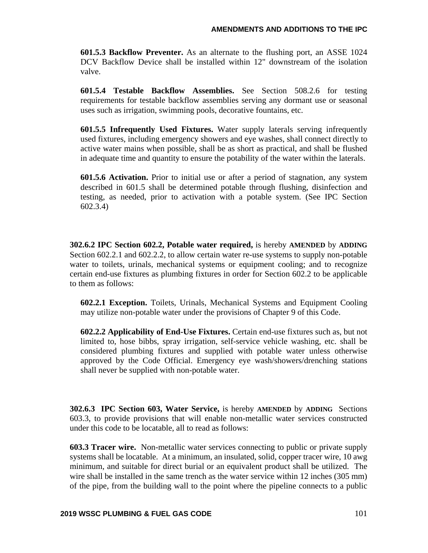**601.5.3 Backflow Preventer.** As an alternate to the flushing port, an ASSE 1024 DCV Backflow Device shall be installed within 12" downstream of the isolation valve.

**601.5.4 Testable Backflow Assemblies.** See Section 508.2.6 for testing requirements for testable backflow assemblies serving any dormant use or seasonal uses such as irrigation, swimming pools, decorative fountains, etc.

**601.5.5 Infrequently Used Fixtures.** Water supply laterals serving infrequently used fixtures, including emergency showers and eye washes, shall connect directly to active water mains when possible, shall be as short as practical, and shall be flushed in adequate time and quantity to ensure the potability of the water within the laterals.

**601.5.6 Activation.** Prior to initial use or after a period of stagnation, any system described in 601.5 shall be determined potable through flushing, disinfection and testing, as needed, prior to activation with a potable system. (See IPC Section 602.3.4)

**302.6.2 IPC Section 602.2, Potable water required,** is hereby **AMENDED** by **ADDING** Section 602.2.1 and 602.2.2, to allow certain water re-use systems to supply non-potable water to toilets, urinals, mechanical systems or equipment cooling; and to recognize certain end-use fixtures as plumbing fixtures in order for Section 602.2 to be applicable to them as follows:

**602.2.1 Exception.** Toilets, Urinals, Mechanical Systems and Equipment Cooling may utilize non-potable water under the provisions of Chapter 9 of this Code.

**602.2.2 Applicability of End-Use Fixtures.** Certain end-use fixtures such as, but not limited to, hose bibbs, spray irrigation, self-service vehicle washing, etc. shall be considered plumbing fixtures and supplied with potable water unless otherwise approved by the Code Official. Emergency eye wash/showers/drenching stations shall never be supplied with non-potable water.

**302.6.3 IPC Section 603, Water Service,** is hereby **AMENDED** by **ADDING** Sections 603.3, to provide provisions that will enable non-metallic water services constructed under this code to be locatable, all to read as follows:

**603.3 Tracer wire.** Non-metallic water services connecting to public or private supply systems shall be locatable. At a minimum, an insulated, solid, copper tracer wire, 10 awg minimum, and suitable for direct burial or an equivalent product shall be utilized. The wire shall be installed in the same trench as the water service within 12 inches (305 mm) of the pipe, from the building wall to the point where the pipeline connects to a public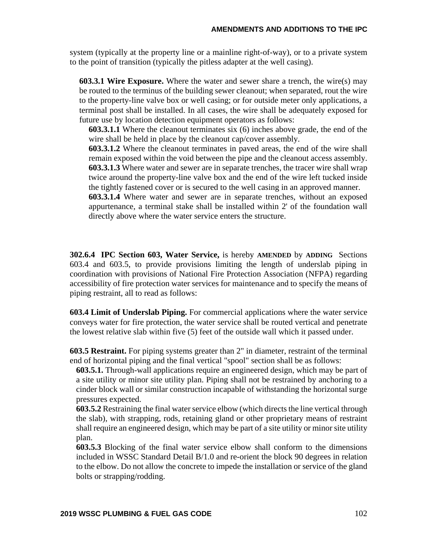system (typically at the property line or a mainline right-of-way), or to a private system to the point of transition (typically the pitless adapter at the well casing).

**603.3.1 Wire Exposure.** Where the water and sewer share a trench, the wire(s) may be routed to the terminus of the building sewer cleanout; when separated, rout the wire to the property-line valve box or well casing; or for outside meter only applications, a terminal post shall be installed. In all cases, the wire shall be adequately exposed for future use by location detection equipment operators as follows:

**603.3.1.1** Where the cleanout terminates six (6) inches above grade, the end of the wire shall be held in place by the cleanout cap/cover assembly.

**603.3.1.2** Where the cleanout terminates in paved areas, the end of the wire shall remain exposed within the void between the pipe and the cleanout access assembly. **603.3.1.3** Where water and sewer are in separate trenches, the tracer wire shall wrap twice around the property-line valve box and the end of the wire left tucked inside the tightly fastened cover or is secured to the well casing in an approved manner.

**603.3.1.4** Where water and sewer are in separate trenches, without an exposed appurtenance, a terminal stake shall be installed within 2' of the foundation wall directly above where the water service enters the structure.

**302.6.4 IPC Section 603, Water Service,** is hereby **AMENDED** by **ADDING** Sections 603.4 and 603.5, to provide provisions limiting the length of underslab piping in coordination with provisions of National Fire Protection Association (NFPA) regarding accessibility of fire protection water services for maintenance and to specify the means of piping restraint, all to read as follows:

**603.4 Limit of Underslab Piping.** For commercial applications where the water service conveys water for fire protection, the water service shall be routed vertical and penetrate the lowest relative slab within five (5) feet of the outside wall which it passed under.

**603.5 Restraint.** For piping systems greater than 2" in diameter, restraint of the terminal end of horizontal piping and the final vertical "spool" section shall be as follows:

**603.5.1.** Through-wall applications require an engineered design, which may be part of a site utility or minor site utility plan. Piping shall not be restrained by anchoring to a cinder block wall or similar construction incapable of withstanding the horizontal surge pressures expected.

**603.5.2** Restraining the final water service elbow (which directs the line vertical through the slab), with strapping, rods, retaining gland or other proprietary means of restraint shall require an engineered design, which may be part of a site utility or minor site utility plan.

**603.5.3** Blocking of the final water service elbow shall conform to the dimensions included in WSSC Standard Detail B/1.0 and re-orient the block 90 degrees in relation to the elbow. Do not allow the concrete to impede the installation or service of the gland bolts or strapping/rodding.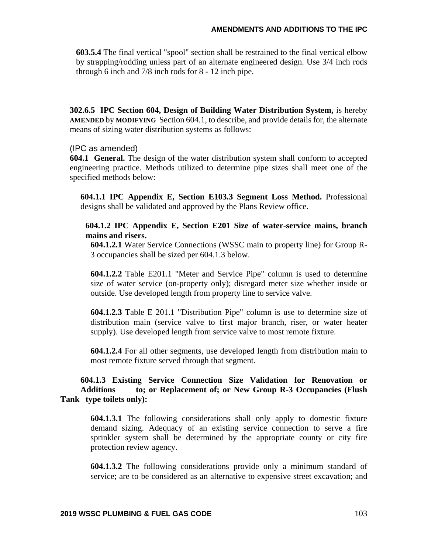**603.5.4** The final vertical "spool" section shall be restrained to the final vertical elbow by strapping/rodding unless part of an alternate engineered design. Use 3/4 inch rods through 6 inch and 7/8 inch rods for 8 - 12 inch pipe.

**302.6.5 IPC Section 604, Design of Building Water Distribution System,** is hereby **AMENDED** by **MODIFYING** Section 604.1, to describe, and provide details for, the alternate means of sizing water distribution systems as follows:

#### (IPC as amended)

**604.1 General.** The design of the water distribution system shall conform to accepted engineering practice. Methods utilized to determine pipe sizes shall meet one of the specified methods below:

 **604.1.1 IPC Appendix E, Section E103.3 Segment Loss Method.** Professional designs shall be validated and approved by the Plans Review office.

#### **604.1.2 IPC Appendix E, Section E201 Size of water-service mains, branch mains and risers.**

 **604.1.2.1** Water Service Connections (WSSC main to property line) for Group R- 3 occupancies shall be sized per 604.1.3 below.

 **604.1.2.2** Table E201.1 "Meter and Service Pipe" column is used to determine size of water service (on-property only); disregard meter size whether inside or outside. Use developed length from property line to service valve.

 **604.1.2.3** Table E 201.1 "Distribution Pipe" column is use to determine size of distribution main (service valve to first major branch, riser, or water heater supply). Use developed length from service valve to most remote fixture.

 **604.1.2.4** For all other segments, use developed length from distribution main to most remote fixture served through that segment.

#### **604.1.3 Existing Service Connection Size Validation for Renovation or Additions to; or Replacement of; or New Group R-3 Occupancies (Flush Tank type toilets only):**

 **604.1.3.1** The following considerations shall only apply to domestic fixture demand sizing. Adequacy of an existing service connection to serve a fire sprinkler system shall be determined by the appropriate county or city fire protection review agency.

 **604.1.3.2** The following considerations provide only a minimum standard of service; are to be considered as an alternative to expensive street excavation; and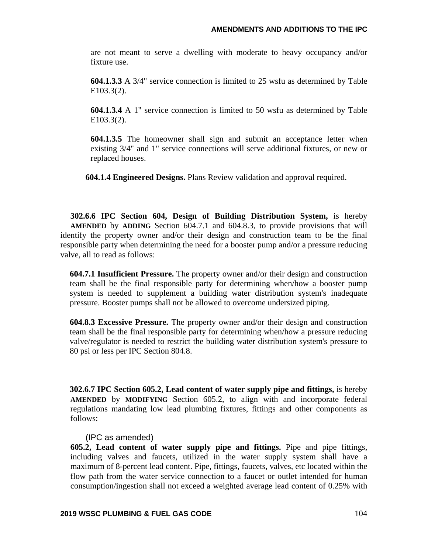are not meant to serve a dwelling with moderate to heavy occupancy and/or fixture use.

 **604.1.3.3** A 3/4" service connection is limited to 25 wsfu as determined by Table E103.3(2).

 **604.1.3.4** A 1" service connection is limited to 50 wsfu as determined by Table E103.3(2).

 **604.1.3.5** The homeowner shall sign and submit an acceptance letter when existing 3/4" and 1" service connections will serve additional fixtures, or new or replaced houses.

 **604.1.4 Engineered Designs.** Plans Review validation and approval required.

 **302.6.6 IPC Section 604, Design of Building Distribution System,** is hereby **AMENDED** by **ADDING** Section 604.7.1 and 604.8.3, to provide provisions that will identify the property owner and/or their design and construction team to be the final responsible party when determining the need for a booster pump and/or a pressure reducing valve, all to read as follows:

**604.7.1 Insufficient Pressure.** The property owner and/or their design and construction team shall be the final responsible party for determining when/how a booster pump system is needed to supplement a building water distribution system's inadequate pressure. Booster pumps shall not be allowed to overcome undersized piping.

**604.8.3 Excessive Pressure.** The property owner and/or their design and construction team shall be the final responsible party for determining when/how a pressure reducing valve/regulator is needed to restrict the building water distribution system's pressure to 80 psi or less per IPC Section 804.8.

**302.6.7 IPC Section 605.2, Lead content of water supply pipe and fittings,** is hereby **AMENDED** by **MODIFYING** Section 605.2, to align with and incorporate federal regulations mandating low lead plumbing fixtures, fittings and other components as follows:

#### (IPC as amended)

**605.2, Lead content of water supply pipe and fittings.** Pipe and pipe fittings, including valves and faucets, utilized in the water supply system shall have a maximum of 8-percent lead content. Pipe, fittings, faucets, valves, etc located within the flow path from the water service connection to a faucet or outlet intended for human consumption/ingestion shall not exceed a weighted average lead content of 0.25% with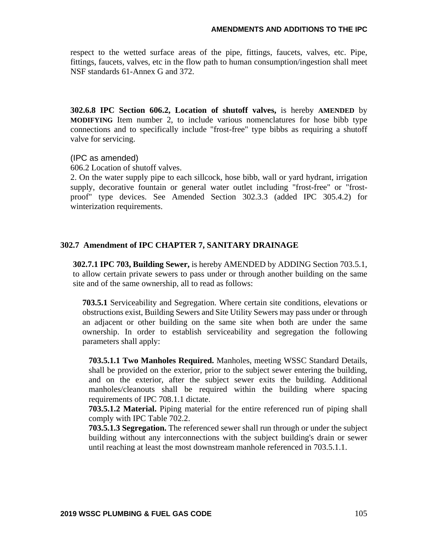respect to the wetted surface areas of the pipe, fittings, faucets, valves, etc. Pipe, fittings, faucets, valves, etc in the flow path to human consumption/ingestion shall meet NSF standards 61-Annex G and 372.

**302.6.8 IPC Section 606.2, Location of shutoff valves,** is hereby **AMENDED** by **MODIFYING** Item number 2, to include various nomenclatures for hose bibb type connections and to specifically include "frost-free" type bibbs as requiring a shutoff valve for servicing.

#### (IPC as amended)

606.2 Location of shutoff valves.

 2. On the water supply pipe to each sillcock, hose bibb, wall or yard hydrant, irrigation supply, decorative fountain or general water outlet including "frost-free" or "frost proof" type devices. See Amended Section 302.3.3 (added IPC 305.4.2) for winterization requirements.

#### **302.7 Amendment of IPC CHAPTER 7, SANITARY DRAINAGE**

 **302.7.1 IPC 703, Building Sewer,** is hereby AMENDED by ADDING Section 703.5.1, to allow certain private sewers to pass under or through another building on the same site and of the same ownership, all to read as follows:

 **703.5.1** Serviceability and Segregation. Where certain site conditions, elevations or obstructions exist, Building Sewers and Site Utility Sewers may pass under or through an adjacent or other building on the same site when both are under the same ownership. In order to establish serviceability and segregation the following parameters shall apply:

**703.5.1.1 Two Manholes Required.** Manholes, meeting WSSC Standard Details, shall be provided on the exterior, prior to the subject sewer entering the building, and on the exterior, after the subject sewer exits the building. Additional manholes/cleanouts shall be required within the building where spacing requirements of IPC 708.1.1 dictate.

 **703.5.1.2 Material.** Piping material for the entire referenced run of piping shall comply with IPC Table 702.2.

 **703.5.1.3 Segregation.** The referenced sewer shall run through or under the subject building without any interconnections with the subject building's drain or sewer until reaching at least the most downstream manhole referenced in 703.5.1.1.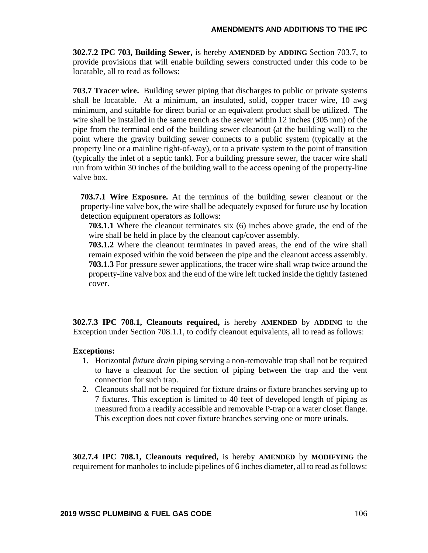**302.7.2 IPC 703, Building Sewer,** is hereby **AMENDED** by **ADDING** Section 703.7, to provide provisions that will enable building sewers constructed under this code to be locatable, all to read as follows:

**703.7 Tracer wire.** Building sewer piping that discharges to public or private systems shall be locatable. At a minimum, an insulated, solid, copper tracer wire, 10 awg minimum, and suitable for direct burial or an equivalent product shall be utilized. The wire shall be installed in the same trench as the sewer within 12 inches (305 mm) of the pipe from the terminal end of the building sewer cleanout (at the building wall) to the point where the gravity building sewer connects to a public system (typically at the property line or a mainline right-of-way), or to a private system to the point of transition (typically the inlet of a septic tank). For a building pressure sewer, the tracer wire shall run from within 30 inches of the building wall to the access opening of the property-line valve box.

**703.7.1 Wire Exposure.** At the terminus of the building sewer cleanout or the property-line valve box, the wire shall be adequately exposed for future use by location detection equipment operators as follows:

**703.1.1** Where the cleanout terminates six (6) inches above grade, the end of the wire shall be held in place by the cleanout cap/cover assembly.

**703.1.2** Where the cleanout terminates in paved areas, the end of the wire shall remain exposed within the void between the pipe and the cleanout access assembly. **703.1.3** For pressure sewer applications, the tracer wire shall wrap twice around the property-line valve box and the end of the wire left tucked inside the tightly fastened cover.

**302.7.3 IPC 708.1, Cleanouts required,** is hereby **AMENDED** by **ADDING** to the Exception under Section 708.1.1, to codify cleanout equivalents, all to read as follows:

#### **Exceptions:**

- 1. Horizontal *fixture drain* piping serving a non-removable trap shall not be required to have a cleanout for the section of piping between the trap and the vent connection for such trap.
- 2. Cleanouts shall not be required for fixture drains or fixture branches serving up to 7 fixtures. This exception is limited to 40 feet of developed length of piping as measured from a readily accessible and removable P-trap or a water closet flange. This exception does not cover fixture branches serving one or more urinals.

**302.7.4 IPC 708.1, Cleanouts required,** is hereby **AMENDED** by **MODIFYING** the requirement for manholes to include pipelines of 6 inches diameter, all to read as follows: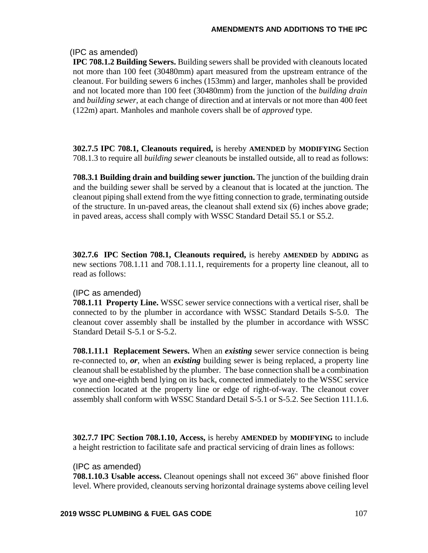#### (IPC as amended)

**IPC 708.1.2 Building Sewers.** Building sewers shall be provided with cleanouts located not more than 100 feet (30480mm) apart measured from the upstream entrance of the cleanout. For building sewers 6 inches (153mm) and larger, manholes shall be provided and not located more than 100 feet (30480mm) from the junction of the *building drain*  and *building sewer,* at each change of direction and at intervals or not more than 400 feet (122m) apart. Manholes and manhole covers shall be of *approved* type.

**302.7.5 IPC 708.1, Cleanouts required,** is hereby **AMENDED** by **MODIFYING** Section 708.1.3 to require all *building sewer* cleanouts be installed outside, all to read as follows:

**708.3.1 Building drain and building sewer junction.** The junction of the building drain and the building sewer shall be served by a cleanout that is located at the junction. The cleanout piping shall extend from the wye fitting connection to grade, terminating outside of the structure. In un-paved areas, the cleanout shall extend six (6) inches above grade; in paved areas, access shall comply with WSSC Standard Detail S5.1 or S5.2.

**302.7.6 IPC Section 708.1, Cleanouts required,** is hereby **AMENDED** by **ADDING** as new sections 708.1.11 and 708.1.11.1, requirements for a property line cleanout, all to read as follows:

#### (IPC as amended)

 **708.1.11 Property Line.** WSSC sewer service connections with a vertical riser, shall be connected to by the plumber in accordance with WSSC Standard Details S-5.0. The cleanout cover assembly shall be installed by the plumber in accordance with WSSC Standard Detail S-5.1 or S-5.2.

**708.1.11.1 Replacement Sewers.** When an *existing* sewer service connection is being re-connected to, *or,* when an *existing* building sewer is being replaced, a property line cleanout shall be established by the plumber. The base connection shall be a combination wye and one-eighth bend lying on its back, connected immediately to the WSSC service connection located at the property line or edge of right-of-way. The cleanout cover assembly shall conform with WSSC Standard Detail S-5.1 or S-5.2. See Section 111.1.6.

**302.7.7 IPC Section 708.1.10, Access,** is hereby **AMENDED** by **MODIFYING** to include a height restriction to facilitate safe and practical servicing of drain lines as follows:

#### (IPC as amended)

**708.1.10.3 Usable access.** Cleanout openings shall not exceed 36" above finished floor level. Where provided, cleanouts serving horizontal drainage systems above ceiling level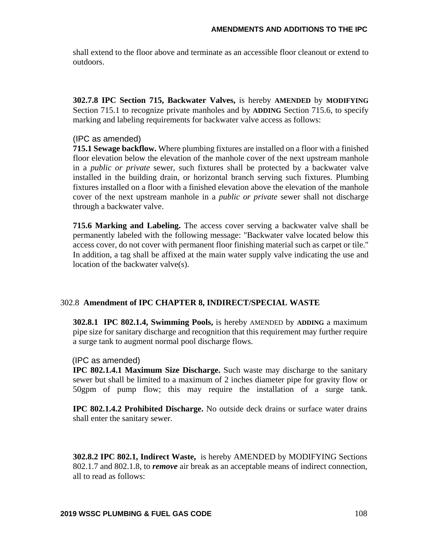shall extend to the floor above and terminate as an accessible floor cleanout or extend to outdoors.

**302.7.8 IPC Section 715, Backwater Valves,** is hereby **AMENDED** by **MODIFYING** Section 715.1 to recognize private manholes and by **ADDING** Section 715.6, to specify marking and labeling requirements for backwater valve access as follows:

#### (IPC as amended)

**715.1 Sewage backflow.** Where plumbing fixtures are installed on a floor with a finished floor elevation below the elevation of the manhole cover of the next upstream manhole in a *public or private* sewer, such fixtures shall be protected by a backwater valve installed in the building drain, or horizontal branch serving such fixtures. Plumbing fixtures installed on a floor with a finished elevation above the elevation of the manhole cover of the next upstream manhole in a *public or private* sewer shall not discharge through a backwater valve.

**715.6 Marking and Labeling.** The access cover serving a backwater valve shall be permanently labeled with the following message: "Backwater valve located below this access cover, do not cover with permanent floor finishing material such as carpet or tile." In addition, a tag shall be affixed at the main water supply valve indicating the use and location of the backwater valve(s).

#### 302.8 **Amendment of IPC CHAPTER 8, INDIRECT/SPECIAL WASTE**

**302.8.1 IPC 802.1.4, Swimming Pools,** is hereby AMENDED by **ADDING** a maximum pipe size for sanitary discharge and recognition that this requirement may further require a surge tank to augment normal pool discharge flows.

#### (IPC as amended)

**IPC 802.1.4.1 Maximum Size Discharge.** Such waste may discharge to the sanitary sewer but shall be limited to a maximum of 2 inches diameter pipe for gravity flow or 50gpm of pump flow; this may require the installation of a surge tank.

**IPC 802.1.4.2 Prohibited Discharge.** No outside deck drains or surface water drains shall enter the sanitary sewer.

**302.8.2 IPC 802.1, Indirect Waste,** is hereby AMENDED by MODIFYING Sections 802.1.7 and 802.1.8, to *remove* air break as an acceptable means of indirect connection, all to read as follows: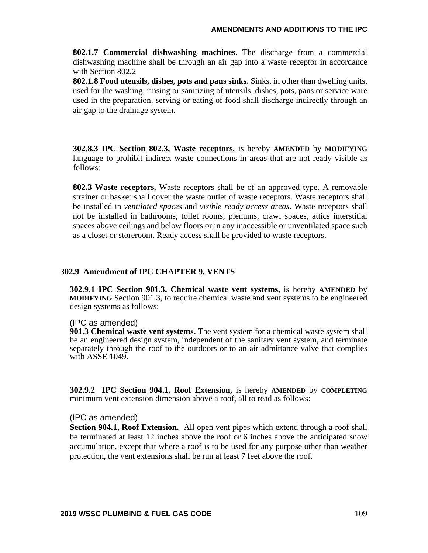**802.1.7 Commercial dishwashing machines**. The discharge from a commercial dishwashing machine shall be through an air gap into a waste receptor in accordance with Section 802.2

**802.1.8 Food utensils, dishes, pots and pans sinks.** Sinks, in other than dwelling units, used for the washing, rinsing or sanitizing of utensils, dishes, pots, pans or service ware used in the preparation, serving or eating of food shall discharge indirectly through an air gap to the drainage system.

**302.8.3 IPC Section 802.3, Waste receptors,** is hereby **AMENDED** by **MODIFYING** language to prohibit indirect waste connections in areas that are not ready visible as follows:

**802.3 Waste receptors.** Waste receptors shall be of an approved type. A removable strainer or basket shall cover the waste outlet of waste receptors. Waste receptors shall be installed in *ventilated spaces* and *visible ready access areas*. Waste receptors shall not be installed in bathrooms, toilet rooms, plenums, crawl spaces, attics interstitial spaces above ceilings and below floors or in any inaccessible or unventilated space such as a closet or storeroom. Ready access shall be provided to waste receptors.

#### **302.9 Amendment of IPC CHAPTER 9, VENTS**

**302.9.1 IPC Section 901.3, Chemical waste vent systems,** is hereby **AMENDED** by **MODIFYING** Section 901.3, to require chemical waste and vent systems to be engineered design systems as follows:

#### (IPC as amended)

**901.3 Chemical waste vent systems.** The vent system for a chemical waste system shall be an engineered design system, independent of the sanitary vent system, and terminate separately through the roof to the outdoors or to an air admittance valve that complies with ASSE 1049.

**302.9.2 IPC Section 904.1, Roof Extension,** is hereby **AMENDED** by **COMPLETING** minimum vent extension dimension above a roof, all to read as follows:

#### (IPC as amended)

**Section 904.1, Roof Extension.** All open vent pipes which extend through a roof shall be terminated at least 12 inches above the roof or 6 inches above the anticipated snow accumulation, except that where a roof is to be used for any purpose other than weather protection, the vent extensions shall be run at least 7 feet above the roof.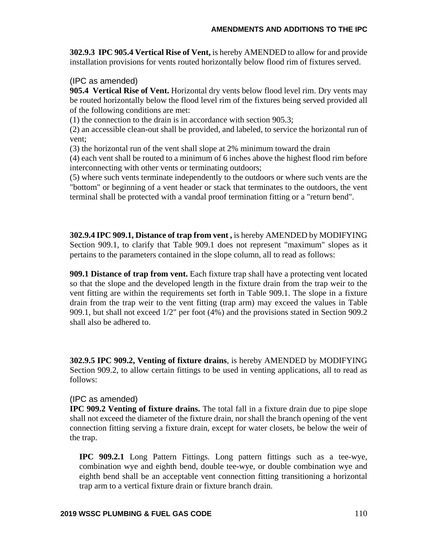**302.9.3 IPC 905.4 Vertical Rise of Vent,** is hereby AMENDED to allow for and provide installation provisions for vents routed horizontally below flood rim of fixtures served.

## (IPC as amended)

**905.4 Vertical Rise of Vent.** Horizontal dry vents below flood level rim. Dry vents may be routed horizontally below the flood level rim of the fixtures being served provided all of the following conditions are met:

(1) the connection to the drain is in accordance with section 905.3;

(2) an accessible clean-out shall be provided, and labeled, to service the horizontal run of vent;

(3) the horizontal run of the vent shall slope at 2% minimum toward the drain

(4) each vent shall be routed to a minimum of 6 inches above the highest flood rim before interconnecting with other vents or terminating outdoors;

(5) where such vents terminate independently to the outdoors or where such vents are the "bottom" or beginning of a vent header or stack that terminates to the outdoors, the vent terminal shall be protected with a vandal proof termination fitting or a "return bend".

**302.9.4 IPC 909.1, Distance of trap from vent ,** is hereby AMENDED by MODIFYING Section 909.1, to clarify that Table 909.1 does not represent "maximum" slopes as it pertains to the parameters contained in the slope column, all to read as follows:

**909.1 Distance of trap from vent.** Each fixture trap shall have a protecting vent located so that the slope and the developed length in the fixture drain from the trap weir to the vent fitting are within the requirements set forth in Table 909.1. The slope in a fixture drain from the trap weir to the vent fitting (trap arm) may exceed the values in Table 909.1, but shall not exceed 1/2" per foot (4%) and the provisions stated in Section 909.2 shall also be adhered to.

**302.9.5 IPC 909.2, Venting of fixture drains**, is hereby AMENDED by MODIFYING Section 909.2, to allow certain fittings to be used in venting applications, all to read as follows:

## (IPC as amended)

**IPC 909.2 Venting of fixture drains.** The total fall in a fixture drain due to pipe slope shall not exceed the diameter of the fixture drain, nor shall the branch opening of the vent connection fitting serving a fixture drain, except for water closets, be below the weir of the trap.

**IPC 909.2.1** Long Pattern Fittings. Long pattern fittings such as a tee-wye, combination wye and eighth bend, double tee-wye, or double combination wye and eighth bend shall be an acceptable vent connection fitting transitioning a horizontal trap arm to a vertical fixture drain or fixture branch drain.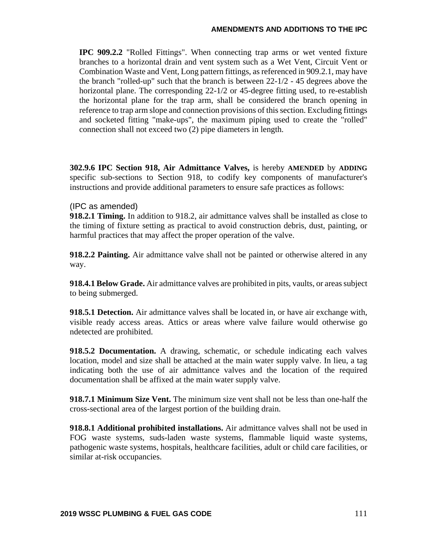**IPC 909.2.2** "Rolled Fittings". When connecting trap arms or wet vented fixture branches to a horizontal drain and vent system such as a Wet Vent, Circuit Vent or Combination Waste and Vent, Long pattern fittings, as referenced in 909.2.1, may have the branch "rolled-up" such that the branch is between 22-1/2 - 45 degrees above the horizontal plane. The corresponding 22-1/2 or 45-degree fitting used, to re-establish the horizontal plane for the trap arm, shall be considered the branch opening in reference to trap arm slope and connection provisions of this section. Excluding fittings and socketed fitting "make-ups", the maximum piping used to create the "rolled" connection shall not exceed two (2) pipe diameters in length.

**302.9.6 IPC Section 918, Air Admittance Valves,** is hereby **AMENDED** by **ADDING** specific sub-sections to Section 918, to codify key components of manufacturer's instructions and provide additional parameters to ensure safe practices as follows:

## (IPC as amended)

**918.2.1 Timing.** In addition to 918.2, air admittance valves shall be installed as close to the timing of fixture setting as practical to avoid construction debris, dust, painting, or harmful practices that may affect the proper operation of the valve.

**918.2.2 Painting.** Air admittance valve shall not be painted or otherwise altered in any way.

**918.4.1 Below Grade.** Air admittance valves are prohibited in pits, vaults, or areas subject to being submerged.

**918.5.1 Detection.** Air admittance valves shall be located in, or have air exchange with, visible ready access areas. Attics or areas where valve failure would otherwise go ndetected are prohibited.

**918.5.2 Documentation.** A drawing, schematic, or schedule indicating each valves location, model and size shall be attached at the main water supply valve. In lieu, a tag indicating both the use of air admittance valves and the location of the required documentation shall be affixed at the main water supply valve.

**918.7.1 Minimum Size Vent.** The minimum size vent shall not be less than one-half the cross-sectional area of the largest portion of the building drain.

**918.8.1 Additional prohibited installations.** Air admittance valves shall not be used in FOG waste systems, suds-laden waste systems, flammable liquid waste systems, pathogenic waste systems, hospitals, healthcare facilities, adult or child care facilities, or similar at-risk occupancies.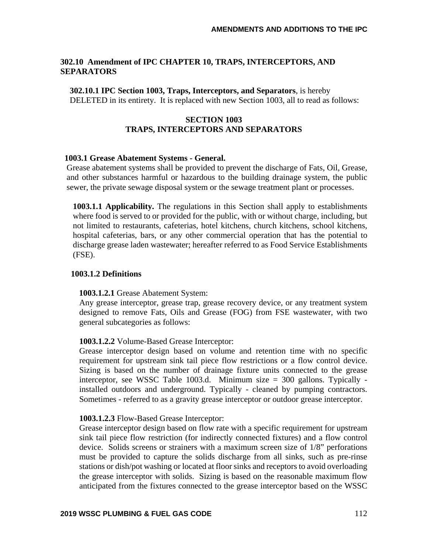## **302.10 Amendment of IPC CHAPTER 10, TRAPS, INTERCEPTORS, AND SEPARATORS**

### **302.10.1 IPC Section 1003, Traps, Interceptors, and Separators**, is hereby DELETED in its entirety. It is replaced with new Section 1003, all to read as follows:

## **SECTION 1003 TRAPS, INTERCEPTORS AND SEPARATORS**

### **1003.1 Grease Abatement Systems - General.**

Grease abatement systems shall be provided to prevent the discharge of Fats, Oil, Grease, and other substances harmful or hazardous to the building drainage system, the public sewer, the private sewage disposal system or the sewage treatment plant or processes.

**1003.1.1 Applicability.** The regulations in this Section shall apply to establishments where food is served to or provided for the public, with or without charge, including, but not limited to restaurants, cafeterias, hotel kitchens, church kitchens, school kitchens, hospital cafeterias, bars, or any other commercial operation that has the potential to discharge grease laden wastewater; hereafter referred to as Food Service Establishments (FSE).

### **1003.1.2 Definitions**

#### **1003.1.2.1** Grease Abatement System:

Any grease interceptor, grease trap, grease recovery device, or any treatment system designed to remove Fats, Oils and Grease (FOG) from FSE wastewater, with two general subcategories as follows:

## **1003.1.2.2** Volume-Based Grease Interceptor:

Grease interceptor design based on volume and retention time with no specific requirement for upstream sink tail piece flow restrictions or a flow control device. Sizing is based on the number of drainage fixture units connected to the grease interceptor, see WSSC Table 1003.d. Minimum size = 300 gallons. Typically installed outdoors and underground. Typically - cleaned by pumping contractors. Sometimes - referred to as a gravity grease interceptor or outdoor grease interceptor.

## **1003.1.2.3** Flow-Based Grease Interceptor:

Grease interceptor design based on flow rate with a specific requirement for upstream sink tail piece flow restriction (for indirectly connected fixtures) and a flow control device. Solids screens or strainers with a maximum screen size of 1/8" perforations must be provided to capture the solids discharge from all sinks, such as pre-rinse stations or dish/pot washing or located at floor sinks and receptors to avoid overloading the grease interceptor with solids. Sizing is based on the reasonable maximum flow anticipated from the fixtures connected to the grease interceptor based on the WSSC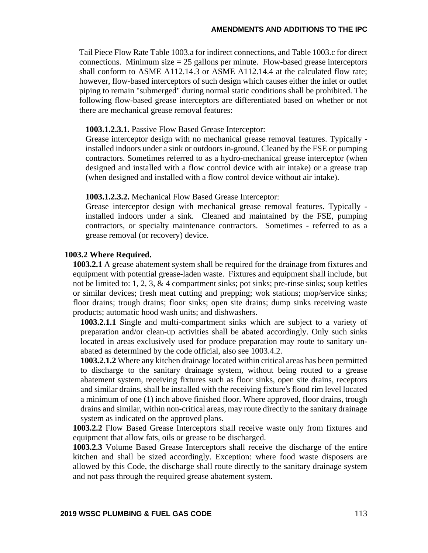Tail Piece Flow Rate Table 1003.a for indirect connections, and Table 1003.c for direct connections. Minimum size  $= 25$  gallons per minute. Flow-based grease interceptors shall conform to ASME A112.14.3 or ASME A112.14.4 at the calculated flow rate; however, flow-based interceptors of such design which causes either the inlet or outlet piping to remain "submerged" during normal static conditions shall be prohibited. The following flow-based grease interceptors are differentiated based on whether or not there are mechanical grease removal features:

### **1003.1.2.3.1.** Passive Flow Based Grease Interceptor:

Grease interceptor design with no mechanical grease removal features. Typically installed indoors under a sink or outdoors in-ground. Cleaned by the FSE or pumping contractors. Sometimes referred to as a hydro-mechanical grease interceptor (when designed and installed with a flow control device with air intake) or a grease trap (when designed and installed with a flow control device without air intake).

**1003.1.2.3.2.** Mechanical Flow Based Grease Interceptor:

Grease interceptor design with mechanical grease removal features. Typically installed indoors under a sink. Cleaned and maintained by the FSE, pumping contractors, or specialty maintenance contractors. Sometimes - referred to as a grease removal (or recovery) device.

#### **1003.2 Where Required.**

**1003.2.1** A grease abatement system shall be required for the drainage from fixtures and equipment with potential grease-laden waste. Fixtures and equipment shall include, but not be limited to: 1, 2, 3,  $\&$  4 compartment sinks; pot sinks; pre-rinse sinks; soup kettles or similar devices; fresh meat cutting and prepping; wok stations; mop/service sinks; floor drains; trough drains; floor sinks; open site drains; dump sinks receiving waste products; automatic hood wash units; and dishwashers.

**1003.2.1.1** Single and multi-compartment sinks which are subject to a variety of preparation and/or clean-up activities shall be abated accordingly. Only such sinks located in areas exclusively used for produce preparation may route to sanitary unabated as determined by the code official, also see 1003.4.2.

**1003.2.1.2** Where any kitchen drainage located within critical areas has been permitted to discharge to the sanitary drainage system, without being routed to a grease abatement system, receiving fixtures such as floor sinks, open site drains, receptors and similar drains, shall be installed with the receiving fixture's flood rim level located a minimum of one (1) inch above finished floor. Where approved, floor drains, trough drains and similar, within non-critical areas, may route directly to the sanitary drainage system as indicated on the approved plans.

**1003.2.2** Flow Based Grease Interceptors shall receive waste only from fixtures and equipment that allow fats, oils or grease to be discharged.

**1003.2.3** Volume Based Grease Interceptors shall receive the discharge of the entire kitchen and shall be sized accordingly. Exception: where food waste disposers are allowed by this Code, the discharge shall route directly to the sanitary drainage system and not pass through the required grease abatement system.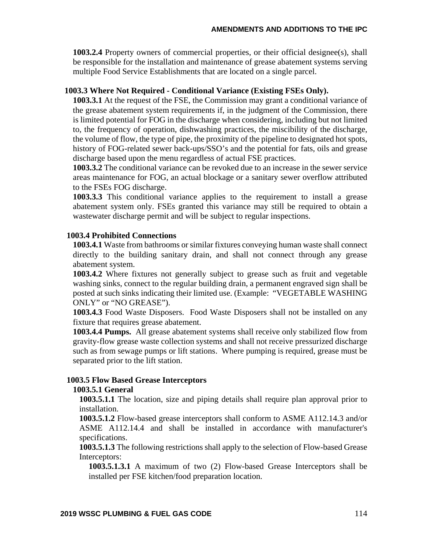**1003.2.4** Property owners of commercial properties, or their official designee(s), shall be responsible for the installation and maintenance of grease abatement systems serving multiple Food Service Establishments that are located on a single parcel.

#### **1003.3 Where Not Required - Conditional Variance (Existing FSEs Only).**

**1003.3.1** At the request of the FSE, the Commission may grant a conditional variance of the grease abatement system requirements if, in the judgment of the Commission, there is limited potential for FOG in the discharge when considering, including but not limited to, the frequency of operation, dishwashing practices, the miscibility of the discharge, the volume of flow, the type of pipe, the proximity of the pipeline to designated hot spots, history of FOG-related sewer back-ups/SSO's and the potential for fats, oils and grease discharge based upon the menu regardless of actual FSE practices.

**1003.3.2** The conditional variance can be revoked due to an increase in the sewer service areas maintenance for FOG, an actual blockage or a sanitary sewer overflow attributed to the FSEs FOG discharge.

**1003.3.3** This conditional variance applies to the requirement to install a grease abatement system only. FSEs granted this variance may still be required to obtain a wastewater discharge permit and will be subject to regular inspections.

### **1003.4 Prohibited Connections**

**1003.4.1** Waste from bathrooms or similar fixtures conveying human waste shall connect directly to the building sanitary drain, and shall not connect through any grease abatement system.

**1003.4.2** Where fixtures not generally subject to grease such as fruit and vegetable washing sinks, connect to the regular building drain, a permanent engraved sign shall be posted at such sinks indicating their limited use. (Example: "VEGETABLE WASHING ONLY" or "NO GREASE").

**1003.4.3** Food Waste Disposers. Food Waste Disposers shall not be installed on any fixture that requires grease abatement.

**1003.4.4 Pumps.** All grease abatement systems shall receive only stabilized flow from gravity-flow grease waste collection systems and shall not receive pressurized discharge such as from sewage pumps or lift stations. Where pumping is required, grease must be separated prior to the lift station.

### **1003.5 Flow Based Grease Interceptors**

#### **1003.5.1 General**

 **1003.5.1.1** The location, size and piping details shall require plan approval prior to installation.

 **1003.5.1.2** Flow-based grease interceptors shall conform to ASME A112.14.3 and/or ASME A112.14.4 and shall be installed in accordance with manufacturer's specifications.

**1003.5.1.3** The following restrictions shall apply to the selection of Flow-based Grease Interceptors:

**1003.5.1.3.1** A maximum of two (2) Flow-based Grease Interceptors shall be installed per FSE kitchen/food preparation location.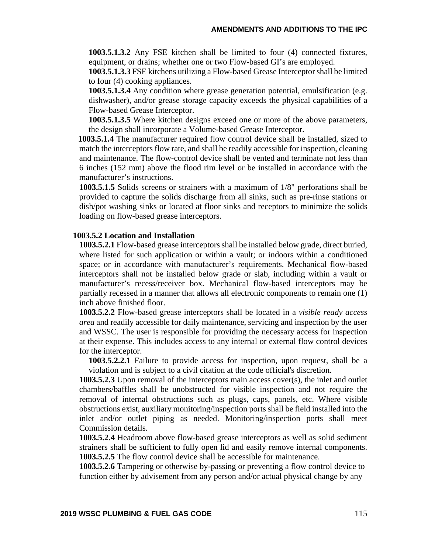**1003.5.1.3.2** Any FSE kitchen shall be limited to four (4) connected fixtures, equipment, or drains; whether one or two Flow-based GI's are employed.

**1003.5.1.3.3** FSE kitchens utilizing a Flow-based Grease Interceptor shall be limited to four (4) cooking appliances.

**1003.5.1.3.4** Any condition where grease generation potential, emulsification (e.g. dishwasher), and/or grease storage capacity exceeds the physical capabilities of a Flow-based Grease Interceptor.

**1003.5.1.3.5** Where kitchen designs exceed one or more of the above parameters, the design shall incorporate a Volume-based Grease Interceptor.

 **1003.5.1.4** The manufacturer required flow control device shall be installed, sized to match the interceptors flow rate, and shall be readily accessible for inspection, cleaning and maintenance. The flow-control device shall be vented and terminate not less than 6 inches (152 mm) above the flood rim level or be installed in accordance with the manufacturer's instructions.

 **1003.5.1.5** Solids screens or strainers with a maximum of 1/8" perforations shall be provided to capture the solids discharge from all sinks, such as pre-rinse stations or dish/pot washing sinks or located at floor sinks and receptors to minimize the solids loading on flow-based grease interceptors.

### **1003.5.2 Location and Installation**

 **1003.5.2.1** Flow-based grease interceptors shall be installed below grade, direct buried, where listed for such application or within a vault; or indoors within a conditioned space; or in accordance with manufacturer's requirements. Mechanical flow-based interceptors shall not be installed below grade or slab, including within a vault or manufacturer's recess/receiver box. Mechanical flow-based interceptors may be partially recessed in a manner that allows all electronic components to remain one (1) inch above finished floor.

**1003.5.2.2** Flow-based grease interceptors shall be located in a *visible ready access area* and readily accessible for daily maintenance, servicing and inspection by the user and WSSC. The user is responsible for providing the necessary access for inspection at their expense. This includes access to any internal or external flow control devices for the interceptor.

**1003.5.2.2.1** Failure to provide access for inspection, upon request, shall be a violation and is subject to a civil citation at the code official's discretion.

**1003.5.2.3** Upon removal of the interceptors main access cover(s), the inlet and outlet chambers/baffles shall be unobstructed for visible inspection and not require the removal of internal obstructions such as plugs, caps, panels, etc. Where visible obstructions exist, auxiliary monitoring/inspection ports shall be field installed into the inlet and/or outlet piping as needed. Monitoring/inspection ports shall meet Commission details.

**1003.5.2.4** Headroom above flow-based grease interceptors as well as solid sediment strainers shall be sufficient to fully open lid and easily remove internal components. **1003.5.2.5** The flow control device shall be accessible for maintenance.

**1003.5.2.6** Tampering or otherwise by-passing or preventing a flow control device to function either by advisement from any person and/or actual physical change by any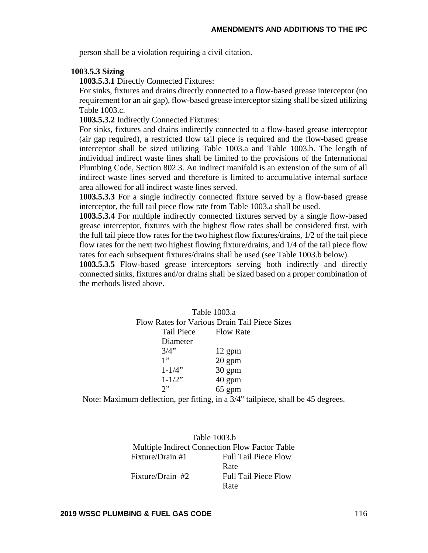person shall be a violation requiring a civil citation.

#### **1003.5.3 Sizing**

**1003.5.3.1** Directly Connected Fixtures:

For sinks, fixtures and drains directly connected to a flow-based grease interceptor (no requirement for an air gap), flow-based grease interceptor sizing shall be sized utilizing Table 1003.c.

#### **1003.5.3.2** Indirectly Connected Fixtures:

For sinks, fixtures and drains indirectly connected to a flow-based grease interceptor (air gap required), a restricted flow tail piece is required and the flow-based grease interceptor shall be sized utilizing Table 1003.a and Table 1003.b. The length of individual indirect waste lines shall be limited to the provisions of the International Plumbing Code, Section 802.3. An indirect manifold is an extension of the sum of all indirect waste lines served and therefore is limited to accumulative internal surface area allowed for all indirect waste lines served.

**1003.5.3.3** For a single indirectly connected fixture served by a flow-based grease interceptor, the full tail piece flow rate from Table 1003.a shall be used.

**1003.5.3.4** For multiple indirectly connected fixtures served by a single flow-based grease interceptor, fixtures with the highest flow rates shall be considered first, with the full tail piece flow rates for the two highest flow fixtures/drains, 1/2 of the tail piece flow rates for the next two highest flowing fixture/drains, and 1/4 of the tail piece flow rates for each subsequent fixtures/drains shall be used (see Table 1003.b below).

**1003.5.3.5** Flow-based grease interceptors serving both indirectly and directly connected sinks, fixtures and/or drains shall be sized based on a proper combination of the methods listed above.

### Table 1003.a Flow Rates for Various Drain Tail Piece Sizes Tail Piece Diameter Flow Rate 3/4" 12 gpm 1" 20 gpm 1-1/4" 30 gpm  $1 - 1/2$ " 40 gpm 2" 65 gpm

Note: Maximum deflection, per fitting, in a 3/4" tailpiece, shall be 45 degrees.

| Table 1003.b                                   |                             |  |  |  |  |  |
|------------------------------------------------|-----------------------------|--|--|--|--|--|
| Multiple Indirect Connection Flow Factor Table |                             |  |  |  |  |  |
| Fixture/Drain #1                               | <b>Full Tail Piece Flow</b> |  |  |  |  |  |
|                                                | Rate                        |  |  |  |  |  |
| Fixture/Drain $#2$                             | <b>Full Tail Piece Flow</b> |  |  |  |  |  |
|                                                | Rate                        |  |  |  |  |  |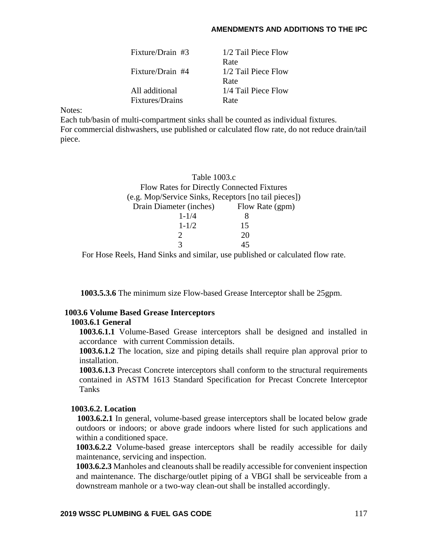#### **AMENDMENTS AND ADDITIONS TO THE IPC**

| Fixture/Drain #3 | 1/2 Tail Piece Flow   |
|------------------|-----------------------|
|                  | Rate                  |
| Fixture/Drain #4 | $1/2$ Tail Piece Flow |
|                  | Rate                  |
| All additional   | 1/4 Tail Piece Flow   |
| Fixtures/Drains  | Rate                  |

Notes:

Each tub/basin of multi-compartment sinks shall be counted as individual fixtures. For commercial dishwashers, use published or calculated flow rate, do not reduce drain/tail piece.

| Table 1003.c                                         |                 |  |  |  |  |  |
|------------------------------------------------------|-----------------|--|--|--|--|--|
| Flow Rates for Directly Connected Fixtures           |                 |  |  |  |  |  |
| (e.g. Mop/Service Sinks, Receptors [no tail pieces]) |                 |  |  |  |  |  |
| Drain Diameter (inches)                              | Flow Rate (gpm) |  |  |  |  |  |
| $1 - 1/4$                                            |                 |  |  |  |  |  |
| $1 - 1/2$                                            | 15              |  |  |  |  |  |
|                                                      | 20              |  |  |  |  |  |
|                                                      | 45              |  |  |  |  |  |

For Hose Reels, Hand Sinks and similar, use published or calculated flow rate.

**1003.5.3.6** The minimum size Flow-based Grease Interceptor shall be 25gpm.

## **1003.6 Volume Based Grease Interceptors**

## **1003.6.1 General**

**1003.6.1.1** Volume-Based Grease interceptors shall be designed and installed in accordance with current Commission details.

**1003.6.1.2** The location, size and piping details shall require plan approval prior to installation.

**1003.6.1.3** Precast Concrete interceptors shall conform to the structural requirements contained in ASTM 1613 Standard Specification for Precast Concrete Interceptor Tanks

## **1003.6.2. Location**

 **1003.6.2.1** In general, volume-based grease interceptors shall be located below grade outdoors or indoors; or above grade indoors where listed for such applications and within a conditioned space.

**1003.6.2.2** Volume-based grease interceptors shall be readily accessible for daily maintenance, servicing and inspection.

**1003.6.2.3** Manholes and cleanouts shall be readily accessible for convenient inspection and maintenance. The discharge/outlet piping of a VBGI shall be serviceable from a downstream manhole or a two-way clean-out shall be installed accordingly.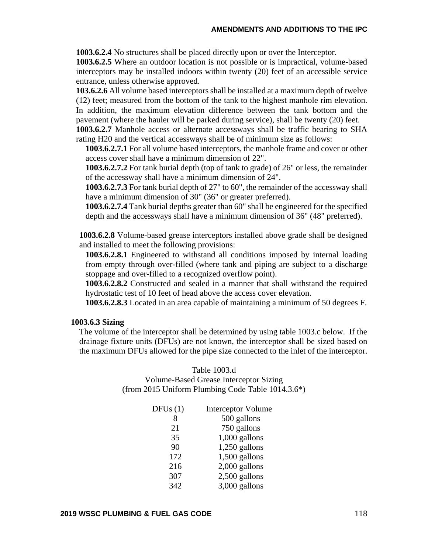**1003.6.2.4** No structures shall be placed directly upon or over the Interceptor.

**1003.6.2.5** Where an outdoor location is not possible or is impractical, volume-based interceptors may be installed indoors within twenty (20) feet of an accessible service entrance, unless otherwise approved.

**103.6.2.6** All volume based interceptors shall be installed at a maximum depth of twelve (12) feet; measured from the bottom of the tank to the highest manhole rim elevation. In addition, the maximum elevation difference between the tank bottom and the pavement (where the hauler will be parked during service), shall be twenty (20) feet.

**1003.6.2.7** Manhole access or alternate accessways shall be traffic bearing to SHA rating H20 and the vertical accessways shall be of minimum size as follows:

**1003.6.2.7.1** For all volume based interceptors, the manhole frame and cover or other access cover shall have a minimum dimension of 22".

**1003.6.2.7.2** For tank burial depth (top of tank to grade) of 26" or less, the remainder of the accessway shall have a minimum dimension of 24".

**1003.6.2.7.3** For tank burial depth of 27" to 60", the remainder of the accessway shall have a minimum dimension of 30" (36" or greater preferred).

**1003.6.2.7.4** Tank burial depths greater than 60" shall be engineered for the specified depth and the accessways shall have a minimum dimension of 36" (48" preferred).

**1003.6.2.8** Volume-based grease interceptors installed above grade shall be designed and installed to meet the following provisions:

**1003.6.2.8.1** Engineered to withstand all conditions imposed by internal loading from empty through over-filled (where tank and piping are subject to a discharge stoppage and over-filled to a recognized overflow point).

**1003.6.2.8.2** Constructed and sealed in a manner that shall withstand the required hydrostatic test of 10 feet of head above the access cover elevation.

**1003.6.2.8.3** Located in an area capable of maintaining a minimum of 50 degrees F.

#### **1003.6.3 Sizing**

 The volume of the interceptor shall be determined by using table 1003.c below. If the drainage fixture units (DFUs) are not known, the interceptor shall be sized based on the maximum DFUs allowed for the pipe size connected to the inlet of the interceptor.

> Table 1003.d Volume-Based Grease Interceptor Sizing (from 2015 Uniform Plumbing Code Table 1014.3.6\*)

| DFUs(1) | Interceptor Volume |
|---------|--------------------|
| 8       | 500 gallons        |
| 21      | 750 gallons        |
| 35      | $1,000$ gallons    |
| 90      | $1,250$ gallons    |
| 172     | 1,500 gallons      |
| 216     | $2,000$ gallons    |
| 307     | 2,500 gallons      |
| 342     | 3,000 gallons      |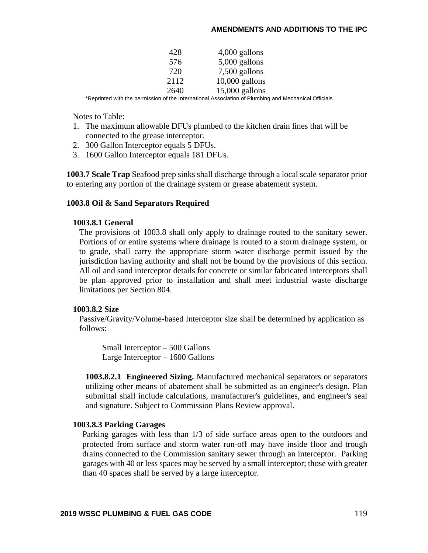#### **AMENDMENTS AND ADDITIONS TO THE IPC**

| 428  | $4,000$ gallons  |  |  |
|------|------------------|--|--|
| 576  | $5,000$ gallons  |  |  |
| 720  | 7,500 gallons    |  |  |
| 2112 | $10,000$ gallons |  |  |
| 2640 | $15,000$ gallons |  |  |
| .    |                  |  |  |

\*Reprinted with the permission of the International Association of Plumbing and Mechanical Officials.

Notes to Table:

- 1. The maximum allowable DFUs plumbed to the kitchen drain lines that will be connected to the grease interceptor.
- 2. 300 Gallon Interceptor equals 5 DFUs.
- 3. 1600 Gallon Interceptor equals 181 DFUs.

**1003.7 Scale Trap** Seafood prep sinks shall discharge through a local scale separator prior to entering any portion of the drainage system or grease abatement system.

#### **1003.8 Oil & Sand Separators Required**

#### **1003.8.1 General**

 The provisions of 1003.8 shall only apply to drainage routed to the sanitary sewer. Portions of or entire systems where drainage is routed to a storm drainage system, or to grade, shall carry the appropriate storm water discharge permit issued by the jurisdiction having authority and shall not be bound by the provisions of this section. All oil and sand interceptor details for concrete or similar fabricated interceptors shall be plan approved prior to installation and shall meet industrial waste discharge limitations per Section 804.

#### **1003.8.2 Size**

Passive/Gravity/Volume-based Interceptor size shall be determined by application as follows:

 Small Interceptor – 500 Gallons Large Interceptor – 1600 Gallons

**1003.8.2.1 Engineered Sizing.** Manufactured mechanical separators or separators utilizing other means of abatement shall be submitted as an engineer's design. Plan submittal shall include calculations, manufacturer's guidelines, and engineer's seal and signature. Subject to Commission Plans Review approval.

#### **1003.8.3 Parking Garages**

Parking garages with less than 1/3 of side surface areas open to the outdoors and protected from surface and storm water run-off may have inside floor and trough drains connected to the Commission sanitary sewer through an interceptor. Parking garages with 40 or less spaces may be served by a small interceptor; those with greater than 40 spaces shall be served by a large interceptor.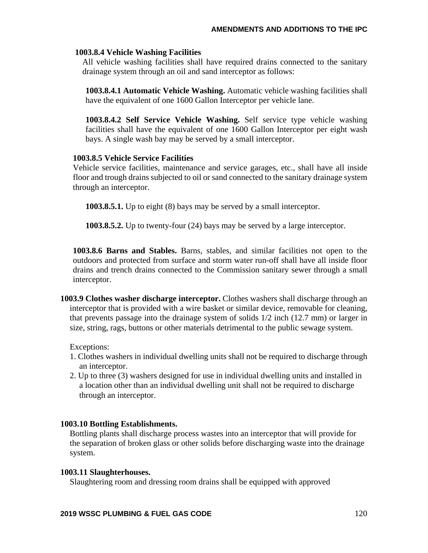#### **1003.8.4 Vehicle Washing Facilities**

All vehicle washing facilities shall have required drains connected to the sanitary drainage system through an oil and sand interceptor as follows:

**1003.8.4.1 Automatic Vehicle Washing.** Automatic vehicle washing facilities shall have the equivalent of one 1600 Gallon Interceptor per vehicle lane.

**1003.8.4.2 Self Service Vehicle Washing.** Self service type vehicle washing facilities shall have the equivalent of one 1600 Gallon Interceptor per eight wash bays. A single wash bay may be served by a small interceptor.

### **1003.8.5 Vehicle Service Facilities**

Vehicle service facilities, maintenance and service garages, etc., shall have all inside floor and trough drains subjected to oil or sand connected to the sanitary drainage system through an interceptor.

**1003.8.5.1.** Up to eight (8) bays may be served by a small interceptor.

**1003.8.5.2.** Up to twenty-four (24) bays may be served by a large interceptor.

**1003.8.6 Barns and Stables.** Barns, stables, and similar facilities not open to the outdoors and protected from surface and storm water run-off shall have all inside floor drains and trench drains connected to the Commission sanitary sewer through a small interceptor.

**1003.9 Clothes washer discharge interceptor.** Clothes washers shall discharge through an interceptor that is provided with a wire basket or similar device, removable for cleaning, that prevents passage into the drainage system of solids 1/2 inch (12.7 mm) or larger in size, string, rags, buttons or other materials detrimental to the public sewage system.

Exceptions:

- 1. Clothes washers in individual dwelling units shall not be required to discharge through an interceptor.
- 2. Up to three (3) washers designed for use in individual dwelling units and installed in a location other than an individual dwelling unit shall not be required to discharge through an interceptor.

#### **1003.10 Bottling Establishments.**

Bottling plants shall discharge process wastes into an interceptor that will provide for the separation of broken glass or other solids before discharging waste into the drainage system.

#### **1003.11 Slaughterhouses.**

Slaughtering room and dressing room drains shall be equipped with approved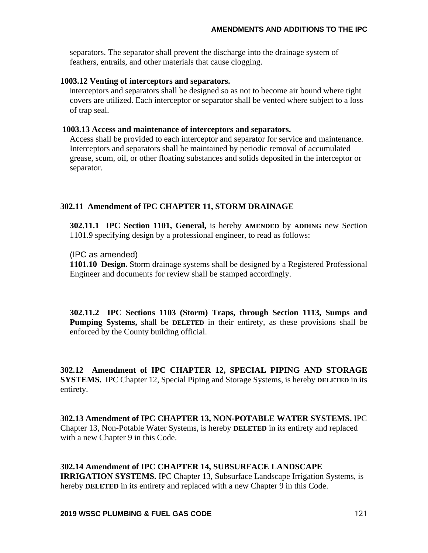separators. The separator shall prevent the discharge into the drainage system of feathers, entrails, and other materials that cause clogging.

## **1003.12 Venting of interceptors and separators.**

 Interceptors and separators shall be designed so as not to become air bound where tight covers are utilized. Each interceptor or separator shall be vented where subject to a loss of trap seal.

## **1003.13 Access and maintenance of interceptors and separators.**

 Access shall be provided to each interceptor and separator for service and maintenance. Interceptors and separators shall be maintained by periodic removal of accumulated grease, scum, oil, or other floating substances and solids deposited in the interceptor or separator.

## **302.11 Amendment of IPC CHAPTER 11, STORM DRAINAGE**

**302.11.1 IPC Section 1101, General,** is hereby **AMENDED** by **ADDING** new Section 1101.9 specifying design by a professional engineer, to read as follows:

(IPC as amended)

**1101.10 Design.** Storm drainage systems shall be designed by a Registered Professional Engineer and documents for review shall be stamped accordingly.

**302.11.2 IPC Sections 1103 (Storm) Traps, through Section 1113, Sumps and Pumping Systems,** shall be **DELETED** in their entirety, as these provisions shall be enforced by the County building official.

**302.12 Amendment of IPC CHAPTER 12, SPECIAL PIPING AND STORAGE SYSTEMS.** IPC Chapter 12, Special Piping and Storage Systems, is hereby **DELETED** in its entirety.

**302.13 Amendment of IPC CHAPTER 13, NON-POTABLE WATER SYSTEMS.** IPC Chapter 13, Non-Potable Water Systems, is hereby **DELETED** in its entirety and replaced with a new Chapter 9 in this Code.

**302.14 Amendment of IPC CHAPTER 14, SUBSURFACE LANDSCAPE IRRIGATION SYSTEMS.** IPC Chapter 13, Subsurface Landscape Irrigation Systems, is hereby **DELETED** in its entirety and replaced with a new Chapter 9 in this Code.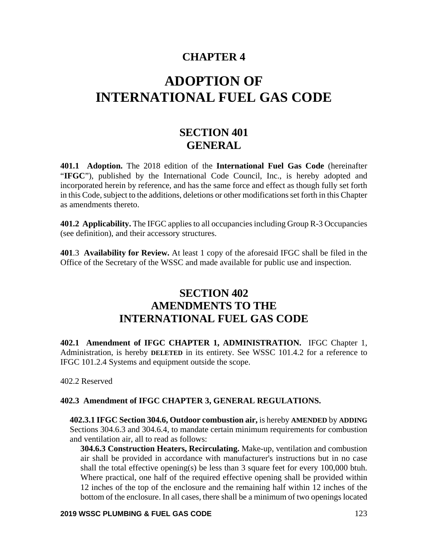## **CHAPTER 4**

# **ADOPTION OF INTERNATIONAL FUEL GAS CODE**

## **SECTION 401 GENERAL**

**401.1 Adoption.** The 2018 edition of the **International Fuel Gas Code** (hereinafter "**IFGC**"), published by the International Code Council, Inc., is hereby adopted and incorporated herein by reference, and has the same force and effect as though fully set forth in this Code, subject to the additions, deletions or other modifications set forth in this Chapter as amendments thereto.

**401.2 Applicability.** The IFGC applies to all occupancies including Group R-3 Occupancies (see definition), and their accessory structures.

**401**.3 **Availability for Review.** At least 1 copy of the aforesaid IFGC shall be filed in the Office of the Secretary of the WSSC and made available for public use and inspection.

## **SECTION 402 AMENDMENTS TO THE INTERNATIONAL FUEL GAS CODE**

**402.1 Amendment of IFGC CHAPTER 1, ADMINISTRATION.** IFGC Chapter 1, Administration, is hereby **DELETED** in its entirety. See WSSC 101.4.2 for a reference to IFGC 101.2.4 Systems and equipment outside the scope.

402.2 Reserved

## **402.3 Amendment of IFGC CHAPTER 3, GENERAL REGULATIONS.**

**402.3.1 IFGC Section 304.6, Outdoor combustion air,** is hereby **AMENDED** by **ADDING** Sections 304.6.3 and 304.6.4, to mandate certain minimum requirements for combustion and ventilation air, all to read as follows:

**304.6.3 Construction Heaters, Recirculating.** Make-up, ventilation and combustion air shall be provided in accordance with manufacturer's instructions but in no case shall the total effective opening(s) be less than 3 square feet for every  $100,000$  btuh. Where practical, one half of the required effective opening shall be provided within 12 inches of the top of the enclosure and the remaining half within 12 inches of the bottom of the enclosure. In all cases, there shall be a minimum of two openings located

### **2019 WSSC PLUMBING & FUEL GAS CODE** 123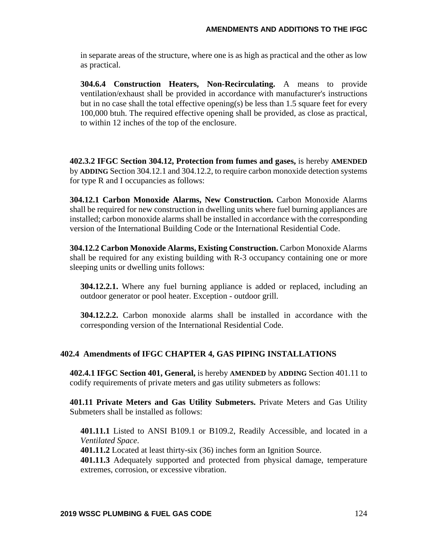in separate areas of the structure, where one is as high as practical and the other as low as practical.

**304.6.4 Construction Heaters, Non-Recirculating.** A means to provide ventilation/exhaust shall be provided in accordance with manufacturer's instructions but in no case shall the total effective opening(s) be less than 1.5 square feet for every 100,000 btuh. The required effective opening shall be provided, as close as practical, to within 12 inches of the top of the enclosure.

**402.3.2 IFGC Section 304.12, Protection from fumes and gases,** is hereby **AMENDED** by **ADDING** Section 304.12.1 and 304.12.2, to require carbon monoxide detection systems for type R and I occupancies as follows:

**304.12.1 Carbon Monoxide Alarms, New Construction.** Carbon Monoxide Alarms shall be required for new construction in dwelling units where fuel burning appliances are installed; carbon monoxide alarms shall be installed in accordance with the corresponding version of the International Building Code or the International Residential Code.

**304.12.2 Carbon Monoxide Alarms, Existing Construction.** Carbon Monoxide Alarms shall be required for any existing building with R-3 occupancy containing one or more sleeping units or dwelling units follows:

 **304.12.2.1.** Where any fuel burning appliance is added or replaced, including an outdoor generator or pool heater. Exception - outdoor grill.

 **304.12.2.2.** Carbon monoxide alarms shall be installed in accordance with the corresponding version of the International Residential Code.

#### **402.4 Amendments of IFGC CHAPTER 4, GAS PIPING INSTALLATIONS**

**402.4.1 IFGC Section 401, General,** is hereby **AMENDED** by **ADDING** Section 401.11 to codify requirements of private meters and gas utility submeters as follows:

**401.11 Private Meters and Gas Utility Submeters.** Private Meters and Gas Utility Submeters shall be installed as follows:

 **401.11.1** Listed to ANSI B109.1 or B109.2, Readily Accessible, and located in a *Ventilated Space*.

 **401.11.2** Located at least thirty-six (36) inches form an Ignition Source.

 **401.11.3** Adequately supported and protected from physical damage, temperature extremes, corrosion, or excessive vibration.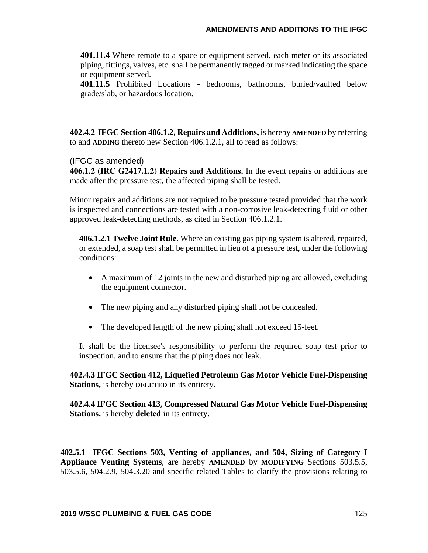**401.11.4** Where remote to a space or equipment served, each meter or its associated piping, fittings, valves, etc. shall be permanently tagged or marked indicating the space or equipment served.

 **401.11.5** Prohibited Locations - bedrooms, bathrooms, buried/vaulted below grade/slab, or hazardous location.

**402.4.2 IFGC Section 406.1.2, Repairs and Additions,** is hereby **AMENDED** by referring to and **ADDING** thereto new Section 406.1.2.1, all to read as follows:

## (IFGC as amended)

**406.1.2 (IRC G2417.1.2) Repairs and Additions.** In the event repairs or additions are made after the pressure test, the affected piping shall be tested.

Minor repairs and additions are not required to be pressure tested provided that the work is inspected and connections are tested with a non-corrosive leak-detecting fluid or other approved leak-detecting methods, as cited in Section 406.1.2.1.

**406.1.2.1 Twelve Joint Rule.** Where an existing gas piping system is altered, repaired, or extended, a soap test shall be permitted in lieu of a pressure test, under the following conditions:

- A maximum of 12 joints in the new and disturbed piping are allowed, excluding the equipment connector.
- The new piping and any disturbed piping shall not be concealed.
- The developed length of the new piping shall not exceed 15-feet.

It shall be the licensee's responsibility to perform the required soap test prior to inspection, and to ensure that the piping does not leak.

**402.4.3 IFGC Section 412, Liquefied Petroleum Gas Motor Vehicle Fuel-Dispensing Stations,** is hereby **DELETED** in its entirety.

**402.4.4 IFGC Section 413, Compressed Natural Gas Motor Vehicle Fuel-Dispensing Stations,** is hereby **deleted** in its entirety.

**402.5.1 IFGC Sections 503, Venting of appliances, and 504, Sizing of Category I Appliance Venting Systems**, are hereby **AMENDED** by **MODIFYING** Sections 503.5.5, 503.5.6, 504.2.9, 504.3.20 and specific related Tables to clarify the provisions relating to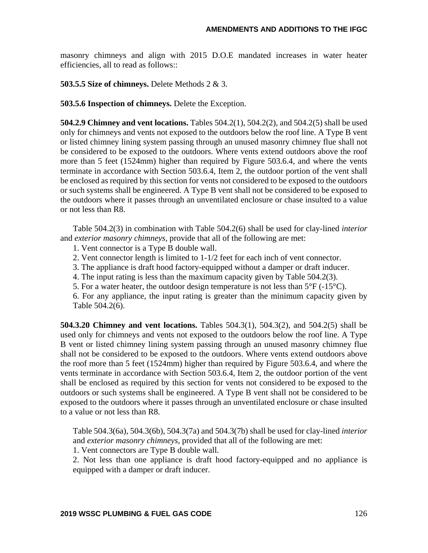masonry chimneys and align with 2015 D.O.E mandated increases in water heater efficiencies, all to read as follows::

**503.5.5 Size of chimneys.** Delete Methods 2 & 3.

**503.5.6 Inspection of chimneys.** Delete the Exception.

**504.2.9 Chimney and vent locations.** Tables 504.2(1), 504.2(2), and 504.2(5) shall be used only for chimneys and vents not exposed to the outdoors below the roof line. A Type B vent or listed chimney lining system passing through an unused masonry chimney flue shall not be considered to be exposed to the outdoors. Where vents extend outdoors above the roof more than 5 feet (1524mm) higher than required by Figure 503.6.4, and where the vents terminate in accordance with Section 503.6.4, Item 2, the outdoor portion of the vent shall be enclosed as required by this section for vents not considered to be exposed to the outdoors or such systems shall be engineered. A Type B vent shall not be considered to be exposed to the outdoors where it passes through an unventilated enclosure or chase insulted to a value or not less than R8.

Table 504.2(3) in combination with Table 504.2(6) shall be used for clay-lined *interior* and *exterior masonry chimneys,* provide that all of the following are met:

- 1. Vent connector is a Type B double wall.
- 2. Vent connector length is limited to 1-1/2 feet for each inch of vent connector.
- 3. The appliance is draft hood factory-equipped without a damper or draft inducer.
- 4. The input rating is less than the maximum capacity given by Table 504.2(3).
- 5. For a water heater, the outdoor design temperature is not less than  $5^{\circ}F$  (-15 $^{\circ}C$ ).

6. For any appliance, the input rating is greater than the minimum capacity given by Table 504.2(6).

**504.3.20 Chimney and vent locations.** Tables 504.3(1), 504.3(2), and 504.2(5) shall be used only for chimneys and vents not exposed to the outdoors below the roof line. A Type B vent or listed chimney lining system passing through an unused masonry chimney flue shall not be considered to be exposed to the outdoors. Where vents extend outdoors above the roof more than 5 feet (1524mm) higher than required by Figure 503.6.4, and where the vents terminate in accordance with Section 503.6.4, Item 2, the outdoor portion of the vent shall be enclosed as required by this section for vents not considered to be exposed to the outdoors or such systems shall be engineered. A Type B vent shall not be considered to be exposed to the outdoors where it passes through an unventilated enclosure or chase insulted to a value or not less than R8.

Table 504.3(6a), 504.3(6b), 504.3(7a) and 504.3(7b) shall be used for clay-lined *interior* and *exterior masonry chimneys,* provided that all of the following are met:

1. Vent connectors are Type B double wall.

2. Not less than one appliance is draft hood factory-equipped and no appliance is equipped with a damper or draft inducer.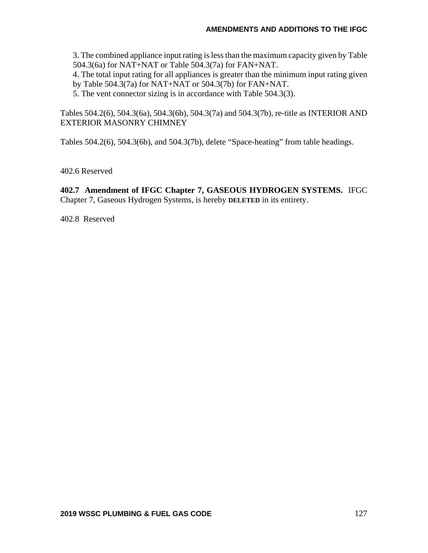3. The combined appliance input rating is less than the maximum capacity given by Table 504.3(6a) for NAT+NAT or Table 504.3(7a) for FAN+NAT.

4. The total input rating for all appliances is greater than the minimum input rating given by Table 504.3(7a) for NAT+NAT or 504.3(7b) for FAN+NAT.

5. The vent connector sizing is in accordance with Table 504.3(3).

Tables 504.2(6), 504.3(6a), 504.3(6b), 504.3(7a) and 504.3(7b), re-title as INTERIOR AND EXTERIOR MASONRY CHIMNEY

Tables 504.2(6), 504.3(6b), and 504.3(7b), delete "Space-heating" from table headings.

402.6 Reserved

**402.7 Amendment of IFGC Chapter 7, GASEOUS HYDROGEN SYSTEMS.** IFGC Chapter 7, Gaseous Hydrogen Systems, is hereby **DELETED** in its entirety.

402.8 Reserved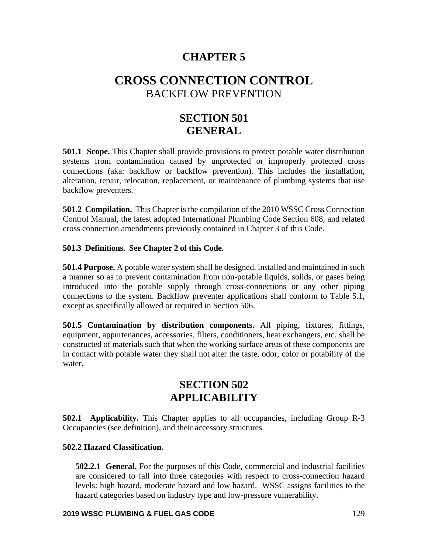## **CHAPTER 5**

## **CROSS CONNECTION CONTROL**  BACKFLOW PREVENTION

## **SECTION 501 GENERAL**

**501.1 Scope.** This Chapter shall provide provisions to protect potable water distribution systems from contamination caused by unprotected or improperly protected cross connections (aka: backflow or backflow prevention). This includes the installation, alteration, repair, relocation, replacement, or maintenance of plumbing systems that use backflow preventers.

**501.2 Compilation.** This Chapter is the compilation of the 2010 WSSC Cross Connection Control Manual, the latest adopted International Plumbing Code Section 608, and related cross connection amendments previously contained in Chapter 3 of this Code.

## **501.3 Definitions. See Chapter 2 of this Code.**

**501.4 Purpose.** A potable water system shall be designed, installed and maintained in such a manner so as to prevent contamination from non-potable liquids, solids, or gases being introduced into the potable supply through cross-connections or any other piping connections to the system. Backflow preventer applications shall conform to Table 5.1, except as specifically allowed or required in Section 506.

**501.5 Contamination by distribution components.** All piping, fixtures, fittings, equipment, appurtenances, accessories, filters, conditioners, heat exchangers, etc. shall be constructed of materials such that when the working surface areas of these components are in contact with potable water they shall not alter the taste, odor, color or potability of the water.

## **SECTION 502 APPLICABILITY**

**502.1 Applicability.** This Chapter applies to all occupancies, including Group R-3 Occupancies (see definition), and their accessory structures.

## **502.2 Hazard Classification.**

**502.2.1 General.** For the purposes of this Code, commercial and industrial facilities are considered to fall into three categories with respect to cross-connection hazard levels: high hazard, moderate hazard and low hazard. WSSC assigns facilities to the hazard categories based on industry type and low-pressure vulnerability.

## **2019 WSSC PLUMBING & FUEL GAS CODE** 129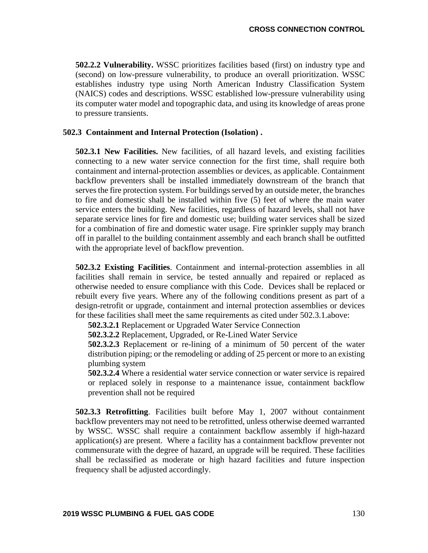**502.2.2 Vulnerability.** WSSC prioritizes facilities based (first) on industry type and (second) on low-pressure vulnerability, to produce an overall prioritization. WSSC establishes industry type using North American Industry Classification System (NAICS) codes and descriptions. WSSC established low-pressure vulnerability using its computer water model and topographic data, and using its knowledge of areas prone to pressure transients.

## **502.3 Containment and Internal Protection (Isolation) .**

**502.3.1 New Facilities.** New facilities, of all hazard levels, and existing facilities connecting to a new water service connection for the first time, shall require both containment and internal-protection assemblies or devices, as applicable. Containment backflow preventers shall be installed immediately downstream of the branch that serves the fire protection system. For buildings served by an outside meter, the branches to fire and domestic shall be installed within five (5) feet of where the main water service enters the building. New facilities, regardless of hazard levels, shall not have separate service lines for fire and domestic use; building water services shall be sized for a combination of fire and domestic water usage. Fire sprinkler supply may branch off in parallel to the building containment assembly and each branch shall be outfitted with the appropriate level of backflow prevention.

 **502.3.2 Existing Facilities**. Containment and internal-protection assemblies in all facilities shall remain in service, be tested annually and repaired or replaced as otherwise needed to ensure compliance with this Code. Devices shall be replaced or rebuilt every five years. Where any of the following conditions present as part of a design-retrofit or upgrade, containment and internal protection assemblies or devices for these facilities shall meet the same requirements as cited under 502.3.1.above:

**502.3.2.1** Replacement or Upgraded Water Service Connection

**502.3.2.2** Replacement, Upgraded, or Re-Lined Water Service

**502.3.2.3** Replacement or re-lining of a minimum of 50 percent of the water distribution piping; or the remodeling or adding of 25 percent or more to an existing plumbing system

**502.3.2.4** Where a residential water service connection or water service is repaired or replaced solely in response to a maintenance issue, containment backflow prevention shall not be required

 **502.3.3 Retrofitting**. Facilities built before May 1, 2007 without containment backflow preventers may not need to be retrofitted, unless otherwise deemed warranted by WSSC. WSSC shall require a containment backflow assembly if high-hazard application(s) are present. Where a facility has a containment backflow preventer not commensurate with the degree of hazard, an upgrade will be required. These facilities shall be reclassified as moderate or high hazard facilities and future inspection frequency shall be adjusted accordingly.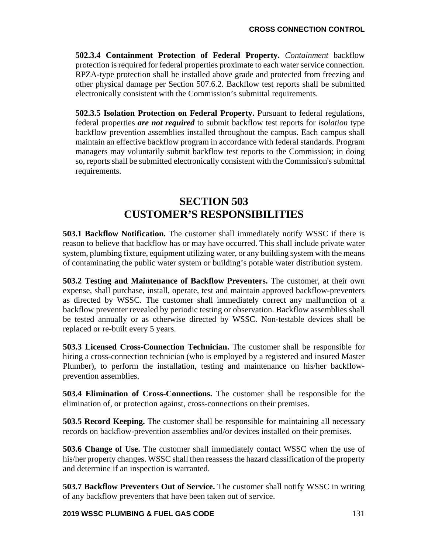**502.3.4 Containment Protection of Federal Property.** *Containment* backflow protection is required for federal properties proximate to each water service connection. RPZA-type protection shall be installed above grade and protected from freezing and other physical damage per Section 507.6.2. Backflow test reports shall be submitted electronically consistent with the Commission's submittal requirements.

**502.3.5 Isolation Protection on Federal Property.** Pursuant to federal regulations, federal properties *are not required* to submit backflow test reports for *isolation* type backflow prevention assemblies installed throughout the campus. Each campus shall maintain an effective backflow program in accordance with federal standards. Program managers may voluntarily submit backflow test reports to the Commission; in doing so, reports shall be submitted electronically consistent with the Commission's submittal requirements.

## **SECTION 503 CUSTOMER'S RESPONSIBILITIES**

**503.1 Backflow Notification.** The customer shall immediately notify WSSC if there is reason to believe that backflow has or may have occurred. This shall include private water system, plumbing fixture, equipment utilizing water, or any building system with the means of contaminating the public water system or building's potable water distribution system.

**503.2 Testing and Maintenance of Backflow Preventers.** The customer, at their own expense, shall purchase, install, operate, test and maintain approved backflow-preventers as directed by WSSC. The customer shall immediately correct any malfunction of a backflow preventer revealed by periodic testing or observation. Backflow assemblies shall be tested annually or as otherwise directed by WSSC. Non-testable devices shall be replaced or re-built every 5 years.

**503.3 Licensed Cross-Connection Technician.** The customer shall be responsible for hiring a cross-connection technician (who is employed by a registered and insured Master Plumber), to perform the installation, testing and maintenance on his/her backflowprevention assemblies.

**503.4 Elimination of Cross-Connections.** The customer shall be responsible for the elimination of, or protection against, cross-connections on their premises.

**503.5 Record Keeping.** The customer shall be responsible for maintaining all necessary records on backflow-prevention assemblies and/or devices installed on their premises.

**503.6 Change of Use.** The customer shall immediately contact WSSC when the use of his/her property changes. WSSC shall then reassess the hazard classification of the property and determine if an inspection is warranted.

**503.7 Backflow Preventers Out of Service.** The customer shall notify WSSC in writing of any backflow preventers that have been taken out of service.

**2019 WSSC PLUMBING & FUEL GAS CODE** 131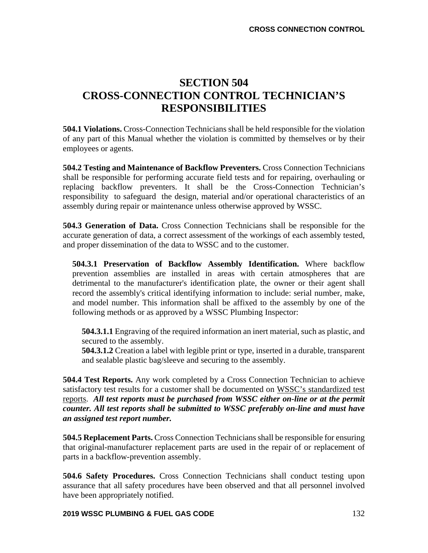## **SECTION 504 CROSS-CONNECTION CONTROL TECHNICIAN'S RESPONSIBILITIES**

**504.1 Violations.** Cross-Connection Technicians shall be held responsible for the violation of any part of this Manual whether the violation is committed by themselves or by their employees or agents.

**504.2 Testing and Maintenance of Backflow Preventers.** Cross Connection Technicians shall be responsible for performing accurate field tests and for repairing, overhauling or replacing backflow preventers. It shall be the Cross-Connection Technician's responsibility to safeguard the design, material and/or operational characteristics of an assembly during repair or maintenance unless otherwise approved by WSSC.

**504.3 Generation of Data.** Cross Connection Technicians shall be responsible for the accurate generation of data, a correct assessment of the workings of each assembly tested, and proper dissemination of the data to WSSC and to the customer.

**504.3.1 Preservation of Backflow Assembly Identification.** Where backflow prevention assemblies are installed in areas with certain atmospheres that are detrimental to the manufacturer's identification plate, the owner or their agent shall record the assembly's critical identifying information to include: serial number, make, and model number. This information shall be affixed to the assembly by one of the following methods or as approved by a WSSC Plumbing Inspector:

**504.3.1.1** Engraving of the required information an inert material, such as plastic, and secured to the assembly.

**504.3.1.2** Creation a label with legible print or type, inserted in a durable, transparent and sealable plastic bag/sleeve and securing to the assembly.

**504.4 Test Reports.** Any work completed by a Cross Connection Technician to achieve satisfactory test results for a customer shall be documented on WSSC's standardized test reports. *All test reports must be purchased from WSSC either on-line or at the permit counter. All test reports shall be submitted to WSSC preferably on-line and must have an assigned test report number.*

**504.5 Replacement Parts.** Cross Connection Technicians shall be responsible for ensuring that original-manufacturer replacement parts are used in the repair of or replacement of parts in a backflow-prevention assembly.

**504.6 Safety Procedures.** Cross Connection Technicians shall conduct testing upon assurance that all safety procedures have been observed and that all personnel involved have been appropriately notified.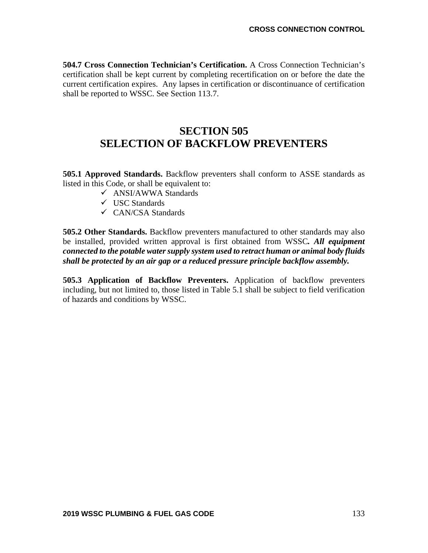**504.7 Cross Connection Technician's Certification.** A Cross Connection Technician's certification shall be kept current by completing recertification on or before the date the current certification expires. Any lapses in certification or discontinuance of certification shall be reported to WSSC. See Section 113.7.

## **SECTION 505 SELECTION OF BACKFLOW PREVENTERS**

**505.1 Approved Standards.** Backflow preventers shall conform to ASSE standards as listed in this Code, or shall be equivalent to:

- $\checkmark$  ANSI/AWWA Standards
	- $\checkmark$  USC Standards
	- CAN/CSA Standards

**505.2 Other Standards.** Backflow preventers manufactured to other standards may also be installed, provided written approval is first obtained from WSSC*. All equipment connected to the potable water supply system used to retract human or animal body fluids shall be protected by an air gap or a reduced pressure principle backflow assembly.*

**505.3 Application of Backflow Preventers.** Application of backflow preventers including, but not limited to, those listed in Table 5.1 shall be subject to field verification of hazards and conditions by WSSC.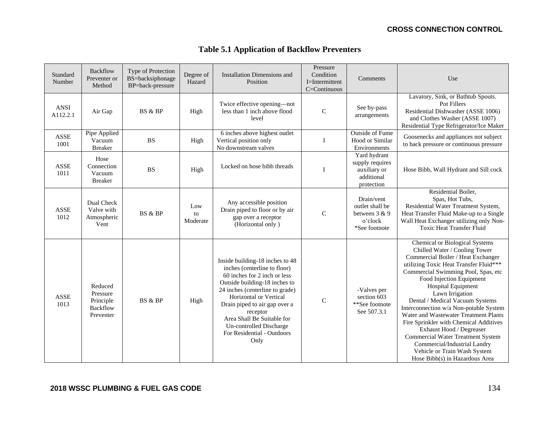| Standard<br>Number      | Backflow<br>Preventer or<br>Method                               | Type of Protection<br>BS=backsiphonage<br>BP=back-pressure | Degree of<br>Hazard   | <b>Installation Dimensions and</b><br>Position                                                                                                                                                                                                                                                                                                   | Pressure<br>Condition<br>I=Intermittent<br>C=Continuous | Comments                                                                    | Use                                                                                                                                                                                                                                                                                                                                                                                                                                                                                                                                                                                                          |
|-------------------------|------------------------------------------------------------------|------------------------------------------------------------|-----------------------|--------------------------------------------------------------------------------------------------------------------------------------------------------------------------------------------------------------------------------------------------------------------------------------------------------------------------------------------------|---------------------------------------------------------|-----------------------------------------------------------------------------|--------------------------------------------------------------------------------------------------------------------------------------------------------------------------------------------------------------------------------------------------------------------------------------------------------------------------------------------------------------------------------------------------------------------------------------------------------------------------------------------------------------------------------------------------------------------------------------------------------------|
| <b>ANSI</b><br>A112.2.1 | Air Gap                                                          | <b>BS &amp; BP</b>                                         | High                  | Twice effective opening-not<br>less than 1 inch above flood<br>level                                                                                                                                                                                                                                                                             | $\mathsf{C}$                                            | See by-pass<br>arrangements                                                 | Lavatory, Sink, or Bathtub Spouts.<br>Pot Fillers<br>Residential Dishwasher (ASSE 1006)<br>and Clothes Washer (ASSE 1007)<br>Residential Type Refrigerator/Ice Maker                                                                                                                                                                                                                                                                                                                                                                                                                                         |
| ASSE<br>1001            | Pipe Applied<br>Vacuum<br><b>Breaker</b>                         | <b>BS</b>                                                  | High                  | 6 inches above highest outlet<br>Vertical position only<br>No downstream valves                                                                                                                                                                                                                                                                  | I                                                       | Outside of Fume<br><b>Hood or Similar</b><br>Environments                   | Goosenecks and appliances not subject<br>to back pressure or continuous pressure                                                                                                                                                                                                                                                                                                                                                                                                                                                                                                                             |
| <b>ASSE</b><br>1011     | Hose<br>Connection<br>Vacuum<br><b>Breaker</b>                   | <b>BS</b>                                                  | High                  | Locked on hose bibb threads                                                                                                                                                                                                                                                                                                                      |                                                         | Yard hydrant<br>supply requires<br>auxiliary or<br>additional<br>protection | Hose Bibb, Wall Hydrant and Sill cock                                                                                                                                                                                                                                                                                                                                                                                                                                                                                                                                                                        |
| <b>ASSE</b><br>1012     | Dual Check<br>Valve with<br>Atmospheric<br>Vent                  | <b>BS &amp; BP</b>                                         | Low<br>to<br>Moderate | Any accessible position<br>Drain piped to floor or by air<br>gap over a receptor<br>(Horizontal only)                                                                                                                                                                                                                                            | $\mathsf{C}$                                            | Drain/vent<br>outlet shall be<br>between 3 & 9<br>o'clock<br>*See footnote  | Residential Boiler,<br>Spas, Hot Tubs,<br>Residential Water Treatment System,<br>Heat Transfer Fluid Make-up to a Single<br>Wall Heat Exchanger utilizing only Non-<br><b>Toxic Heat Transfer Fluid</b>                                                                                                                                                                                                                                                                                                                                                                                                      |
| ASSE<br>1013            | Reduced<br>Pressure<br>Principle<br><b>Backflow</b><br>Preventer | BS & BP                                                    | High                  | Inside building-18 inches to 48<br>inches (centerline to floor)<br>60 inches for 2 inch or less<br>Outside building-18 inches to<br>24 inches (centerline to grade)<br><b>Horizontal or Vertical</b><br>Drain piped to air gap over a<br>receptor<br>Area Shall Be Suitable for<br>Un-controlled Discharge<br>For Residential - Outdoors<br>Only | $\mathcal{C}$                                           | -Valves per<br>section 603<br>**See footnote<br>See 507.3.1                 | Chemical or Biological Systems<br>Chilled Water / Cooling Tower<br>Commercial Boiler / Heat Exchanger<br>utilizing Toxic Heat Transfer Fluid***<br>Commercial Swimming Pool, Spas, etc<br>Food Injection Equipment<br><b>Hospital Equipment</b><br>Lawn Irrigation<br>Dental / Medical Vacuum Systems<br>Interconnection w/a Non-potable System<br>Water and Wastewater Treatment Plants<br>Fire Sprinkler with Chemical Additives<br>Exhaust Hood / Degreaser<br><b>Commercial Water Treatment System</b><br>Commercial/Industrial Landry<br>Vehicle or Train Wash System<br>Hose Bibb(s) in Hazardous Area |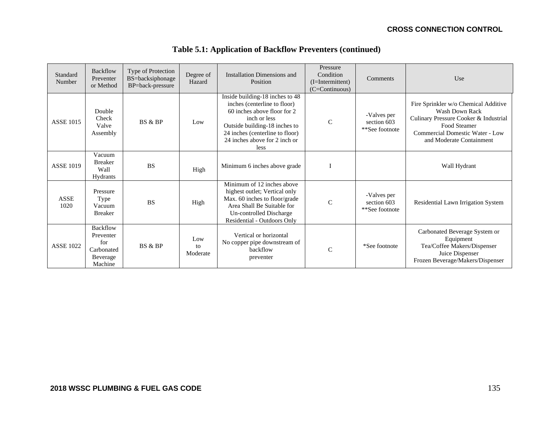| Standard<br>Number  | <b>Backflow</b><br>Preventer<br>or Method                                | Type of Protection<br>BS=backsiphonage<br>BP=back-pressure | Degree of<br>Hazard   | Installation Dimensions and<br>Position                                                                                                                                                                                     | Pressure<br>Condition<br>$(I=Intermittent)$<br>$(C=Continuous)$ | Comments                                     | Use                                                                                                                                                                                   |
|---------------------|--------------------------------------------------------------------------|------------------------------------------------------------|-----------------------|-----------------------------------------------------------------------------------------------------------------------------------------------------------------------------------------------------------------------------|-----------------------------------------------------------------|----------------------------------------------|---------------------------------------------------------------------------------------------------------------------------------------------------------------------------------------|
| <b>ASSE 1015</b>    | Double<br>Check<br>Valve<br>Assembly                                     | BS & BP                                                    | Low                   | Inside building-18 inches to 48<br>inches (centerline to floor)<br>60 inches above floor for 2<br>inch or less<br>Outside building-18 inches to<br>24 inches (centerline to floor)<br>24 inches above for 2 inch or<br>less | $\mathcal{C}$                                                   | -Valves per<br>section 603<br>**See footnote | Fire Sprinkler w/o Chemical Additive<br>Wash Down Rack<br>Culinary Pressure Cooker & Industrial<br><b>Food Steamer</b><br>Commercial Domestic Water - Low<br>and Moderate Containment |
| <b>ASSE 1019</b>    | Vacuum<br><b>Breaker</b><br>Wall<br>Hydrants                             | <b>BS</b>                                                  | High                  | Minimum 6 inches above grade                                                                                                                                                                                                |                                                                 |                                              | Wall Hydrant                                                                                                                                                                          |
| <b>ASSE</b><br>1020 | Pressure<br>Type<br>Vacuum<br><b>Breaker</b>                             | <b>BS</b>                                                  | High                  | Minimum of 12 inches above<br>highest outlet; Vertical only<br>Max. 60 inches to floor/grade<br>Area Shall Be Suitable for<br>Un-controlled Discharge<br>Residential - Outdoors Only                                        | $\mathsf{C}$                                                    | -Valves per<br>section 603<br>**See footnote | Residential Lawn Irrigation System                                                                                                                                                    |
| <b>ASSE 1022</b>    | <b>Backflow</b><br>Preventer<br>for<br>Carbonated<br>Beverage<br>Machine | BS & BP                                                    | Low<br>to<br>Moderate | Vertical or horizontal<br>No copper pipe downstream of<br>backflow<br>preventer                                                                                                                                             | $\mathcal{C}$                                                   | *See footnote                                | Carbonated Beverage System or<br>Equipment<br>Tea/Coffee Makers/Dispenser<br>Juice Dispenser<br>Frozen Beverage/Makers/Dispenser                                                      |

## **Table 5.1: Application of Backflow Preventers (continued)**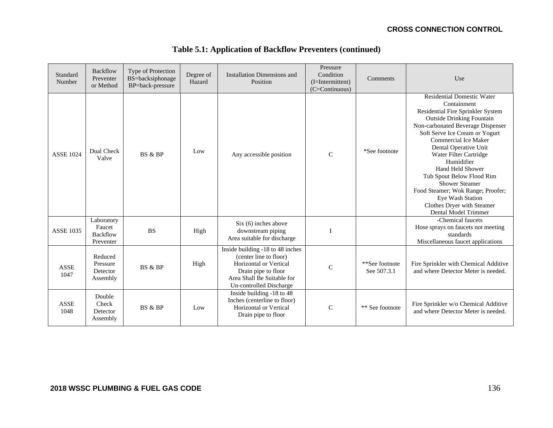| Standard<br>Number  | <b>Backflow</b><br>Preventer<br>or Method            | Type of Protection<br>BS=backsiphonage<br>BP=back-pressure | Degree of<br>Hazard | <b>Installation Dimensions and</b><br>Position                                                                                                                              | Pressure<br>Condition<br>$(I=Internet)$<br>$(C=Continuous)$ | Comments                      | Use                                                                                                                                                                                                                                                                                                                                                                                                                                                                                       |
|---------------------|------------------------------------------------------|------------------------------------------------------------|---------------------|-----------------------------------------------------------------------------------------------------------------------------------------------------------------------------|-------------------------------------------------------------|-------------------------------|-------------------------------------------------------------------------------------------------------------------------------------------------------------------------------------------------------------------------------------------------------------------------------------------------------------------------------------------------------------------------------------------------------------------------------------------------------------------------------------------|
| <b>ASSE 1024</b>    | Dual Check<br>Valve                                  | BS & BP                                                    | Low                 | Any accessible position                                                                                                                                                     | $\mathsf{C}$                                                | *See footnote                 | <b>Residential Domestic Water</b><br>Containment<br>Residential Fire Sprinkler System<br><b>Outside Drinking Fountain</b><br>Non-carbonated Beverage Dispenser<br>Soft Serve Ice Cream or Yogurt<br>Commercial Ice Maker<br>Dental Operative Unit<br>Water Filter Cartridge<br>Humidifier<br><b>Hand Held Shower</b><br>Tub Spout Below Flood Rim<br><b>Shower Steamer</b><br>Food Steamer; Wok Range; Proofer;<br>Eye Wash Station<br>Clothes Dryer with Steamer<br>Dental Model Trimmer |
| <b>ASSE 1035</b>    | Laboratory<br>Faucet<br><b>Backflow</b><br>Preventer | <b>BS</b>                                                  | High                | $Six (6)$ inches above<br>downstream piping<br>Area suitable for discharge                                                                                                  | $\mathbf I$                                                 |                               | -Chemical faucets<br>Hose sprays on faucets not meeting<br>standards<br>Miscellaneous faucet applications                                                                                                                                                                                                                                                                                                                                                                                 |
| <b>ASSE</b><br>1047 | Reduced<br>Pressure<br>Detector<br>Assembly          | BS & BP                                                    | High                | Inside building -18 to 48 inches<br>(center line to floor)<br><b>Horizontal or Vertical</b><br>Drain pipe to floor<br>Area Shall Be Suitable for<br>Un-controlled Discharge | $\mathsf{C}$                                                | **See footnote<br>See 507.3.1 | Fire Sprinkler with Chemical Additive<br>and where Detector Meter is needed.                                                                                                                                                                                                                                                                                                                                                                                                              |
| <b>ASSE</b><br>1048 | Double<br>Check<br>Detector<br>Assembly              | BS & BP                                                    | Low                 | Inside building -18 to 48<br>Inches (centerline to floor)<br><b>Horizontal or Vertical</b><br>Drain pipe to floor                                                           | $\mathsf{C}$                                                | ** See footnote               | Fire Sprinkler w/o Chemical Additive<br>and where Detector Meter is needed.                                                                                                                                                                                                                                                                                                                                                                                                               |

## **Table 5.1: Application of Backflow Preventers (continued)**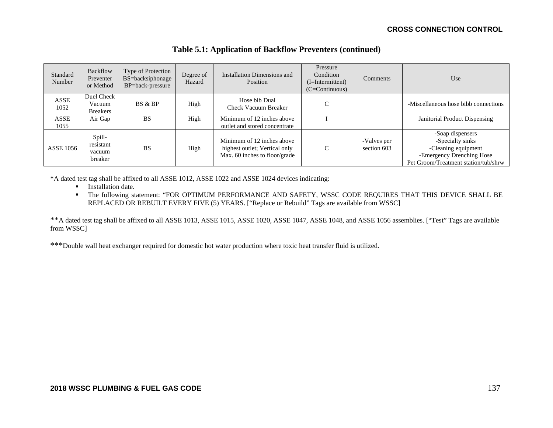| Standard<br>Number  | <b>Backflow</b><br>Preventer<br>or Method | Type of Protection<br>BS=backsiphonage<br>BP=back-pressure | Degree of<br>Hazard | Installation Dimensions and<br>Position                                                      | Pressure<br>Condition<br>$(I=Internet)$<br>$(C=Continuous)$ | Comments                   | Use                                                                                                                              |
|---------------------|-------------------------------------------|------------------------------------------------------------|---------------------|----------------------------------------------------------------------------------------------|-------------------------------------------------------------|----------------------------|----------------------------------------------------------------------------------------------------------------------------------|
| <b>ASSE</b><br>1052 | Duel Check<br>Vacuum<br><b>Breakers</b>   | BS & BP                                                    | High                | Hose bib Dual<br>Check Vacuum Breaker                                                        | C                                                           |                            | -Miscellaneous hose bibb connections                                                                                             |
| <b>ASSE</b><br>1055 | Air Gap                                   | <b>BS</b>                                                  | High                | Minimum of 12 inches above<br>outlet and stored concentrate                                  |                                                             |                            | Janitorial Product Dispensing                                                                                                    |
| <b>ASSE 1056</b>    | Spill-<br>resistant<br>vacuum<br>breaker  | <b>BS</b>                                                  | High                | Minimum of 12 inches above<br>highest outlet; Vertical only<br>Max. 60 inches to floor/grade | C                                                           | -Valves per<br>section 603 | -Soap dispensers<br>-Specialty sinks<br>-Cleaning equipment<br>-Emergency Drenching Hose<br>Pet Groom/Treatment station/tub/shrw |

## **Table 5.1: Application of Backflow Preventers (continued)**

\*A dated test tag shall be affixed to all ASSE 1012, ASSE 1022 and ASSE 1024 devices indicating:

- $\blacksquare$ Installation date.
- The following statement: "FOR OPTIMUM PERFORMANCE AND SAFETY, WSSC CODE REQUIRES THAT THIS DEVICE SHALL BE REPLACED OR REBUILT EVERY FIVE (5) YEARS. ["Replace or Rebuild" Tags are available from WSSC]

\*\*A dated test tag shall be affixed to all ASSE 1013, ASSE 1015, ASSE 1020, ASSE 1047, ASSE 1048, and ASSE 1056 assemblies. ["Test" Tags are available from WSSC]

\*\*\*Double wall heat exchanger required for domestic hot water production where toxic heat transfer fluid is utilized.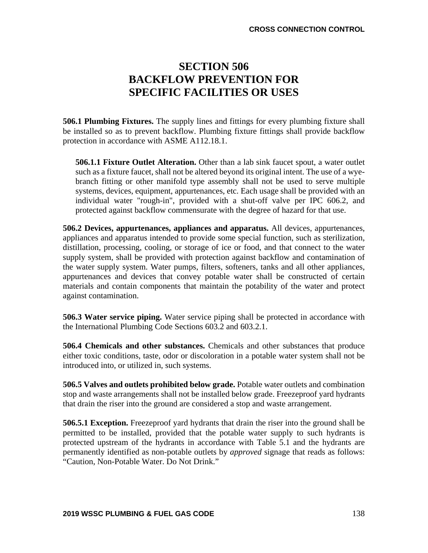## **SECTION 506 BACKFLOW PREVENTION FOR SPECIFIC FACILITIES OR USES**

**506.1 Plumbing Fixtures.** The supply lines and fittings for every plumbing fixture shall be installed so as to prevent backflow. Plumbing fixture fittings shall provide backflow protection in accordance with ASME A112.18.1.

**506.1.1 Fixture Outlet Alteration.** Other than a lab sink faucet spout, a water outlet such as a fixture faucet, shall not be altered beyond its original intent. The use of a wyebranch fitting or other manifold type assembly shall not be used to serve multiple systems, devices, equipment, appurtenances, etc. Each usage shall be provided with an individual water "rough-in", provided with a shut-off valve per IPC 606.2, and protected against backflow commensurate with the degree of hazard for that use.

**506.2 Devices, appurtenances, appliances and apparatus.** All devices, appurtenances, appliances and apparatus intended to provide some special function, such as sterilization, distillation, processing, cooling, or storage of ice or food, and that connect to the water supply system, shall be provided with protection against backflow and contamination of the water supply system. Water pumps, filters, softeners, tanks and all other appliances, appurtenances and devices that convey potable water shall be constructed of certain materials and contain components that maintain the potability of the water and protect against contamination.

**506.3 Water service piping.** Water service piping shall be protected in accordance with the International Plumbing Code Sections 603.2 and 603.2.1.

**506.4 Chemicals and other substances.** Chemicals and other substances that produce either toxic conditions, taste, odor or discoloration in a potable water system shall not be introduced into, or utilized in, such systems.

**506.5 Valves and outlets prohibited below grade.** Potable water outlets and combination stop and waste arrangements shall not be installed below grade. Freezeproof yard hydrants that drain the riser into the ground are considered a stop and waste arrangement.

**506.5.1 Exception.** Freezeproof yard hydrants that drain the riser into the ground shall be permitted to be installed, provided that the potable water supply to such hydrants is protected upstream of the hydrants in accordance with Table 5.1 and the hydrants are permanently identified as non-potable outlets by *approved* signage that reads as follows: "Caution, Non-Potable Water. Do Not Drink."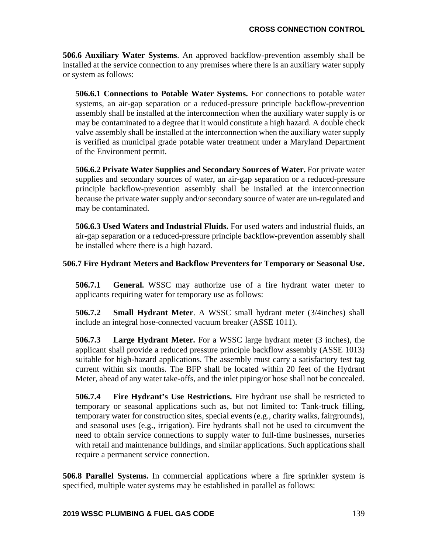**506.6 Auxiliary Water Systems**. An approved backflow-prevention assembly shall be installed at the service connection to any premises where there is an auxiliary water supply or system as follows:

**506.6.1 Connections to Potable Water Systems.** For connections to potable water systems, an air-gap separation or a reduced-pressure principle backflow-prevention assembly shall be installed at the interconnection when the auxiliary water supply is or may be contaminated to a degree that it would constitute a high hazard. A double check valve assembly shall be installed at the interconnection when the auxiliary water supply is verified as municipal grade potable water treatment under a Maryland Department of the Environment permit.

**506.6.2 Private Water Supplies and Secondary Sources of Water.** For private water supplies and secondary sources of water, an air-gap separation or a reduced-pressure principle backflow-prevention assembly shall be installed at the interconnection because the private water supply and/or secondary source of water are un-regulated and may be contaminated.

**506.6.3 Used Waters and Industrial Fluids.** For used waters and industrial fluids, an air-gap separation or a reduced-pressure principle backflow-prevention assembly shall be installed where there is a high hazard.

## **506.7 Fire Hydrant Meters and Backflow Preventers for Temporary or Seasonal Use.**

**506.7.1 General.** WSSC may authorize use of a fire hydrant water meter to applicants requiring water for temporary use as follows:

**506.7.2 Small Hydrant Meter**. A WSSC small hydrant meter (3/4inches) shall include an integral hose-connected vacuum breaker (ASSE 1011).

**506.7.3 Large Hydrant Meter.** For a WSSC large hydrant meter (3 inches), the applicant shall provide a reduced pressure principle backflow assembly (ASSE 1013) suitable for high-hazard applications. The assembly must carry a satisfactory test tag current within six months. The BFP shall be located within 20 feet of the Hydrant Meter, ahead of any water take-offs, and the inlet piping/or hose shall not be concealed.

**506.7.4 Fire Hydrant's Use Restrictions.** Fire hydrant use shall be restricted to temporary or seasonal applications such as, but not limited to: Tank-truck filling, temporary water for construction sites, special events (e.g., charity walks, fairgrounds), and seasonal uses (e.g., irrigation). Fire hydrants shall not be used to circumvent the need to obtain service connections to supply water to full-time businesses, nurseries with retail and maintenance buildings, and similar applications. Such applications shall require a permanent service connection.

**506.8 Parallel Systems.** In commercial applications where a fire sprinkler system is specified, multiple water systems may be established in parallel as follows: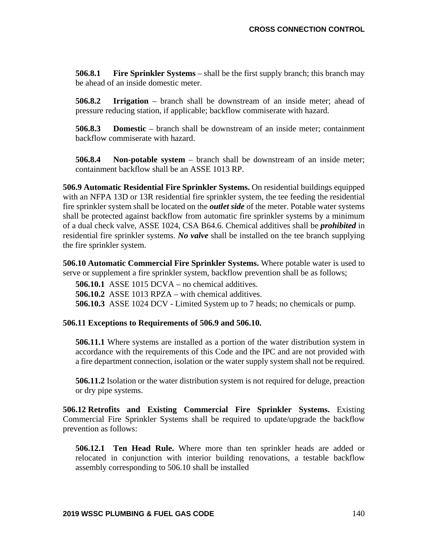**506.8.1 Fire Sprinkler Systems** – shall be the first supply branch; this branch may be ahead of an inside domestic meter.

**506.8.2 Irrigation** – branch shall be downstream of an inside meter; ahead of pressure reducing station, if applicable; backflow commiserate with hazard.

**506.8.3 Domestic** – branch shall be downstream of an inside meter; containment backflow commiserate with hazard.

**506.8.4 Non-potable system** – branch shall be downstream of an inside meter; containment backflow shall be an ASSE 1013 RP.

**506.9 Automatic Residential Fire Sprinkler Systems.** On residential buildings equipped with an NFPA 13D or 13R residential fire sprinkler system, the tee feeding the residential fire sprinkler system shall be located on the *outlet side* of the meter. Potable water systems shall be protected against backflow from automatic fire sprinkler systems by a minimum of a dual check valve, ASSE 1024, CSA B64.6. Chemical additives shall be *prohibited* in residential fire sprinkler systems. *No valve* shall be installed on the tee branch supplying the fire sprinkler system.

**506.10 Automatic Commercial Fire Sprinkler Systems.** Where potable water is used to serve or supplement a fire sprinkler system, backflow prevention shall be as follows;

**506.10.1** ASSE 1015 DCVA – no chemical additives.

**506.10.2** ASSE 1013 RPZA – with chemical additives.

**506.10.3** ASSE 1024 DCV - Limited System up to 7 heads; no chemicals or pump.

## **506.11 Exceptions to Requirements of 506.9 and 506.10.**

**506.11.1** Where systems are installed as a portion of the water distribution system in accordance with the requirements of this Code and the IPC and are not provided with a fire department connection, isolation or the water supply system shall not be required.

**506.11.2** Isolation or the water distribution system is not required for deluge, preaction or dry pipe systems.

**506.12 Retrofits and Existing Commercial Fire Sprinkler Systems.** Existing Commercial Fire Sprinkler Systems shall be required to update/upgrade the backflow prevention as follows:

**506.12.1 Ten Head Rule.** Where more than ten sprinkler heads are added or relocated in conjunction with interior building renovations, a testable backflow assembly corresponding to 506.10 shall be installed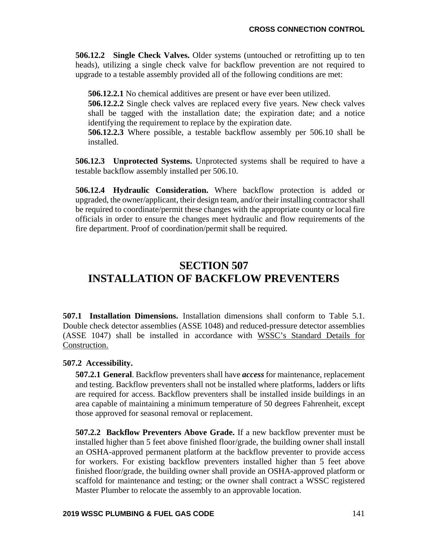**506.12.2 Single Check Valves.** Older systems (untouched or retrofitting up to ten heads), utilizing a single check valve for backflow prevention are not required to upgrade to a testable assembly provided all of the following conditions are met:

**506.12.2.1** No chemical additives are present or have ever been utilized.

**506.12.2.2** Single check valves are replaced every five years. New check valves shall be tagged with the installation date; the expiration date; and a notice identifying the requirement to replace by the expiration date.

**506.12.2.3** Where possible, a testable backflow assembly per 506.10 shall be installed.

**506.12.3 Unprotected Systems.** Unprotected systems shall be required to have a testable backflow assembly installed per 506.10.

**506.12.4 Hydraulic Consideration.** Where backflow protection is added or upgraded, the owner/applicant, their design team, and/or their installing contractor shall be required to coordinate/permit these changes with the appropriate county or local fire officials in order to ensure the changes meet hydraulic and flow requirements of the fire department. Proof of coordination/permit shall be required.

## **SECTION 507 INSTALLATION OF BACKFLOW PREVENTERS**

**507.1 Installation Dimensions.** Installation dimensions shall conform to Table 5.1. Double check detector assemblies (ASSE 1048) and reduced-pressure detector assemblies (ASSE 1047) shall be installed in accordance with WSSC's Standard Details for Construction.

## **507.2 Accessibility.**

**507.2.1 General**. Backflow preventers shall have *access* for maintenance, replacement and testing. Backflow preventers shall not be installed where platforms, ladders or lifts are required for access. Backflow preventers shall be installed inside buildings in an area capable of maintaining a minimum temperature of 50 degrees Fahrenheit, except those approved for seasonal removal or replacement.

**507.2.2 Backflow Preventers Above Grade.** If a new backflow preventer must be installed higher than 5 feet above finished floor/grade, the building owner shall install an OSHA-approved permanent platform at the backflow preventer to provide access for workers. For existing backflow preventers installed higher than 5 feet above finished floor/grade, the building owner shall provide an OSHA-approved platform or scaffold for maintenance and testing; or the owner shall contract a WSSC registered Master Plumber to relocate the assembly to an approvable location.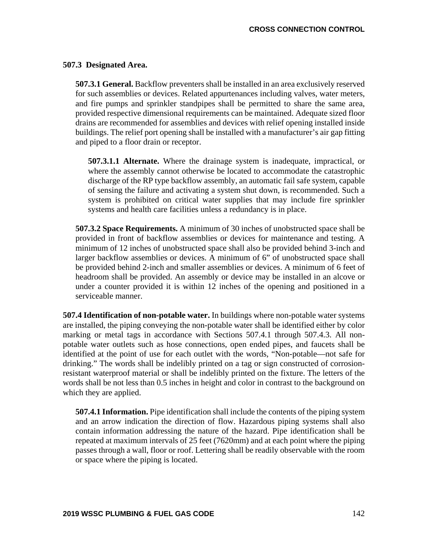### **507.3 Designated Area.**

**507.3.1 General.** Backflow preventers shall be installed in an area exclusively reserved for such assemblies or devices. Related appurtenances including valves, water meters, and fire pumps and sprinkler standpipes shall be permitted to share the same area, provided respective dimensional requirements can be maintained. Adequate sized floor drains are recommended for assemblies and devices with relief opening installed inside buildings. The relief port opening shall be installed with a manufacturer's air gap fitting and piped to a floor drain or receptor.

**507.3.1.1 Alternate.** Where the drainage system is inadequate, impractical, or where the assembly cannot otherwise be located to accommodate the catastrophic discharge of the RP type backflow assembly, an automatic fail safe system, capable of sensing the failure and activating a system shut down, is recommended. Such a system is prohibited on critical water supplies that may include fire sprinkler systems and health care facilities unless a redundancy is in place.

**507.3.2 Space Requirements.** A minimum of 30 inches of unobstructed space shall be provided in front of backflow assemblies or devices for maintenance and testing. A minimum of 12 inches of unobstructed space shall also be provided behind 3-inch and larger backflow assemblies or devices. A minimum of 6" of unobstructed space shall be provided behind 2-inch and smaller assemblies or devices. A minimum of 6 feet of headroom shall be provided. An assembly or device may be installed in an alcove or under a counter provided it is within 12 inches of the opening and positioned in a serviceable manner.

**507.4 Identification of non-potable water.** In buildings where non-potable water systems are installed, the piping conveying the non-potable water shall be identified either by color marking or metal tags in accordance with Sections 507.4.1 through 507.4.3. All nonpotable water outlets such as hose connections, open ended pipes, and faucets shall be identified at the point of use for each outlet with the words, "Non-potable—not safe for drinking." The words shall be indelibly printed on a tag or sign constructed of corrosionresistant waterproof material or shall be indelibly printed on the fixture. The letters of the words shall be not less than 0.5 inches in height and color in contrast to the background on which they are applied.

**507.4.1 Information.** Pipe identification shall include the contents of the piping system and an arrow indication the direction of flow. Hazardous piping systems shall also contain information addressing the nature of the hazard. Pipe identification shall be repeated at maximum intervals of 25 feet (7620mm) and at each point where the piping passes through a wall, floor or roof. Lettering shall be readily observable with the room or space where the piping is located.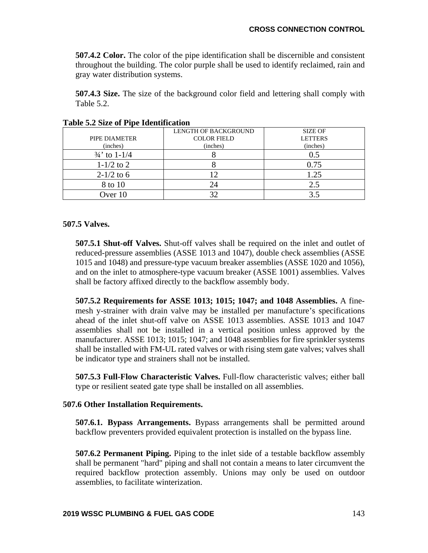**507.4.2 Color.** The color of the pipe identification shall be discernible and consistent throughout the building. The color purple shall be used to identify reclaimed, rain and gray water distribution systems.

**507.4.3 Size.** The size of the background color field and lettering shall comply with Table 5.2.

|                        | <b>LENGTH OF BACKGROUND</b> | <b>SIZE OF</b> |
|------------------------|-----------------------------|----------------|
| PIPE DIAMETER          | <b>COLOR FIELD</b>          | <b>LETTERS</b> |
| (inches)               | (inches)                    | (inches)       |
| $\frac{3}{4}$ to 1-1/4 |                             | 0.5            |
| $1 - 1/2$ to 2         |                             | 0.75           |
| $2-1/2$ to 6           |                             | 1.25           |
| 8 to 10                |                             | 2.5            |
| Over 10                |                             | 3.5            |

### **Table 5.2 Size of Pipe Identification**

#### **507.5 Valves.**

**507.5.1 Shut-off Valves.** Shut-off valves shall be required on the inlet and outlet of reduced-pressure assemblies (ASSE 1013 and 1047), double check assemblies (ASSE 1015 and 1048) and pressure-type vacuum breaker assemblies (ASSE 1020 and 1056), and on the inlet to atmosphere-type vacuum breaker (ASSE 1001) assemblies. Valves shall be factory affixed directly to the backflow assembly body.

**507.5.2 Requirements for ASSE 1013; 1015; 1047; and 1048 Assemblies.** A finemesh y-strainer with drain valve may be installed per manufacture's specifications ahead of the inlet shut-off valve on ASSE 1013 assemblies. ASSE 1013 and 1047 assemblies shall not be installed in a vertical position unless approved by the manufacturer. ASSE 1013; 1015; 1047; and 1048 assemblies for fire sprinkler systems shall be installed with FM-UL rated valves or with rising stem gate valves; valves shall be indicator type and strainers shall not be installed.

**507.5.3 Full-Flow Characteristic Valves.** Full-flow characteristic valves; either ball type or resilient seated gate type shall be installed on all assemblies.

## **507.6 Other Installation Requirements.**

**507.6.1. Bypass Arrangements.** Bypass arrangements shall be permitted around backflow preventers provided equivalent protection is installed on the bypass line.

**507.6.2 Permanent Piping.** Piping to the inlet side of a testable backflow assembly shall be permanent "hard" piping and shall not contain a means to later circumvent the required backflow protection assembly. Unions may only be used on outdoor assemblies, to facilitate winterization.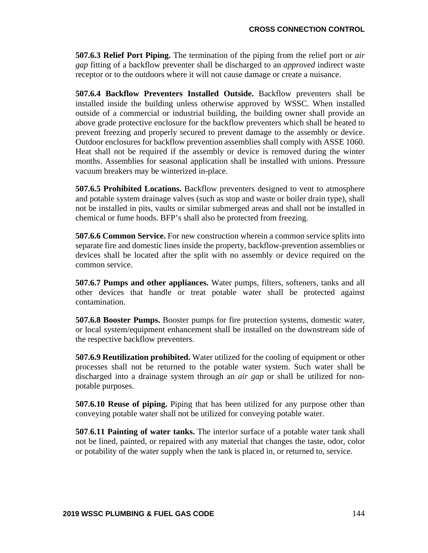**507.6.3 Relief Port Piping.** The termination of the piping from the relief port or *air gap* fitting of a backflow preventer shall be discharged to an *approved* indirect waste receptor or to the outdoors where it will not cause damage or create a nuisance.

**507.6.4 Backflow Preventers Installed Outside.** Backflow preventers shall be installed inside the building unless otherwise approved by WSSC. When installed outside of a commercial or industrial building, the building owner shall provide an above grade protective enclosure for the backflow preventers which shall be heated to prevent freezing and properly secured to prevent damage to the assembly or device. Outdoor enclosures for backflow prevention assemblies shall comply with ASSE 1060. Heat shall not be required if the assembly or device is removed during the winter months. Assemblies for seasonal application shall be installed with unions. Pressure vacuum breakers may be winterized in-place.

**507.6.5 Prohibited Locations.** Backflow preventers designed to vent to atmosphere and potable system drainage valves (such as stop and waste or boiler drain type), shall not be installed in pits, vaults or similar submerged areas and shall not be installed in chemical or fume hoods. BFP's shall also be protected from freezing.

**507.6.6 Common Service.** For new construction wherein a common service splits into separate fire and domestic lines inside the property, backflow-prevention assemblies or devices shall be located after the split with no assembly or device required on the common service.

**507.6.7 Pumps and other appliances.** Water pumps, filters, softeners, tanks and all other devices that handle or treat potable water shall be protected against contamination.

**507.6.8 Booster Pumps.** Booster pumps for fire protection systems, domestic water, or local system/equipment enhancement shall be installed on the downstream side of the respective backflow preventers.

**507.6.9 Reutilization prohibited.** Water utilized for the cooling of equipment or other processes shall not be returned to the potable water system. Such water shall be discharged into a drainage system through an *air gap* or shall be utilized for nonpotable purposes.

**507.6.10 Reuse of piping.** Piping that has been utilized for any purpose other than conveying potable water shall not be utilized for conveying potable water.

**507**.**6.11 Painting of water tanks.** The interior surface of a potable water tank shall not be lined, painted, or repaired with any material that changes the taste, odor, color or potability of the water supply when the tank is placed in, or returned to, service.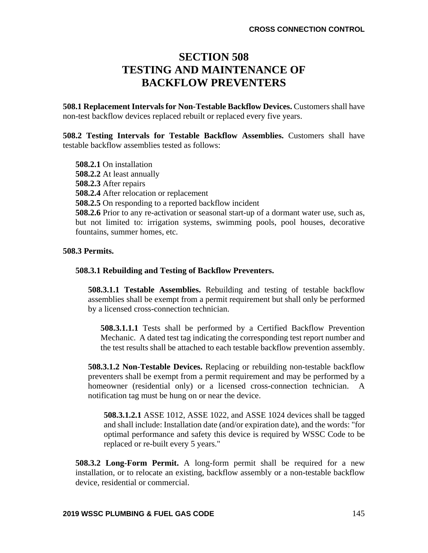### **SECTION 508 TESTING AND MAINTENANCE OF BACKFLOW PREVENTERS**

**508.1 Replacement Intervals for Non-Testable Backflow Devices.** Customers shall have non-test backflow devices replaced rebuilt or replaced every five years.

**508.2 Testing Intervals for Testable Backflow Assemblies.** Customers shall have testable backflow assemblies tested as follows:

**508.2.1** On installation **508.2.2** At least annually **508.2.3** After repairs **508.2.4** After relocation or replacement **508.2.5** On responding to a reported backflow incident **508.2.6** Prior to any re-activation or seasonal start-up of a dormant water use, such as, but not limited to: irrigation systems, swimming pools, pool houses, decorative fountains, summer homes, etc.

### **508.3 Permits.**

### **508.3.1 Rebuilding and Testing of Backflow Preventers.**

**508.3.1.1 Testable Assemblies.** Rebuilding and testing of testable backflow assemblies shall be exempt from a permit requirement but shall only be performed by a licensed cross-connection technician.

**508.3.1.1.1** Tests shall be performed by a Certified Backflow Prevention Mechanic. A dated test tag indicating the corresponding test report number and the test results shall be attached to each testable backflow prevention assembly.

**508.3.1.2 Non-Testable Devices.** Replacing or rebuilding non-testable backflow preventers shall be exempt from a permit requirement and may be performed by a homeowner (residential only) or a licensed cross-connection technician. A notification tag must be hung on or near the device.

**508.3.1.2.1** ASSE 1012, ASSE 1022, and ASSE 1024 devices shall be tagged and shall include: Installation date (and/or expiration date), and the words: "for optimal performance and safety this device is required by WSSC Code to be replaced or re-built every 5 years."

**508.3.2 Long-Form Permit.** A long-form permit shall be required for a new installation, or to relocate an existing, backflow assembly or a non-testable backflow device, residential or commercial.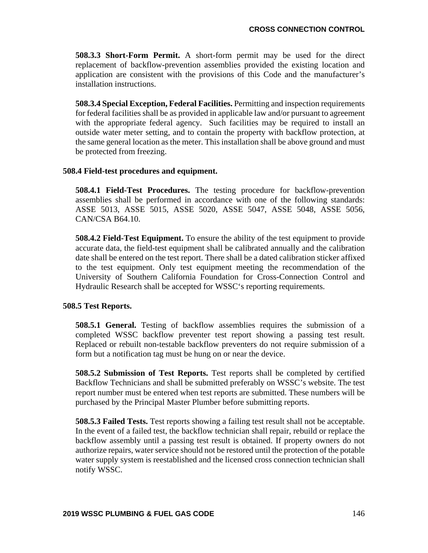**508.3.3 Short-Form Permit.** A short-form permit may be used for the direct replacement of backflow-prevention assemblies provided the existing location and application are consistent with the provisions of this Code and the manufacturer's installation instructions.

**508.3.4 Special Exception, Federal Facilities.** Permitting and inspection requirements for federal facilities shall be as provided in applicable law and/or pursuant to agreement with the appropriate federal agency. Such facilities may be required to install an outside water meter setting, and to contain the property with backflow protection, at the same general location as the meter. This installation shall be above ground and must be protected from freezing.

### **508.4 Field-test procedures and equipment.**

**508.4.1 Field-Test Procedures.** The testing procedure for backflow-prevention assemblies shall be performed in accordance with one of the following standards: ASSE 5013, ASSE 5015, ASSE 5020, ASSE 5047, ASSE 5048, ASSE 5056, CAN/CSA B64.10.

**508.4.2 Field-Test Equipment.** To ensure the ability of the test equipment to provide accurate data, the field-test equipment shall be calibrated annually and the calibration date shall be entered on the test report. There shall be a dated calibration sticker affixed to the test equipment. Only test equipment meeting the recommendation of the University of Southern California Foundation for Cross-Connection Control and Hydraulic Research shall be accepted for WSSC's reporting requirements.

### **508.5 Test Reports.**

**508.5.1 General.** Testing of backflow assemblies requires the submission of a completed WSSC backflow preventer test report showing a passing test result. Replaced or rebuilt non-testable backflow preventers do not require submission of a form but a notification tag must be hung on or near the device.

**508.5.2 Submission of Test Reports.** Test reports shall be completed by certified Backflow Technicians and shall be submitted preferably on WSSC's website. The test report number must be entered when test reports are submitted. These numbers will be purchased by the Principal Master Plumber before submitting reports.

**508.5.3 Failed Tests.** Test reports showing a failing test result shall not be acceptable. In the event of a failed test, the backflow technician shall repair, rebuild or replace the backflow assembly until a passing test result is obtained. If property owners do not authorize repairs, water service should not be restored until the protection of the potable water supply system is reestablished and the licensed cross connection technician shall notify WSSC.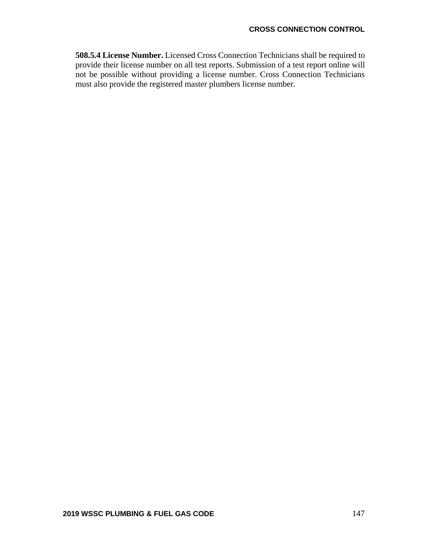**508.5.4 License Number.** Licensed Cross Connection Technicians shall be required to provide their license number on all test reports. Submission of a test report online will not be possible without providing a license number. Cross Connection Technicians must also provide the registered master plumbers license number.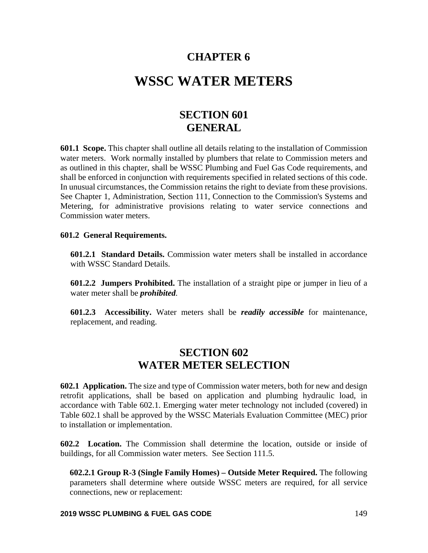### **CHAPTER 6**

# **WSSC WATER METERS**

### **SECTION 601 GENERAL**

**601.1 Scope.** This chapter shall outline all details relating to the installation of Commission water meters. Work normally installed by plumbers that relate to Commission meters and as outlined in this chapter, shall be WSSC Plumbing and Fuel Gas Code requirements, and shall be enforced in conjunction with requirements specified in related sections of this code. In unusual circumstances, the Commission retains the right to deviate from these provisions. See Chapter 1, Administration, Section 111, Connection to the Commission's Systems and Metering, for administrative provisions relating to water service connections and Commission water meters.

#### **601.2 General Requirements.**

**601.2.1 Standard Details.** Commission water meters shall be installed in accordance with WSSC Standard Details.

**601.2.2 Jumpers Prohibited.** The installation of a straight pipe or jumper in lieu of a water meter shall be *prohibited.*

**601.2.3 Accessibility.** Water meters shall be *readily accessible* for maintenance, replacement, and reading.

### **SECTION 602 WATER METER SELECTION**

**602.1 Application.** The size and type of Commission water meters, both for new and design retrofit applications, shall be based on application and plumbing hydraulic load, in accordance with Table 602.1. Emerging water meter technology not included (covered) in Table 602.1 shall be approved by the WSSC Materials Evaluation Committee (MEC) prior to installation or implementation.

**602.2 Location.** The Commission shall determine the location, outside or inside of buildings, for all Commission water meters. See Section 111.5.

**602.2.1 Group R-3 (Single Family Homes) – Outside Meter Required.** The following parameters shall determine where outside WSSC meters are required, for all service connections, new or replacement: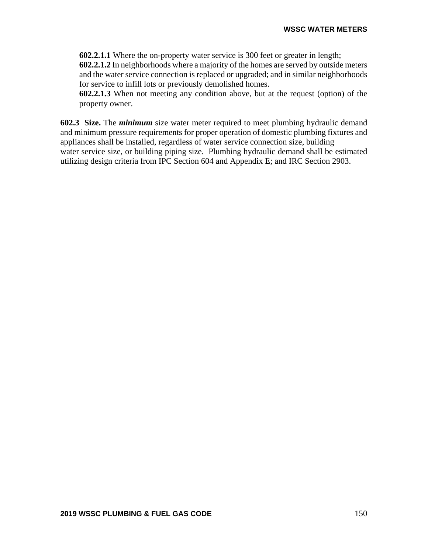**602.2.1.1** Where the on-property water service is 300 feet or greater in length; **602.2.1.2** In neighborhoods where a majority of the homes are served by outside meters and the water service connection is replaced or upgraded; and in similar neighborhoods

for service to infill lots or previously demolished homes. **602.2.1.3** When not meeting any condition above, but at the request (option) of the property owner.

**602.3 Size.** The *minimum* size water meter required to meet plumbing hydraulic demand and minimum pressure requirements for proper operation of domestic plumbing fixtures and appliances shall be installed, regardless of water service connection size, building water service size, or building piping size. Plumbing hydraulic demand shall be estimated utilizing design criteria from IPC Section 604 and Appendix E; and IRC Section 2903.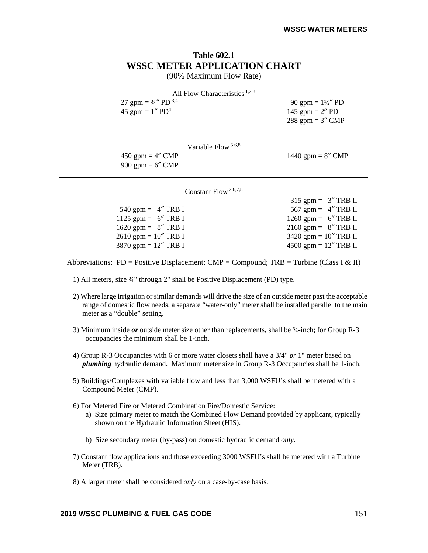### **Table 602.1 WSSC METER APPLICATION CHART**

(90% Maximum Flow Rate)

All Flow Characteristics<sup>1,2,8</sup>

| 27 gpm = $\frac{3}{4}$ " PD $^{3,4}$ | 90 gpm = $1\frac{1}{2}$ PD |
|--------------------------------------|----------------------------|
| 45 gpm = $1''$ PD <sup>4</sup>       | 145 gpm = $2''$ PD         |
|                                      | 288 gpm = $3''$ CMP        |

Variable Flow 5,6,8

900  $gpm = 6''$  CMP

 $450 \text{ gpm} = 4'' \text{ CMP}$  1440 gpm = 8" CMP

Constant Flow 2,6,7,8

|                           | $315$ gpm = $3''$ TRB II  |
|---------------------------|---------------------------|
| 540 gpm = $4''$ TRB I     | 567 gpm = $4''$ TRB II    |
| 1125 gpm = $6''$ TRB I    | 1260 gpm = $6''$ TRB II   |
| 1620 gpm = $8''$ TRB I    | $2160$ gpm = $8''$ TRB II |
| $2610$ gpm = $10''$ TRB I | 3420 gpm = $10''$ TRB II  |
| 3870 gpm = $12''$ TRB I   | 4500 gpm = $12''$ TRB II  |

Abbreviations: PD = Positive Displacement; CMP = Compound; TRB = Turbine (Class I & II)

- 1) All meters, size ¾" through 2" shall be Positive Displacement (PD) type.
- 2) Where large irrigation or similar demands will drive the size of an outside meter past the acceptable range of domestic flow needs, a separate "water-only" meter shall be installed parallel to the main meter as a "double" setting.
- 3) Minimum inside *or* outside meter size other than replacements, shall be ¾-inch; for Group R-3 occupancies the minimum shall be 1-inch.
- 4) Group R-3 Occupancies with 6 or more water closets shall have a 3/4" *or* 1" meter based on *plumbing* hydraulic demand. Maximum meter size in Group R-3 Occupancies shall be 1-inch.
- 5) Buildings/Complexes with variable flow and less than 3,000 WSFU's shall be metered with a Compound Meter (CMP).
- 6) For Metered Fire or Metered Combination Fire/Domestic Service:
	- a) Size primary meter to match the Combined Flow Demand provided by applicant, typically shown on the Hydraulic Information Sheet (HIS).
	- b) Size secondary meter (by-pass) on domestic hydraulic demand *only*.
- 7) Constant flow applications and those exceeding 3000 WSFU's shall be metered with a Turbine Meter (TRB).
- 8) A larger meter shall be considered *only* on a case-by-case basis.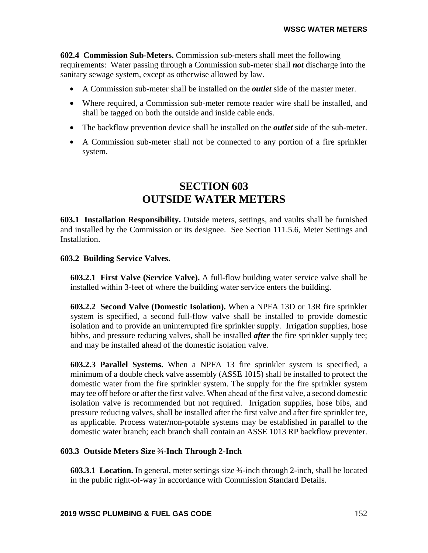**602.4 Commission Sub-Meters.** Commission sub-meters shall meet the following requirements: Water passing through a Commission sub-meter shall *not* discharge into the sanitary sewage system, except as otherwise allowed by law.

- A Commission sub-meter shall be installed on the *outlet* side of the master meter.
- Where required, a Commission sub-meter remote reader wire shall be installed, and shall be tagged on both the outside and inside cable ends.
- The backflow prevention device shall be installed on the *outlet* side of the sub-meter.
- A Commission sub-meter shall not be connected to any portion of a fire sprinkler system.

## **SECTION 603 OUTSIDE WATER METERS**

**603.1 Installation Responsibility.** Outside meters, settings, and vaults shall be furnished and installed by the Commission or its designee. See Section 111.5.6, Meter Settings and Installation.

### **603.2 Building Service Valves.**

**603.2.1 First Valve (Service Valve).** A full-flow building water service valve shall be installed within 3-feet of where the building water service enters the building.

**603.2.2 Second Valve (Domestic Isolation).** When a NPFA 13D or 13R fire sprinkler system is specified, a second full-flow valve shall be installed to provide domestic isolation and to provide an uninterrupted fire sprinkler supply. Irrigation supplies, hose bibbs, and pressure reducing valves, shall be installed *after* the fire sprinkler supply tee; and may be installed ahead of the domestic isolation valve.

**603.2.3 Parallel Systems.** When a NPFA 13 fire sprinkler system is specified, a minimum of a double check valve assembly (ASSE 1015) shall be installed to protect the domestic water from the fire sprinkler system. The supply for the fire sprinkler system may tee off before or after the first valve. When ahead of the first valve, a second domestic isolation valve is recommended but not required. Irrigation supplies, hose bibs, and pressure reducing valves, shall be installed after the first valve and after fire sprinkler tee, as applicable. Process water/non-potable systems may be established in parallel to the domestic water branch; each branch shall contain an ASSE 1013 RP backflow preventer.

### **603.3 Outside Meters Size ¾-Inch Through 2-Inch**

**603.3.1 Location.** In general, meter settings size ¾-inch through 2-inch, shall be located in the public right-of-way in accordance with Commission Standard Details.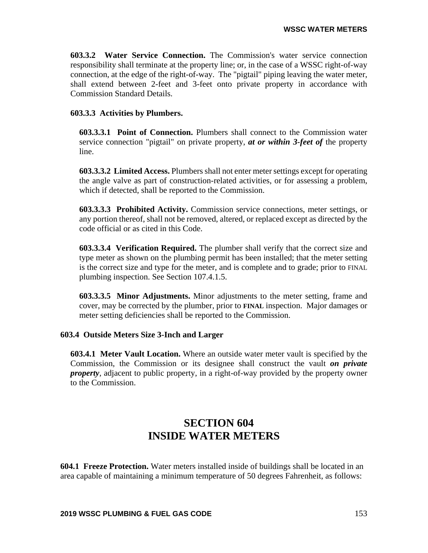**603.3.2 Water Service Connection.** The Commission's water service connection responsibility shall terminate at the property line; or, in the case of a WSSC right-of-way connection, at the edge of the right-of-way. The "pigtail" piping leaving the water meter, shall extend between 2-feet and 3-feet onto private property in accordance with Commission Standard Details.

### **603.3.3 Activities by Plumbers.**

**603.3.3.1 Point of Connection.** Plumbers shall connect to the Commission water service connection "pigtail" on private property, *at or within 3-feet of* the property line.

**603.3.3.2 Limited Access.** Plumbers shall not enter meter settings except for operating the angle valve as part of construction-related activities, or for assessing a problem, which if detected, shall be reported to the Commission.

**603.3.3.3 Prohibited Activity.** Commission service connections, meter settings, or any portion thereof, shall not be removed, altered, or replaced except as directed by the code official or as cited in this Code.

**603.3.3.4 Verification Required.** The plumber shall verify that the correct size and type meter as shown on the plumbing permit has been installed; that the meter setting is the correct size and type for the meter, and is complete and to grade; prior to FINAL plumbing inspection. See Section 107.4.1.5.

**603.3.3.5 Minor Adjustments.** Minor adjustments to the meter setting, frame and cover, may be corrected by the plumber, prior to **FINAL** inspection. Major damages or meter setting deficiencies shall be reported to the Commission.

#### **603.4 Outside Meters Size 3-Inch and Larger**

**603.4.1 Meter Vault Location.** Where an outside water meter vault is specified by the Commission, the Commission or its designee shall construct the vault *on private property,* adjacent to public property, in a right-of-way provided by the property owner to the Commission.

## **SECTION 604 INSIDE WATER METERS**

**604.1 Freeze Protection.** Water meters installed inside of buildings shall be located in an area capable of maintaining a minimum temperature of 50 degrees Fahrenheit, as follows: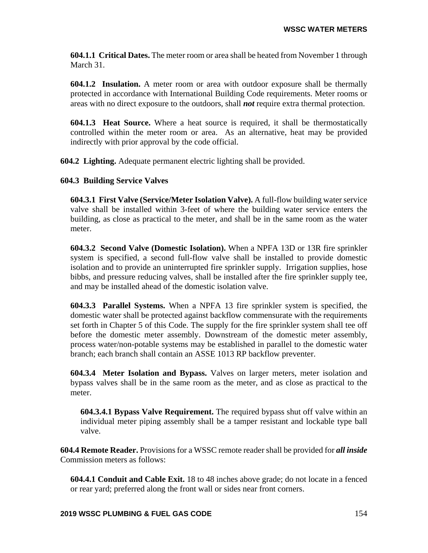**604.1.1 Critical Dates.** The meter room or area shall be heated from November 1 through March 31.

**604.1.2 Insulation.** A meter room or area with outdoor exposure shall be thermally protected in accordance with International Building Code requirements. Meter rooms or areas with no direct exposure to the outdoors, shall *not* require extra thermal protection.

**604.1.3 Heat Source.** Where a heat source is required, it shall be thermostatically controlled within the meter room or area. As an alternative, heat may be provided indirectly with prior approval by the code official.

**604.2 Lighting.** Adequate permanent electric lighting shall be provided.

#### **604.3 Building Service Valves**

**604.3.1 First Valve (Service/Meter Isolation Valve).** A full-flow building water service valve shall be installed within 3-feet of where the building water service enters the building, as close as practical to the meter, and shall be in the same room as the water meter.

**604.3.2 Second Valve (Domestic Isolation).** When a NPFA 13D or 13R fire sprinkler system is specified, a second full-flow valve shall be installed to provide domestic isolation and to provide an uninterrupted fire sprinkler supply. Irrigation supplies, hose bibbs, and pressure reducing valves, shall be installed after the fire sprinkler supply tee, and may be installed ahead of the domestic isolation valve.

**604.3.3 Parallel Systems.** When a NPFA 13 fire sprinkler system is specified, the domestic water shall be protected against backflow commensurate with the requirements set forth in Chapter 5 of this Code. The supply for the fire sprinkler system shall tee off before the domestic meter assembly. Downstream of the domestic meter assembly, process water/non-potable systems may be established in parallel to the domestic water branch; each branch shall contain an ASSE 1013 RP backflow preventer.

**604.3.4 Meter Isolation and Bypass.** Valves on larger meters, meter isolation and bypass valves shall be in the same room as the meter, and as close as practical to the meter.

**604.3.4.1 Bypass Valve Requirement.** The required bypass shut off valve within an individual meter piping assembly shall be a tamper resistant and lockable type ball valve.

**604.4 Remote Reader.** Provisions for a WSSC remote reader shall be provided for *all inside* Commission meters as follows:

**604.4.1 Conduit and Cable Exit.** 18 to 48 inches above grade; do not locate in a fenced or rear yard; preferred along the front wall or sides near front corners.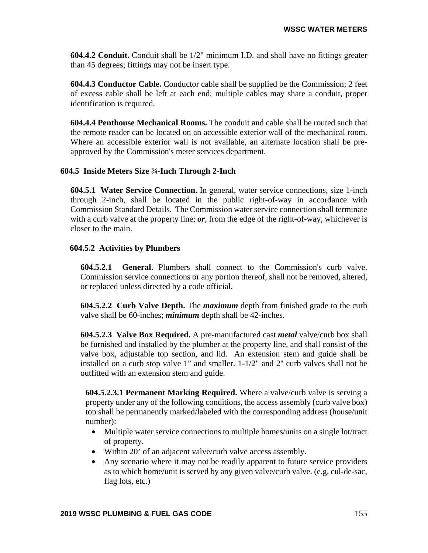**604.4.2 Conduit.** Conduit shall be 1/2" minimum I.D. and shall have no fittings greater than 45 degrees; fittings may not be insert type.

**604.4.3 Conductor Cable.** Conductor cable shall be supplied be the Commission; 2 feet of excess cable shall be left at each end; multiple cables may share a conduit, proper identification is required.

**604.4.4 Penthouse Mechanical Rooms.** The conduit and cable shall be routed such that the remote reader can be located on an accessible exterior wall of the mechanical room. Where an accessible exterior wall is not available, an alternate location shall be preapproved by the Commission's meter services department.

### **604.5 Inside Meters Size ¾-Inch Through 2-Inch**

**604.5.1 Water Service Connection.** In general, water service connections, size 1-inch through 2-inch, shall be located in the public right-of-way in accordance with Commission Standard Details. The Commission water service connection shall terminate with a curb valve at the property line; *or*, from the edge of the right-of-way, whichever is closer to the main.

### **604.5.2 Activities by Plumbers**

**604.5.2.1 General.** Plumbers shall connect to the Commission's curb valve. Commission service connections or any portion thereof, shall not be removed, altered, or replaced unless directed by a code official.

**604.5.2.2 Curb Valve Depth.** The *maximum* depth from finished grade to the curb valve shall be 60-inches; *minimum* depth shall be 42-inches.

**604.5.2.3 Valve Box Required.** A pre-manufactured cast *metal* valve/curb box shall be furnished and installed by the plumber at the property line, and shall consist of the valve box, adjustable top section, and lid. An extension stem and guide shall be installed on a curb stop valve  $1$ " and smaller.  $1-1/2$ " and  $2$ " curb valves shall not be outfitted with an extension stem and guide.

**604.5.2.3.1 Permanent Marking Required.** Where a valve/curb valve is serving a property under any of the following conditions, the access assembly (curb valve box) top shall be permanently marked/labeled with the corresponding address (house/unit number):

- Multiple water service connections to multiple homes/units on a single lot/tract of property.
- Within 20' of an adjacent valve/curb valve access assembly.
- Any scenario where it may not be readily apparent to future service providers as to which home/unit is served by any given valve/curb valve. (e.g. cul-de-sac, flag lots, etc.)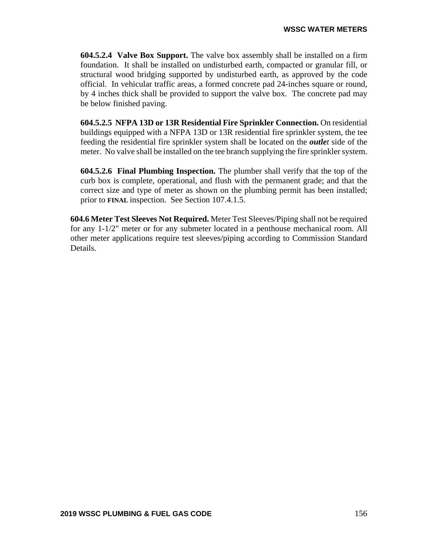**604.5.2.4 Valve Box Support.** The valve box assembly shall be installed on a firm foundation. It shall be installed on undisturbed earth, compacted or granular fill, or structural wood bridging supported by undisturbed earth, as approved by the code official. In vehicular traffic areas, a formed concrete pad 24-inches square or round, by 4 inches thick shall be provided to support the valve box. The concrete pad may be below finished paving.

**604.5.2.5 NFPA 13D or 13R Residential Fire Sprinkler Connection.** On residential buildings equipped with a NFPA 13D or 13R residential fire sprinkler system, the tee feeding the residential fire sprinkler system shall be located on the *outlet* side of the meter. No valve shall be installed on the tee branch supplying the fire sprinkler system.

**604.5.2.6 Final Plumbing Inspection.** The plumber shall verify that the top of the curb box is complete, operational, and flush with the permanent grade; and that the correct size and type of meter as shown on the plumbing permit has been installed; prior to **FINAL** inspection. See Section 107.4.1.5.

**604.6 Meter Test Sleeves Not Required.** Meter Test Sleeves/Piping shall not be required for any 1-1/2" meter or for any submeter located in a penthouse mechanical room. All other meter applications require test sleeves/piping according to Commission Standard Details.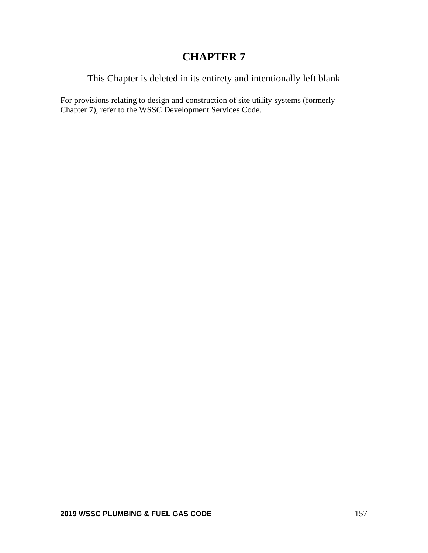### **CHAPTER 7**

### This Chapter is deleted in its entirety and intentionally left blank

For provisions relating to design and construction of site utility systems (formerly Chapter 7), refer to the WSSC Development Services Code.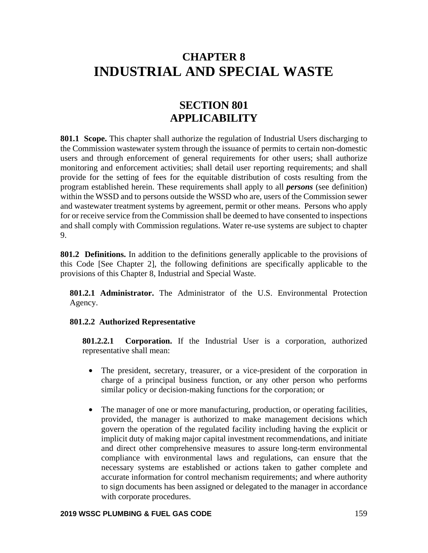# **CHAPTER 8 INDUSTRIAL AND SPECIAL WASTE**

### **SECTION 801 APPLICABILITY**

**801.1 Scope.** This chapter shall authorize the regulation of Industrial Users discharging to the Commission wastewater system through the issuance of permits to certain non-domestic users and through enforcement of general requirements for other users; shall authorize monitoring and enforcement activities; shall detail user reporting requirements; and shall provide for the setting of fees for the equitable distribution of costs resulting from the program established herein. These requirements shall apply to all *persons* (see definition) within the WSSD and to persons outside the WSSD who are, users of the Commission sewer and wastewater treatment systems by agreement, permit or other means. Persons who apply for or receive service from the Commission shall be deemed to have consented to inspections and shall comply with Commission regulations. Water re-use systems are subject to chapter 9.

**801.2 Definitions.** In addition to the definitions generally applicable to the provisions of this Code [See Chapter 2], the following definitions are specifically applicable to the provisions of this Chapter 8, Industrial and Special Waste.

**801.2.1 Administrator.** The Administrator of the U.S. Environmental Protection Agency.

### **801.2.2 Authorized Representative**

**801.2.2.1 Corporation.** If the Industrial User is a corporation, authorized representative shall mean:

- The president, secretary, treasurer, or a vice-president of the corporation in charge of a principal business function, or any other person who performs similar policy or decision-making functions for the corporation; or
- The manager of one or more manufacturing, production, or operating facilities, provided, the manager is authorized to make management decisions which govern the operation of the regulated facility including having the explicit or implicit duty of making major capital investment recommendations, and initiate and direct other comprehensive measures to assure long-term environmental compliance with environmental laws and regulations, can ensure that the necessary systems are established or actions taken to gather complete and accurate information for control mechanism requirements; and where authority to sign documents has been assigned or delegated to the manager in accordance with corporate procedures.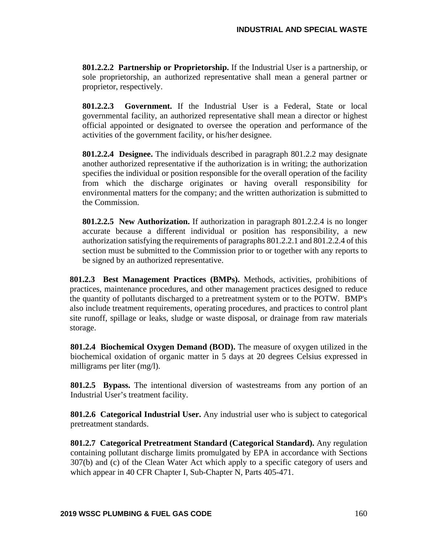**801.2.2.2 Partnership or Proprietorship.** If the Industrial User is a partnership, or sole proprietorship, an authorized representative shall mean a general partner or proprietor, respectively.

**801.2.2.3 Government.** If the Industrial User is a Federal, State or local governmental facility, an authorized representative shall mean a director or highest official appointed or designated to oversee the operation and performance of the activities of the government facility, or his/her designee.

**801.2.2.4 Designee.** The individuals described in paragraph 801.2.2 may designate another authorized representative if the authorization is in writing; the authorization specifies the individual or position responsible for the overall operation of the facility from which the discharge originates or having overall responsibility for environmental matters for the company; and the written authorization is submitted to the Commission.

**801.2.2.5 New Authorization.** If authorization in paragraph 801.2.2.4 is no longer accurate because a different individual or position has responsibility, a new authorization satisfying the requirements of paragraphs 801.2.2.1 and 801.2.2.4 of this section must be submitted to the Commission prior to or together with any reports to be signed by an authorized representative.

**801.2.3 Best Management Practices (BMPs).** Methods, activities, prohibitions of practices, maintenance procedures, and other management practices designed to reduce the quantity of pollutants discharged to a pretreatment system or to the POTW. BMP's also include treatment requirements, operating procedures, and practices to control plant site runoff, spillage or leaks, sludge or waste disposal, or drainage from raw materials storage.

**801.2.4 Biochemical Oxygen Demand (BOD).** The measure of oxygen utilized in the biochemical oxidation of organic matter in 5 days at 20 degrees Celsius expressed in milligrams per liter (mg/l).

**801.2.5 Bypass.** The intentional diversion of wastestreams from any portion of an Industrial User's treatment facility.

**801.2.6 Categorical Industrial User.** Any industrial user who is subject to categorical pretreatment standards.

**801.2.7 Categorical Pretreatment Standard (Categorical Standard).** Any regulation containing pollutant discharge limits promulgated by EPA in accordance with Sections 307(b) and (c) of the Clean Water Act which apply to a specific category of users and which appear in 40 CFR Chapter I, Sub-Chapter N, Parts 405-471.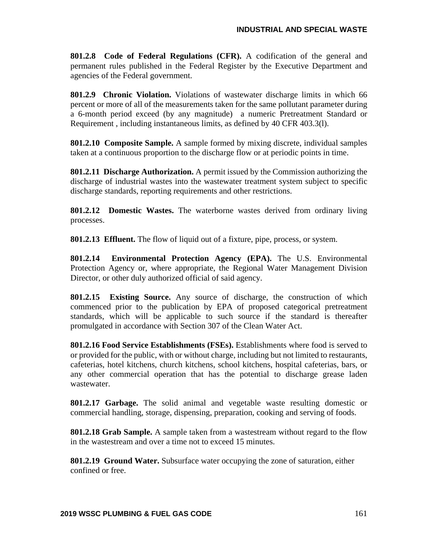**801.2.8 Code of Federal Regulations (CFR).** A codification of the general and permanent rules published in the Federal Register by the Executive Department and agencies of the Federal government.

**801.2.9 Chronic Violation.** Violations of wastewater discharge limits in which 66 percent or more of all of the measurements taken for the same pollutant parameter during a 6-month period exceed (by any magnitude) a numeric Pretreatment Standard or Requirement , including instantaneous limits, as defined by 40 CFR 403.3(l).

**801.2.10 Composite Sample.** A sample formed by mixing discrete, individual samples taken at a continuous proportion to the discharge flow or at periodic points in time.

**801.2.11 Discharge Authorization.** A permit issued by the Commission authorizing the discharge of industrial wastes into the wastewater treatment system subject to specific discharge standards, reporting requirements and other restrictions.

**801.2.12 Domestic Wastes.** The waterborne wastes derived from ordinary living processes.

**801.2.13 Effluent.** The flow of liquid out of a fixture, pipe, process, or system.

**801.2.14 Environmental Protection Agency (EPA).** The U.S. Environmental Protection Agency or, where appropriate, the Regional Water Management Division Director, or other duly authorized official of said agency.

**801.2.15 Existing Source.** Any source of discharge, the construction of which commenced prior to the publication by EPA of proposed categorical pretreatment standards, which will be applicable to such source if the standard is thereafter promulgated in accordance with Section 307 of the Clean Water Act.

**801.2.16 Food Service Establishments (FSEs).** Establishments where food is served to or provided for the public, with or without charge, including but not limited to restaurants, cafeterias, hotel kitchens, church kitchens, school kitchens, hospital cafeterias, bars, or any other commercial operation that has the potential to discharge grease laden wastewater.

**801.2.17 Garbage.** The solid animal and vegetable waste resulting domestic or commercial handling, storage, dispensing, preparation, cooking and serving of foods.

**801.2.18 Grab Sample.** A sample taken from a wastestream without regard to the flow in the wastestream and over a time not to exceed 15 minutes.

**801.2.19 Ground Water.** Subsurface water occupying the zone of saturation, either confined or free.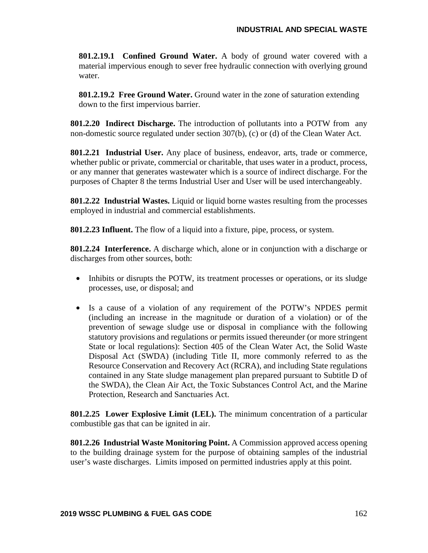**801.2.19.1 Confined Ground Water.** A body of ground water covered with a material impervious enough to sever free hydraulic connection with overlying ground water.

**801.2.19.2 Free Ground Water.** Ground water in the zone of saturation extending down to the first impervious barrier.

**801.2.20 Indirect Discharge.** The introduction of pollutants into a POTW from any non-domestic source regulated under section 307(b), (c) or (d) of the Clean Water Act.

**801.2.21 Industrial User.** Any place of business, endeavor, arts, trade or commerce, whether public or private, commercial or charitable, that uses water in a product, process, or any manner that generates wastewater which is a source of indirect discharge. For the purposes of Chapter 8 the terms Industrial User and User will be used interchangeably.

**801.2.22 Industrial Wastes.** Liquid or liquid borne wastes resulting from the processes employed in industrial and commercial establishments.

**801.2.23 Influent.** The flow of a liquid into a fixture, pipe, process, or system.

**801.2.24 Interference.** A discharge which, alone or in conjunction with a discharge or discharges from other sources, both:

- Inhibits or disrupts the POTW, its treatment processes or operations, or its sludge processes, use, or disposal; and
- Is a cause of a violation of any requirement of the POTW's NPDES permit (including an increase in the magnitude or duration of a violation) or of the prevention of sewage sludge use or disposal in compliance with the following statutory provisions and regulations or permits issued thereunder (or more stringent State or local regulations): Section 405 of the Clean Water Act, the Solid Waste Disposal Act (SWDA) (including Title II, more commonly referred to as the Resource Conservation and Recovery Act (RCRA), and including State regulations contained in any State sludge management plan prepared pursuant to Subtitle D of the SWDA), the Clean Air Act, the Toxic Substances Control Act, and the Marine Protection, Research and Sanctuaries Act.

**801.2.25 Lower Explosive Limit (LEL).** The minimum concentration of a particular combustible gas that can be ignited in air.

**801.2.26 Industrial Waste Monitoring Point.** A Commission approved access opening to the building drainage system for the purpose of obtaining samples of the industrial user's waste discharges. Limits imposed on permitted industries apply at this point.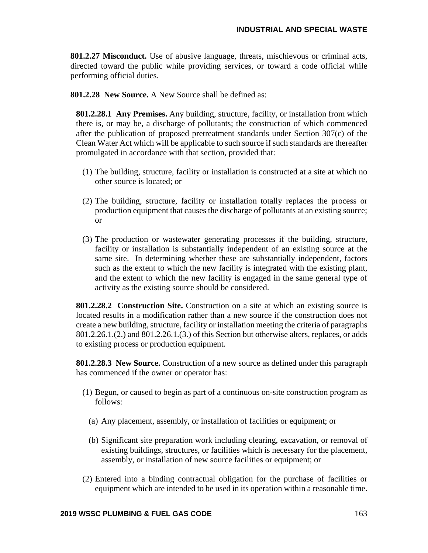**801.2.27 Misconduct.** Use of abusive language, threats, mischievous or criminal acts, directed toward the public while providing services, or toward a code official while performing official duties.

**801.2.28 New Source.** A New Source shall be defined as:

**801.2.28.1 Any Premises.** Any building, structure, facility, or installation from which there is, or may be, a discharge of pollutants; the construction of which commenced after the publication of proposed pretreatment standards under Section 307(c) of the Clean Water Act which will be applicable to such source if such standards are thereafter promulgated in accordance with that section, provided that:

- (1) The building, structure, facility or installation is constructed at a site at which no other source is located; or
- (2) The building, structure, facility or installation totally replaces the process or production equipment that causes the discharge of pollutants at an existing source; or
- (3) The production or wastewater generating processes if the building, structure, facility or installation is substantially independent of an existing source at the same site. In determining whether these are substantially independent, factors such as the extent to which the new facility is integrated with the existing plant, and the extent to which the new facility is engaged in the same general type of activity as the existing source should be considered.

**801.2.28.2 Construction Site.** Construction on a site at which an existing source is located results in a modification rather than a new source if the construction does not create a new building, structure, facility or installation meeting the criteria of paragraphs 801.2.26.1.(2.) and 801.2.26.1.(3.) of this Section but otherwise alters, replaces, or adds to existing process or production equipment.

**801.2.28.3 New Source.** Construction of a new source as defined under this paragraph has commenced if the owner or operator has:

- (1) Begun, or caused to begin as part of a continuous on-site construction program as follows:
	- (a) Any placement, assembly, or installation of facilities or equipment; or
	- (b) Significant site preparation work including clearing, excavation, or removal of existing buildings, structures, or facilities which is necessary for the placement, assembly, or installation of new source facilities or equipment; or
- (2) Entered into a binding contractual obligation for the purchase of facilities or equipment which are intended to be used in its operation within a reasonable time.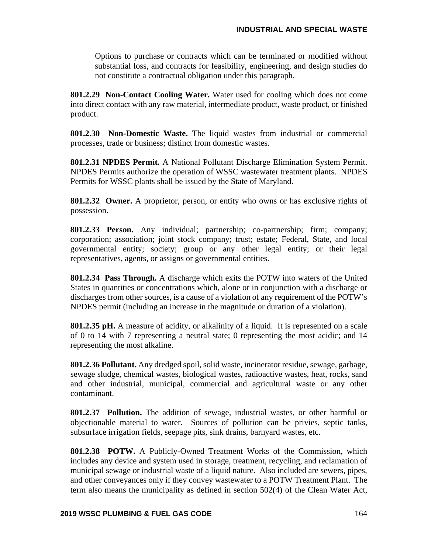Options to purchase or contracts which can be terminated or modified without substantial loss, and contracts for feasibility, engineering, and design studies do not constitute a contractual obligation under this paragraph.

**801.2.29 Non-Contact Cooling Water.** Water used for cooling which does not come into direct contact with any raw material, intermediate product, waste product, or finished product.

**801.2.30 Non-Domestic Waste.** The liquid wastes from industrial or commercial processes, trade or business; distinct from domestic wastes.

**801.2.31 NPDES Permit.** A National Pollutant Discharge Elimination System Permit. NPDES Permits authorize the operation of WSSC wastewater treatment plants. NPDES Permits for WSSC plants shall be issued by the State of Maryland.

**801.2.32 Owner.** A proprietor, person, or entity who owns or has exclusive rights of possession.

**801.2.33 Person.** Any individual; partnership; co-partnership; firm; company; corporation; association; joint stock company; trust; estate; Federal, State, and local governmental entity; society; group or any other legal entity; or their legal representatives, agents, or assigns or governmental entities.

**801.2.34 Pass Through.** A discharge which exits the POTW into waters of the United States in quantities or concentrations which, alone or in conjunction with a discharge or discharges from other sources, is a cause of a violation of any requirement of the POTW's NPDES permit (including an increase in the magnitude or duration of a violation).

**801.2.35 pH.** A measure of acidity, or alkalinity of a liquid. It is represented on a scale of 0 to 14 with 7 representing a neutral state; 0 representing the most acidic; and 14 representing the most alkaline.

**801.2.36 Pollutant.** Any dredged spoil, solid waste, incinerator residue, sewage, garbage, sewage sludge, chemical wastes, biological wastes, radioactive wastes, heat, rocks, sand and other industrial, municipal, commercial and agricultural waste or any other contaminant.

**801.2.37 Pollution.** The addition of sewage, industrial wastes, or other harmful or objectionable material to water. Sources of pollution can be privies, septic tanks, subsurface irrigation fields, seepage pits, sink drains, barnyard wastes, etc.

**801.2.38 POTW.** A Publicly-Owned Treatment Works of the Commission, which includes any device and system used in storage, treatment, recycling, and reclamation of municipal sewage or industrial waste of a liquid nature. Also included are sewers, pipes, and other conveyances only if they convey wastewater to a POTW Treatment Plant. The term also means the municipality as defined in section 502(4) of the Clean Water Act,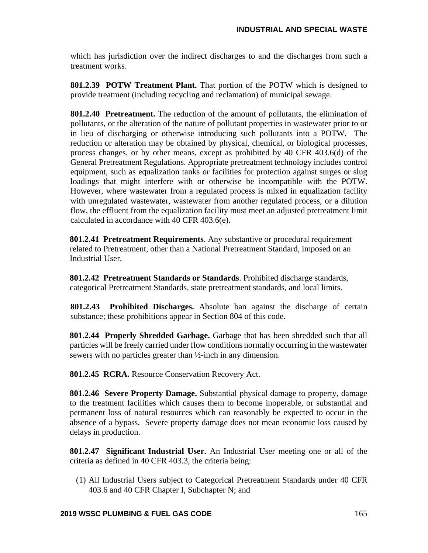which has jurisdiction over the indirect discharges to and the discharges from such a treatment works.

**801.2.39 POTW Treatment Plant.** That portion of the POTW which is designed to provide treatment (including recycling and reclamation) of municipal sewage.

**801.2.40 Pretreatment.** The reduction of the amount of pollutants, the elimination of pollutants, or the alteration of the nature of pollutant properties in wastewater prior to or in lieu of discharging or otherwise introducing such pollutants into a POTW. The reduction or alteration may be obtained by physical, chemical, or biological processes, process changes, or by other means, except as prohibited by 40 CFR 403.6(d) of the General Pretreatment Regulations. Appropriate pretreatment technology includes control equipment, such as equalization tanks or facilities for protection against surges or slug loadings that might interfere with or otherwise be incompatible with the POTW. However, where wastewater from a regulated process is mixed in equalization facility with unregulated wastewater, wastewater from another regulated process, or a dilution flow, the effluent from the equalization facility must meet an adjusted pretreatment limit calculated in accordance with 40 CFR 403.6(e).

**801.2.41 Pretreatment Requirements**. Any substantive or procedural requirement related to Pretreatment, other than a National Pretreatment Standard, imposed on an Industrial User.

**801.2.42 Pretreatment Standards or Standards**. Prohibited discharge standards, categorical Pretreatment Standards, state pretreatment standards, and local limits.

**801.2.43 Prohibited Discharges.** Absolute ban against the discharge of certain substance; these prohibitions appear in Section 804 of this code.

**801.2.44 Properly Shredded Garbage.** Garbage that has been shredded such that all particles will be freely carried under flow conditions normally occurring in the wastewater sewers with no particles greater than ½-inch in any dimension.

**801.2.45 RCRA.** Resource Conservation Recovery Act.

**801.2.46 Severe Property Damage.** Substantial physical damage to property, damage to the treatment facilities which causes them to become inoperable, or substantial and permanent loss of natural resources which can reasonably be expected to occur in the absence of a bypass. Severe property damage does not mean economic loss caused by delays in production.

**801.2.47 Significant Industrial User.** An Industrial User meeting one or all of the criteria as defined in 40 CFR 403.3, the criteria being:

(1) All Industrial Users subject to Categorical Pretreatment Standards under 40 CFR 403.6 and 40 CFR Chapter I, Subchapter N; and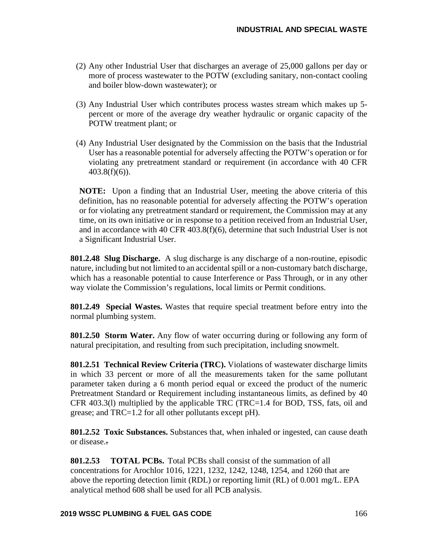- (2) Any other Industrial User that discharges an average of 25,000 gallons per day or more of process wastewater to the POTW (excluding sanitary, non-contact cooling and boiler blow-down wastewater); or
- (3) Any Industrial User which contributes process wastes stream which makes up 5 percent or more of the average dry weather hydraulic or organic capacity of the POTW treatment plant; or
- (4) Any Industrial User designated by the Commission on the basis that the Industrial User has a reasonable potential for adversely affecting the POTW's operation or for violating any pretreatment standard or requirement (in accordance with 40 CFR  $403.8(f)(6)$ ).

**NOTE:** Upon a finding that an Industrial User, meeting the above criteria of this definition, has no reasonable potential for adversely affecting the POTW's operation or for violating any pretreatment standard or requirement, the Commission may at any time, on its own initiative or in response to a petition received from an Industrial User, and in accordance with 40 CFR 403.8(f)(6), determine that such Industrial User is not a Significant Industrial User.

**801.2.48 Slug Discharge.** A slug discharge is any discharge of a non-routine, episodic nature, including but not limited to an accidental spill or a non-customary batch discharge, which has a reasonable potential to cause Interference or Pass Through, or in any other way violate the Commission's regulations, local limits or Permit conditions.

**801.2.49 Special Wastes.** Wastes that require special treatment before entry into the normal plumbing system.

**801.2.50 Storm Water.** Any flow of water occurring during or following any form of natural precipitation, and resulting from such precipitation, including snowmelt.

**801.2.51 Technical Review Criteria (TRC).** Violations of wastewater discharge limits in which 33 percent or more of all the measurements taken for the same pollutant parameter taken during a 6 month period equal or exceed the product of the numeric Pretreatment Standard or Requirement including instantaneous limits, as defined by 40 CFR 403.3(l) multiplied by the applicable TRC (TRC=1.4 for BOD, TSS, fats, oil and grease; and TRC=1.2 for all other pollutants except pH).

**801.2.52 Toxic Substances.** Substances that, when inhaled or ingested, can cause death or disease..

**801.2.53 TOTAL PCBs.** Total PCBs shall consist of the summation of all concentrations for Arochlor 1016, 1221, 1232, 1242, 1248, 1254, and 1260 that are above the reporting detection limit (RDL) or reporting limit (RL) of 0.001 mg/L. EPA analytical method 608 shall be used for all PCB analysis.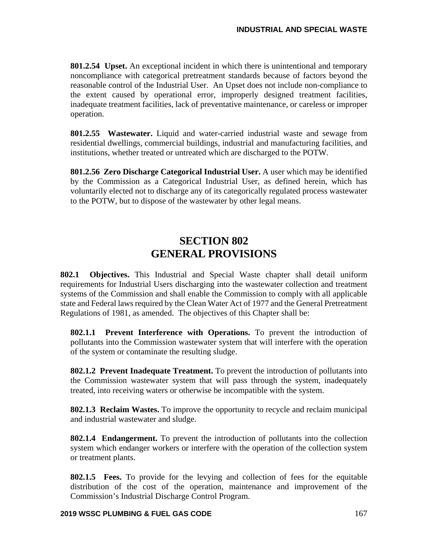**801.2.54 Upset.** An exceptional incident in which there is unintentional and temporary noncompliance with categorical pretreatment standards because of factors beyond the reasonable control of the Industrial User. An Upset does not include non-compliance to the extent caused by operational error, improperly designed treatment facilities, inadequate treatment facilities, lack of preventative maintenance, or careless or improper operation.

**801.2.55 Wastewater.** Liquid and water-carried industrial waste and sewage from residential dwellings, commercial buildings, industrial and manufacturing facilities, and institutions, whether treated or untreated which are discharged to the POTW.

**801.2.56 Zero Discharge Categorical Industrial User.** A user which may be identified by the Commission as a Categorical Industrial User, as defined herein, which has voluntarily elected not to discharge any of its categorically regulated process wastewater to the POTW, but to dispose of the wastewater by other legal means.

### **SECTION 802 GENERAL PROVISIONS**

**802.1 Objectives.** This Industrial and Special Waste chapter shall detail uniform requirements for Industrial Users discharging into the wastewater collection and treatment systems of the Commission and shall enable the Commission to comply with all applicable state and Federal laws required by the Clean Water Act of 1977 and the General Pretreatment Regulations of 1981, as amended. The objectives of this Chapter shall be:

**802.1.1 Prevent Interference with Operations.** To prevent the introduction of pollutants into the Commission wastewater system that will interfere with the operation of the system or contaminate the resulting sludge.

**802.1.2 Prevent Inadequate Treatment.** To prevent the introduction of pollutants into the Commission wastewater system that will pass through the system, inadequately treated, into receiving waters or otherwise be incompatible with the system.

**802.1.3 Reclaim Wastes.** To improve the opportunity to recycle and reclaim municipal and industrial wastewater and sludge.

**802.1.4 Endangerment.** To prevent the introduction of pollutants into the collection system which endanger workers or interfere with the operation of the collection system or treatment plants.

**802.1.5 Fees.** To provide for the levying and collection of fees for the equitable distribution of the cost of the operation, maintenance and improvement of the Commission's Industrial Discharge Control Program.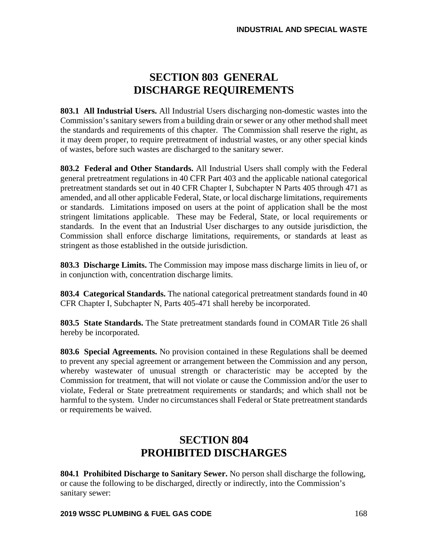# **SECTION 803 GENERAL DISCHARGE REQUIREMENTS**

**803.1 All Industrial Users.** All Industrial Users discharging non-domestic wastes into the Commission's sanitary sewers from a building drain or sewer or any other method shall meet the standards and requirements of this chapter. The Commission shall reserve the right, as it may deem proper, to require pretreatment of industrial wastes, or any other special kinds of wastes, before such wastes are discharged to the sanitary sewer.

**803.2 Federal and Other Standards.** All Industrial Users shall comply with the Federal general pretreatment regulations in 40 CFR Part 403 and the applicable national categorical pretreatment standards set out in 40 CFR Chapter I, Subchapter N Parts 405 through 471 as amended, and all other applicable Federal, State, or local discharge limitations, requirements or standards. Limitations imposed on users at the point of application shall be the most stringent limitations applicable. These may be Federal, State, or local requirements or standards. In the event that an Industrial User discharges to any outside jurisdiction, the Commission shall enforce discharge limitations, requirements, or standards at least as stringent as those established in the outside jurisdiction.

**803.3 Discharge Limits.** The Commission may impose mass discharge limits in lieu of, or in conjunction with, concentration discharge limits.

**803.4 Categorical Standards.** The national categorical pretreatment standards found in 40 CFR Chapter I, Subchapter N, Parts 405-471 shall hereby be incorporated.

**803.5 State Standards.** The State pretreatment standards found in COMAR Title 26 shall hereby be incorporated.

**803.6 Special Agreements.** No provision contained in these Regulations shall be deemed to prevent any special agreement or arrangement between the Commission and any person, whereby wastewater of unusual strength or characteristic may be accepted by the Commission for treatment, that will not violate or cause the Commission and/or the user to violate, Federal or State pretreatment requirements or standards; and which shall not be harmful to the system. Under no circumstances shall Federal or State pretreatment standards or requirements be waived.

### **SECTION 804 PROHIBITED DISCHARGES**

**804.1 Prohibited Discharge to Sanitary Sewer.** No person shall discharge the following, or cause the following to be discharged, directly or indirectly, into the Commission's sanitary sewer: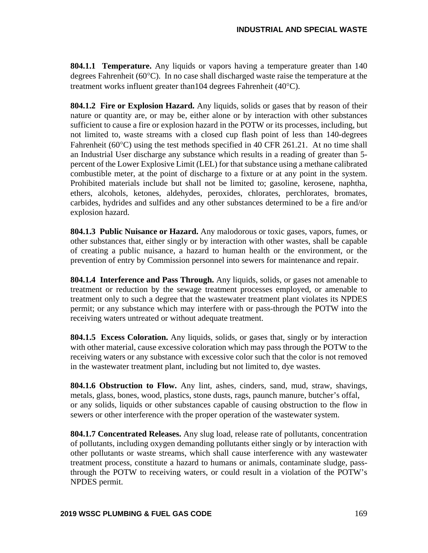**804.1.1 Temperature.** Any liquids or vapors having a temperature greater than 140 degrees Fahrenheit (60°C). In no case shall discharged waste raise the temperature at the treatment works influent greater than104 degrees Fahrenheit (40°C).

**804.1.2 Fire or Explosion Hazard.** Any liquids, solids or gases that by reason of their nature or quantity are, or may be, either alone or by interaction with other substances sufficient to cause a fire or explosion hazard in the POTW or its processes, including, but not limited to, waste streams with a closed cup flash point of less than 140-degrees Fahrenheit (60<sup>o</sup>C) using the test methods specified in 40 CFR 261.21. At no time shall an Industrial User discharge any substance which results in a reading of greater than 5 percent of the Lower Explosive Limit (LEL) for that substance using a methane calibrated combustible meter, at the point of discharge to a fixture or at any point in the system. Prohibited materials include but shall not be limited to; gasoline, kerosene, naphtha, ethers, alcohols, ketones, aldehydes, peroxides, chlorates, perchlorates, bromates, carbides, hydrides and sulfides and any other substances determined to be a fire and/or explosion hazard.

**804.1.3 Public Nuisance or Hazard.** Any malodorous or toxic gases, vapors, fumes, or other substances that, either singly or by interaction with other wastes, shall be capable of creating a public nuisance, a hazard to human health or the environment, or the prevention of entry by Commission personnel into sewers for maintenance and repair.

**804.1.4 Interference and Pass Through.** Any liquids, solids, or gases not amenable to treatment or reduction by the sewage treatment processes employed, or amenable to treatment only to such a degree that the wastewater treatment plant violates its NPDES permit; or any substance which may interfere with or pass-through the POTW into the receiving waters untreated or without adequate treatment.

**804.1.5 Excess Coloration.** Any liquids, solids, or gases that, singly or by interaction with other material, cause excessive coloration which may pass through the POTW to the receiving waters or any substance with excessive color such that the color is not removed in the wastewater treatment plant, including but not limited to, dye wastes.

**804.1.6 Obstruction to Flow.** Any lint, ashes, cinders, sand, mud, straw, shavings, metals, glass, bones, wood, plastics, stone dusts, rags, paunch manure, butcher's offal, or any solids, liquids or other substances capable of causing obstruction to the flow in sewers or other interference with the proper operation of the wastewater system.

**804.1.7 Concentrated Releases.** Any slug load, release rate of pollutants, concentration of pollutants, including oxygen demanding pollutants either singly or by interaction with other pollutants or waste streams, which shall cause interference with any wastewater treatment process, constitute a hazard to humans or animals, contaminate sludge, passthrough the POTW to receiving waters, or could result in a violation of the POTW's NPDES permit.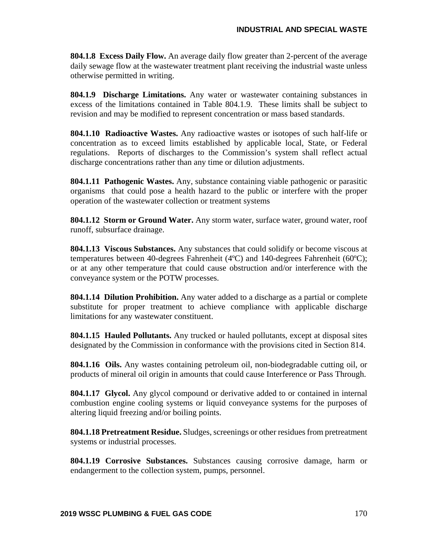**804.1.8 Excess Daily Flow.** An average daily flow greater than 2-percent of the average daily sewage flow at the wastewater treatment plant receiving the industrial waste unless otherwise permitted in writing.

**804.1.9 Discharge Limitations.** Any water or wastewater containing substances in excess of the limitations contained in Table 804.1.9. These limits shall be subject to revision and may be modified to represent concentration or mass based standards.

**804.1.10 Radioactive Wastes.** Any radioactive wastes or isotopes of such half-life or concentration as to exceed limits established by applicable local, State, or Federal regulations. Reports of discharges to the Commission's system shall reflect actual discharge concentrations rather than any time or dilution adjustments.

**804.1.11 Pathogenic Wastes.** Any, substance containing viable pathogenic or parasitic organisms that could pose a health hazard to the public or interfere with the proper operation of the wastewater collection or treatment systems

**804.1.12 Storm or Ground Water.** Any storm water, surface water, ground water, roof runoff, subsurface drainage.

**804.1.13 Viscous Substances.** Any substances that could solidify or become viscous at temperatures between 40-degrees Fahrenheit (4ºC) and 140-degrees Fahrenheit (60ºC); or at any other temperature that could cause obstruction and/or interference with the conveyance system or the POTW processes.

**804.1.14 Dilution Prohibition.** Any water added to a discharge as a partial or complete substitute for proper treatment to achieve compliance with applicable discharge limitations for any wastewater constituent.

**804.1.15 Hauled Pollutants.** Any trucked or hauled pollutants, except at disposal sites designated by the Commission in conformance with the provisions cited in Section 814.

**804.1.16 Oils.** Any wastes containing petroleum oil, non-biodegradable cutting oil, or products of mineral oil origin in amounts that could cause Interference or Pass Through.

**804.1.17 Glycol.** Any glycol compound or derivative added to or contained in internal combustion engine cooling systems or liquid conveyance systems for the purposes of altering liquid freezing and/or boiling points.

**804.1.18 Pretreatment Residue.** Sludges, screenings or other residues from pretreatment systems or industrial processes.

**804.1.19 Corrosive Substances.** Substances causing corrosive damage, harm or endangerment to the collection system, pumps, personnel.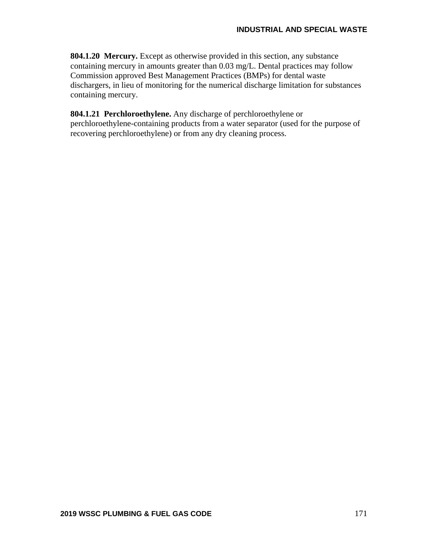**804.1.20 Mercury.** Except as otherwise provided in this section, any substance containing mercury in amounts greater than 0.03 mg/L. Dental practices may follow Commission approved Best Management Practices (BMPs) for dental waste dischargers, in lieu of monitoring for the numerical discharge limitation for substances containing mercury.

**804.1.21 Perchloroethylene.** Any discharge of perchloroethylene or perchloroethylene-containing products from a water separator (used for the purpose of recovering perchloroethylene) or from any dry cleaning process.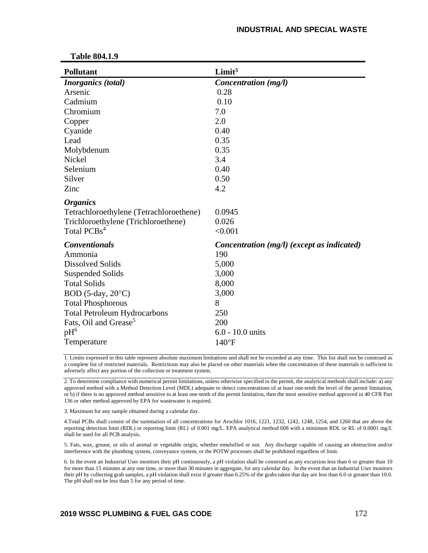#### **INDUSTRIAL AND SPECIAL WASTE**

| <b>Pollutant</b>                        | Limit <sup>3</sup>                         |
|-----------------------------------------|--------------------------------------------|
| <i>Inorganics (total)</i>               | Concentration (mg/l)                       |
| Arsenic                                 | 0.28                                       |
| Cadmium                                 | 0.10                                       |
| Chromium                                | 7.0                                        |
| Copper                                  | 2.0                                        |
| Cyanide                                 | 0.40                                       |
| Lead                                    | 0.35                                       |
| Molybdenum                              | 0.35                                       |
| Nickel                                  | 3.4                                        |
| Selenium                                | 0.40                                       |
| Silver                                  | 0.50                                       |
| Zinc                                    | 4.2                                        |
| <i><b>Organics</b></i>                  |                                            |
| Tetrachloroethylene (Tetrachloroethene) | 0.0945                                     |
| Trichloroethylene (Trichloroethene)     | 0.026                                      |
| Total PCBs <sup>4</sup>                 | < 0.001                                    |
| <b>Conventionals</b>                    | Concentration (mg/l) (except as indicated) |
| Ammonia                                 | 190                                        |
| <b>Dissolved Solids</b>                 | 5,000                                      |
| <b>Suspended Solids</b>                 | 3,000                                      |
| <b>Total Solids</b>                     | 8,000                                      |
| BOD (5-day, $20^{\circ}$ C)             | 3,000                                      |
| <b>Total Phosphorous</b>                | 8                                          |
| <b>Total Petroleum Hydrocarbons</b>     | 250                                        |
| Fats, Oil and Grease <sup>5</sup>       | 200                                        |
| pH <sup>6</sup>                         | $6.0 - 10.0$ units                         |
| Temperature                             | $140^{\circ}F$                             |

#### **Table 804.1.9**

1. Limits expressed in this table represent absolute maximum limitations and shall not be exceeded at any time. This list shall not be construed as a complete list of restricted materials. Restrictions may also be placed on other materials when the concentration of these materials is sufficient to adversely affect any portion of the collection or treatment system.

2. To determine compliance with numerical permit limitations, unless otherwise specified in the permit, the analytical methods shall include: a) any approved method with a Method Detection Level (MDL) adequate to detect concentrations of at least one-tenth the level of the permit limitation, or b) if there is no approved method sensitive to at least one-tenth of the permit limitation, then the most sensitive method approved in 40 CFR Part 136 or other method approved by EPA for wastewater is required.

3. Maximum for any sample obtained during a calendar day.

4.Total PCBs shall consist of the summation of all concentrations for Arochlor 1016, 1221, 1232, 1242, 1248, 1254, and 1260 that are above the reporting detection limit (RDL) or reporting limit (RL) of 0.001 mg/L. EPA analytical method 608 with a minimum RDL or RL of 0.0001 mg/L shall be used for all PCB analysis.

5. Fats, wax, grease, or oils of animal or vegetable origin, whether emulsified or not. Any discharge capable of causing an obstruction and/or interference with the plumbing system, conveyance system, or the POTW processes shall be prohibited regardless of limit.

6. In the event an Industrial User monitors their pH continuously, a pH violation shall be construed as any excursion less than 6 or greater than 10 for more than 15 minutes at any one time, or more than 30 minutes in aggregate, for any calendar day. In the event that an Industrial User monitors their pH by collecting grab samples, a pH violation shall exist if greater than 6.25% of the grabs taken that day are less than 6.0 or greater than 10.0. The pH shall not be less than 5 for any period of time.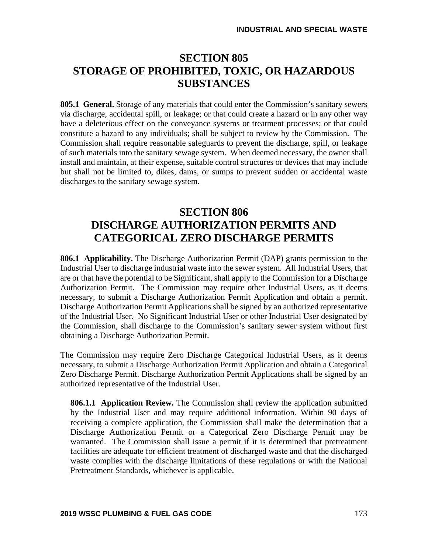### **SECTION 805 STORAGE OF PROHIBITED, TOXIC, OR HAZARDOUS SUBSTANCES**

**805.1 General.** Storage of any materials that could enter the Commission's sanitary sewers via discharge, accidental spill, or leakage; or that could create a hazard or in any other way have a deleterious effect on the conveyance systems or treatment processes; or that could constitute a hazard to any individuals; shall be subject to review by the Commission. The Commission shall require reasonable safeguards to prevent the discharge, spill, or leakage of such materials into the sanitary sewage system. When deemed necessary, the owner shall install and maintain, at their expense, suitable control structures or devices that may include but shall not be limited to, dikes, dams, or sumps to prevent sudden or accidental waste discharges to the sanitary sewage system.

### **SECTION 806 DISCHARGE AUTHORIZATION PERMITS AND CATEGORICAL ZERO DISCHARGE PERMITS**

**806.1 Applicability.** The Discharge Authorization Permit (DAP) grants permission to the Industrial User to discharge industrial waste into the sewer system. All Industrial Users, that are or that have the potential to be Significant, shall apply to the Commission for a Discharge Authorization Permit. The Commission may require other Industrial Users, as it deems necessary, to submit a Discharge Authorization Permit Application and obtain a permit. Discharge Authorization Permit Applications shall be signed by an authorized representative of the Industrial User. No Significant Industrial User or other Industrial User designated by the Commission, shall discharge to the Commission's sanitary sewer system without first obtaining a Discharge Authorization Permit.

The Commission may require Zero Discharge Categorical Industrial Users, as it deems necessary, to submit a Discharge Authorization Permit Application and obtain a Categorical Zero Discharge Permit. Discharge Authorization Permit Applications shall be signed by an authorized representative of the Industrial User.

**806.1.1 Application Review.** The Commission shall review the application submitted by the Industrial User and may require additional information. Within 90 days of receiving a complete application, the Commission shall make the determination that a Discharge Authorization Permit or a Categorical Zero Discharge Permit may be warranted. The Commission shall issue a permit if it is determined that pretreatment facilities are adequate for efficient treatment of discharged waste and that the discharged waste complies with the discharge limitations of these regulations or with the National Pretreatment Standards, whichever is applicable.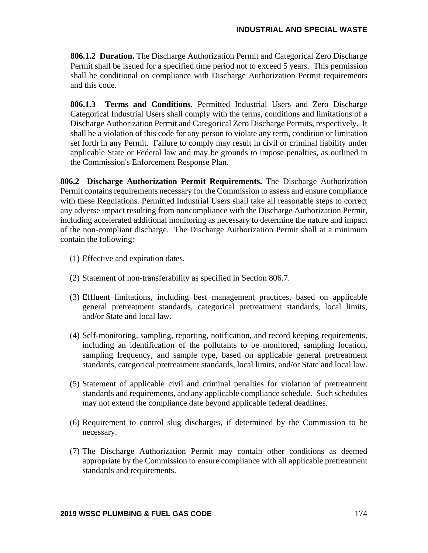**806.1.2 Duration.** The Discharge Authorization Permit and Categorical Zero Discharge Permit shall be issued for a specified time period not to exceed 5 years. This permission shall be conditional on compliance with Discharge Authorization Permit requirements and this code.

**806.1.3 Terms and Conditions**. Permitted Industrial Users and Zero Discharge Categorical Industrial Users shall comply with the terms, conditions and limitations of a Discharge Authorization Permit and Categorical Zero Discharge Permits, respectively. It shall be a violation of this code for any person to violate any term, condition or limitation set forth in any Permit. Failure to comply may result in civil or criminal liability under applicable State or Federal law and may be grounds to impose penalties, as outlined in the Commission's Enforcement Response Plan.

**806.2 Discharge Authorization Permit Requirements.** The Discharge Authorization Permit contains requirements necessary for the Commission to assess and ensure compliance with these Regulations. Permitted Industrial Users shall take all reasonable steps to correct any adverse impact resulting from noncompliance with the Discharge Authorization Permit, including accelerated additional monitoring as necessary to determine the nature and impact of the non-compliant discharge. The Discharge Authorization Permit shall at a minimum contain the following:

- (1) Effective and expiration dates.
- (2) Statement of non-transferability as specified in Section 806.7.
- (3) Effluent limitations, including best management practices, based on applicable general pretreatment standards, categorical pretreatment standards, local limits, and/or State and local law.
- (4) Self-monitoring, sampling, reporting, notification, and record keeping requirements, including an identification of the pollutants to be monitored, sampling location, sampling frequency, and sample type, based on applicable general pretreatment standards, categorical pretreatment standards, local limits, and/or State and local law.
- (5) Statement of applicable civil and criminal penalties for violation of pretreatment standards and requirements, and any applicable compliance schedule. Such schedules may not extend the compliance date beyond applicable federal deadlines.
- (6) Requirement to control slug discharges, if determined by the Commission to be necessary.
- (7) The Discharge Authorization Permit may contain other conditions as deemed appropriate by the Commission to ensure compliance with all applicable pretreatment standards and requirements.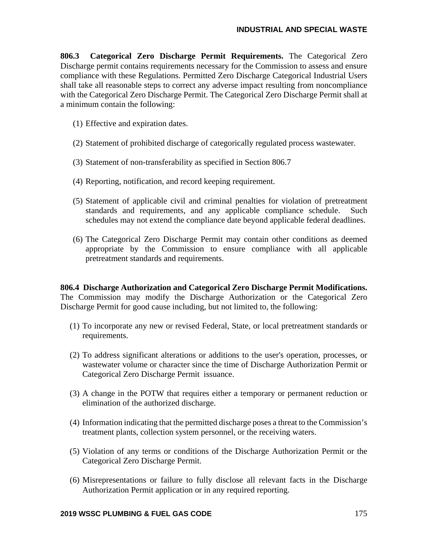**806.3 Categorical Zero Discharge Permit Requirements.** The Categorical Zero Discharge permit contains requirements necessary for the Commission to assess and ensure compliance with these Regulations. Permitted Zero Discharge Categorical Industrial Users shall take all reasonable steps to correct any adverse impact resulting from noncompliance with the Categorical Zero Discharge Permit. The Categorical Zero Discharge Permit shall at a minimum contain the following:

- (1) Effective and expiration dates.
- (2) Statement of prohibited discharge of categorically regulated process wastewater.
- (3) Statement of non-transferability as specified in Section 806.7
- (4) Reporting, notification, and record keeping requirement.
- (5) Statement of applicable civil and criminal penalties for violation of pretreatment standards and requirements, and any applicable compliance schedule. Such schedules may not extend the compliance date beyond applicable federal deadlines.
- (6) The Categorical Zero Discharge Permit may contain other conditions as deemed appropriate by the Commission to ensure compliance with all applicable pretreatment standards and requirements.

**806.4 Discharge Authorization and Categorical Zero Discharge Permit Modifications.** The Commission may modify the Discharge Authorization or the Categorical Zero Discharge Permit for good cause including, but not limited to, the following:

- (1) To incorporate any new or revised Federal, State, or local pretreatment standards or requirements.
- (2) To address significant alterations or additions to the user's operation, processes, or wastewater volume or character since the time of Discharge Authorization Permit or Categorical Zero Discharge Permit issuance.
- (3) A change in the POTW that requires either a temporary or permanent reduction or elimination of the authorized discharge.
- (4) Information indicating that the permitted discharge poses a threat to the Commission's treatment plants, collection system personnel, or the receiving waters.
- (5) Violation of any terms or conditions of the Discharge Authorization Permit or the Categorical Zero Discharge Permit.
- (6) Misrepresentations or failure to fully disclose all relevant facts in the Discharge Authorization Permit application or in any required reporting.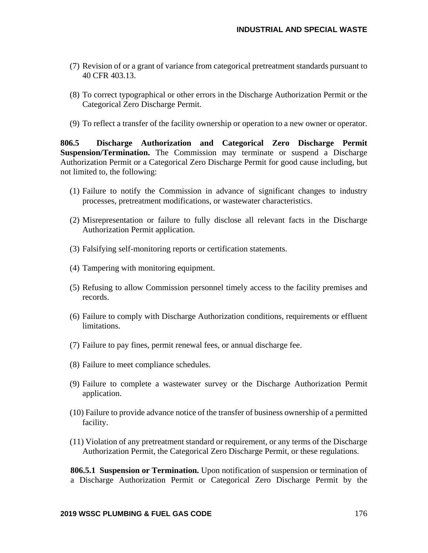- (7) Revision of or a grant of variance from categorical pretreatment standards pursuant to 40 CFR 403.13.
- (8) To correct typographical or other errors in the Discharge Authorization Permit or the Categorical Zero Discharge Permit.
- (9) To reflect a transfer of the facility ownership or operation to a new owner or operator.

**806.5 Discharge Authorization and Categorical Zero Discharge Permit Suspension/Termination.** The Commission may terminate or suspend a Discharge Authorization Permit or a Categorical Zero Discharge Permit for good cause including, but not limited to, the following:

- (1) Failure to notify the Commission in advance of significant changes to industry processes, pretreatment modifications, or wastewater characteristics.
- (2) Misrepresentation or failure to fully disclose all relevant facts in the Discharge Authorization Permit application.
- (3) Falsifying self-monitoring reports or certification statements.
- (4) Tampering with monitoring equipment.
- (5) Refusing to allow Commission personnel timely access to the facility premises and records.
- (6) Failure to comply with Discharge Authorization conditions, requirements or effluent limitations.
- (7) Failure to pay fines, permit renewal fees, or annual discharge fee.
- (8) Failure to meet compliance schedules.
- (9) Failure to complete a wastewater survey or the Discharge Authorization Permit application.
- (10) Failure to provide advance notice of the transfer of business ownership of a permitted facility.
- (11) Violation of any pretreatment standard or requirement, or any terms of the Discharge Authorization Permit, the Categorical Zero Discharge Permit, or these regulations.

**806.5.1 Suspension or Termination.** Upon notification of suspension or termination of a Discharge Authorization Permit or Categorical Zero Discharge Permit by the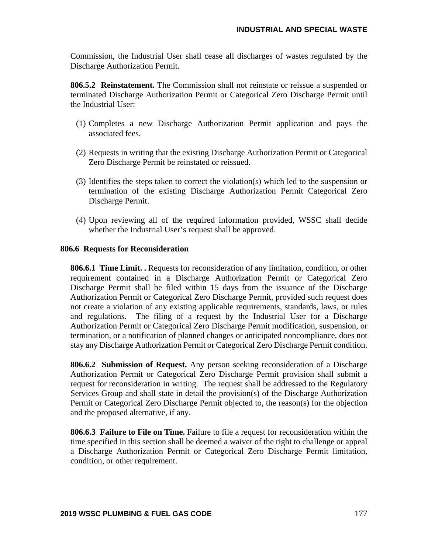Commission, the Industrial User shall cease all discharges of wastes regulated by the Discharge Authorization Permit.

**806.5.2 Reinstatement.** The Commission shall not reinstate or reissue a suspended or terminated Discharge Authorization Permit or Categorical Zero Discharge Permit until the Industrial User:

- (1) Completes a new Discharge Authorization Permit application and pays the associated fees.
- (2) Requests in writing that the existing Discharge Authorization Permit or Categorical Zero Discharge Permit be reinstated or reissued.
- (3) Identifies the steps taken to correct the violation(s) which led to the suspension or termination of the existing Discharge Authorization Permit Categorical Zero Discharge Permit.
- (4) Upon reviewing all of the required information provided, WSSC shall decide whether the Industrial User's request shall be approved.

#### **806.6 Requests for Reconsideration**

**806.6.1 Time Limit. .** Requests for reconsideration of any limitation, condition, or other requirement contained in a Discharge Authorization Permit or Categorical Zero Discharge Permit shall be filed within 15 days from the issuance of the Discharge Authorization Permit or Categorical Zero Discharge Permit, provided such request does not create a violation of any existing applicable requirements, standards, laws, or rules and regulations. The filing of a request by the Industrial User for a Discharge Authorization Permit or Categorical Zero Discharge Permit modification, suspension, or termination, or a notification of planned changes or anticipated noncompliance, does not stay any Discharge Authorization Permit or Categorical Zero Discharge Permit condition.

**806.6.2 Submission of Request.** Any person seeking reconsideration of a Discharge Authorization Permit or Categorical Zero Discharge Permit provision shall submit a request for reconsideration in writing. The request shall be addressed to the Regulatory Services Group and shall state in detail the provision(s) of the Discharge Authorization Permit or Categorical Zero Discharge Permit objected to, the reason(s) for the objection and the proposed alternative, if any.

**806.6.3 Failure to File on Time.** Failure to file a request for reconsideration within the time specified in this section shall be deemed a waiver of the right to challenge or appeal a Discharge Authorization Permit or Categorical Zero Discharge Permit limitation, condition, or other requirement.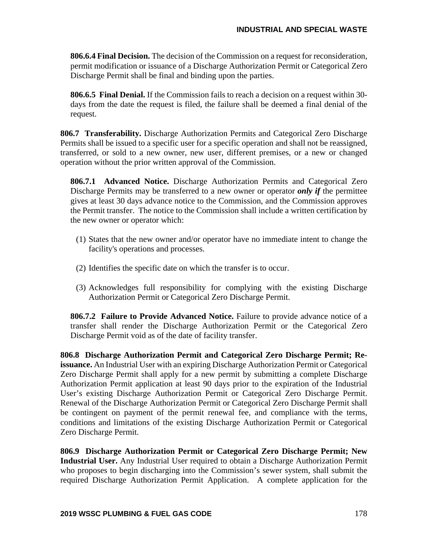**806.6.4 Final Decision.** The decision of the Commission on a request for reconsideration, permit modification or issuance of a Discharge Authorization Permit or Categorical Zero Discharge Permit shall be final and binding upon the parties.

**806.6.5 Final Denial.** If the Commission fails to reach a decision on a request within 30 days from the date the request is filed, the failure shall be deemed a final denial of the request.

**806.7 Transferability.** Discharge Authorization Permits and Categorical Zero Discharge Permits shall be issued to a specific user for a specific operation and shall not be reassigned, transferred, or sold to a new owner, new user, different premises, or a new or changed operation without the prior written approval of the Commission.

**806.7.1 Advanced Notice.** Discharge Authorization Permits and Categorical Zero Discharge Permits may be transferred to a new owner or operator *only if* the permittee gives at least 30 days advance notice to the Commission, and the Commission approves the Permit transfer. The notice to the Commission shall include a written certification by the new owner or operator which:

- (1) States that the new owner and/or operator have no immediate intent to change the facility's operations and processes.
- (2) Identifies the specific date on which the transfer is to occur.
- (3) Acknowledges full responsibility for complying with the existing Discharge Authorization Permit or Categorical Zero Discharge Permit.

**806.7.2 Failure to Provide Advanced Notice.** Failure to provide advance notice of a transfer shall render the Discharge Authorization Permit or the Categorical Zero Discharge Permit void as of the date of facility transfer.

**806.8 Discharge Authorization Permit and Categorical Zero Discharge Permit; Reissuance.** An Industrial User with an expiring Discharge Authorization Permit or Categorical Zero Discharge Permit shall apply for a new permit by submitting a complete Discharge Authorization Permit application at least 90 days prior to the expiration of the Industrial User's existing Discharge Authorization Permit or Categorical Zero Discharge Permit. Renewal of the Discharge Authorization Permit or Categorical Zero Discharge Permit shall be contingent on payment of the permit renewal fee, and compliance with the terms, conditions and limitations of the existing Discharge Authorization Permit or Categorical Zero Discharge Permit.

**806.9 Discharge Authorization Permit or Categorical Zero Discharge Permit; New Industrial User.** Any Industrial User required to obtain a Discharge Authorization Permit who proposes to begin discharging into the Commission's sewer system, shall submit the required Discharge Authorization Permit Application. A complete application for the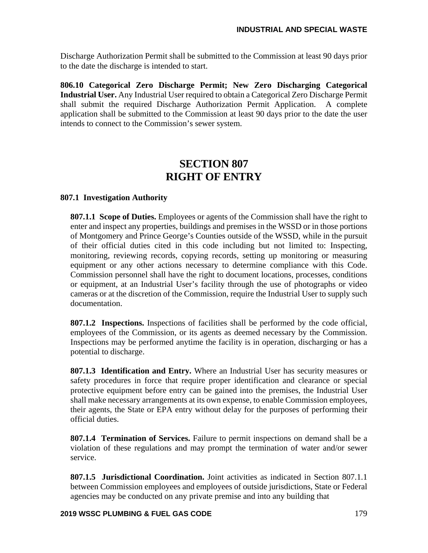Discharge Authorization Permit shall be submitted to the Commission at least 90 days prior to the date the discharge is intended to start.

**806.10 Categorical Zero Discharge Permit; New Zero Discharging Categorical Industrial User.** Any Industrial User required to obtain a Categorical Zero Discharge Permit shall submit the required Discharge Authorization Permit Application. A complete application shall be submitted to the Commission at least 90 days prior to the date the user intends to connect to the Commission's sewer system.

### **SECTION 807 RIGHT OF ENTRY**

### **807.1 Investigation Authority**

**807.1.1 Scope of Duties.** Employees or agents of the Commission shall have the right to enter and inspect any properties, buildings and premises in the WSSD or in those portions of Montgomery and Prince George's Counties outside of the WSSD, while in the pursuit of their official duties cited in this code including but not limited to: Inspecting, monitoring, reviewing records, copying records, setting up monitoring or measuring equipment or any other actions necessary to determine compliance with this Code. Commission personnel shall have the right to document locations, processes, conditions or equipment, at an Industrial User's facility through the use of photographs or video cameras or at the discretion of the Commission, require the Industrial User to supply such documentation.

**807.1.2 Inspections.** Inspections of facilities shall be performed by the code official, employees of the Commission, or its agents as deemed necessary by the Commission. Inspections may be performed anytime the facility is in operation, discharging or has a potential to discharge.

**807.1.3 Identification and Entry.** Where an Industrial User has security measures or safety procedures in force that require proper identification and clearance or special protective equipment before entry can be gained into the premises, the Industrial User shall make necessary arrangements at its own expense, to enable Commission employees, their agents, the State or EPA entry without delay for the purposes of performing their official duties.

**807.1.4 Termination of Services.** Failure to permit inspections on demand shall be a violation of these regulations and may prompt the termination of water and/or sewer service.

**807.1.5 Jurisdictional Coordination.** Joint activities as indicated in Section 807.1.1 between Commission employees and employees of outside jurisdictions, State or Federal agencies may be conducted on any private premise and into any building that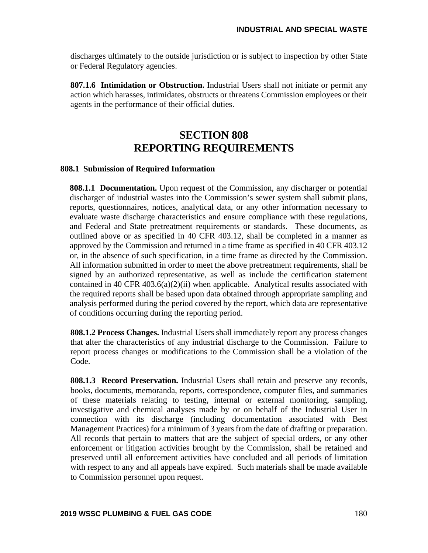discharges ultimately to the outside jurisdiction or is subject to inspection by other State or Federal Regulatory agencies.

**807.1.6 Intimidation or Obstruction.** Industrial Users shall not initiate or permit any action which harasses, intimidates, obstructs or threatens Commission employees or their agents in the performance of their official duties.

### **SECTION 808 REPORTING REQUIREMENTS**

#### **808.1 Submission of Required Information**

**808.1.1 Documentation.** Upon request of the Commission, any discharger or potential discharger of industrial wastes into the Commission's sewer system shall submit plans, reports, questionnaires, notices, analytical data, or any other information necessary to evaluate waste discharge characteristics and ensure compliance with these regulations, and Federal and State pretreatment requirements or standards. These documents, as outlined above or as specified in 40 CFR 403.12, shall be completed in a manner as approved by the Commission and returned in a time frame as specified in 40 CFR 403.12 or, in the absence of such specification, in a time frame as directed by the Commission. All information submitted in order to meet the above pretreatment requirements, shall be signed by an authorized representative, as well as include the certification statement contained in 40 CFR 403.6(a)(2)(ii) when applicable. Analytical results associated with the required reports shall be based upon data obtained through appropriate sampling and analysis performed during the period covered by the report, which data are representative of conditions occurring during the reporting period.

**808.1.2 Process Changes.** Industrial Users shall immediately report any process changes that alter the characteristics of any industrial discharge to the Commission. Failure to report process changes or modifications to the Commission shall be a violation of the Code.

**808.1.3 Record Preservation.** Industrial Users shall retain and preserve any records, books, documents, memoranda, reports, correspondence, computer files, and summaries of these materials relating to testing, internal or external monitoring, sampling, investigative and chemical analyses made by or on behalf of the Industrial User in connection with its discharge (including documentation associated with Best Management Practices) for a minimum of 3 years from the date of drafting or preparation. All records that pertain to matters that are the subject of special orders, or any other enforcement or litigation activities brought by the Commission, shall be retained and preserved until all enforcement activities have concluded and all periods of limitation with respect to any and all appeals have expired. Such materials shall be made available to Commission personnel upon request.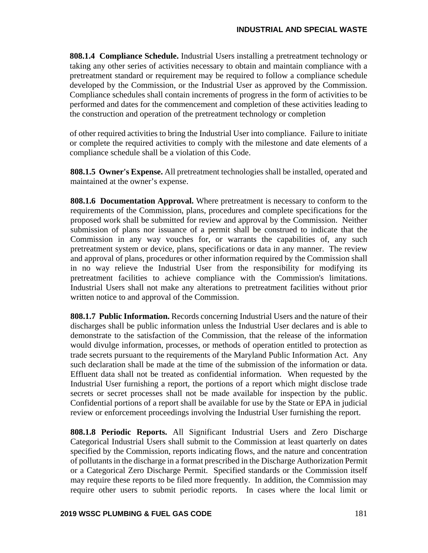**808.1.4 Compliance Schedule.** Industrial Users installing a pretreatment technology or taking any other series of activities necessary to obtain and maintain compliance with a pretreatment standard or requirement may be required to follow a compliance schedule developed by the Commission, or the Industrial User as approved by the Commission. Compliance schedules shall contain increments of progress in the form of activities to be performed and dates for the commencement and completion of these activities leading to the construction and operation of the pretreatment technology or completion

of other required activities to bring the Industrial User into compliance. Failure to initiate or complete the required activities to comply with the milestone and date elements of a compliance schedule shall be a violation of this Code.

**808.1.5 Owner's Expense.** All pretreatment technologies shall be installed, operated and maintained at the owner's expense.

**808.1.6 Documentation Approval.** Where pretreatment is necessary to conform to the requirements of the Commission, plans, procedures and complete specifications for the proposed work shall be submitted for review and approval by the Commission. Neither submission of plans nor issuance of a permit shall be construed to indicate that the Commission in any way vouches for, or warrants the capabilities of, any such pretreatment system or device, plans, specifications or data in any manner. The review and approval of plans, procedures or other information required by the Commission shall in no way relieve the Industrial User from the responsibility for modifying its pretreatment facilities to achieve compliance with the Commission's limitations. Industrial Users shall not make any alterations to pretreatment facilities without prior written notice to and approval of the Commission.

**808.1.7 Public Information.** Records concerning Industrial Users and the nature of their discharges shall be public information unless the Industrial User declares and is able to demonstrate to the satisfaction of the Commission, that the release of the information would divulge information, processes, or methods of operation entitled to protection as trade secrets pursuant to the requirements of the Maryland Public Information Act. Any such declaration shall be made at the time of the submission of the information or data. Effluent data shall not be treated as confidential information. When requested by the Industrial User furnishing a report, the portions of a report which might disclose trade secrets or secret processes shall not be made available for inspection by the public. Confidential portions of a report shall be available for use by the State or EPA in judicial review or enforcement proceedings involving the Industrial User furnishing the report.

**808.1.8 Periodic Reports.** All Significant Industrial Users and Zero Discharge Categorical Industrial Users shall submit to the Commission at least quarterly on dates specified by the Commission, reports indicating flows, and the nature and concentration of pollutants in the discharge in a format prescribed in the Discharge Authorization Permit or a Categorical Zero Discharge Permit. Specified standards or the Commission itself may require these reports to be filed more frequently. In addition, the Commission may require other users to submit periodic reports. In cases where the local limit or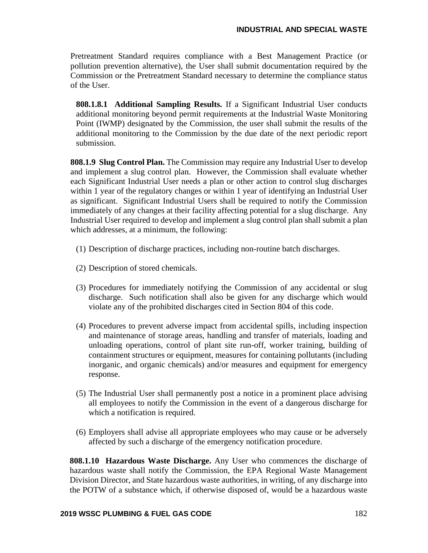Pretreatment Standard requires compliance with a Best Management Practice (or pollution prevention alternative), the User shall submit documentation required by the Commission or the Pretreatment Standard necessary to determine the compliance status of the User.

**808.1.8.1 Additional Sampling Results.** If a Significant Industrial User conducts additional monitoring beyond permit requirements at the Industrial Waste Monitoring Point (IWMP) designated by the Commission, the user shall submit the results of the additional monitoring to the Commission by the due date of the next periodic report submission.

**808.1.9 Slug Control Plan.** The Commission may require any Industrial User to develop and implement a slug control plan. However, the Commission shall evaluate whether each Significant Industrial User needs a plan or other action to control slug discharges within 1 year of the regulatory changes or within 1 year of identifying an Industrial User as significant. Significant Industrial Users shall be required to notify the Commission immediately of any changes at their facility affecting potential for a slug discharge. Any Industrial User required to develop and implement a slug control plan shall submit a plan which addresses, at a minimum, the following:

- (1) Description of discharge practices, including non-routine batch discharges.
- (2) Description of stored chemicals.
- (3) Procedures for immediately notifying the Commission of any accidental or slug discharge. Such notification shall also be given for any discharge which would violate any of the prohibited discharges cited in Section 804 of this code.
- (4) Procedures to prevent adverse impact from accidental spills, including inspection and maintenance of storage areas, handling and transfer of materials, loading and unloading operations, control of plant site run-off, worker training, building of containment structures or equipment, measures for containing pollutants (including inorganic, and organic chemicals) and/or measures and equipment for emergency response.
- (5) The Industrial User shall permanently post a notice in a prominent place advising all employees to notify the Commission in the event of a dangerous discharge for which a notification is required.
- (6) Employers shall advise all appropriate employees who may cause or be adversely affected by such a discharge of the emergency notification procedure.

**808.1.10 Hazardous Waste Discharge.** Any User who commences the discharge of hazardous waste shall notify the Commission, the EPA Regional Waste Management Division Director, and State hazardous waste authorities, in writing, of any discharge into the POTW of a substance which, if otherwise disposed of, would be a hazardous waste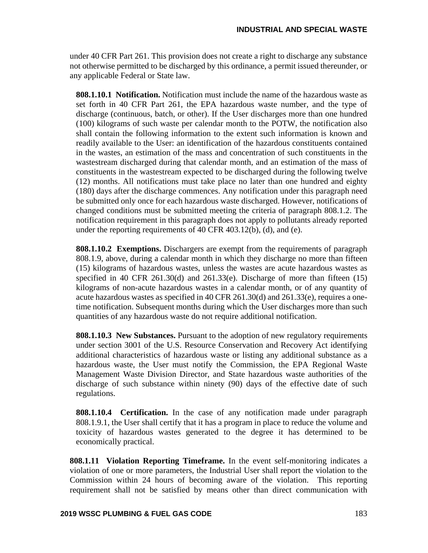under 40 CFR Part 261. This provision does not create a right to discharge any substance not otherwise permitted to be discharged by this ordinance, a permit issued thereunder, or any applicable Federal or State law.

**808.1.10.1 Notification.** Notification must include the name of the hazardous waste as set forth in 40 CFR Part 261, the EPA hazardous waste number, and the type of discharge (continuous, batch, or other). If the User discharges more than one hundred (100) kilograms of such waste per calendar month to the POTW, the notification also shall contain the following information to the extent such information is known and readily available to the User: an identification of the hazardous constituents contained in the wastes, an estimation of the mass and concentration of such constituents in the wastestream discharged during that calendar month, and an estimation of the mass of constituents in the wastestream expected to be discharged during the following twelve (12) months. All notifications must take place no later than one hundred and eighty (180) days after the discharge commences. Any notification under this paragraph need be submitted only once for each hazardous waste discharged. However, notifications of changed conditions must be submitted meeting the criteria of paragraph 808.1.2. The notification requirement in this paragraph does not apply to pollutants already reported under the reporting requirements of 40 CFR 403.12(b), (d), and (e).

**808.1.10.2 Exemptions.** Dischargers are exempt from the requirements of paragraph 808.1.9, above, during a calendar month in which they discharge no more than fifteen (15) kilograms of hazardous wastes, unless the wastes are acute hazardous wastes as specified in 40 CFR 261.30(d) and 261.33(e). Discharge of more than fifteen  $(15)$ kilograms of non-acute hazardous wastes in a calendar month, or of any quantity of acute hazardous wastes as specified in 40 CFR 261.30(d) and 261.33(e), requires a onetime notification. Subsequent months during which the User discharges more than such quantities of any hazardous waste do not require additional notification.

**808.1.10.3 New Substances.** Pursuant to the adoption of new regulatory requirements under section 3001 of the U.S. Resource Conservation and Recovery Act identifying additional characteristics of hazardous waste or listing any additional substance as a hazardous waste, the User must notify the Commission, the EPA Regional Waste Management Waste Division Director, and State hazardous waste authorities of the discharge of such substance within ninety (90) days of the effective date of such regulations.

**808.1.10.4 Certification.** In the case of any notification made under paragraph 808.1.9.1, the User shall certify that it has a program in place to reduce the volume and toxicity of hazardous wastes generated to the degree it has determined to be economically practical.

**808.1.11 Violation Reporting Timeframe.** In the event self-monitoring indicates a violation of one or more parameters, the Industrial User shall report the violation to the Commission within 24 hours of becoming aware of the violation. This reporting requirement shall not be satisfied by means other than direct communication with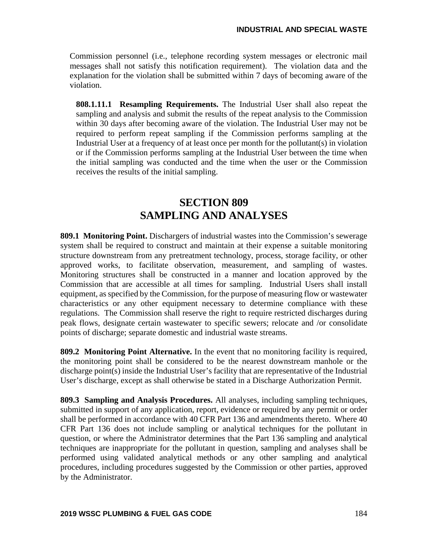Commission personnel (i.e., telephone recording system messages or electronic mail messages shall not satisfy this notification requirement). The violation data and the explanation for the violation shall be submitted within 7 days of becoming aware of the violation.

**808.1.11.1 Resampling Requirements.** The Industrial User shall also repeat the sampling and analysis and submit the results of the repeat analysis to the Commission within 30 days after becoming aware of the violation. The Industrial User may not be required to perform repeat sampling if the Commission performs sampling at the Industrial User at a frequency of at least once per month for the pollutant(s) in violation or if the Commission performs sampling at the Industrial User between the time when the initial sampling was conducted and the time when the user or the Commission receives the results of the initial sampling.

#### **SECTION 809 SAMPLING AND ANALYSES**

**809.1 Monitoring Point.** Dischargers of industrial wastes into the Commission's sewerage system shall be required to construct and maintain at their expense a suitable monitoring structure downstream from any pretreatment technology, process, storage facility, or other approved works, to facilitate observation, measurement, and sampling of wastes. Monitoring structures shall be constructed in a manner and location approved by the Commission that are accessible at all times for sampling. Industrial Users shall install equipment, as specified by the Commission, for the purpose of measuring flow or wastewater characteristics or any other equipment necessary to determine compliance with these regulations. The Commission shall reserve the right to require restricted discharges during peak flows, designate certain wastewater to specific sewers; relocate and /or consolidate points of discharge; separate domestic and industrial waste streams.

**809.2 Monitoring Point Alternative.** In the event that no monitoring facility is required, the monitoring point shall be considered to be the nearest downstream manhole or the discharge point(s) inside the Industrial User's facility that are representative of the Industrial User's discharge, except as shall otherwise be stated in a Discharge Authorization Permit.

**809.3 Sampling and Analysis Procedures.** All analyses, including sampling techniques, submitted in support of any application, report, evidence or required by any permit or order shall be performed in accordance with 40 CFR Part 136 and amendments thereto. Where 40 CFR Part 136 does not include sampling or analytical techniques for the pollutant in question, or where the Administrator determines that the Part 136 sampling and analytical techniques are inappropriate for the pollutant in question, sampling and analyses shall be performed using validated analytical methods or any other sampling and analytical procedures, including procedures suggested by the Commission or other parties, approved by the Administrator.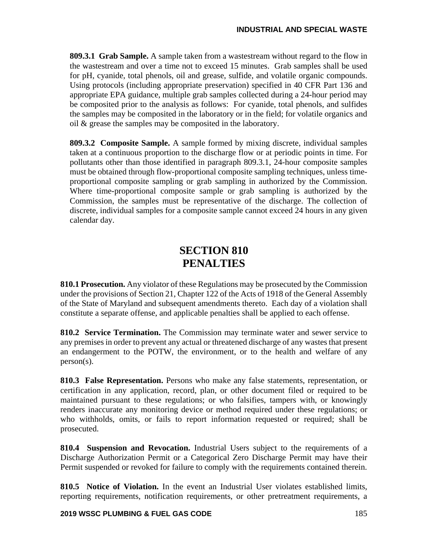**809.3.1 Grab Sample.** A sample taken from a wastestream without regard to the flow in the wastestream and over a time not to exceed 15 minutes. Grab samples shall be used for pH, cyanide, total phenols, oil and grease, sulfide, and volatile organic compounds. Using protocols (including appropriate preservation) specified in 40 CFR Part 136 and appropriate EPA guidance, multiple grab samples collected during a 24-hour period may be composited prior to the analysis as follows: For cyanide, total phenols, and sulfides the samples may be composited in the laboratory or in the field; for volatile organics and oil & grease the samples may be composited in the laboratory.

**809.3.2 Composite Sample.** A sample formed by mixing discrete, individual samples taken at a continuous proportion to the discharge flow or at periodic points in time. For pollutants other than those identified in paragraph 809.3.1, 24-hour composite samples must be obtained through flow-proportional composite sampling techniques, unless timeproportional composite sampling or grab sampling in authorized by the Commission. Where time-proportional composite sample or grab sampling is authorized by the Commission, the samples must be representative of the discharge. The collection of discrete, individual samples for a composite sample cannot exceed 24 hours in any given calendar day.

## **SECTION 810 PENALTIES**

**810.1 Prosecution.** Any violator of these Regulations may be prosecuted by the Commission under the provisions of Section 21, Chapter 122 of the Acts of 1918 of the General Assembly of the State of Maryland and subsequent amendments thereto. Each day of a violation shall constitute a separate offense, and applicable penalties shall be applied to each offense.

**810.2 Service Termination.** The Commission may terminate water and sewer service to any premises in order to prevent any actual or threatened discharge of any wastes that present an endangerment to the POTW, the environment, or to the health and welfare of any person(s).

**810.3 False Representation.** Persons who make any false statements, representation, or certification in any application, record, plan, or other document filed or required to be maintained pursuant to these regulations; or who falsifies, tampers with, or knowingly renders inaccurate any monitoring device or method required under these regulations; or who withholds, omits, or fails to report information requested or required; shall be prosecuted.

**810.4 Suspension and Revocation.** Industrial Users subject to the requirements of a Discharge Authorization Permit or a Categorical Zero Discharge Permit may have their Permit suspended or revoked for failure to comply with the requirements contained therein.

**810.5 Notice of Violation.** In the event an Industrial User violates established limits, reporting requirements, notification requirements, or other pretreatment requirements, a

#### **2019 WSSC PLUMBING & FUEL GAS CODE** 185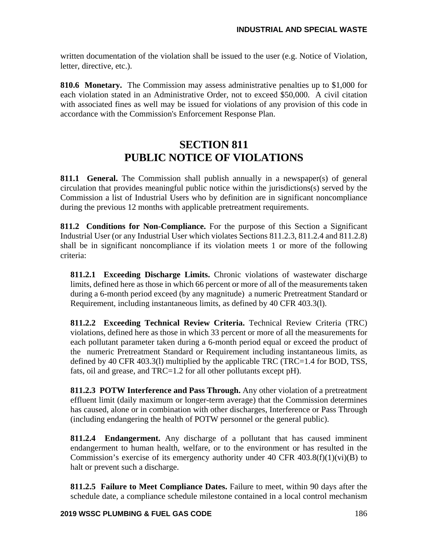written documentation of the violation shall be issued to the user (e.g. Notice of Violation, letter, directive, etc.).

**810.6 Monetary.** The Commission may assess administrative penalties up to \$1,000 for each violation stated in an Administrative Order, not to exceed \$50,000. A civil citation with associated fines as well may be issued for violations of any provision of this code in accordance with the Commission's Enforcement Response Plan.

## **SECTION 811 PUBLIC NOTICE OF VIOLATIONS**

**811.1 General.** The Commission shall publish annually in a newspaper(s) of general circulation that provides meaningful public notice within the jurisdictions(s) served by the Commission a list of Industrial Users who by definition are in significant noncompliance during the previous 12 months with applicable pretreatment requirements.

**811.2 Conditions for Non-Compliance.** For the purpose of this Section a Significant Industrial User (or any Industrial User which violates Sections 811.2.3, 811.2.4 and 811.2.8) shall be in significant noncompliance if its violation meets 1 or more of the following criteria:

**811.2.1 Exceeding Discharge Limits.** Chronic violations of wastewater discharge limits, defined here as those in which 66 percent or more of all of the measurements taken during a 6-month period exceed (by any magnitude) a numeric Pretreatment Standard or Requirement, including instantaneous limits, as defined by 40 CFR 403.3(l).

**811.2.2 Exceeding Technical Review Criteria.** Technical Review Criteria (TRC) violations, defined here as those in which 33 percent or more of all the measurements for each pollutant parameter taken during a 6-month period equal or exceed the product of the numeric Pretreatment Standard or Requirement including instantaneous limits, as defined by 40 CFR 403.3(l) multiplied by the applicable TRC (TRC=1.4 for BOD, TSS, fats, oil and grease, and TRC=1.2 for all other pollutants except pH).

**811.2.3 POTW Interference and Pass Through.** Any other violation of a pretreatment effluent limit (daily maximum or longer-term average) that the Commission determines has caused, alone or in combination with other discharges, Interference or Pass Through (including endangering the health of POTW personnel or the general public).

**811.2.4 Endangerment.** Any discharge of a pollutant that has caused imminent endangerment to human health, welfare, or to the environment or has resulted in the Commission's exercise of its emergency authority under 40 CFR  $403.8(f)(1)(vi)(B)$  to halt or prevent such a discharge.

**811.2.5 Failure to Meet Compliance Dates.** Failure to meet, within 90 days after the schedule date, a compliance schedule milestone contained in a local control mechanism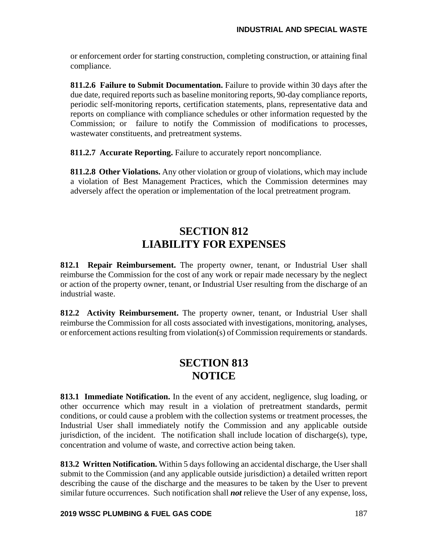or enforcement order for starting construction, completing construction, or attaining final compliance.

**811.2.6 Failure to Submit Documentation.** Failure to provide within 30 days after the due date, required reports such as baseline monitoring reports, 90-day compliance reports, periodic self-monitoring reports, certification statements, plans, representative data and reports on compliance with compliance schedules or other information requested by the Commission; or failure to notify the Commission of modifications to processes, wastewater constituents, and pretreatment systems.

**811.2.7 Accurate Reporting.** Failure to accurately report noncompliance.

**811.2.8 Other Violations.** Any other violation or group of violations, which may include a violation of Best Management Practices, which the Commission determines may adversely affect the operation or implementation of the local pretreatment program.

### **SECTION 812 LIABILITY FOR EXPENSES**

**812.1 Repair Reimbursement.** The property owner, tenant, or Industrial User shall reimburse the Commission for the cost of any work or repair made necessary by the neglect or action of the property owner, tenant, or Industrial User resulting from the discharge of an industrial waste.

**812.2 Activity Reimbursement.** The property owner, tenant, or Industrial User shall reimburse the Commission for all costs associated with investigations, monitoring, analyses, or enforcement actions resulting from violation(s) of Commission requirements or standards.

### **SECTION 813 NOTICE**

**813.1 Immediate Notification.** In the event of any accident, negligence, slug loading, or other occurrence which may result in a violation of pretreatment standards, permit conditions, or could cause a problem with the collection systems or treatment processes, the Industrial User shall immediately notify the Commission and any applicable outside jurisdiction, of the incident. The notification shall include location of discharge(s), type, concentration and volume of waste, and corrective action being taken.

**813.2 Written Notification.** Within 5 days following an accidental discharge, the User shall submit to the Commission (and any applicable outside jurisdiction) a detailed written report describing the cause of the discharge and the measures to be taken by the User to prevent similar future occurrences. Such notification shall *not* relieve the User of any expense, loss,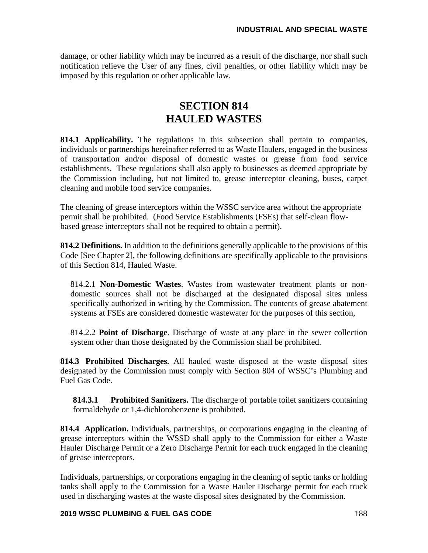damage, or other liability which may be incurred as a result of the discharge, nor shall such notification relieve the User of any fines, civil penalties, or other liability which may be imposed by this regulation or other applicable law.

#### **SECTION 814 HAULED WASTES**

**814.1 Applicability.** The regulations in this subsection shall pertain to companies, individuals or partnerships hereinafter referred to as Waste Haulers, engaged in the business of transportation and/or disposal of domestic wastes or grease from food service establishments. These regulations shall also apply to businesses as deemed appropriate by the Commission including, but not limited to, grease interceptor cleaning, buses, carpet cleaning and mobile food service companies.

The cleaning of grease interceptors within the WSSC service area without the appropriate permit shall be prohibited. (Food Service Establishments (FSEs) that self-clean flowbased grease interceptors shall not be required to obtain a permit).

**814.2 Definitions.** In addition to the definitions generally applicable to the provisions of this Code [See Chapter 2], the following definitions are specifically applicable to the provisions of this Section 814, Hauled Waste.

814.2.1 **Non-Domestic Wastes**. Wastes from wastewater treatment plants or nondomestic sources shall not be discharged at the designated disposal sites unless specifically authorized in writing by the Commission. The contents of grease abatement systems at FSEs are considered domestic wastewater for the purposes of this section,

814.2.2 **Point of Discharge**. Discharge of waste at any place in the sewer collection system other than those designated by the Commission shall be prohibited.

**814.3 Prohibited Discharges.** All hauled waste disposed at the waste disposal sites designated by the Commission must comply with Section 804 of WSSC's Plumbing and Fuel Gas Code.

**814.3.1 Prohibited Sanitizers.** The discharge of portable toilet sanitizers containing formaldehyde or 1,4-dichlorobenzene is prohibited.

**814.4 Application.** Individuals, partnerships, or corporations engaging in the cleaning of grease interceptors within the WSSD shall apply to the Commission for either a Waste Hauler Discharge Permit or a Zero Discharge Permit for each truck engaged in the cleaning of grease interceptors.

Individuals, partnerships, or corporations engaging in the cleaning of septic tanks or holding tanks shall apply to the Commission for a Waste Hauler Discharge permit for each truck used in discharging wastes at the waste disposal sites designated by the Commission.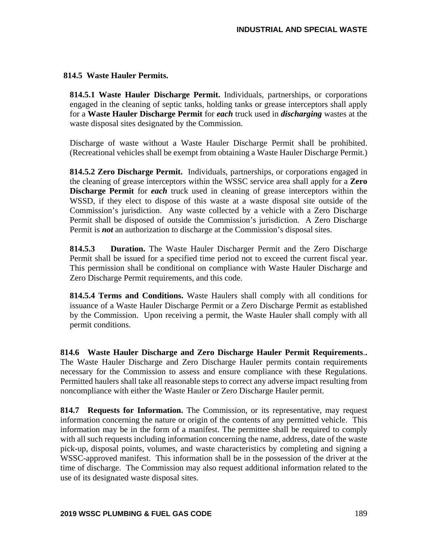#### **814.5 Waste Hauler Permits.**

**814.5.1 Waste Hauler Discharge Permit.** Individuals, partnerships, or corporations engaged in the cleaning of septic tanks, holding tanks or grease interceptors shall apply for a **Waste Hauler Discharge Permit** for *each* truck used in *discharging* wastes at the waste disposal sites designated by the Commission.

Discharge of waste without a Waste Hauler Discharge Permit shall be prohibited. (Recreational vehicles shall be exempt from obtaining a Waste Hauler Discharge Permit.)

**814.5.2 Zero Discharge Permit.** Individuals, partnerships, or corporations engaged in the cleaning of grease interceptors within the WSSC service area shall apply for a **Zero Discharge Permit** for *each* truck used in cleaning of grease interceptors within the WSSD, if they elect to dispose of this waste at a waste disposal site outside of the Commission's jurisdiction. Any waste collected by a vehicle with a Zero Discharge Permit shall be disposed of outside the Commission's jurisdiction. A Zero Discharge Permit is *not* an authorization to discharge at the Commission's disposal sites.

**814.5.3 Duration.** The Waste Hauler Discharger Permit and the Zero Discharge Permit shall be issued for a specified time period not to exceed the current fiscal year. This permission shall be conditional on compliance with Waste Hauler Discharge and Zero Discharge Permit requirements, and this code.

**814.5.4 Terms and Conditions.** Waste Haulers shall comply with all conditions for issuance of a Waste Hauler Discharge Permit or a Zero Discharge Permit as established by the Commission. Upon receiving a permit, the Waste Hauler shall comply with all permit conditions.

**814.6 Waste Hauler Discharge and Zero Discharge Hauler Permit Requirements**.**.** The Waste Hauler Discharge and Zero Discharge Hauler permits contain requirements necessary for the Commission to assess and ensure compliance with these Regulations. Permitted haulers shall take all reasonable steps to correct any adverse impact resulting from noncompliance with either the Waste Hauler or Zero Discharge Hauler permit.

**814.7 Requests for Information.** The Commission, or its representative, may request information concerning the nature or origin of the contents of any permitted vehicle. This information may be in the form of a manifest. The permittee shall be required to comply with all such requests including information concerning the name, address, date of the waste pick-up, disposal points, volumes, and waste characteristics by completing and signing a WSSC-approved manifest. This information shall be in the possession of the driver at the time of discharge. The Commission may also request additional information related to the use of its designated waste disposal sites.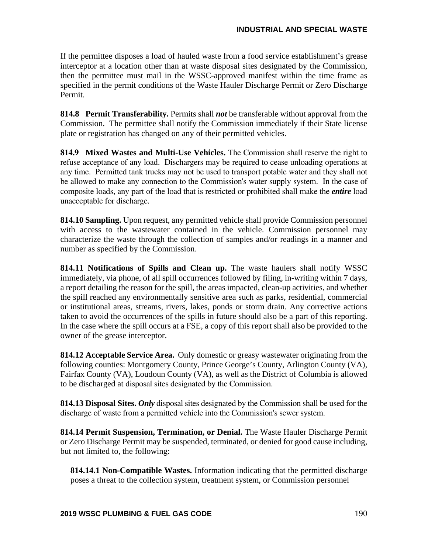If the permittee disposes a load of hauled waste from a food service establishment's grease interceptor at a location other than at waste disposal sites designated by the Commission, then the permittee must mail in the WSSC-approved manifest within the time frame as specified in the permit conditions of the Waste Hauler Discharge Permit or Zero Discharge Permit.

**814.8 Permit Transferability.** Permits shall *not* be transferable without approval from the Commission. The permittee shall notify the Commission immediately if their State license plate or registration has changed on any of their permitted vehicles.

**814.9 Mixed Wastes and Multi-Use Vehicles.** The Commission shall reserve the right to refuse acceptance of any load. Dischargers may be required to cease unloading operations at any time. Permitted tank trucks may not be used to transport potable water and they shall not be allowed to make any connection to the Commission's water supply system. In the case of composite loads, any part of the load that is restricted or prohibited shall make the *entire* load unacceptable for discharge.

**814.10 Sampling.** Upon request, any permitted vehicle shall provide Commission personnel with access to the wastewater contained in the vehicle. Commission personnel may characterize the waste through the collection of samples and/or readings in a manner and number as specified by the Commission.

**814.11 Notifications of Spills and Clean up.** The waste haulers shall notify WSSC immediately, via phone, of all spill occurrences followed by filing, in-writing within 7 days, a report detailing the reason for the spill, the areas impacted, clean-up activities, and whether the spill reached any environmentally sensitive area such as parks, residential, commercial or institutional areas, streams, rivers, lakes, ponds or storm drain. Any corrective actions taken to avoid the occurrences of the spills in future should also be a part of this reporting. In the case where the spill occurs at a FSE, a copy of this report shall also be provided to the owner of the grease interceptor.

**814.12 Acceptable Service Area.** Only domestic or greasy wastewater originating from the following counties: Montgomery County, Prince George's County, Arlington County (VA), Fairfax County (VA), Loudoun County (VA), as well as the District of Columbia is allowed to be discharged at disposal sites designated by the Commission.

**814.13 Disposal Sites.** *Only* disposal sites designated by the Commission shall be used for the discharge of waste from a permitted vehicle into the Commission's sewer system.

**814.14 Permit Suspension, Termination, or Denial.** The Waste Hauler Discharge Permit or Zero Discharge Permit may be suspended, terminated, or denied for good cause including, but not limited to, the following:

**814.14.1 Non-Compatible Wastes.** Information indicating that the permitted discharge poses a threat to the collection system, treatment system, or Commission personnel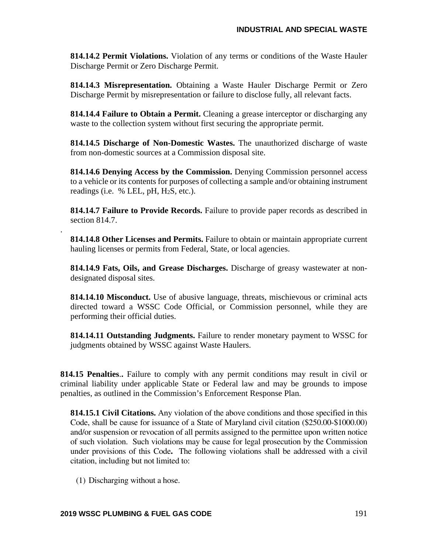**814.14.2 Permit Violations.** Violation of any terms or conditions of the Waste Hauler Discharge Permit or Zero Discharge Permit.

**814.14.3 Misrepresentation.** Obtaining a Waste Hauler Discharge Permit or Zero Discharge Permit by misrepresentation or failure to disclose fully, all relevant facts.

**814.14.4 Failure to Obtain a Permit.** Cleaning a grease interceptor or discharging any waste to the collection system without first securing the appropriate permit.

**814.14.5 Discharge of Non-Domestic Wastes.** The unauthorized discharge of waste from non-domestic sources at a Commission disposal site.

**814.14.6 Denying Access by the Commission.** Denying Commission personnel access to a vehicle or its contents for purposes of collecting a sample and/or obtaining instrument readings (i.e. % LEL, pH, H2S, etc.).

**814.14.7 Failure to Provide Records.** Failure to provide paper records as described in section 814.7.

**814.14.8 Other Licenses and Permits.** Failure to obtain or maintain appropriate current hauling licenses or permits from Federal, State, or local agencies.

**814.14.9 Fats, Oils, and Grease Discharges.** Discharge of greasy wastewater at nondesignated disposal sites.

**814.14.10 Misconduct.** Use of abusive language, threats, mischievous or criminal acts directed toward a WSSC Code Official, or Commission personnel, while they are performing their official duties.

**814.14.11 Outstanding Judgments.** Failure to render monetary payment to WSSC for judgments obtained by WSSC against Waste Haulers.

**814.15 Penalties**.**.** Failure to comply with any permit conditions may result in civil or criminal liability under applicable State or Federal law and may be grounds to impose penalties, as outlined in the Commission's Enforcement Response Plan.

**814.15.1 Civil Citations.** Any violation of the above conditions and those specified in this Code, shall be cause for issuance of a State of Maryland civil citation (\$250.00-\$1000.00) and/or suspension or revocation of all permits assigned to the permittee upon written notice of such violation. Such violations may be cause for legal prosecution by the Commission under provisions of this Code**.** The following violations shall be addressed with a civil citation, including but not limited to:

(1) Discharging without a hose.

.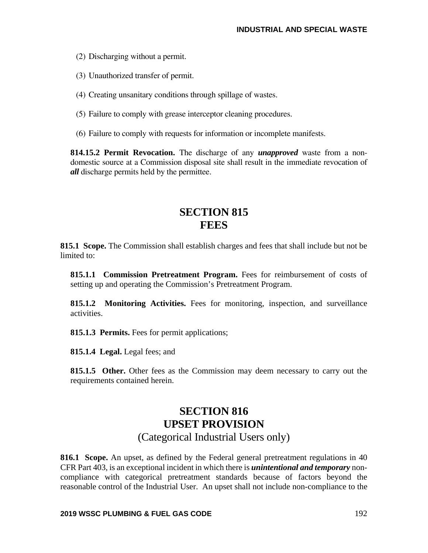(2) Discharging without a permit.

- (3) Unauthorized transfer of permit.
- (4) Creating unsanitary conditions through spillage of wastes.
- (5) Failure to comply with grease interceptor cleaning procedures.
- (6) Failure to comply with requests for information or incomplete manifests.

**814.15.2 Permit Revocation.** The discharge of any *unapproved* waste from a nondomestic source at a Commission disposal site shall result in the immediate revocation of *all* discharge permits held by the permittee.

### **SECTION 815 FEES**

**815.1 Scope.** The Commission shall establish charges and fees that shall include but not be limited to:

**815.1.1 Commission Pretreatment Program.** Fees for reimbursement of costs of setting up and operating the Commission's Pretreatment Program.

**815.1.2 Monitoring Activities.** Fees for monitoring, inspection, and surveillance activities.

**815.1.3 Permits.** Fees for permit applications;

**815.1.4 Legal.** Legal fees; and

**815.1.5 Other.** Other fees as the Commission may deem necessary to carry out the requirements contained herein.

# **SECTION 816 UPSET PROVISION**

(Categorical Industrial Users only)

**816.1 Scope.** An upset, as defined by the Federal general pretreatment regulations in 40 CFR Part 403, is an exceptional incident in which there is *unintentional and temporary* noncompliance with categorical pretreatment standards because of factors beyond the reasonable control of the Industrial User. An upset shall not include non-compliance to the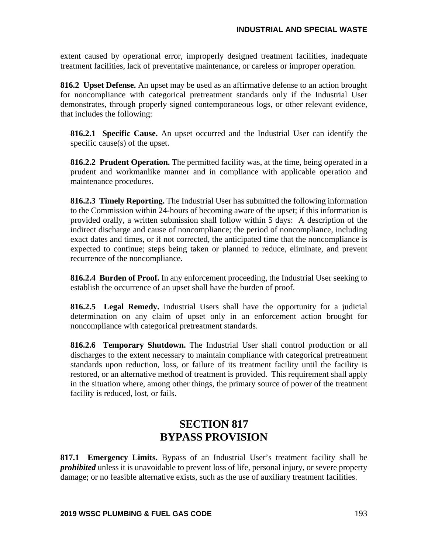extent caused by operational error, improperly designed treatment facilities, inadequate treatment facilities, lack of preventative maintenance, or careless or improper operation.

**816.2 Upset Defense.** An upset may be used as an affirmative defense to an action brought for noncompliance with categorical pretreatment standards only if the Industrial User demonstrates, through properly signed contemporaneous logs, or other relevant evidence, that includes the following:

**816.2.1 Specific Cause.** An upset occurred and the Industrial User can identify the specific cause(s) of the upset.

**816.2.2 Prudent Operation.** The permitted facility was, at the time, being operated in a prudent and workmanlike manner and in compliance with applicable operation and maintenance procedures.

**816.2.3 Timely Reporting.** The Industrial User has submitted the following information to the Commission within 24-hours of becoming aware of the upset; if this information is provided orally, a written submission shall follow within 5 days: A description of the indirect discharge and cause of noncompliance; the period of noncompliance, including exact dates and times, or if not corrected, the anticipated time that the noncompliance is expected to continue; steps being taken or planned to reduce, eliminate, and prevent recurrence of the noncompliance.

**816.2.4 Burden of Proof.** In any enforcement proceeding, the Industrial User seeking to establish the occurrence of an upset shall have the burden of proof.

**816.2.5 Legal Remedy.** Industrial Users shall have the opportunity for a judicial determination on any claim of upset only in an enforcement action brought for noncompliance with categorical pretreatment standards.

**816.2.6 Temporary Shutdown.** The Industrial User shall control production or all discharges to the extent necessary to maintain compliance with categorical pretreatment standards upon reduction, loss, or failure of its treatment facility until the facility is restored, or an alternative method of treatment is provided. This requirement shall apply in the situation where, among other things, the primary source of power of the treatment facility is reduced, lost, or fails.

### **SECTION 817 BYPASS PROVISION**

**817.1 Emergency Limits.** Bypass of an Industrial User's treatment facility shall be *prohibited* unless it is unavoidable to prevent loss of life, personal injury, or severe property damage; or no feasible alternative exists, such as the use of auxiliary treatment facilities.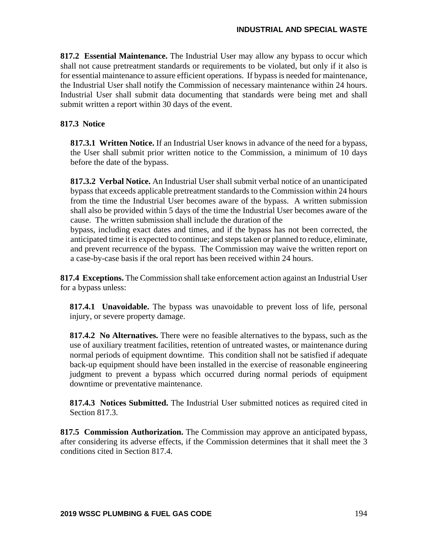**817.2 Essential Maintenance.** The Industrial User may allow any bypass to occur which shall not cause pretreatment standards or requirements to be violated, but only if it also is for essential maintenance to assure efficient operations. If bypass is needed for maintenance, the Industrial User shall notify the Commission of necessary maintenance within 24 hours. Industrial User shall submit data documenting that standards were being met and shall submit written a report within 30 days of the event.

#### **817.3 Notice**

**817.3.1 Written Notice.** If an Industrial User knows in advance of the need for a bypass, the User shall submit prior written notice to the Commission, a minimum of 10 days before the date of the bypass.

**817.3.2 Verbal Notice.** An Industrial User shall submit verbal notice of an unanticipated bypass that exceeds applicable pretreatment standards to the Commission within 24 hours from the time the Industrial User becomes aware of the bypass. A written submission shall also be provided within 5 days of the time the Industrial User becomes aware of the cause. The written submission shall include the duration of the

bypass, including exact dates and times, and if the bypass has not been corrected, the anticipated time it is expected to continue; and steps taken or planned to reduce, eliminate, and prevent recurrence of the bypass. The Commission may waive the written report on a case-by-case basis if the oral report has been received within 24 hours.

**817.4 Exceptions.** The Commission shall take enforcement action against an Industrial User for a bypass unless:

**817.4.1 Unavoidable.** The bypass was unavoidable to prevent loss of life, personal injury, or severe property damage.

**817.4.2 No Alternatives.** There were no feasible alternatives to the bypass, such as the use of auxiliary treatment facilities, retention of untreated wastes, or maintenance during normal periods of equipment downtime. This condition shall not be satisfied if adequate back-up equipment should have been installed in the exercise of reasonable engineering judgment to prevent a bypass which occurred during normal periods of equipment downtime or preventative maintenance.

**817.4.3 Notices Submitted.** The Industrial User submitted notices as required cited in Section 817.3.

**817.5 Commission Authorization.** The Commission may approve an anticipated bypass, after considering its adverse effects, if the Commission determines that it shall meet the 3 conditions cited in Section 817.4.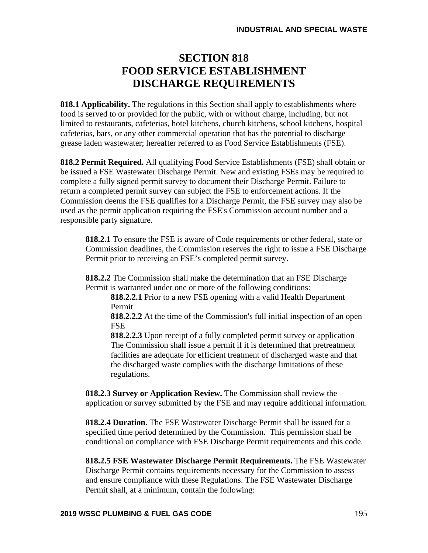### **SECTION 818 FOOD SERVICE ESTABLISHMENT DISCHARGE REQUIREMENTS**

**818.1 Applicability.** The regulations in this Section shall apply to establishments where food is served to or provided for the public, with or without charge, including, but not limited to restaurants, cafeterias, hotel kitchens, church kitchens, school kitchens, hospital cafeterias, bars, or any other commercial operation that has the potential to discharge grease laden wastewater; hereafter referred to as Food Service Establishments (FSE).

**818.2 Permit Required.** All qualifying Food Service Establishments (FSE) shall obtain or be issued a FSE Wastewater Discharge Permit. New and existing FSEs may be required to complete a fully signed permit survey to document their Discharge Permit. Failure to return a completed permit survey can subject the FSE to enforcement actions. If the Commission deems the FSE qualifies for a Discharge Permit, the FSE survey may also be used as the permit application requiring the FSE's Commission account number and a responsible party signature.

**818.2.1** To ensure the FSE is aware of Code requirements or other federal, state or Commission deadlines, the Commission reserves the right to issue a FSE Discharge Permit prior to receiving an FSE's completed permit survey.

**818.2.2** The Commission shall make the determination that an FSE Discharge Permit is warranted under one or more of the following conditions:

**818.2.2.1** Prior to a new FSE opening with a valid Health Department Permit

**818.2.2.2** At the time of the Commission's full initial inspection of an open **FSE** 

**818.2.2.3** Upon receipt of a fully completed permit survey or application The Commission shall issue a permit if it is determined that pretreatment facilities are adequate for efficient treatment of discharged waste and that the discharged waste complies with the discharge limitations of these regulations.

**818.2.3 Survey or Application Review.** The Commission shall review the application or survey submitted by the FSE and may require additional information.

**818.2.4 Duration.** The FSE Wastewater Discharge Permit shall be issued for a specified time period determined by the Commission. This permission shall be conditional on compliance with FSE Discharge Permit requirements and this code.

**818.2.5 FSE Wastewater Discharge Permit Requirements.** The FSE Wastewater Discharge Permit contains requirements necessary for the Commission to assess and ensure compliance with these Regulations. The FSE Wastewater Discharge Permit shall, at a minimum, contain the following: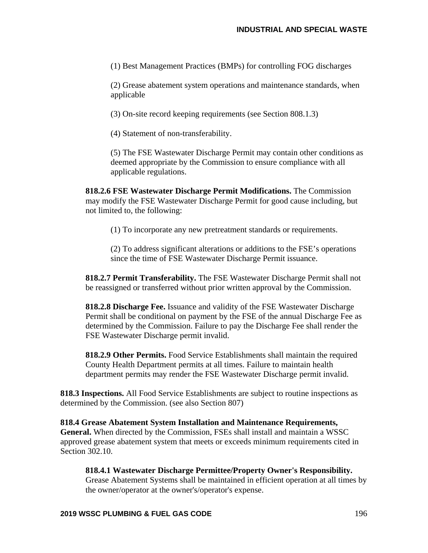(1) Best Management Practices (BMPs) for controlling FOG discharges

(2) Grease abatement system operations and maintenance standards, when applicable

(3) On-site record keeping requirements (see Section 808.1.3)

(4) Statement of non-transferability.

(5) The FSE Wastewater Discharge Permit may contain other conditions as deemed appropriate by the Commission to ensure compliance with all applicable regulations.

**818.2.6 FSE Wastewater Discharge Permit Modifications.** The Commission may modify the FSE Wastewater Discharge Permit for good cause including, but not limited to, the following:

(1) To incorporate any new pretreatment standards or requirements.

(2) To address significant alterations or additions to the FSE's operations since the time of FSE Wastewater Discharge Permit issuance.

**818.2.7 Permit Transferability.** The FSE Wastewater Discharge Permit shall not be reassigned or transferred without prior written approval by the Commission.

**818.2.8 Discharge Fee.** Issuance and validity of the FSE Wastewater Discharge Permit shall be conditional on payment by the FSE of the annual Discharge Fee as determined by the Commission. Failure to pay the Discharge Fee shall render the FSE Wastewater Discharge permit invalid.

**818.2.9 Other Permits.** Food Service Establishments shall maintain the required County Health Department permits at all times. Failure to maintain health department permits may render the FSE Wastewater Discharge permit invalid.

**818.3 Inspections.** All Food Service Establishments are subject to routine inspections as determined by the Commission. (see also Section 807)

**818.4 Grease Abatement System Installation and Maintenance Requirements, General.** When directed by the Commission, FSEs shall install and maintain a WSSC approved grease abatement system that meets or exceeds minimum requirements cited in Section 302.10.

**818.4.1 Wastewater Discharge Permittee/Property Owner's Responsibility.** Grease Abatement Systems shall be maintained in efficient operation at all times by the owner/operator at the owner's/operator's expense.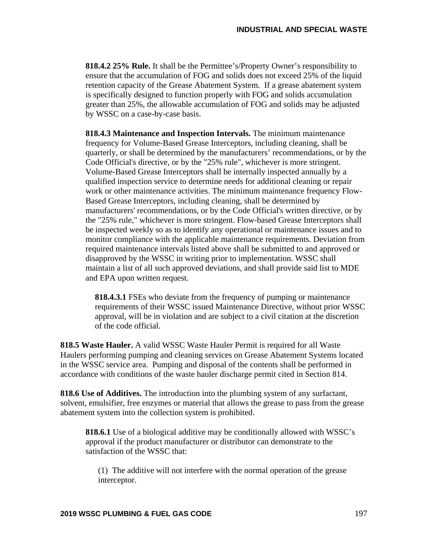**818.4.2 25% Rule.** It shall be the Permittee's/Property Owner's responsibility to ensure that the accumulation of FOG and solids does not exceed 25% of the liquid retention capacity of the Grease Abatement System. If a grease abatement system is specifically designed to function properly with FOG and solids accumulation greater than 25%, the allowable accumulation of FOG and solids may be adjusted by WSSC on a case-by-case basis.

**818.4.3 Maintenance and Inspection Intervals.** The minimum maintenance frequency for Volume-Based Grease Interceptors, including cleaning, shall be quarterly, or shall be determined by the manufacturers' recommendations, or by the Code Official's directive, or by the "25% rule", whichever is more stringent. Volume-Based Grease Interceptors shall be internally inspected annually by a qualified inspection service to determine needs for additional cleaning or repair work or other maintenance activities. The minimum maintenance frequency Flow-Based Grease Interceptors, including cleaning, shall be determined by manufacturers' recommendations, or by the Code Official's written directive, or by the "25% rule," whichever is more stringent. Flow-based Grease Interceptors shall be inspected weekly so as to identify any operational or maintenance issues and to monitor compliance with the applicable maintenance requirements. Deviation from required maintenance intervals listed above shall be submitted to and approved or disapproved by the WSSC in writing prior to implementation. WSSC shall maintain a list of all such approved deviations, and shall provide said list to MDE and EPA upon written request.

**818.4.3.1** FSEs who deviate from the frequency of pumping or maintenance requirements of their WSSC issued Maintenance Directive, without prior WSSC approval, will be in violation and are subject to a civil citation at the discretion of the code official.

**818.5 Waste Hauler.** A valid WSSC Waste Hauler Permit is required for all Waste Haulers performing pumping and cleaning services on Grease Abatement Systems located in the WSSC service area. Pumping and disposal of the contents shall be performed in accordance with conditions of the waste hauler discharge permit cited in Section 814.

**818.6 Use of Additives.** The introduction into the plumbing system of any surfactant, solvent, emulsifier, free enzymes or material that allows the grease to pass from the grease abatement system into the collection system is prohibited.

**818.6.1** Use of a biological additive may be conditionally allowed with WSSC's approval if the product manufacturer or distributor can demonstrate to the satisfaction of the WSSC that:

(1) The additive will not interfere with the normal operation of the grease interceptor.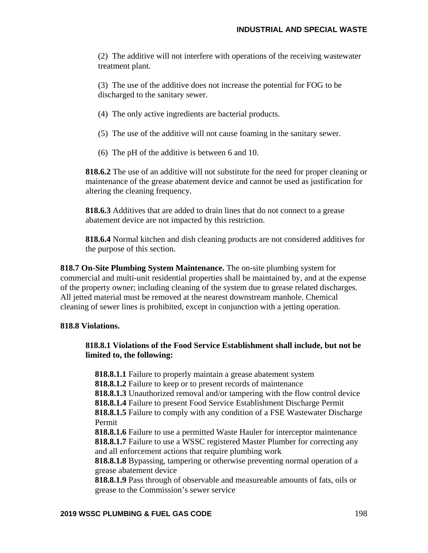(2) The additive will not interfere with operations of the receiving wastewater treatment plant.

(3) The use of the additive does not increase the potential for FOG to be discharged to the sanitary sewer.

- (4) The only active ingredients are bacterial products.
- (5) The use of the additive will not cause foaming in the sanitary sewer.
- (6) The pH of the additive is between 6 and 10.

**818.6.2** The use of an additive will not substitute for the need for proper cleaning or maintenance of the grease abatement device and cannot be used as justification for altering the cleaning frequency.

**818.6.3** Additives that are added to drain lines that do not connect to a grease abatement device are not impacted by this restriction.

**818.6.4** Normal kitchen and dish cleaning products are not considered additives for the purpose of this section.

**818.7 On-Site Plumbing System Maintenance.** The on-site plumbing system for commercial and multi-unit residential properties shall be maintained by, and at the expense of the property owner; including cleaning of the system due to grease related discharges. All jetted material must be removed at the nearest downstream manhole. Chemical cleaning of sewer lines is prohibited, except in conjunction with a jetting operation.

#### **818.8 Violations.**

#### **818.8.1 Violations of the Food Service Establishment shall include, but not be limited to, the following:**

**818.8.1.1** Failure to properly maintain a grease abatement system **818.8.1.2** Failure to keep or to present records of maintenance **818.8.1.3** Unauthorized removal and/or tampering with the flow control device **818.8.1.4** Failure to present Food Service Establishment Discharge Permit **818.8.1.5** Failure to comply with any condition of a FSE Wastewater Discharge Permit

**818.8.1.6** Failure to use a permitted Waste Hauler for interceptor maintenance **818.8.1.7** Failure to use a WSSC registered Master Plumber for correcting any and all enforcement actions that require plumbing work

**818.8.1.8** Bypassing, tampering or otherwise preventing normal operation of a grease abatement device

**818.8.1.9** Pass through of observable and measureable amounts of fats, oils or grease to the Commission's sewer service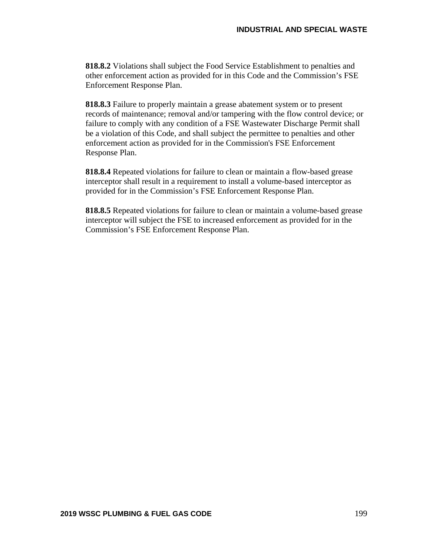**818.8.2** Violations shall subject the Food Service Establishment to penalties and other enforcement action as provided for in this Code and the Commission's FSE Enforcement Response Plan.

**818.8.3** Failure to properly maintain a grease abatement system or to present records of maintenance; removal and/or tampering with the flow control device; or failure to comply with any condition of a FSE Wastewater Discharge Permit shall be a violation of this Code, and shall subject the permittee to penalties and other enforcement action as provided for in the Commission's FSE Enforcement Response Plan.

**818.8.4** Repeated violations for failure to clean or maintain a flow-based grease interceptor shall result in a requirement to install a volume-based interceptor as provided for in the Commission's FSE Enforcement Response Plan.

**818.8.5** Repeated violations for failure to clean or maintain a volume-based grease interceptor will subject the FSE to increased enforcement as provided for in the Commission's FSE Enforcement Response Plan.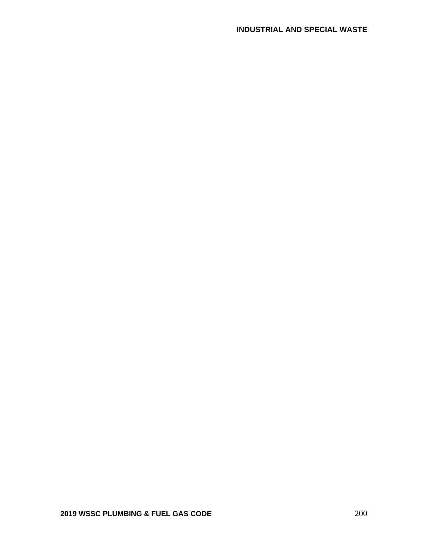#### **INDUSTRIAL AND SPECIAL WASTE**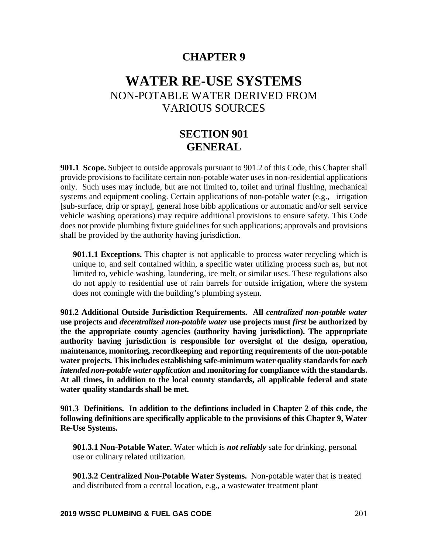#### **CHAPTER 9**

# **WATER RE-USE SYSTEMS**  NON-POTABLE WATER DERIVED FROM VARIOUS SOURCES

### **SECTION 901 GENERAL**

**901.1 Scope.** Subject to outside approvals pursuant to 901.2 of this Code, this Chapter shall provide provisions to facilitate certain non-potable water uses in non-residential applications only. Such uses may include, but are not limited to, toilet and urinal flushing, mechanical systems and equipment cooling. Certain applications of non-potable water (e.g., irrigation [sub-surface, drip or spray], general hose bibb applications or automatic and/or self service vehicle washing operations) may require additional provisions to ensure safety. This Code does not provide plumbing fixture guidelines for such applications; approvals and provisions shall be provided by the authority having jurisdiction.

**901.1.1 Exceptions.** This chapter is not applicable to process water recycling which is unique to, and self contained within, a specific water utilizing process such as, but not limited to, vehicle washing, laundering, ice melt, or similar uses. These regulations also do not apply to residential use of rain barrels for outside irrigation, where the system does not comingle with the building's plumbing system.

**901.2 Additional Outside Jurisdiction Requirements. All** *centralized non-potable water*  **use projects and** *decentralized non-potable water* **use projects must** *first* **be authorized by the the appropriate county agencies (authority having jurisdiction). The appropriate authority having jurisdiction is responsible for oversight of the design, operation, maintenance, monitoring, recordkeeping and reporting requirements of the non-potable**  water projects. This includes establishing safe-minimum water quality standards for *each intended non-potable water application* **and monitoring for compliance with the standards. At all times, in addition to the local county standards, all applicable federal and state water quality standards shall be met.** 

**901.3 Definitions. In addition to the defintions included in Chapter 2 of this code, the following definitions are specifically applicable to the provisions of this Chapter 9, Water Re-Use Systems.** 

**901.3.1 Non-Potable Water.** Water which is *not reliably* safe for drinking, personal use or culinary related utilization.

**901.3.2 Centralized Non-Potable Water Systems.** Non-potable water that is treated and distributed from a central location, e.g., a wastewater treatment plant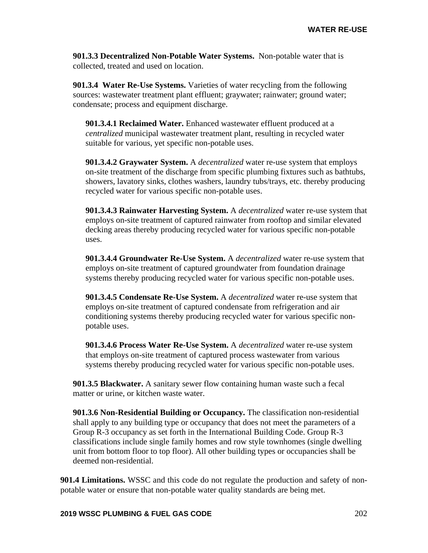**901.3.3 Decentralized Non-Potable Water Systems.** Non-potable water that is collected, treated and used on location.

**901.3.4 Water Re-Use Systems.** Varieties of water recycling from the following sources: wastewater treatment plant effluent; graywater; rainwater; ground water; condensate; process and equipment discharge.

**901.3.4.1 Reclaimed Water.** Enhanced wastewater effluent produced at a *centralized* municipal wastewater treatment plant, resulting in recycled water suitable for various, yet specific non-potable uses.

**901.3.4.2 Graywater System.** A *decentralized* water re-use system that employs on-site treatment of the discharge from specific plumbing fixtures such as bathtubs, showers, lavatory sinks, clothes washers, laundry tubs/trays, etc. thereby producing recycled water for various specific non-potable uses.

**901.3.4.3 Rainwater Harvesting System.** A *decentralized* water re-use system that employs on-site treatment of captured rainwater from rooftop and similar elevated decking areas thereby producing recycled water for various specific non-potable uses.

**901.3.4.4 Groundwater Re-Use System.** A *decentralized* water re-use system that employs on-site treatment of captured groundwater from foundation drainage systems thereby producing recycled water for various specific non-potable uses.

**901.3.4.5 Condensate Re-Use System.** A *decentralized* water re-use system that employs on-site treatment of captured condensate from refrigeration and air conditioning systems thereby producing recycled water for various specific nonpotable uses.

**901.3.4.6 Process Water Re-Use System.** A *decentralized* water re-use system that employs on-site treatment of captured process wastewater from various systems thereby producing recycled water for various specific non-potable uses.

**901.3.5 Blackwater.** A sanitary sewer flow containing human waste such a fecal matter or urine, or kitchen waste water.

**901.3.6 Non-Residential Building or Occupancy.** The classification non-residential shall apply to any building type or occupancy that does not meet the parameters of a Group R-3 occupancy as set forth in the International Building Code. Group R-3 classifications include single family homes and row style townhomes (single dwelling unit from bottom floor to top floor). All other building types or occupancies shall be deemed non-residential.

**901.4 Limitations.** WSSC and this code do not regulate the production and safety of nonpotable water or ensure that non-potable water quality standards are being met.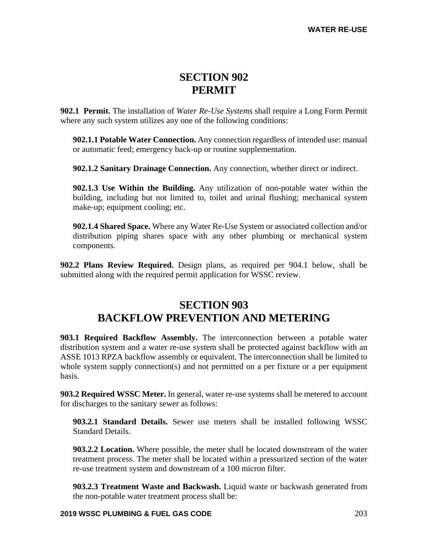### **SECTION 902 PERMIT**

**902.1 Permit.** The installation of *Water Re-Use Systems* shall require a Long Form Permit where any such system utilizes any one of the following conditions:

**902.1.1 Potable Water Connection.** Any connection regardless of intended use: manual or automatic feed; emergency back-up or routine supplementation.

**902.1.2 Sanitary Drainage Connection.** Any connection, whether direct or indirect.

**902.1.3 Use Within the Building.** Any utilization of non-potable water within the building, including but not limited to, toilet and urinal flushing; mechanical system make-up; equipment cooling; etc.

**902.1.4 Shared Space.** Where any Water Re-Use System or associated collection and/or distribution piping shares space with any other plumbing or mechanical system components.

**902.2 Plans Review Required.** Design plans, as required per 904.1 below, shall be submitted along with the required permit application for WSSC review.

### **SECTION 903 BACKFLOW PREVENTION AND METERING**

**903.1 Required Backflow Assembly.** The interconnection between a potable water distribution system and a water re-use system shall be protected against backflow with an ASSE 1013 RPZA backflow assembly or equivalent. The interconnection shall be limited to whole system supply connection(s) and not permitted on a per fixture or a per equipment basis.

**903.2 Required WSSC Meter.** In general, water re-use systems shall be metered to account for discharges to the sanitary sewer as follows:

**903.2.1 Standard Details.** Sewer use meters shall be installed following WSSC Standard Details.

**903.2.2 Location.** Where possible, the meter shall be located downstream of the water treatment process. The meter shall be located within a pressurized section of the water re-use treatment system and downstream of a 100 micron filter.

**903.2.3 Treatment Waste and Backwash.** Liquid waste or backwash generated from the non-potable water treatment process shall be:

**2019 WSSC PLUMBING & FUEL GAS CODE** 203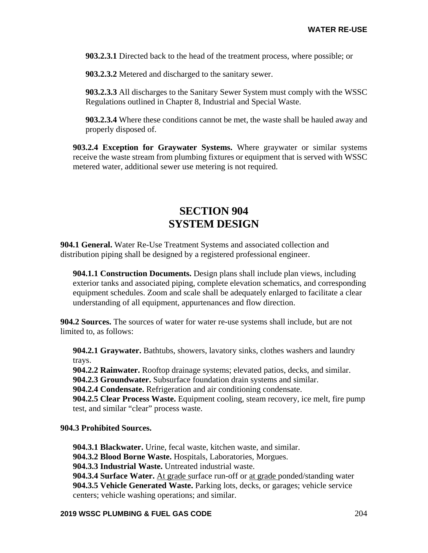**903.2.3.1** Directed back to the head of the treatment process, where possible; or

**903.2.3.2** Metered and discharged to the sanitary sewer.

**903.2.3.3** All discharges to the Sanitary Sewer System must comply with the WSSC Regulations outlined in Chapter 8, Industrial and Special Waste.

**903.2.3.4** Where these conditions cannot be met, the waste shall be hauled away and properly disposed of.

**903.2.4 Exception for Graywater Systems.** Where graywater or similar systems receive the waste stream from plumbing fixtures or equipment that is served with WSSC metered water, additional sewer use metering is not required.

### **SECTION 904 SYSTEM DESIGN**

**904.1 General.** Water Re-Use Treatment Systems and associated collection and distribution piping shall be designed by a registered professional engineer.

**904.1.1 Construction Documents.** Design plans shall include plan views, including exterior tanks and associated piping, complete elevation schematics, and corresponding equipment schedules. Zoom and scale shall be adequately enlarged to facilitate a clear understanding of all equipment, appurtenances and flow direction.

**904.2 Sources.** The sources of water for water re-use systems shall include, but are not limited to, as follows:

**904.2.1 Graywater.** Bathtubs, showers, lavatory sinks, clothes washers and laundry trays.

**904.2.2 Rainwater.** Rooftop drainage systems; elevated patios, decks, and similar.

**904.2.3 Groundwater.** Subsurface foundation drain systems and similar.

**904.2.4 Condensate.** Refrigeration and air conditioning condensate.

**904.2.5 Clear Process Waste.** Equipment cooling, steam recovery, ice melt, fire pump test, and similar "clear" process waste.

#### **904.3 Prohibited Sources.**

**904.3.1 Blackwater.** Urine, fecal waste, kitchen waste, and similar.

**904.3.2 Blood Borne Waste.** Hospitals, Laboratories, Morgues.

**904.3.3 Industrial Waste.** Untreated industrial waste.

**904.3.4 Surface Water.** At grade surface run-off or at grade ponded/standing water **904.3.5 Vehicle Generated Waste.** Parking lots, decks, or garages; vehicle service centers; vehicle washing operations; and similar.

#### **2019 WSSC PLUMBING & FUEL GAS CODE** 204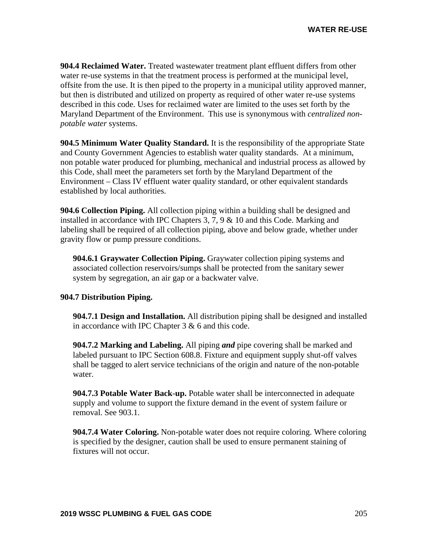**904.4 Reclaimed Water.** Treated wastewater treatment plant effluent differs from other water re-use systems in that the treatment process is performed at the municipal level, offsite from the use. It is then piped to the property in a municipal utility approved manner, but then is distributed and utilized on property as required of other water re-use systems described in this code. Uses for reclaimed water are limited to the uses set forth by the Maryland Department of the Environment. This use is synonymous with *centralized nonpotable water* systems.

**904.5 Minimum Water Quality Standard.** It is the responsibility of the appropriate State and County Government Agencies to establish water quality standards. At a minimum, non potable water produced for plumbing, mechanical and industrial process as allowed by this Code, shall meet the parameters set forth by the Maryland Department of the Environment – Class IV effluent water quality standard, or other equivalent standards established by local authorities.

**904.6 Collection Piping.** All collection piping within a building shall be designed and installed in accordance with IPC Chapters 3, 7, 9 & 10 and this Code. Marking and labeling shall be required of all collection piping, above and below grade, whether under gravity flow or pump pressure conditions.

**904.6.1 Graywater Collection Piping.** Graywater collection piping systems and associated collection reservoirs/sumps shall be protected from the sanitary sewer system by segregation, an air gap or a backwater valve.

#### **904.7 Distribution Piping.**

**904.7.1 Design and Installation.** All distribution piping shall be designed and installed in accordance with IPC Chapter 3 & 6 and this code.

**904.7.2 Marking and Labeling.** All piping *and* pipe covering shall be marked and labeled pursuant to IPC Section 608.8. Fixture and equipment supply shut-off valves shall be tagged to alert service technicians of the origin and nature of the non-potable water.

**904.7.3 Potable Water Back-up.** Potable water shall be interconnected in adequate supply and volume to support the fixture demand in the event of system failure or removal. See 903.1.

**904.7.4 Water Coloring.** Non-potable water does not require coloring. Where coloring is specified by the designer, caution shall be used to ensure permanent staining of fixtures will not occur.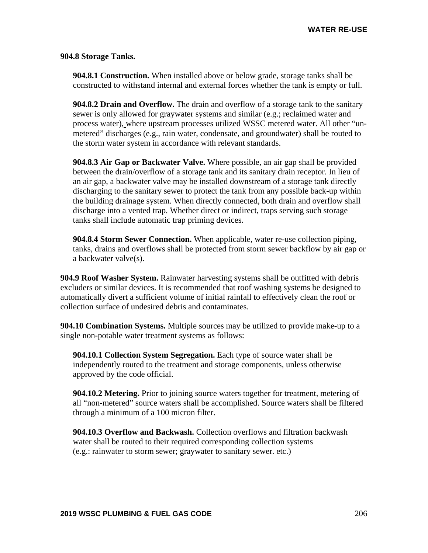#### **904.8 Storage Tanks.**

**904.8.1 Construction.** When installed above or below grade, storage tanks shall be constructed to withstand internal and external forces whether the tank is empty or full.

**904.8.2 Drain and Overflow.** The drain and overflow of a storage tank to the sanitary sewer is only allowed for graywater systems and similar (e.g.; reclaimed water and process water), where upstream processes utilized WSSC metered water. All other "unmetered" discharges (e.g., rain water, condensate, and groundwater) shall be routed to the storm water system in accordance with relevant standards.

**904.8.3 Air Gap or Backwater Valve.** Where possible, an air gap shall be provided between the drain/overflow of a storage tank and its sanitary drain receptor. In lieu of an air gap, a backwater valve may be installed downstream of a storage tank directly discharging to the sanitary sewer to protect the tank from any possible back-up within the building drainage system. When directly connected, both drain and overflow shall discharge into a vented trap. Whether direct or indirect, traps serving such storage tanks shall include automatic trap priming devices.

**904.8.4 Storm Sewer Connection.** When applicable, water re-use collection piping, tanks, drains and overflows shall be protected from storm sewer backflow by air gap or a backwater valve(s).

**904.9 Roof Washer System.** Rainwater harvesting systems shall be outfitted with debris excluders or similar devices. It is recommended that roof washing systems be designed to automatically divert a sufficient volume of initial rainfall to effectively clean the roof or collection surface of undesired debris and contaminates.

**904.10 Combination Systems.** Multiple sources may be utilized to provide make-up to a single non-potable water treatment systems as follows:

**904.10.1 Collection System Segregation.** Each type of source water shall be independently routed to the treatment and storage components, unless otherwise approved by the code official.

**904.10.2 Metering.** Prior to joining source waters together for treatment, metering of all "non-metered" source waters shall be accomplished. Source waters shall be filtered through a minimum of a 100 micron filter.

**904.10.3 Overflow and Backwash.** Collection overflows and filtration backwash water shall be routed to their required corresponding collection systems (e.g.: rainwater to storm sewer; graywater to sanitary sewer. etc.)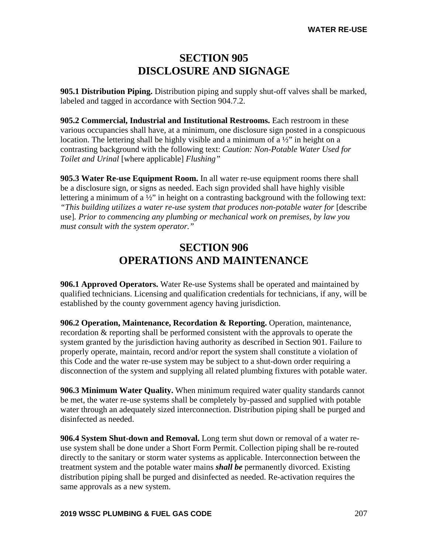#### **SECTION 905 DISCLOSURE AND SIGNAGE**

**905.1 Distribution Piping.** Distribution piping and supply shut-off valves shall be marked, labeled and tagged in accordance with Section 904.7.2.

**905.2 Commercial, Industrial and Institutional Restrooms.** Each restroom in these various occupancies shall have, at a minimum, one disclosure sign posted in a conspicuous location. The lettering shall be highly visible and a minimum of a ½" in height on a contrasting background with the following text: *Caution: Non-Potable Water Used for Toilet and Urinal* [where applicable] *Flushing"*

**905.3 Water Re-use Equipment Room.** In all water re-use equipment rooms there shall be a disclosure sign, or signs as needed. Each sign provided shall have highly visible lettering a minimum of a ½" in height on a contrasting background with the following text: *"This building utilizes a water re-use system that produces non-potable water for* [describe use]*. Prior to commencing any plumbing or mechanical work on premises, by law you must consult with the system operator."* 

### **SECTION 906 OPERATIONS AND MAINTENANCE**

**906.1 Approved Operators.** Water Re-use Systems shall be operated and maintained by qualified technicians. Licensing and qualification credentials for technicians, if any, will be established by the county government agency having jurisdiction.

**906.2 Operation, Maintenance, Recordation & Reporting.** Operation, maintenance, recordation & reporting shall be performed consistent with the approvals to operate the system granted by the jurisdiction having authority as described in Section 901. Failure to properly operate, maintain, record and/or report the system shall constitute a violation of this Code and the water re-use system may be subject to a shut-down order requiring a disconnection of the system and supplying all related plumbing fixtures with potable water.

**906.3 Minimum Water Quality.** When minimum required water quality standards cannot be met, the water re-use systems shall be completely by-passed and supplied with potable water through an adequately sized interconnection. Distribution piping shall be purged and disinfected as needed.

**906.4 System Shut-down and Removal.** Long term shut down or removal of a water reuse system shall be done under a Short Form Permit. Collection piping shall be re-routed directly to the sanitary or storm water systems as applicable. Interconnection between the treatment system and the potable water mains *shall be* permanently divorced. Existing distribution piping shall be purged and disinfected as needed. Re-activation requires the same approvals as a new system.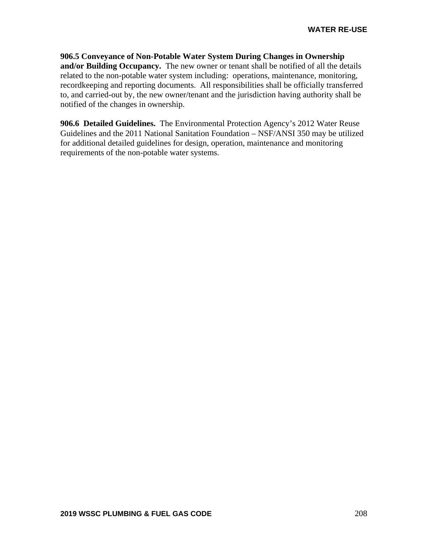**906.5 Conveyance of Non-Potable Water System During Changes in Ownership and/or Building Occupancy.** The new owner or tenant shall be notified of all the details related to the non-potable water system including: operations, maintenance, monitoring, recordkeeping and reporting documents. All responsibilities shall be officially transferred to, and carried-out by, the new owner/tenant and the jurisdiction having authority shall be notified of the changes in ownership.

**906.6 Detailed Guidelines.** The Environmental Protection Agency's 2012 Water Reuse Guidelines and the 2011 National Sanitation Foundation – NSF/ANSI 350 may be utilized for additional detailed guidelines for design, operation, maintenance and monitoring requirements of the non-potable water systems.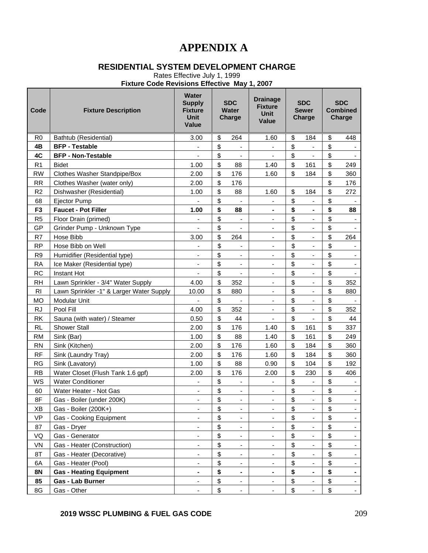# **APPENDIX A**

#### **RESIDENTIAL SYSTEM DEVELOPMENT CHARGE**

Rates Effective July 1, 1999 **Fixture Code Revisions Effective May 1, 2007**

| Code           | <b>Fixture Description</b>               | <b>Water</b><br><b>Supply</b><br><b>Fixture</b><br><b>Unit</b><br><b>Value</b> | <b>Drainage</b><br><b>SDC</b><br><b>Fixture</b><br><b>Water</b><br>Unit<br><b>Charge</b><br><b>Value</b> |                              | <b>SDC</b><br><b>Sewer</b><br>Charge |    | <b>SDC</b><br><b>Combined</b><br>Charge |    |                          |
|----------------|------------------------------------------|--------------------------------------------------------------------------------|----------------------------------------------------------------------------------------------------------|------------------------------|--------------------------------------|----|-----------------------------------------|----|--------------------------|
| R <sub>0</sub> | Bathtub (Residential)                    | 3.00                                                                           | \$                                                                                                       | 264                          | 1.60                                 | \$ | 184                                     | \$ | 448                      |
| 4B             | <b>BFP - Testable</b>                    |                                                                                | \$                                                                                                       |                              |                                      | \$ |                                         | \$ |                          |
| 4C             | <b>BFP - Non-Testable</b>                | $\overline{\phantom{a}}$                                                       | \$                                                                                                       | -                            | $\overline{\phantom{a}}$             | \$ |                                         | \$ |                          |
| R1             | <b>Bidet</b>                             | 1.00                                                                           | \$                                                                                                       | 88                           | 1.40                                 | \$ | 161                                     | \$ | 249                      |
| <b>RW</b>      | Clothes Washer Standpipe/Box             | 2.00                                                                           | \$                                                                                                       | 176                          | 1.60                                 | \$ | 184                                     | \$ | 360                      |
| <b>RR</b>      | Clothes Washer (water only)              | 2.00                                                                           | \$                                                                                                       | 176                          |                                      |    |                                         | \$ | 176                      |
| R <sub>2</sub> | Dishwasher (Residential)                 | 1.00                                                                           | \$                                                                                                       | 88                           | 1.60                                 | \$ | 184                                     | \$ | 272                      |
| 68             | Ejector Pump                             |                                                                                | \$                                                                                                       |                              |                                      | \$ |                                         | \$ |                          |
| F <sub>3</sub> | <b>Faucet - Pot Filler</b>               | 1.00                                                                           | \$                                                                                                       | 88                           | $\qquad \qquad \blacksquare$         | \$ | $\blacksquare$                          | \$ | 88                       |
| R <sub>5</sub> | Floor Drain (primed)                     |                                                                                | \$                                                                                                       | $\overline{\phantom{a}}$     | $\overline{\phantom{a}}$             | \$ | $\overline{\phantom{a}}$                | \$ |                          |
| GP             | Grinder Pump - Unknown Type              | $\blacksquare$                                                                 | \$                                                                                                       | $\blacksquare$               | $\blacksquare$                       | \$ | $\blacksquare$                          | \$ |                          |
| R7             | Hose Bibb                                | 3.00                                                                           | \$                                                                                                       | 264                          | $\blacksquare$                       | \$ | $\blacksquare$                          | \$ | 264                      |
| <b>RP</b>      | Hose Bibb on Well                        | $\overline{\phantom{a}}$                                                       | \$                                                                                                       | $\overline{\phantom{a}}$     | $\overline{\phantom{a}}$             | \$ | $\overline{\phantom{a}}$                | \$ |                          |
| R <sub>9</sub> | Humidifier (Residential type)            | $\blacksquare$                                                                 | \$                                                                                                       | ٠                            | $\blacksquare$                       | \$ | $\blacksquare$                          | \$ | $\overline{\phantom{a}}$ |
| <b>RA</b>      | Ice Maker (Residential type)             | $\blacksquare$                                                                 | \$                                                                                                       |                              | $\blacksquare$                       | \$ |                                         | \$ |                          |
| <b>RC</b>      | Instant Hot                              |                                                                                | \$                                                                                                       |                              | $\overline{\phantom{a}}$             | \$ | $\qquad \qquad \blacksquare$            | \$ |                          |
| <b>RH</b>      | Lawn Sprinkler - 3/4" Water Supply       | 4.00                                                                           | \$                                                                                                       | 352                          | $\blacksquare$                       | \$ | $\overline{\phantom{a}}$                | \$ | 352                      |
| <b>RI</b>      | Lawn Sprinkler -1" & Larger Water Supply | 10.00                                                                          | \$                                                                                                       | 880                          | $\overline{\phantom{a}}$             | \$ | $\blacksquare$                          | \$ | 880                      |
| МO             | Modular Unit                             |                                                                                | \$                                                                                                       |                              | $\overline{\phantom{a}}$             | \$ |                                         | \$ |                          |
| <b>RJ</b>      | Pool Fill                                | 4.00                                                                           | \$                                                                                                       | 352                          | $\overline{\phantom{a}}$             | \$ |                                         | \$ | 352                      |
| RK             | Sauna (with water) / Steamer             | 0.50                                                                           | \$                                                                                                       | 44                           |                                      | \$ |                                         | \$ | 44                       |
| <b>RL</b>      | <b>Shower Stall</b>                      | 2.00                                                                           | \$                                                                                                       | 176                          | 1.40                                 | \$ | 161                                     | \$ | 337                      |
| <b>RM</b>      | Sink (Bar)                               | 1.00                                                                           | \$                                                                                                       | 88                           | 1.40                                 | \$ | 161                                     | \$ | 249                      |
| <b>RN</b>      | Sink (Kitchen)                           | 2.00                                                                           | \$                                                                                                       | 176                          | 1.60                                 | \$ | 184                                     | \$ | 360                      |
| <b>RF</b>      | Sink (Laundry Tray)                      | 2.00                                                                           | \$                                                                                                       | 176                          | 1.60                                 | \$ | 184                                     | \$ | 360                      |
| <b>RG</b>      | Sink (Lavatory)                          | 1.00                                                                           | \$                                                                                                       | 88                           | 0.90                                 | \$ | 104                                     | \$ | 192                      |
| <b>RB</b>      | Water Closet (Flush Tank 1.6 gpf)        | 2.00                                                                           | \$                                                                                                       | 176                          | 2.00                                 | \$ | 230                                     | \$ | 406                      |
| WS             | <b>Water Conditioner</b>                 |                                                                                | \$                                                                                                       | $\qquad \qquad \blacksquare$ |                                      | \$ |                                         | \$ |                          |
| 60             | Water Heater - Not Gas                   | $\overline{\phantom{0}}$                                                       | \$                                                                                                       | $\overline{\phantom{a}}$     | $\overline{\phantom{a}}$             | \$ | $\overline{\phantom{a}}$                | \$ | $\overline{\phantom{a}}$ |
| 8F             | Gas - Boiler (under 200K)                |                                                                                | \$                                                                                                       |                              |                                      | \$ |                                         | \$ |                          |
| ΧB             | Gas - Boiler (200K+)                     |                                                                                | \$                                                                                                       |                              |                                      | \$ |                                         | \$ |                          |
| <b>VP</b>      | Gas - Cooking Equipment                  | ٠                                                                              | \$                                                                                                       |                              |                                      | \$ |                                         | \$ |                          |
| 87             | Gas - Dryer                              |                                                                                | \$                                                                                                       |                              |                                      | \$ |                                         | \$ |                          |
| VQ             | Gas - Generator                          | ۰                                                                              | \$                                                                                                       | ٠                            | $\overline{\phantom{a}}$             | \$ |                                         | \$ |                          |
| VN             | Gas - Heater (Construction)              | $\overline{\phantom{a}}$                                                       | \$                                                                                                       | $\overline{\phantom{a}}$     | $\overline{\phantom{a}}$             | \$ | $\overline{\phantom{a}}$                | \$ | $\frac{1}{2}$            |
| 8T             | Gas - Heater (Decorative)                | $\overline{\phantom{a}}$                                                       | \$                                                                                                       | $\blacksquare$               | $\overline{\phantom{a}}$             | \$ | $\overline{\phantom{0}}$                | \$ | $\blacksquare$           |
| 6A             | Gas - Heater (Pool)                      |                                                                                | \$                                                                                                       | $\overline{\phantom{0}}$     |                                      | \$ | $\overline{\phantom{0}}$                | \$ |                          |
| 8N             | <b>Gas - Heating Equipment</b>           | $\blacksquare$                                                                 | \$                                                                                                       | ۰.                           |                                      | \$ | $\overline{\phantom{0}}$                | \$ |                          |
| 85             | Gas - Lab Burner                         | $\overline{\phantom{a}}$                                                       | \$                                                                                                       | ٠                            |                                      | \$ | $\overline{\phantom{a}}$                | \$ |                          |
| 8G             | Gas - Other                              |                                                                                | \$                                                                                                       |                              |                                      | \$ |                                         | \$ |                          |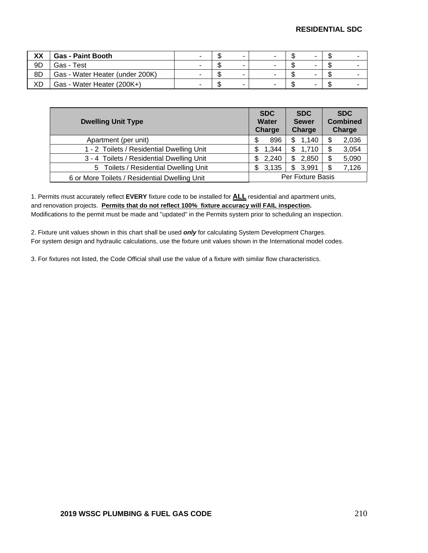| XΧ | <b>Gas - Paint Booth</b>        |  |   |  |
|----|---------------------------------|--|---|--|
| 9D | Gas - Test                      |  |   |  |
| 8D | Gas - Water Heater (under 200K) |  | - |  |
| XD | Gas - Water Heater (200K+)      |  | - |  |

| <b>Dwelling Unit Type</b>                     | <b>SDC</b>               | <b>SDC</b>   | <b>SDC</b>      |  |  |  |
|-----------------------------------------------|--------------------------|--------------|-----------------|--|--|--|
|                                               | <b>Water</b>             | <b>Sewer</b> | <b>Combined</b> |  |  |  |
|                                               | Charge                   | Charge       | Charge          |  |  |  |
| Apartment (per unit)                          | 896                      | 1,140        | 2,036           |  |  |  |
|                                               | \$                       | \$           | S               |  |  |  |
| 1 - 2 Toilets / Residential Dwelling Unit     | 1,344                    | \$           | 3,054           |  |  |  |
|                                               | \$.                      | 1,710        | S               |  |  |  |
| 3 - 4 Toilets / Residential Dwelling Unit     | \$2,240                  | \$<br>2,850  | 5,090<br>S      |  |  |  |
| 5 Toilets / Residential Dwelling Unit         | \$3,135                  | \$<br>3,991  | 7,126<br>S      |  |  |  |
| 6 or More Toilets / Residential Dwelling Unit | <b>Per Fixture Basis</b> |              |                 |  |  |  |

1. Permits must accurately reflect **EVERY** fixture code to be installed for **ALL** residential and apartment units, and renovation projects. **Permits that do not reflect 100% fixture accuracy will FAIL inspection.**  Modifications to the permit must be made and "updated" in the Permits system prior to scheduling an inspection.

2. Fixture unit values shown in this chart shall be used *only* for calculating System Development Charges. For system design and hydraulic calculations, use the fixture unit values shown in the International model codes.

3. For fixtures not listed, the Code Official shall use the value of a fixture with similar flow characteristics.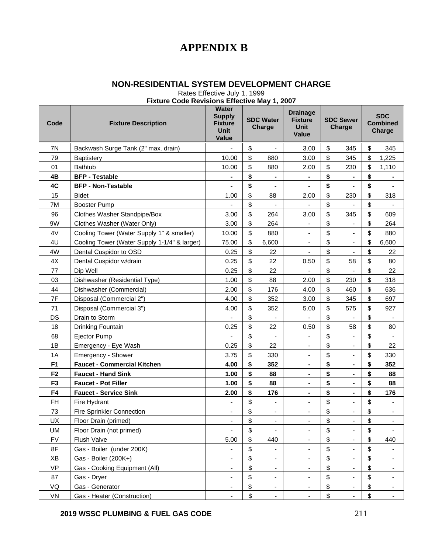### **APPENDIX B**

#### **NON-RESIDENTIAL SYSTEM DEVELOPMENT CHARGE**

Rates Effective July 1, 1999

**Fixture Code Revisions Effective May 1, 2007**

| Code           | <b>Fixture Description</b>                   | Water<br><b>Supply</b><br><b>Fixture</b><br><b>Unit</b><br>Value | <b>SDC Water</b><br>Charge |                          | <b>Drainage</b><br><b>Fixture</b><br><b>Unit</b><br>Value | <b>SDC Sewer</b><br>Charge |                          | <b>SDC</b><br><b>Combined</b><br>Charge |
|----------------|----------------------------------------------|------------------------------------------------------------------|----------------------------|--------------------------|-----------------------------------------------------------|----------------------------|--------------------------|-----------------------------------------|
| 7N             | Backwash Surge Tank (2" max. drain)          | $\blacksquare$                                                   | \$                         | $\blacksquare$           | 3.00                                                      | \$                         | 345                      | \$<br>345                               |
| 79             | <b>Baptistery</b>                            | 10.00                                                            | \$                         | 880                      | 3.00                                                      | \$                         | 345                      | \$<br>1,225                             |
| 01             | <b>Bathtub</b>                               | 10.00                                                            | \$                         | 880                      | 2.00                                                      | \$                         | 230                      | \$<br>1,110                             |
| 4B             | <b>BFP - Testable</b>                        |                                                                  | \$                         |                          |                                                           | \$                         |                          | \$                                      |
| 4C             | <b>BFP - Non-Testable</b>                    | $\blacksquare$                                                   | \$                         | $\blacksquare$           | $\blacksquare$                                            | \$                         | $\blacksquare$           | \$<br>$\blacksquare$                    |
| 15             | <b>Bidet</b>                                 | 1.00                                                             | \$                         | 88                       | 2.00                                                      | \$                         | 230                      | \$<br>318                               |
| 7M             | <b>Booster Pump</b>                          |                                                                  | \$                         | $\overline{\phantom{a}}$ |                                                           | \$                         | Ξ.                       | \$                                      |
| 96             | Clothes Washer Standpipe/Box                 | 3.00                                                             | \$                         | 264                      | 3.00                                                      | \$                         | 345                      | \$<br>609                               |
| 9W             | Clothes Washer (Water Only)                  | 3.00                                                             | \$                         | 264                      | $\blacksquare$                                            | \$                         | ٠                        | \$<br>264                               |
| 4V             | Cooling Tower (Water Supply 1" & smaller)    | 10.00                                                            | \$                         | 880                      | $\overline{\phantom{a}}$                                  | \$                         | $\overline{\phantom{a}}$ | \$<br>880                               |
| 4U             | Cooling Tower (Water Supply 1-1/4" & larger) | 75.00                                                            | \$                         | 6,600                    | $\blacksquare$                                            | \$                         | $\blacksquare$           | \$<br>6,600                             |
| 4W             | Dental Cuspidor to OSD                       | 0.25                                                             | \$                         | 22                       | $\blacksquare$                                            | \$                         | $\blacksquare$           | \$<br>22                                |
| 4X             | Dental Cuspidor w/drain                      | 0.25                                                             | \$                         | 22                       | 0.50                                                      | \$                         | 58                       | \$<br>80                                |
| 77             | Dip Well                                     | 0.25                                                             | \$                         | 22                       |                                                           | \$                         |                          | \$<br>22                                |
| 03             | Dishwasher (Residential Type)                | 1.00                                                             | \$                         | 88                       | 2.00                                                      | \$                         | 230                      | \$<br>318                               |
| 44             | Dishwasher (Commercial)                      | 2.00                                                             | \$                         | 176                      | 4.00                                                      | \$                         | 460                      | \$<br>636                               |
| 7F             | Disposal (Commercial 2")                     | 4.00                                                             | \$                         | 352                      | 3.00                                                      | \$                         | 345                      | \$<br>697                               |
| 71             | Disposal (Commercial 3")                     | 4.00                                                             | \$                         | 352                      | 5.00                                                      | \$                         | 575                      | \$<br>927                               |
| DS             | Drain to Storm                               |                                                                  | \$                         | $\overline{\phantom{a}}$ | $\overline{\phantom{a}}$                                  | \$                         | $\overline{\phantom{a}}$ | \$<br>$\overline{\phantom{a}}$          |
| 18             | Drinking Fountain                            | 0.25                                                             | \$                         | 22                       | 0.50                                                      | \$                         | 58                       | \$<br>80                                |
| 68             | Ejector Pump                                 |                                                                  | \$                         |                          | $\overline{\phantom{a}}$                                  | \$                         | $\overline{\phantom{a}}$ | \$                                      |
| 1B             | Emergency - Eye Wash                         | 0.25                                                             | \$                         | 22                       | $\blacksquare$                                            | \$                         | $\blacksquare$           | \$<br>22                                |
| 1A             | Emergency - Shower                           | 3.75                                                             | \$                         | 330                      | $\overline{\phantom{a}}$                                  | \$                         | $\blacksquare$           | \$<br>330                               |
| F <sub>1</sub> | <b>Faucet - Commercial Kitchen</b>           | 4.00                                                             | \$                         | 352                      | $\blacksquare$                                            | \$                         | Ξ.                       | \$<br>352                               |
| F <sub>2</sub> | <b>Faucet - Hand Sink</b>                    | 1.00                                                             | \$                         | 88                       | $\blacksquare$                                            | \$                         |                          | \$<br>88                                |
| F <sub>3</sub> | <b>Faucet - Pot Filler</b>                   | 1.00                                                             | \$                         | 88                       | $\blacksquare$                                            | \$                         | Ξ.                       | \$<br>88                                |
| F4             | <b>Faucet - Service Sink</b>                 | 2.00                                                             | \$                         | 176                      | $\blacksquare$                                            | \$                         | ۰                        | \$<br>176                               |
| <b>FH</b>      | Fire Hydrant                                 | $\overline{\phantom{a}}$                                         | \$                         | $\overline{\phantom{a}}$ | $\overline{\phantom{a}}$                                  | \$                         | $\overline{\phantom{a}}$ | \$                                      |
| 73             | <b>Fire Sprinkler Connection</b>             | $\blacksquare$                                                   | \$                         | $\overline{\phantom{a}}$ | $\overline{\phantom{a}}$                                  | \$                         | $\blacksquare$           | \$<br>$\overline{\phantom{a}}$          |
| UX             | Floor Drain (primed)                         | ٠                                                                | \$                         | $\overline{\phantom{a}}$ | $\qquad \qquad \blacksquare$                              | \$                         | $\overline{\phantom{a}}$ | \$                                      |
| <b>UM</b>      | Floor Drain (not primed)                     |                                                                  | \$                         | $\overline{\phantom{a}}$ | $\overline{\phantom{a}}$                                  | \$                         | ۰                        | \$<br>۰.                                |
| <b>FV</b>      | Flush Valve                                  | 5.00                                                             | \$                         | 440                      | $\overline{\phantom{a}}$                                  | \$                         | $\overline{\phantom{a}}$ | \$<br>440                               |
| 8F             | Gas - Boiler (under 200K)                    |                                                                  | \$                         |                          | $\blacksquare$                                            | \$                         | $\blacksquare$           | \$                                      |
| XB             | Gas - Boiler (200K+)                         | $\overline{\phantom{a}}$                                         | \$                         | $\overline{\phantom{a}}$ | $\overline{\phantom{a}}$                                  | \$                         | $\overline{\phantom{a}}$ | \$<br>$\overline{\phantom{a}}$          |
| <b>VP</b>      | Gas - Cooking Equipment (All)                | $\overline{\phantom{a}}$                                         | \$                         | $\overline{\phantom{a}}$ | $\overline{\phantom{0}}$                                  | \$                         | ۰                        | \$<br>۰.                                |
| 87             | Gas - Dryer                                  | $\qquad \qquad \blacksquare$                                     | \$                         | $\overline{\phantom{a}}$ | $\overline{\phantom{a}}$                                  | \$                         | $\blacksquare$           | \$<br>۰                                 |
| VQ             | Gas - Generator                              |                                                                  | \$                         |                          |                                                           | \$                         | $\overline{\phantom{a}}$ | \$                                      |
| VN             | Gas - Heater (Construction)                  |                                                                  | \$                         | $\overline{\phantom{a}}$ | $\blacksquare$                                            | \$                         | ÷,                       | \$<br>$\overline{\phantom{a}}$          |

**2019 WSSC PLUMBING & FUEL GAS CODE** 211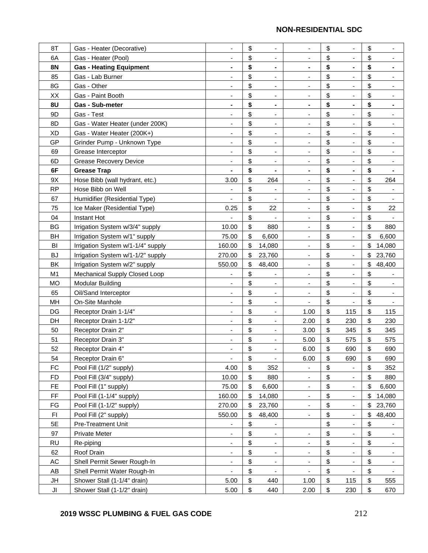#### **NON-RESIDENTIAL SDC**

| \$<br>8T<br>\$<br>\$<br>Gas - Heater (Decorative)<br>$\overline{\phantom{a}}$<br>$\overline{\phantom{a}}$<br>$\overline{\phantom{a}}$<br>$\overline{\phantom{a}}$<br>$\overline{\phantom{a}}$<br>\$<br>\$<br>\$<br>6A<br>Gas - Heater (Pool)<br>\$<br>\$<br>\$<br><b>8N</b><br><b>Gas - Heating Equipment</b><br>$\blacksquare$<br>$\blacksquare$<br>$\blacksquare$<br>$\blacksquare$<br>۰<br>\$<br>\$<br>\$<br>85<br>Gas - Lab Burner<br>$\overline{\phantom{a}}$<br>$\overline{\phantom{a}}$<br>-<br>۰<br>\$<br>\$<br>\$<br>8G<br>Gas - Other<br>$\blacksquare$<br>$\overline{\phantom{a}}$<br>$\overline{\phantom{a}}$<br>$\overline{\phantom{a}}$<br>$\overline{\phantom{a}}$<br>\$<br>\$<br>\$<br>XX<br>Gas - Paint Booth<br>$\qquad \qquad \blacksquare$<br>$\blacksquare$<br>$\overline{\phantom{a}}$<br>٠<br>$\blacksquare$<br>\$<br>\$<br>\$<br>8U<br>Gas - Sub-meter<br>$\blacksquare$<br>$\blacksquare$<br>$\blacksquare$<br>$\blacksquare$<br>Ξ.<br>\$<br>\$<br>\$<br>9D<br>Gas - Test<br>$\blacksquare$<br>$\overline{\phantom{0}}$<br>$\overline{\phantom{a}}$<br>-<br>\$<br>\$<br>\$<br>8D<br>Gas - Water Heater (under 200K)<br>$\overline{\phantom{a}}$<br>$\overline{\phantom{a}}$<br>$\overline{\phantom{a}}$<br>$\overline{\phantom{a}}$<br>$\overline{\phantom{a}}$<br>\$<br>\$<br>\$<br><b>XD</b><br>Gas - Water Heater (200K+)<br>÷,<br>$\blacksquare$<br>$\blacksquare$<br>$\overline{\phantom{0}}$<br>\$<br>\$<br>\$<br><b>GP</b><br>Grinder Pump - Unknown Type<br>$\blacksquare$<br>$\overline{\phantom{a}}$<br>$\blacksquare$<br>$\overline{\phantom{a}}$<br>$\overline{\phantom{a}}$<br>\$<br>\$<br>\$<br>69<br>Grease Interceptor<br>$\overline{\phantom{a}}$<br>$\blacksquare$<br>ä,<br>$\overline{\phantom{0}}$<br>\$<br>\$<br>\$<br>6D<br><b>Grease Recovery Device</b><br>$\overline{\phantom{a}}$<br>$\overline{\phantom{a}}$<br>$\overline{\phantom{a}}$<br>$\overline{\phantom{a}}$<br>$\overline{\phantom{a}}$<br>\$<br>6F<br>\$<br>\$<br><b>Grease Trap</b><br>$\blacksquare$<br>$\blacksquare$<br>$\blacksquare$<br>Ξ.<br>\$<br>\$<br>\$<br>9X<br>Hose Bibb (wall hydrant, etc.)<br>3.00<br>264<br>264<br>$\blacksquare$<br>$\overline{\phantom{a}}$<br>\$<br>\$<br>\$<br><b>RP</b><br>Hose Bibb on Well<br>ä,<br>$\overline{\phantom{0}}$<br>\$<br>\$<br>\$<br>67<br>Humidifier (Residential Type)<br>$\overline{\phantom{a}}$<br>$\overline{\phantom{a}}$<br>$\overline{\phantom{a}}$<br>$\overline{\phantom{a}}$<br>\$<br>\$<br>\$<br>75<br>0.25<br>Ice Maker (Residential Type)<br>22<br>22<br>$\overline{\phantom{a}}$<br>$\overline{\phantom{a}}$<br>\$<br>\$<br>\$<br>04<br>Instant Hot<br>$\blacksquare$<br>$\overline{\phantom{a}}$<br>\$<br>\$<br>\$<br><b>BG</b><br>Irrigation System w/3/4" supply<br>10.00<br>880<br>880<br>$\blacksquare$<br>$\overline{\phantom{a}}$<br>\$<br>\$<br>\$<br>BH<br>Irrigation System w/1" supply<br>75.00<br>6,600<br>6,600<br>$\overline{\phantom{a}}$<br>$\overline{\phantom{a}}$<br>\$<br>Irrigation System w/1-1/4" supply<br>\$<br>\$<br>BI<br>160.00<br>14,080<br>14,080<br>$\overline{\phantom{a}}$<br>$\overline{\phantom{a}}$<br>\$<br>\$<br>\$<br><b>BJ</b><br>Irrigation System w/1-1/2" supply<br>270.00<br>23,760<br>23,760<br>$\overline{\phantom{a}}$<br>$\overline{\phantom{a}}$<br>\$<br>\$<br>\$<br>BK<br>Irrigation System w/2" supply<br>550.00<br>48,400<br>48,400<br>$\overline{\phantom{a}}$<br>$\overline{\phantom{a}}$<br>\$<br>\$<br>M <sub>1</sub><br>Mechanical Supply Closed Loop<br>\$<br>$\overline{\phantom{a}}$<br>$\overline{\phantom{a}}$<br>$\overline{\phantom{a}}$<br>\$<br>\$<br>\$<br><b>MO</b><br><b>Modular Building</b><br>$\overline{\phantom{a}}$<br>$\qquad \qquad \blacksquare$<br>$\overline{\phantom{a}}$<br>$\overline{\phantom{a}}$<br>\$<br>\$<br>\$<br>65<br>Oil/Sand Interceptor<br>$\overline{\phantom{0}}$<br>$\overline{\phantom{a}}$<br>$\overline{\phantom{a}}$<br>$\overline{\phantom{a}}$<br>\$<br>\$<br>\$<br>MH<br>On-Site Manhole<br>$\blacksquare$<br>$\overline{\phantom{a}}$<br>ä,<br>Ξ.<br>$\overline{\phantom{a}}$<br>\$<br>\$<br>\$<br>DG<br>Receptor Drain 1-1/4"<br>1.00<br>115<br>115<br>-<br>$\overline{\phantom{a}}$<br>\$<br>\$<br>\$<br>DH<br>Receptor Drain 1-1/2"<br>2.00<br>230<br>230<br>$\overline{\phantom{a}}$<br>$\overline{\phantom{a}}$<br>\$<br>\$<br>\$<br>50<br>Receptor Drain 2"<br>3.00<br>345<br>345<br>$\overline{\phantom{a}}$<br>\$<br>\$<br>\$<br>51<br>Receptor Drain 3"<br>5.00<br>575<br>575<br>$\blacksquare$<br>$\overline{\phantom{a}}$<br>\$<br>\$<br>\$<br>52<br>Receptor Drain 4"<br>6.00<br>690<br>690<br>$\overline{\phantom{a}}$<br>$\overline{\phantom{a}}$<br>\$<br>\$<br>690<br>Receptor Drain 6"<br>6.00<br>\$<br>54<br>690<br>$\overline{\phantom{a}}$<br>$\overline{\phantom{a}}$<br>\$<br>\$<br>\$<br><b>FC</b><br>4.00<br>Pool Fill (1/2" supply)<br>352<br>352<br>\$<br>\$<br>\$<br><b>FD</b><br>Pool Fill (3/4" supply)<br>10.00<br>880<br>880<br>$\overline{\phantom{a}}$<br>$\overline{\phantom{a}}$<br>\$<br><b>FE</b><br>\$<br>\$<br>Pool Fill (1" supply)<br>75.00<br>6,600<br>6,600<br>$\overline{\phantom{a}}$<br>-<br>FF<br>\$<br>Pool Fill (1-1/4" supply)<br>160.00<br>\$<br>14,080<br>\$<br>14,080<br>$\overline{\phantom{a}}$<br>$\overline{\phantom{a}}$<br>\$<br>FG<br>\$<br>Pool Fill (1-1/2" supply)<br>270.00<br>\$<br>23,760<br>23,760<br>-<br>$\overline{\phantom{a}}$<br>\$<br>\$<br>\$<br>FI<br>Pool Fill (2" supply)<br>48,400<br>550.00<br>48,400<br>$\overline{\phantom{a}}$<br>$\overline{\phantom{a}}$<br>\$<br>5E<br>\$<br>Pre-Treatment Unit<br>\$<br>-<br>\$<br>\$<br>97<br>\$<br><b>Private Meter</b><br>$\qquad \qquad \blacksquare$<br>$\blacksquare$<br>$\overline{\phantom{a}}$<br>$\overline{\phantom{a}}$<br>-<br>\$<br>\$<br>\$<br><b>RU</b><br>Re-piping<br>$\frac{1}{2}$<br>$\overline{\phantom{a}}$<br>$\overline{\phantom{0}}$<br>\$<br>\$<br>\$<br>62<br>Roof Drain<br>$\blacksquare$<br>$\overline{\phantom{a}}$<br>$\overline{\phantom{a}}$<br>$\overline{\phantom{a}}$<br>$\overline{\phantom{a}}$<br>\$<br>\$<br>\$<br>AC<br>Shell Permit Sewer Rough-In<br>$\overline{\phantom{0}}$<br>٠<br>$\overline{\phantom{a}}$<br>$\overline{\phantom{a}}$<br>$\overline{\phantom{a}}$<br>\$<br>\$<br>\$<br>AB<br>Shell Permit Water Rough-In<br>$\blacksquare$<br>$\overline{\phantom{a}}$<br>$\overline{\phantom{a}}$<br>$\overline{\phantom{a}}$<br>\$<br>\$<br>JH<br>\$<br>Shower Stall (1-1/4" drain)<br>5.00<br>440<br>1.00<br>115<br>555<br>\$<br>\$<br>\$<br>JI<br>230<br>Shower Stall (1-1/2" drain)<br>5.00<br>440<br>2.00<br>670 |  |  |  |  |  |
|---------------------------------------------------------------------------------------------------------------------------------------------------------------------------------------------------------------------------------------------------------------------------------------------------------------------------------------------------------------------------------------------------------------------------------------------------------------------------------------------------------------------------------------------------------------------------------------------------------------------------------------------------------------------------------------------------------------------------------------------------------------------------------------------------------------------------------------------------------------------------------------------------------------------------------------------------------------------------------------------------------------------------------------------------------------------------------------------------------------------------------------------------------------------------------------------------------------------------------------------------------------------------------------------------------------------------------------------------------------------------------------------------------------------------------------------------------------------------------------------------------------------------------------------------------------------------------------------------------------------------------------------------------------------------------------------------------------------------------------------------------------------------------------------------------------------------------------------------------------------------------------------------------------------------------------------------------------------------------------------------------------------------------------------------------------------------------------------------------------------------------------------------------------------------------------------------------------------------------------------------------------------------------------------------------------------------------------------------------------------------------------------------------------------------------------------------------------------------------------------------------------------------------------------------------------------------------------------------------------------------------------------------------------------------------------------------------------------------------------------------------------------------------------------------------------------------------------------------------------------------------------------------------------------------------------------------------------------------------------------------------------------------------------------------------------------------------------------------------------------------------------------------------------------------------------------------------------------------------------------------------------------------------------------------------------------------------------------------------------------------------------------------------------------------------------------------------------------------------------------------------------------------------------------------------------------------------------------------------------------------------------------------------------------------------------------------------------------------------------------------------------------------------------------------------------------------------------------------------------------------------------------------------------------------------------------------------------------------------------------------------------------------------------------------------------------------------------------------------------------------------------------------------------------------------------------------------------------------------------------------------------------------------------------------------------------------------------------------------------------------------------------------------------------------------------------------------------------------------------------------------------------------------------------------------------------------------------------------------------------------------------------------------------------------------------------------------------------------------------------------------------------------------------------------------------------------------------------------------------------------------------------------------------------------------------------------------------------------------------------------------------------------------------------------------------------------------------------------------------------------------------------------------------------------------------------------------------------------------------------------------------------------------------------------------------------------------------------------------------------------------------------------------------------------------------------------------------------------------------------------------------------------------------------------------------------------------------------------------------------------------------------------------------------------------------------------------------------------------------------------------------------------------------------------------------------------------------------------------------------------------------------------------------------------------------------------------------------------------------------------------------------------------------------------------------------------------------------------------------------------------------------------------------------------------------------------------------------------------------------------------------------------------------------------------------------------------------------------------------------------------------------------------------------------------------------------------------------------------------------------------------------------------------------------------------------------------------------|--|--|--|--|--|
|                                                                                                                                                                                                                                                                                                                                                                                                                                                                                                                                                                                                                                                                                                                                                                                                                                                                                                                                                                                                                                                                                                                                                                                                                                                                                                                                                                                                                                                                                                                                                                                                                                                                                                                                                                                                                                                                                                                                                                                                                                                                                                                                                                                                                                                                                                                                                                                                                                                                                                                                                                                                                                                                                                                                                                                                                                                                                                                                                                                                                                                                                                                                                                                                                                                                                                                                                                                                                                                                                                                                                                                                                                                                                                                                                                                                                                                                                                                                                                                                                                                                                                                                                                                                                                                                                                                                                                                                                                                                                                                                                                                                                                                                                                                                                                                                                                                                                                                                                                                                                                                                                                                                                                                                                                                                                                                                                                                                                                                                                                                                                                                                                                                                                                                                                                                                                                                                                                                                                                                                                                                                                                                                                                                                                                                                                                                                                                                                                                                                                                                                                                                             |  |  |  |  |  |
|                                                                                                                                                                                                                                                                                                                                                                                                                                                                                                                                                                                                                                                                                                                                                                                                                                                                                                                                                                                                                                                                                                                                                                                                                                                                                                                                                                                                                                                                                                                                                                                                                                                                                                                                                                                                                                                                                                                                                                                                                                                                                                                                                                                                                                                                                                                                                                                                                                                                                                                                                                                                                                                                                                                                                                                                                                                                                                                                                                                                                                                                                                                                                                                                                                                                                                                                                                                                                                                                                                                                                                                                                                                                                                                                                                                                                                                                                                                                                                                                                                                                                                                                                                                                                                                                                                                                                                                                                                                                                                                                                                                                                                                                                                                                                                                                                                                                                                                                                                                                                                                                                                                                                                                                                                                                                                                                                                                                                                                                                                                                                                                                                                                                                                                                                                                                                                                                                                                                                                                                                                                                                                                                                                                                                                                                                                                                                                                                                                                                                                                                                                                             |  |  |  |  |  |
|                                                                                                                                                                                                                                                                                                                                                                                                                                                                                                                                                                                                                                                                                                                                                                                                                                                                                                                                                                                                                                                                                                                                                                                                                                                                                                                                                                                                                                                                                                                                                                                                                                                                                                                                                                                                                                                                                                                                                                                                                                                                                                                                                                                                                                                                                                                                                                                                                                                                                                                                                                                                                                                                                                                                                                                                                                                                                                                                                                                                                                                                                                                                                                                                                                                                                                                                                                                                                                                                                                                                                                                                                                                                                                                                                                                                                                                                                                                                                                                                                                                                                                                                                                                                                                                                                                                                                                                                                                                                                                                                                                                                                                                                                                                                                                                                                                                                                                                                                                                                                                                                                                                                                                                                                                                                                                                                                                                                                                                                                                                                                                                                                                                                                                                                                                                                                                                                                                                                                                                                                                                                                                                                                                                                                                                                                                                                                                                                                                                                                                                                                                                             |  |  |  |  |  |
|                                                                                                                                                                                                                                                                                                                                                                                                                                                                                                                                                                                                                                                                                                                                                                                                                                                                                                                                                                                                                                                                                                                                                                                                                                                                                                                                                                                                                                                                                                                                                                                                                                                                                                                                                                                                                                                                                                                                                                                                                                                                                                                                                                                                                                                                                                                                                                                                                                                                                                                                                                                                                                                                                                                                                                                                                                                                                                                                                                                                                                                                                                                                                                                                                                                                                                                                                                                                                                                                                                                                                                                                                                                                                                                                                                                                                                                                                                                                                                                                                                                                                                                                                                                                                                                                                                                                                                                                                                                                                                                                                                                                                                                                                                                                                                                                                                                                                                                                                                                                                                                                                                                                                                                                                                                                                                                                                                                                                                                                                                                                                                                                                                                                                                                                                                                                                                                                                                                                                                                                                                                                                                                                                                                                                                                                                                                                                                                                                                                                                                                                                                                             |  |  |  |  |  |
|                                                                                                                                                                                                                                                                                                                                                                                                                                                                                                                                                                                                                                                                                                                                                                                                                                                                                                                                                                                                                                                                                                                                                                                                                                                                                                                                                                                                                                                                                                                                                                                                                                                                                                                                                                                                                                                                                                                                                                                                                                                                                                                                                                                                                                                                                                                                                                                                                                                                                                                                                                                                                                                                                                                                                                                                                                                                                                                                                                                                                                                                                                                                                                                                                                                                                                                                                                                                                                                                                                                                                                                                                                                                                                                                                                                                                                                                                                                                                                                                                                                                                                                                                                                                                                                                                                                                                                                                                                                                                                                                                                                                                                                                                                                                                                                                                                                                                                                                                                                                                                                                                                                                                                                                                                                                                                                                                                                                                                                                                                                                                                                                                                                                                                                                                                                                                                                                                                                                                                                                                                                                                                                                                                                                                                                                                                                                                                                                                                                                                                                                                                                             |  |  |  |  |  |
|                                                                                                                                                                                                                                                                                                                                                                                                                                                                                                                                                                                                                                                                                                                                                                                                                                                                                                                                                                                                                                                                                                                                                                                                                                                                                                                                                                                                                                                                                                                                                                                                                                                                                                                                                                                                                                                                                                                                                                                                                                                                                                                                                                                                                                                                                                                                                                                                                                                                                                                                                                                                                                                                                                                                                                                                                                                                                                                                                                                                                                                                                                                                                                                                                                                                                                                                                                                                                                                                                                                                                                                                                                                                                                                                                                                                                                                                                                                                                                                                                                                                                                                                                                                                                                                                                                                                                                                                                                                                                                                                                                                                                                                                                                                                                                                                                                                                                                                                                                                                                                                                                                                                                                                                                                                                                                                                                                                                                                                                                                                                                                                                                                                                                                                                                                                                                                                                                                                                                                                                                                                                                                                                                                                                                                                                                                                                                                                                                                                                                                                                                                                             |  |  |  |  |  |
|                                                                                                                                                                                                                                                                                                                                                                                                                                                                                                                                                                                                                                                                                                                                                                                                                                                                                                                                                                                                                                                                                                                                                                                                                                                                                                                                                                                                                                                                                                                                                                                                                                                                                                                                                                                                                                                                                                                                                                                                                                                                                                                                                                                                                                                                                                                                                                                                                                                                                                                                                                                                                                                                                                                                                                                                                                                                                                                                                                                                                                                                                                                                                                                                                                                                                                                                                                                                                                                                                                                                                                                                                                                                                                                                                                                                                                                                                                                                                                                                                                                                                                                                                                                                                                                                                                                                                                                                                                                                                                                                                                                                                                                                                                                                                                                                                                                                                                                                                                                                                                                                                                                                                                                                                                                                                                                                                                                                                                                                                                                                                                                                                                                                                                                                                                                                                                                                                                                                                                                                                                                                                                                                                                                                                                                                                                                                                                                                                                                                                                                                                                                             |  |  |  |  |  |
|                                                                                                                                                                                                                                                                                                                                                                                                                                                                                                                                                                                                                                                                                                                                                                                                                                                                                                                                                                                                                                                                                                                                                                                                                                                                                                                                                                                                                                                                                                                                                                                                                                                                                                                                                                                                                                                                                                                                                                                                                                                                                                                                                                                                                                                                                                                                                                                                                                                                                                                                                                                                                                                                                                                                                                                                                                                                                                                                                                                                                                                                                                                                                                                                                                                                                                                                                                                                                                                                                                                                                                                                                                                                                                                                                                                                                                                                                                                                                                                                                                                                                                                                                                                                                                                                                                                                                                                                                                                                                                                                                                                                                                                                                                                                                                                                                                                                                                                                                                                                                                                                                                                                                                                                                                                                                                                                                                                                                                                                                                                                                                                                                                                                                                                                                                                                                                                                                                                                                                                                                                                                                                                                                                                                                                                                                                                                                                                                                                                                                                                                                                                             |  |  |  |  |  |
|                                                                                                                                                                                                                                                                                                                                                                                                                                                                                                                                                                                                                                                                                                                                                                                                                                                                                                                                                                                                                                                                                                                                                                                                                                                                                                                                                                                                                                                                                                                                                                                                                                                                                                                                                                                                                                                                                                                                                                                                                                                                                                                                                                                                                                                                                                                                                                                                                                                                                                                                                                                                                                                                                                                                                                                                                                                                                                                                                                                                                                                                                                                                                                                                                                                                                                                                                                                                                                                                                                                                                                                                                                                                                                                                                                                                                                                                                                                                                                                                                                                                                                                                                                                                                                                                                                                                                                                                                                                                                                                                                                                                                                                                                                                                                                                                                                                                                                                                                                                                                                                                                                                                                                                                                                                                                                                                                                                                                                                                                                                                                                                                                                                                                                                                                                                                                                                                                                                                                                                                                                                                                                                                                                                                                                                                                                                                                                                                                                                                                                                                                                                             |  |  |  |  |  |
|                                                                                                                                                                                                                                                                                                                                                                                                                                                                                                                                                                                                                                                                                                                                                                                                                                                                                                                                                                                                                                                                                                                                                                                                                                                                                                                                                                                                                                                                                                                                                                                                                                                                                                                                                                                                                                                                                                                                                                                                                                                                                                                                                                                                                                                                                                                                                                                                                                                                                                                                                                                                                                                                                                                                                                                                                                                                                                                                                                                                                                                                                                                                                                                                                                                                                                                                                                                                                                                                                                                                                                                                                                                                                                                                                                                                                                                                                                                                                                                                                                                                                                                                                                                                                                                                                                                                                                                                                                                                                                                                                                                                                                                                                                                                                                                                                                                                                                                                                                                                                                                                                                                                                                                                                                                                                                                                                                                                                                                                                                                                                                                                                                                                                                                                                                                                                                                                                                                                                                                                                                                                                                                                                                                                                                                                                                                                                                                                                                                                                                                                                                                             |  |  |  |  |  |
|                                                                                                                                                                                                                                                                                                                                                                                                                                                                                                                                                                                                                                                                                                                                                                                                                                                                                                                                                                                                                                                                                                                                                                                                                                                                                                                                                                                                                                                                                                                                                                                                                                                                                                                                                                                                                                                                                                                                                                                                                                                                                                                                                                                                                                                                                                                                                                                                                                                                                                                                                                                                                                                                                                                                                                                                                                                                                                                                                                                                                                                                                                                                                                                                                                                                                                                                                                                                                                                                                                                                                                                                                                                                                                                                                                                                                                                                                                                                                                                                                                                                                                                                                                                                                                                                                                                                                                                                                                                                                                                                                                                                                                                                                                                                                                                                                                                                                                                                                                                                                                                                                                                                                                                                                                                                                                                                                                                                                                                                                                                                                                                                                                                                                                                                                                                                                                                                                                                                                                                                                                                                                                                                                                                                                                                                                                                                                                                                                                                                                                                                                                                             |  |  |  |  |  |
|                                                                                                                                                                                                                                                                                                                                                                                                                                                                                                                                                                                                                                                                                                                                                                                                                                                                                                                                                                                                                                                                                                                                                                                                                                                                                                                                                                                                                                                                                                                                                                                                                                                                                                                                                                                                                                                                                                                                                                                                                                                                                                                                                                                                                                                                                                                                                                                                                                                                                                                                                                                                                                                                                                                                                                                                                                                                                                                                                                                                                                                                                                                                                                                                                                                                                                                                                                                                                                                                                                                                                                                                                                                                                                                                                                                                                                                                                                                                                                                                                                                                                                                                                                                                                                                                                                                                                                                                                                                                                                                                                                                                                                                                                                                                                                                                                                                                                                                                                                                                                                                                                                                                                                                                                                                                                                                                                                                                                                                                                                                                                                                                                                                                                                                                                                                                                                                                                                                                                                                                                                                                                                                                                                                                                                                                                                                                                                                                                                                                                                                                                                                             |  |  |  |  |  |
|                                                                                                                                                                                                                                                                                                                                                                                                                                                                                                                                                                                                                                                                                                                                                                                                                                                                                                                                                                                                                                                                                                                                                                                                                                                                                                                                                                                                                                                                                                                                                                                                                                                                                                                                                                                                                                                                                                                                                                                                                                                                                                                                                                                                                                                                                                                                                                                                                                                                                                                                                                                                                                                                                                                                                                                                                                                                                                                                                                                                                                                                                                                                                                                                                                                                                                                                                                                                                                                                                                                                                                                                                                                                                                                                                                                                                                                                                                                                                                                                                                                                                                                                                                                                                                                                                                                                                                                                                                                                                                                                                                                                                                                                                                                                                                                                                                                                                                                                                                                                                                                                                                                                                                                                                                                                                                                                                                                                                                                                                                                                                                                                                                                                                                                                                                                                                                                                                                                                                                                                                                                                                                                                                                                                                                                                                                                                                                                                                                                                                                                                                                                             |  |  |  |  |  |
|                                                                                                                                                                                                                                                                                                                                                                                                                                                                                                                                                                                                                                                                                                                                                                                                                                                                                                                                                                                                                                                                                                                                                                                                                                                                                                                                                                                                                                                                                                                                                                                                                                                                                                                                                                                                                                                                                                                                                                                                                                                                                                                                                                                                                                                                                                                                                                                                                                                                                                                                                                                                                                                                                                                                                                                                                                                                                                                                                                                                                                                                                                                                                                                                                                                                                                                                                                                                                                                                                                                                                                                                                                                                                                                                                                                                                                                                                                                                                                                                                                                                                                                                                                                                                                                                                                                                                                                                                                                                                                                                                                                                                                                                                                                                                                                                                                                                                                                                                                                                                                                                                                                                                                                                                                                                                                                                                                                                                                                                                                                                                                                                                                                                                                                                                                                                                                                                                                                                                                                                                                                                                                                                                                                                                                                                                                                                                                                                                                                                                                                                                                                             |  |  |  |  |  |
|                                                                                                                                                                                                                                                                                                                                                                                                                                                                                                                                                                                                                                                                                                                                                                                                                                                                                                                                                                                                                                                                                                                                                                                                                                                                                                                                                                                                                                                                                                                                                                                                                                                                                                                                                                                                                                                                                                                                                                                                                                                                                                                                                                                                                                                                                                                                                                                                                                                                                                                                                                                                                                                                                                                                                                                                                                                                                                                                                                                                                                                                                                                                                                                                                                                                                                                                                                                                                                                                                                                                                                                                                                                                                                                                                                                                                                                                                                                                                                                                                                                                                                                                                                                                                                                                                                                                                                                                                                                                                                                                                                                                                                                                                                                                                                                                                                                                                                                                                                                                                                                                                                                                                                                                                                                                                                                                                                                                                                                                                                                                                                                                                                                                                                                                                                                                                                                                                                                                                                                                                                                                                                                                                                                                                                                                                                                                                                                                                                                                                                                                                                                             |  |  |  |  |  |
|                                                                                                                                                                                                                                                                                                                                                                                                                                                                                                                                                                                                                                                                                                                                                                                                                                                                                                                                                                                                                                                                                                                                                                                                                                                                                                                                                                                                                                                                                                                                                                                                                                                                                                                                                                                                                                                                                                                                                                                                                                                                                                                                                                                                                                                                                                                                                                                                                                                                                                                                                                                                                                                                                                                                                                                                                                                                                                                                                                                                                                                                                                                                                                                                                                                                                                                                                                                                                                                                                                                                                                                                                                                                                                                                                                                                                                                                                                                                                                                                                                                                                                                                                                                                                                                                                                                                                                                                                                                                                                                                                                                                                                                                                                                                                                                                                                                                                                                                                                                                                                                                                                                                                                                                                                                                                                                                                                                                                                                                                                                                                                                                                                                                                                                                                                                                                                                                                                                                                                                                                                                                                                                                                                                                                                                                                                                                                                                                                                                                                                                                                                                             |  |  |  |  |  |
|                                                                                                                                                                                                                                                                                                                                                                                                                                                                                                                                                                                                                                                                                                                                                                                                                                                                                                                                                                                                                                                                                                                                                                                                                                                                                                                                                                                                                                                                                                                                                                                                                                                                                                                                                                                                                                                                                                                                                                                                                                                                                                                                                                                                                                                                                                                                                                                                                                                                                                                                                                                                                                                                                                                                                                                                                                                                                                                                                                                                                                                                                                                                                                                                                                                                                                                                                                                                                                                                                                                                                                                                                                                                                                                                                                                                                                                                                                                                                                                                                                                                                                                                                                                                                                                                                                                                                                                                                                                                                                                                                                                                                                                                                                                                                                                                                                                                                                                                                                                                                                                                                                                                                                                                                                                                                                                                                                                                                                                                                                                                                                                                                                                                                                                                                                                                                                                                                                                                                                                                                                                                                                                                                                                                                                                                                                                                                                                                                                                                                                                                                                                             |  |  |  |  |  |
|                                                                                                                                                                                                                                                                                                                                                                                                                                                                                                                                                                                                                                                                                                                                                                                                                                                                                                                                                                                                                                                                                                                                                                                                                                                                                                                                                                                                                                                                                                                                                                                                                                                                                                                                                                                                                                                                                                                                                                                                                                                                                                                                                                                                                                                                                                                                                                                                                                                                                                                                                                                                                                                                                                                                                                                                                                                                                                                                                                                                                                                                                                                                                                                                                                                                                                                                                                                                                                                                                                                                                                                                                                                                                                                                                                                                                                                                                                                                                                                                                                                                                                                                                                                                                                                                                                                                                                                                                                                                                                                                                                                                                                                                                                                                                                                                                                                                                                                                                                                                                                                                                                                                                                                                                                                                                                                                                                                                                                                                                                                                                                                                                                                                                                                                                                                                                                                                                                                                                                                                                                                                                                                                                                                                                                                                                                                                                                                                                                                                                                                                                                                             |  |  |  |  |  |
|                                                                                                                                                                                                                                                                                                                                                                                                                                                                                                                                                                                                                                                                                                                                                                                                                                                                                                                                                                                                                                                                                                                                                                                                                                                                                                                                                                                                                                                                                                                                                                                                                                                                                                                                                                                                                                                                                                                                                                                                                                                                                                                                                                                                                                                                                                                                                                                                                                                                                                                                                                                                                                                                                                                                                                                                                                                                                                                                                                                                                                                                                                                                                                                                                                                                                                                                                                                                                                                                                                                                                                                                                                                                                                                                                                                                                                                                                                                                                                                                                                                                                                                                                                                                                                                                                                                                                                                                                                                                                                                                                                                                                                                                                                                                                                                                                                                                                                                                                                                                                                                                                                                                                                                                                                                                                                                                                                                                                                                                                                                                                                                                                                                                                                                                                                                                                                                                                                                                                                                                                                                                                                                                                                                                                                                                                                                                                                                                                                                                                                                                                                                             |  |  |  |  |  |
|                                                                                                                                                                                                                                                                                                                                                                                                                                                                                                                                                                                                                                                                                                                                                                                                                                                                                                                                                                                                                                                                                                                                                                                                                                                                                                                                                                                                                                                                                                                                                                                                                                                                                                                                                                                                                                                                                                                                                                                                                                                                                                                                                                                                                                                                                                                                                                                                                                                                                                                                                                                                                                                                                                                                                                                                                                                                                                                                                                                                                                                                                                                                                                                                                                                                                                                                                                                                                                                                                                                                                                                                                                                                                                                                                                                                                                                                                                                                                                                                                                                                                                                                                                                                                                                                                                                                                                                                                                                                                                                                                                                                                                                                                                                                                                                                                                                                                                                                                                                                                                                                                                                                                                                                                                                                                                                                                                                                                                                                                                                                                                                                                                                                                                                                                                                                                                                                                                                                                                                                                                                                                                                                                                                                                                                                                                                                                                                                                                                                                                                                                                                             |  |  |  |  |  |
|                                                                                                                                                                                                                                                                                                                                                                                                                                                                                                                                                                                                                                                                                                                                                                                                                                                                                                                                                                                                                                                                                                                                                                                                                                                                                                                                                                                                                                                                                                                                                                                                                                                                                                                                                                                                                                                                                                                                                                                                                                                                                                                                                                                                                                                                                                                                                                                                                                                                                                                                                                                                                                                                                                                                                                                                                                                                                                                                                                                                                                                                                                                                                                                                                                                                                                                                                                                                                                                                                                                                                                                                                                                                                                                                                                                                                                                                                                                                                                                                                                                                                                                                                                                                                                                                                                                                                                                                                                                                                                                                                                                                                                                                                                                                                                                                                                                                                                                                                                                                                                                                                                                                                                                                                                                                                                                                                                                                                                                                                                                                                                                                                                                                                                                                                                                                                                                                                                                                                                                                                                                                                                                                                                                                                                                                                                                                                                                                                                                                                                                                                                                             |  |  |  |  |  |
|                                                                                                                                                                                                                                                                                                                                                                                                                                                                                                                                                                                                                                                                                                                                                                                                                                                                                                                                                                                                                                                                                                                                                                                                                                                                                                                                                                                                                                                                                                                                                                                                                                                                                                                                                                                                                                                                                                                                                                                                                                                                                                                                                                                                                                                                                                                                                                                                                                                                                                                                                                                                                                                                                                                                                                                                                                                                                                                                                                                                                                                                                                                                                                                                                                                                                                                                                                                                                                                                                                                                                                                                                                                                                                                                                                                                                                                                                                                                                                                                                                                                                                                                                                                                                                                                                                                                                                                                                                                                                                                                                                                                                                                                                                                                                                                                                                                                                                                                                                                                                                                                                                                                                                                                                                                                                                                                                                                                                                                                                                                                                                                                                                                                                                                                                                                                                                                                                                                                                                                                                                                                                                                                                                                                                                                                                                                                                                                                                                                                                                                                                                                             |  |  |  |  |  |
|                                                                                                                                                                                                                                                                                                                                                                                                                                                                                                                                                                                                                                                                                                                                                                                                                                                                                                                                                                                                                                                                                                                                                                                                                                                                                                                                                                                                                                                                                                                                                                                                                                                                                                                                                                                                                                                                                                                                                                                                                                                                                                                                                                                                                                                                                                                                                                                                                                                                                                                                                                                                                                                                                                                                                                                                                                                                                                                                                                                                                                                                                                                                                                                                                                                                                                                                                                                                                                                                                                                                                                                                                                                                                                                                                                                                                                                                                                                                                                                                                                                                                                                                                                                                                                                                                                                                                                                                                                                                                                                                                                                                                                                                                                                                                                                                                                                                                                                                                                                                                                                                                                                                                                                                                                                                                                                                                                                                                                                                                                                                                                                                                                                                                                                                                                                                                                                                                                                                                                                                                                                                                                                                                                                                                                                                                                                                                                                                                                                                                                                                                                                             |  |  |  |  |  |
|                                                                                                                                                                                                                                                                                                                                                                                                                                                                                                                                                                                                                                                                                                                                                                                                                                                                                                                                                                                                                                                                                                                                                                                                                                                                                                                                                                                                                                                                                                                                                                                                                                                                                                                                                                                                                                                                                                                                                                                                                                                                                                                                                                                                                                                                                                                                                                                                                                                                                                                                                                                                                                                                                                                                                                                                                                                                                                                                                                                                                                                                                                                                                                                                                                                                                                                                                                                                                                                                                                                                                                                                                                                                                                                                                                                                                                                                                                                                                                                                                                                                                                                                                                                                                                                                                                                                                                                                                                                                                                                                                                                                                                                                                                                                                                                                                                                                                                                                                                                                                                                                                                                                                                                                                                                                                                                                                                                                                                                                                                                                                                                                                                                                                                                                                                                                                                                                                                                                                                                                                                                                                                                                                                                                                                                                                                                                                                                                                                                                                                                                                                                             |  |  |  |  |  |
|                                                                                                                                                                                                                                                                                                                                                                                                                                                                                                                                                                                                                                                                                                                                                                                                                                                                                                                                                                                                                                                                                                                                                                                                                                                                                                                                                                                                                                                                                                                                                                                                                                                                                                                                                                                                                                                                                                                                                                                                                                                                                                                                                                                                                                                                                                                                                                                                                                                                                                                                                                                                                                                                                                                                                                                                                                                                                                                                                                                                                                                                                                                                                                                                                                                                                                                                                                                                                                                                                                                                                                                                                                                                                                                                                                                                                                                                                                                                                                                                                                                                                                                                                                                                                                                                                                                                                                                                                                                                                                                                                                                                                                                                                                                                                                                                                                                                                                                                                                                                                                                                                                                                                                                                                                                                                                                                                                                                                                                                                                                                                                                                                                                                                                                                                                                                                                                                                                                                                                                                                                                                                                                                                                                                                                                                                                                                                                                                                                                                                                                                                                                             |  |  |  |  |  |
|                                                                                                                                                                                                                                                                                                                                                                                                                                                                                                                                                                                                                                                                                                                                                                                                                                                                                                                                                                                                                                                                                                                                                                                                                                                                                                                                                                                                                                                                                                                                                                                                                                                                                                                                                                                                                                                                                                                                                                                                                                                                                                                                                                                                                                                                                                                                                                                                                                                                                                                                                                                                                                                                                                                                                                                                                                                                                                                                                                                                                                                                                                                                                                                                                                                                                                                                                                                                                                                                                                                                                                                                                                                                                                                                                                                                                                                                                                                                                                                                                                                                                                                                                                                                                                                                                                                                                                                                                                                                                                                                                                                                                                                                                                                                                                                                                                                                                                                                                                                                                                                                                                                                                                                                                                                                                                                                                                                                                                                                                                                                                                                                                                                                                                                                                                                                                                                                                                                                                                                                                                                                                                                                                                                                                                                                                                                                                                                                                                                                                                                                                                                             |  |  |  |  |  |
|                                                                                                                                                                                                                                                                                                                                                                                                                                                                                                                                                                                                                                                                                                                                                                                                                                                                                                                                                                                                                                                                                                                                                                                                                                                                                                                                                                                                                                                                                                                                                                                                                                                                                                                                                                                                                                                                                                                                                                                                                                                                                                                                                                                                                                                                                                                                                                                                                                                                                                                                                                                                                                                                                                                                                                                                                                                                                                                                                                                                                                                                                                                                                                                                                                                                                                                                                                                                                                                                                                                                                                                                                                                                                                                                                                                                                                                                                                                                                                                                                                                                                                                                                                                                                                                                                                                                                                                                                                                                                                                                                                                                                                                                                                                                                                                                                                                                                                                                                                                                                                                                                                                                                                                                                                                                                                                                                                                                                                                                                                                                                                                                                                                                                                                                                                                                                                                                                                                                                                                                                                                                                                                                                                                                                                                                                                                                                                                                                                                                                                                                                                                             |  |  |  |  |  |
|                                                                                                                                                                                                                                                                                                                                                                                                                                                                                                                                                                                                                                                                                                                                                                                                                                                                                                                                                                                                                                                                                                                                                                                                                                                                                                                                                                                                                                                                                                                                                                                                                                                                                                                                                                                                                                                                                                                                                                                                                                                                                                                                                                                                                                                                                                                                                                                                                                                                                                                                                                                                                                                                                                                                                                                                                                                                                                                                                                                                                                                                                                                                                                                                                                                                                                                                                                                                                                                                                                                                                                                                                                                                                                                                                                                                                                                                                                                                                                                                                                                                                                                                                                                                                                                                                                                                                                                                                                                                                                                                                                                                                                                                                                                                                                                                                                                                                                                                                                                                                                                                                                                                                                                                                                                                                                                                                                                                                                                                                                                                                                                                                                                                                                                                                                                                                                                                                                                                                                                                                                                                                                                                                                                                                                                                                                                                                                                                                                                                                                                                                                                             |  |  |  |  |  |
|                                                                                                                                                                                                                                                                                                                                                                                                                                                                                                                                                                                                                                                                                                                                                                                                                                                                                                                                                                                                                                                                                                                                                                                                                                                                                                                                                                                                                                                                                                                                                                                                                                                                                                                                                                                                                                                                                                                                                                                                                                                                                                                                                                                                                                                                                                                                                                                                                                                                                                                                                                                                                                                                                                                                                                                                                                                                                                                                                                                                                                                                                                                                                                                                                                                                                                                                                                                                                                                                                                                                                                                                                                                                                                                                                                                                                                                                                                                                                                                                                                                                                                                                                                                                                                                                                                                                                                                                                                                                                                                                                                                                                                                                                                                                                                                                                                                                                                                                                                                                                                                                                                                                                                                                                                                                                                                                                                                                                                                                                                                                                                                                                                                                                                                                                                                                                                                                                                                                                                                                                                                                                                                                                                                                                                                                                                                                                                                                                                                                                                                                                                                             |  |  |  |  |  |
|                                                                                                                                                                                                                                                                                                                                                                                                                                                                                                                                                                                                                                                                                                                                                                                                                                                                                                                                                                                                                                                                                                                                                                                                                                                                                                                                                                                                                                                                                                                                                                                                                                                                                                                                                                                                                                                                                                                                                                                                                                                                                                                                                                                                                                                                                                                                                                                                                                                                                                                                                                                                                                                                                                                                                                                                                                                                                                                                                                                                                                                                                                                                                                                                                                                                                                                                                                                                                                                                                                                                                                                                                                                                                                                                                                                                                                                                                                                                                                                                                                                                                                                                                                                                                                                                                                                                                                                                                                                                                                                                                                                                                                                                                                                                                                                                                                                                                                                                                                                                                                                                                                                                                                                                                                                                                                                                                                                                                                                                                                                                                                                                                                                                                                                                                                                                                                                                                                                                                                                                                                                                                                                                                                                                                                                                                                                                                                                                                                                                                                                                                                                             |  |  |  |  |  |
|                                                                                                                                                                                                                                                                                                                                                                                                                                                                                                                                                                                                                                                                                                                                                                                                                                                                                                                                                                                                                                                                                                                                                                                                                                                                                                                                                                                                                                                                                                                                                                                                                                                                                                                                                                                                                                                                                                                                                                                                                                                                                                                                                                                                                                                                                                                                                                                                                                                                                                                                                                                                                                                                                                                                                                                                                                                                                                                                                                                                                                                                                                                                                                                                                                                                                                                                                                                                                                                                                                                                                                                                                                                                                                                                                                                                                                                                                                                                                                                                                                                                                                                                                                                                                                                                                                                                                                                                                                                                                                                                                                                                                                                                                                                                                                                                                                                                                                                                                                                                                                                                                                                                                                                                                                                                                                                                                                                                                                                                                                                                                                                                                                                                                                                                                                                                                                                                                                                                                                                                                                                                                                                                                                                                                                                                                                                                                                                                                                                                                                                                                                                             |  |  |  |  |  |
|                                                                                                                                                                                                                                                                                                                                                                                                                                                                                                                                                                                                                                                                                                                                                                                                                                                                                                                                                                                                                                                                                                                                                                                                                                                                                                                                                                                                                                                                                                                                                                                                                                                                                                                                                                                                                                                                                                                                                                                                                                                                                                                                                                                                                                                                                                                                                                                                                                                                                                                                                                                                                                                                                                                                                                                                                                                                                                                                                                                                                                                                                                                                                                                                                                                                                                                                                                                                                                                                                                                                                                                                                                                                                                                                                                                                                                                                                                                                                                                                                                                                                                                                                                                                                                                                                                                                                                                                                                                                                                                                                                                                                                                                                                                                                                                                                                                                                                                                                                                                                                                                                                                                                                                                                                                                                                                                                                                                                                                                                                                                                                                                                                                                                                                                                                                                                                                                                                                                                                                                                                                                                                                                                                                                                                                                                                                                                                                                                                                                                                                                                                                             |  |  |  |  |  |
|                                                                                                                                                                                                                                                                                                                                                                                                                                                                                                                                                                                                                                                                                                                                                                                                                                                                                                                                                                                                                                                                                                                                                                                                                                                                                                                                                                                                                                                                                                                                                                                                                                                                                                                                                                                                                                                                                                                                                                                                                                                                                                                                                                                                                                                                                                                                                                                                                                                                                                                                                                                                                                                                                                                                                                                                                                                                                                                                                                                                                                                                                                                                                                                                                                                                                                                                                                                                                                                                                                                                                                                                                                                                                                                                                                                                                                                                                                                                                                                                                                                                                                                                                                                                                                                                                                                                                                                                                                                                                                                                                                                                                                                                                                                                                                                                                                                                                                                                                                                                                                                                                                                                                                                                                                                                                                                                                                                                                                                                                                                                                                                                                                                                                                                                                                                                                                                                                                                                                                                                                                                                                                                                                                                                                                                                                                                                                                                                                                                                                                                                                                                             |  |  |  |  |  |
|                                                                                                                                                                                                                                                                                                                                                                                                                                                                                                                                                                                                                                                                                                                                                                                                                                                                                                                                                                                                                                                                                                                                                                                                                                                                                                                                                                                                                                                                                                                                                                                                                                                                                                                                                                                                                                                                                                                                                                                                                                                                                                                                                                                                                                                                                                                                                                                                                                                                                                                                                                                                                                                                                                                                                                                                                                                                                                                                                                                                                                                                                                                                                                                                                                                                                                                                                                                                                                                                                                                                                                                                                                                                                                                                                                                                                                                                                                                                                                                                                                                                                                                                                                                                                                                                                                                                                                                                                                                                                                                                                                                                                                                                                                                                                                                                                                                                                                                                                                                                                                                                                                                                                                                                                                                                                                                                                                                                                                                                                                                                                                                                                                                                                                                                                                                                                                                                                                                                                                                                                                                                                                                                                                                                                                                                                                                                                                                                                                                                                                                                                                                             |  |  |  |  |  |
|                                                                                                                                                                                                                                                                                                                                                                                                                                                                                                                                                                                                                                                                                                                                                                                                                                                                                                                                                                                                                                                                                                                                                                                                                                                                                                                                                                                                                                                                                                                                                                                                                                                                                                                                                                                                                                                                                                                                                                                                                                                                                                                                                                                                                                                                                                                                                                                                                                                                                                                                                                                                                                                                                                                                                                                                                                                                                                                                                                                                                                                                                                                                                                                                                                                                                                                                                                                                                                                                                                                                                                                                                                                                                                                                                                                                                                                                                                                                                                                                                                                                                                                                                                                                                                                                                                                                                                                                                                                                                                                                                                                                                                                                                                                                                                                                                                                                                                                                                                                                                                                                                                                                                                                                                                                                                                                                                                                                                                                                                                                                                                                                                                                                                                                                                                                                                                                                                                                                                                                                                                                                                                                                                                                                                                                                                                                                                                                                                                                                                                                                                                                             |  |  |  |  |  |
|                                                                                                                                                                                                                                                                                                                                                                                                                                                                                                                                                                                                                                                                                                                                                                                                                                                                                                                                                                                                                                                                                                                                                                                                                                                                                                                                                                                                                                                                                                                                                                                                                                                                                                                                                                                                                                                                                                                                                                                                                                                                                                                                                                                                                                                                                                                                                                                                                                                                                                                                                                                                                                                                                                                                                                                                                                                                                                                                                                                                                                                                                                                                                                                                                                                                                                                                                                                                                                                                                                                                                                                                                                                                                                                                                                                                                                                                                                                                                                                                                                                                                                                                                                                                                                                                                                                                                                                                                                                                                                                                                                                                                                                                                                                                                                                                                                                                                                                                                                                                                                                                                                                                                                                                                                                                                                                                                                                                                                                                                                                                                                                                                                                                                                                                                                                                                                                                                                                                                                                                                                                                                                                                                                                                                                                                                                                                                                                                                                                                                                                                                                                             |  |  |  |  |  |
|                                                                                                                                                                                                                                                                                                                                                                                                                                                                                                                                                                                                                                                                                                                                                                                                                                                                                                                                                                                                                                                                                                                                                                                                                                                                                                                                                                                                                                                                                                                                                                                                                                                                                                                                                                                                                                                                                                                                                                                                                                                                                                                                                                                                                                                                                                                                                                                                                                                                                                                                                                                                                                                                                                                                                                                                                                                                                                                                                                                                                                                                                                                                                                                                                                                                                                                                                                                                                                                                                                                                                                                                                                                                                                                                                                                                                                                                                                                                                                                                                                                                                                                                                                                                                                                                                                                                                                                                                                                                                                                                                                                                                                                                                                                                                                                                                                                                                                                                                                                                                                                                                                                                                                                                                                                                                                                                                                                                                                                                                                                                                                                                                                                                                                                                                                                                                                                                                                                                                                                                                                                                                                                                                                                                                                                                                                                                                                                                                                                                                                                                                                                             |  |  |  |  |  |
|                                                                                                                                                                                                                                                                                                                                                                                                                                                                                                                                                                                                                                                                                                                                                                                                                                                                                                                                                                                                                                                                                                                                                                                                                                                                                                                                                                                                                                                                                                                                                                                                                                                                                                                                                                                                                                                                                                                                                                                                                                                                                                                                                                                                                                                                                                                                                                                                                                                                                                                                                                                                                                                                                                                                                                                                                                                                                                                                                                                                                                                                                                                                                                                                                                                                                                                                                                                                                                                                                                                                                                                                                                                                                                                                                                                                                                                                                                                                                                                                                                                                                                                                                                                                                                                                                                                                                                                                                                                                                                                                                                                                                                                                                                                                                                                                                                                                                                                                                                                                                                                                                                                                                                                                                                                                                                                                                                                                                                                                                                                                                                                                                                                                                                                                                                                                                                                                                                                                                                                                                                                                                                                                                                                                                                                                                                                                                                                                                                                                                                                                                                                             |  |  |  |  |  |
|                                                                                                                                                                                                                                                                                                                                                                                                                                                                                                                                                                                                                                                                                                                                                                                                                                                                                                                                                                                                                                                                                                                                                                                                                                                                                                                                                                                                                                                                                                                                                                                                                                                                                                                                                                                                                                                                                                                                                                                                                                                                                                                                                                                                                                                                                                                                                                                                                                                                                                                                                                                                                                                                                                                                                                                                                                                                                                                                                                                                                                                                                                                                                                                                                                                                                                                                                                                                                                                                                                                                                                                                                                                                                                                                                                                                                                                                                                                                                                                                                                                                                                                                                                                                                                                                                                                                                                                                                                                                                                                                                                                                                                                                                                                                                                                                                                                                                                                                                                                                                                                                                                                                                                                                                                                                                                                                                                                                                                                                                                                                                                                                                                                                                                                                                                                                                                                                                                                                                                                                                                                                                                                                                                                                                                                                                                                                                                                                                                                                                                                                                                                             |  |  |  |  |  |
|                                                                                                                                                                                                                                                                                                                                                                                                                                                                                                                                                                                                                                                                                                                                                                                                                                                                                                                                                                                                                                                                                                                                                                                                                                                                                                                                                                                                                                                                                                                                                                                                                                                                                                                                                                                                                                                                                                                                                                                                                                                                                                                                                                                                                                                                                                                                                                                                                                                                                                                                                                                                                                                                                                                                                                                                                                                                                                                                                                                                                                                                                                                                                                                                                                                                                                                                                                                                                                                                                                                                                                                                                                                                                                                                                                                                                                                                                                                                                                                                                                                                                                                                                                                                                                                                                                                                                                                                                                                                                                                                                                                                                                                                                                                                                                                                                                                                                                                                                                                                                                                                                                                                                                                                                                                                                                                                                                                                                                                                                                                                                                                                                                                                                                                                                                                                                                                                                                                                                                                                                                                                                                                                                                                                                                                                                                                                                                                                                                                                                                                                                                                             |  |  |  |  |  |
|                                                                                                                                                                                                                                                                                                                                                                                                                                                                                                                                                                                                                                                                                                                                                                                                                                                                                                                                                                                                                                                                                                                                                                                                                                                                                                                                                                                                                                                                                                                                                                                                                                                                                                                                                                                                                                                                                                                                                                                                                                                                                                                                                                                                                                                                                                                                                                                                                                                                                                                                                                                                                                                                                                                                                                                                                                                                                                                                                                                                                                                                                                                                                                                                                                                                                                                                                                                                                                                                                                                                                                                                                                                                                                                                                                                                                                                                                                                                                                                                                                                                                                                                                                                                                                                                                                                                                                                                                                                                                                                                                                                                                                                                                                                                                                                                                                                                                                                                                                                                                                                                                                                                                                                                                                                                                                                                                                                                                                                                                                                                                                                                                                                                                                                                                                                                                                                                                                                                                                                                                                                                                                                                                                                                                                                                                                                                                                                                                                                                                                                                                                                             |  |  |  |  |  |
|                                                                                                                                                                                                                                                                                                                                                                                                                                                                                                                                                                                                                                                                                                                                                                                                                                                                                                                                                                                                                                                                                                                                                                                                                                                                                                                                                                                                                                                                                                                                                                                                                                                                                                                                                                                                                                                                                                                                                                                                                                                                                                                                                                                                                                                                                                                                                                                                                                                                                                                                                                                                                                                                                                                                                                                                                                                                                                                                                                                                                                                                                                                                                                                                                                                                                                                                                                                                                                                                                                                                                                                                                                                                                                                                                                                                                                                                                                                                                                                                                                                                                                                                                                                                                                                                                                                                                                                                                                                                                                                                                                                                                                                                                                                                                                                                                                                                                                                                                                                                                                                                                                                                                                                                                                                                                                                                                                                                                                                                                                                                                                                                                                                                                                                                                                                                                                                                                                                                                                                                                                                                                                                                                                                                                                                                                                                                                                                                                                                                                                                                                                                             |  |  |  |  |  |
|                                                                                                                                                                                                                                                                                                                                                                                                                                                                                                                                                                                                                                                                                                                                                                                                                                                                                                                                                                                                                                                                                                                                                                                                                                                                                                                                                                                                                                                                                                                                                                                                                                                                                                                                                                                                                                                                                                                                                                                                                                                                                                                                                                                                                                                                                                                                                                                                                                                                                                                                                                                                                                                                                                                                                                                                                                                                                                                                                                                                                                                                                                                                                                                                                                                                                                                                                                                                                                                                                                                                                                                                                                                                                                                                                                                                                                                                                                                                                                                                                                                                                                                                                                                                                                                                                                                                                                                                                                                                                                                                                                                                                                                                                                                                                                                                                                                                                                                                                                                                                                                                                                                                                                                                                                                                                                                                                                                                                                                                                                                                                                                                                                                                                                                                                                                                                                                                                                                                                                                                                                                                                                                                                                                                                                                                                                                                                                                                                                                                                                                                                                                             |  |  |  |  |  |
|                                                                                                                                                                                                                                                                                                                                                                                                                                                                                                                                                                                                                                                                                                                                                                                                                                                                                                                                                                                                                                                                                                                                                                                                                                                                                                                                                                                                                                                                                                                                                                                                                                                                                                                                                                                                                                                                                                                                                                                                                                                                                                                                                                                                                                                                                                                                                                                                                                                                                                                                                                                                                                                                                                                                                                                                                                                                                                                                                                                                                                                                                                                                                                                                                                                                                                                                                                                                                                                                                                                                                                                                                                                                                                                                                                                                                                                                                                                                                                                                                                                                                                                                                                                                                                                                                                                                                                                                                                                                                                                                                                                                                                                                                                                                                                                                                                                                                                                                                                                                                                                                                                                                                                                                                                                                                                                                                                                                                                                                                                                                                                                                                                                                                                                                                                                                                                                                                                                                                                                                                                                                                                                                                                                                                                                                                                                                                                                                                                                                                                                                                                                             |  |  |  |  |  |
|                                                                                                                                                                                                                                                                                                                                                                                                                                                                                                                                                                                                                                                                                                                                                                                                                                                                                                                                                                                                                                                                                                                                                                                                                                                                                                                                                                                                                                                                                                                                                                                                                                                                                                                                                                                                                                                                                                                                                                                                                                                                                                                                                                                                                                                                                                                                                                                                                                                                                                                                                                                                                                                                                                                                                                                                                                                                                                                                                                                                                                                                                                                                                                                                                                                                                                                                                                                                                                                                                                                                                                                                                                                                                                                                                                                                                                                                                                                                                                                                                                                                                                                                                                                                                                                                                                                                                                                                                                                                                                                                                                                                                                                                                                                                                                                                                                                                                                                                                                                                                                                                                                                                                                                                                                                                                                                                                                                                                                                                                                                                                                                                                                                                                                                                                                                                                                                                                                                                                                                                                                                                                                                                                                                                                                                                                                                                                                                                                                                                                                                                                                                             |  |  |  |  |  |
|                                                                                                                                                                                                                                                                                                                                                                                                                                                                                                                                                                                                                                                                                                                                                                                                                                                                                                                                                                                                                                                                                                                                                                                                                                                                                                                                                                                                                                                                                                                                                                                                                                                                                                                                                                                                                                                                                                                                                                                                                                                                                                                                                                                                                                                                                                                                                                                                                                                                                                                                                                                                                                                                                                                                                                                                                                                                                                                                                                                                                                                                                                                                                                                                                                                                                                                                                                                                                                                                                                                                                                                                                                                                                                                                                                                                                                                                                                                                                                                                                                                                                                                                                                                                                                                                                                                                                                                                                                                                                                                                                                                                                                                                                                                                                                                                                                                                                                                                                                                                                                                                                                                                                                                                                                                                                                                                                                                                                                                                                                                                                                                                                                                                                                                                                                                                                                                                                                                                                                                                                                                                                                                                                                                                                                                                                                                                                                                                                                                                                                                                                                                             |  |  |  |  |  |
|                                                                                                                                                                                                                                                                                                                                                                                                                                                                                                                                                                                                                                                                                                                                                                                                                                                                                                                                                                                                                                                                                                                                                                                                                                                                                                                                                                                                                                                                                                                                                                                                                                                                                                                                                                                                                                                                                                                                                                                                                                                                                                                                                                                                                                                                                                                                                                                                                                                                                                                                                                                                                                                                                                                                                                                                                                                                                                                                                                                                                                                                                                                                                                                                                                                                                                                                                                                                                                                                                                                                                                                                                                                                                                                                                                                                                                                                                                                                                                                                                                                                                                                                                                                                                                                                                                                                                                                                                                                                                                                                                                                                                                                                                                                                                                                                                                                                                                                                                                                                                                                                                                                                                                                                                                                                                                                                                                                                                                                                                                                                                                                                                                                                                                                                                                                                                                                                                                                                                                                                                                                                                                                                                                                                                                                                                                                                                                                                                                                                                                                                                                                             |  |  |  |  |  |
|                                                                                                                                                                                                                                                                                                                                                                                                                                                                                                                                                                                                                                                                                                                                                                                                                                                                                                                                                                                                                                                                                                                                                                                                                                                                                                                                                                                                                                                                                                                                                                                                                                                                                                                                                                                                                                                                                                                                                                                                                                                                                                                                                                                                                                                                                                                                                                                                                                                                                                                                                                                                                                                                                                                                                                                                                                                                                                                                                                                                                                                                                                                                                                                                                                                                                                                                                                                                                                                                                                                                                                                                                                                                                                                                                                                                                                                                                                                                                                                                                                                                                                                                                                                                                                                                                                                                                                                                                                                                                                                                                                                                                                                                                                                                                                                                                                                                                                                                                                                                                                                                                                                                                                                                                                                                                                                                                                                                                                                                                                                                                                                                                                                                                                                                                                                                                                                                                                                                                                                                                                                                                                                                                                                                                                                                                                                                                                                                                                                                                                                                                                                             |  |  |  |  |  |